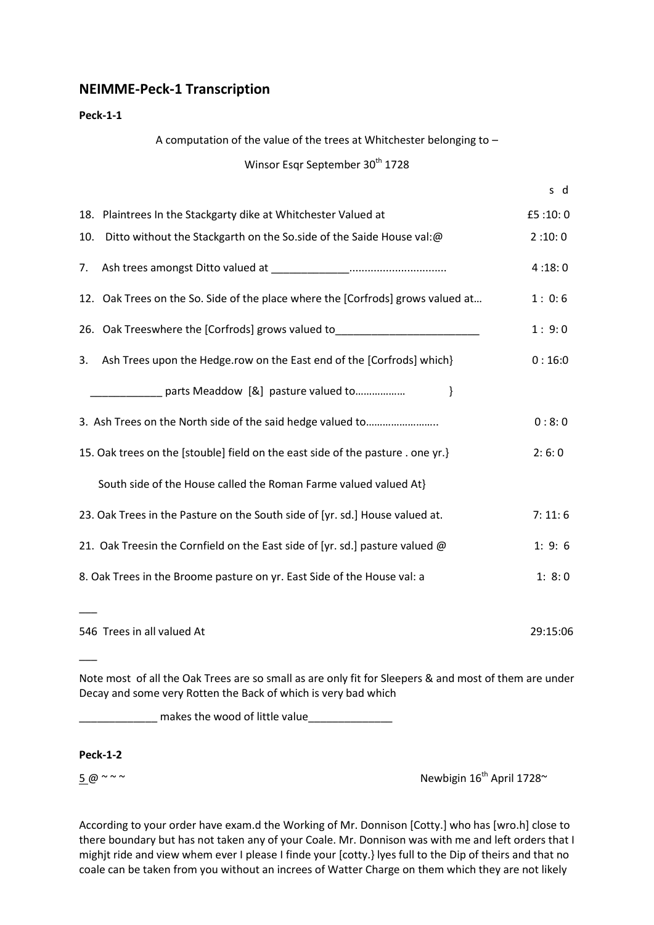# **NEIMME-Peck-1 Transcription**

## **Peck-1-1**

A computation of the value of the trees at Whitchester belonging to –

# Winsor Esqr September 30<sup>th</sup> 1728

|     | 18. Plaintrees In the Stackgarty dike at Whitchester Valued at                   | £5:10:0  |
|-----|----------------------------------------------------------------------------------|----------|
| 10. | Ditto without the Stackgarth on the So.side of the Saide House val:@             | 2:10:0   |
| 7.  |                                                                                  | 4:18:0   |
|     | 12. Oak Trees on the So. Side of the place where the [Corfrods] grows valued at  | 1:0:6    |
|     | 26. Oak Treeswhere the [Corfrods] grows valued to_______________________________ | 1:9:0    |
| 3.  | Ash Trees upon the Hedge.row on the East end of the [Corfrods] which}            | 0:16:0   |
|     | parts Meaddow [&] pasture valued to<br><sup>}</sup>                              |          |
|     |                                                                                  | 0:8:0    |
|     | 15. Oak trees on the [stouble] field on the east side of the pasture . one yr.}  | 2:6:0    |
|     | South side of the House called the Roman Farme valued valued At}                 |          |
|     | 23. Oak Trees in the Pasture on the South side of [yr. sd.] House valued at.     | 7:11:6   |
|     | 21. Oak Treesin the Cornfield on the East side of [yr. sd.] pasture valued @     | 1: 9: 6  |
|     | 8. Oak Trees in the Broome pasture on yr. East Side of the House val: a          | 1: 8:0   |
|     |                                                                                  |          |
|     | 546 Trees in all valued At                                                       | 29:15:06 |

Note most of all the Oak Trees are so small as are only fit for Sleepers & and most of them are under Decay and some very Rotten the Back of which is very bad which

\_\_\_\_\_\_\_\_\_\_\_\_\_ makes the wood of little value\_\_\_\_\_\_\_\_\_\_\_\_\_\_

# **Peck-1-2**

 $\overline{\phantom{a}}$ 

 $5 \omega \sim 5$   $\omega \sim 5$  Newbigin 16<sup>th</sup> April 1728 $\sim$ 

According to your order have exam.d the Working of Mr. Donnison [Cotty.] who has [wro.h] close to there boundary but has not taken any of your Coale. Mr. Donnison was with me and left orders that I mighjt ride and view whem ever I please I finde your [cotty.} lyes full to the Dip of theirs and that no coale can be taken from you without an increes of Watter Charge on them which they are not likely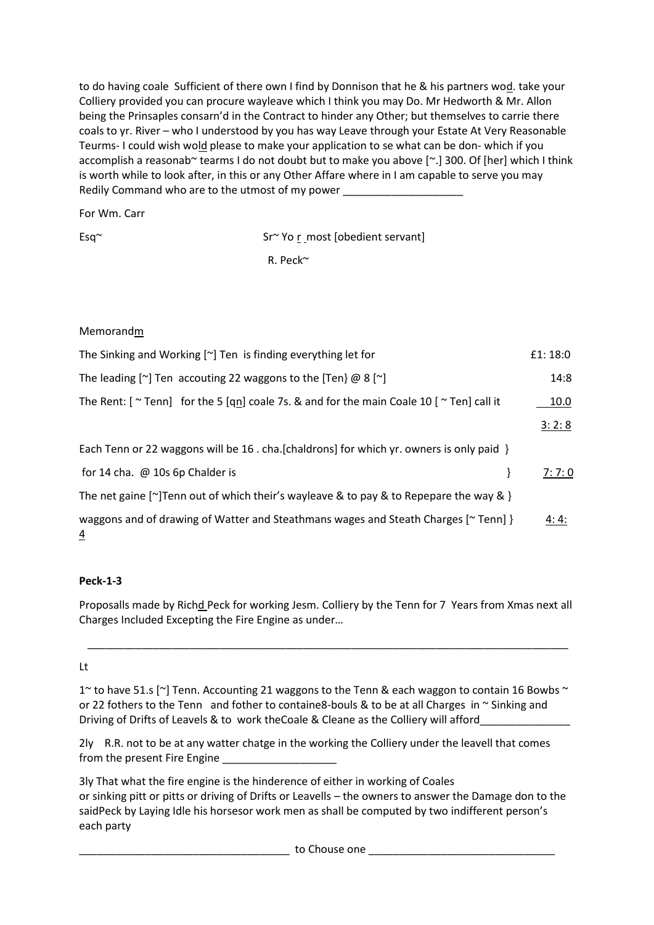to do having coale Sufficient of there own I find by Donnison that he & his partners wod. take your Colliery provided you can procure wayleave which I think you may Do. Mr Hedworth & Mr. Allon being the Prinsaples consarn'd in the Contract to hinder any Other; but themselves to carrie there coals to yr. River – who I understood by you has way Leave through your Estate At Very Reasonable Teurms- I could wish wold please to make your application to se what can be don- which if you accomplish a reasonab~ tearms I do not doubt but to make you above [~.] 300. Of [her] which I think is worth while to look after, in this or any Other Affare where in I am capable to serve you may Redily Command who are to the utmost of my power

For Wm. Carr

Esq~ Sr~ Yo r most lobedient servantl

R. Peck~

| Memorandm                                                                                                            |         |
|----------------------------------------------------------------------------------------------------------------------|---------|
| The Sinking and Working $[\sim]$ Ten is finding everything let for                                                   | £1:18:0 |
| The leading $\lceil \sim \rceil$ Ten accouting 22 waggons to the $\lceil \text{Ten} \rceil$ @ 8 $\lceil \sim \rceil$ | 14:8    |
| The Rent: $[$ $\sim$ Tenn] for the 5 $[qn]$ coale 7s. & and for the main Coale 10 $[$ $\sim$ Ten] call it            | 10.0    |

 $3: 2: 8$ 

Each Tenn or 22 waggons will be 16 . cha.[chaldrons] for which yr. owners is only paid }

| for 14 cha. $\omega$ 10s 6p Chalder is                                                           | <u>7: 7: 0</u> |
|--------------------------------------------------------------------------------------------------|----------------|
| The net gaine [ $\gamma$ ] Tenn out of which their's wayleave & to pay & to Repepare the way & } |                |
| waggons and of drawing of Watter and Steathmans wages and Steath Charges $\lceil \sim$ Tenn] }   | 4:4:           |

# **Peck-1-3**

Proposalls made by Richd Peck for working Jesm. Colliery by the Tenn for 7 Years from Xmas next all Charges Included Excepting the Fire Engine as under…

\_\_\_\_\_\_\_\_\_\_\_\_\_\_\_\_\_\_\_\_\_\_\_\_\_\_\_\_\_\_\_\_\_\_\_\_\_\_\_\_\_\_\_\_\_\_\_\_\_\_\_\_\_\_\_\_\_\_\_\_\_\_\_\_\_\_\_\_\_\_\_\_\_\_\_\_\_\_\_\_

# Lt

1 $\alpha$  to have 51.s [ $\gamma$ ] Tenn. Accounting 21 waggons to the Tenn & each waggon to contain 16 Bowbs  $\gamma$ or 22 fothers to the Tenn and fother to containe8-bouls & to be at all Charges in  $\sim$  Sinking and Driving of Drifts of Leavels & to work the Coale & Cleane as the Colliery will afford\_

2ly R.R. not to be at any watter chatge in the working the Colliery under the leavell that comes from the present Fire Engine

3ly That what the fire engine is the hinderence of either in working of Coales or sinking pitt or pitts or driving of Drifts or Leavells – the owners to answer the Damage don to the saidPeck by Laying Idle his horsesor work men as shall be computed by two indifferent person's each party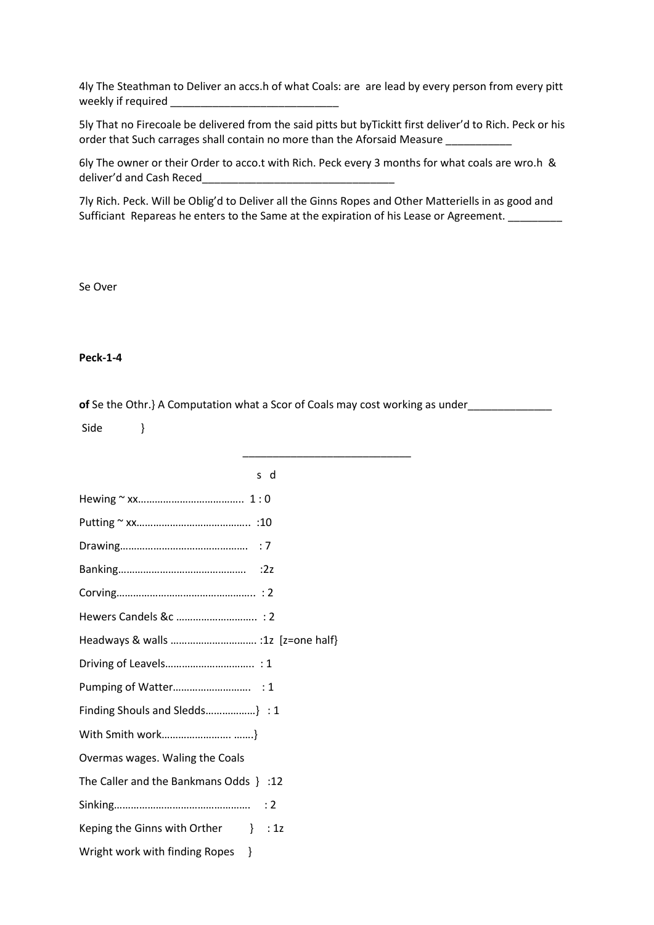4ly The Steathman to Deliver an accs.h of what Coals: are are lead by every person from every pitt weekly if required \_\_\_\_\_\_\_\_\_\_\_\_\_\_\_\_\_\_\_\_\_\_\_\_\_\_\_\_

5ly That no Firecoale be delivered from the said pitts but byTickitt first deliver'd to Rich. Peck or his order that Such carrages shall contain no more than the Aforsaid Measure

6ly The owner or their Order to acco.t with Rich. Peck every 3 months for what coals are wro.h & deliver'd and Cash Reced

7ly Rich. Peck. Will be Oblig'd to Deliver all the Ginns Ropes and Other Matteriells in as good and Sufficiant Repareas he enters to the Same at the expiration of his Lease or Agreement. \_\_\_\_\_\_\_\_\_

Se Over

## **Peck-1-4**

of Se the Othr.} A Computation what a Scor of Coals may cost working as under

\_\_\_\_\_\_\_\_\_\_\_\_\_\_\_\_\_\_\_\_\_\_\_\_\_\_\_\_

Side }

| s d                                        |
|--------------------------------------------|
|                                            |
|                                            |
|                                            |
|                                            |
|                                            |
| Hewers Candels &c  : 2                     |
| Headways & walls  :1z [z=one half]         |
|                                            |
|                                            |
| Finding Shouls and Sledds} : 1             |
| With Smith work }                          |
| Overmas wages. Waling the Coals            |
| 12: The Caller and the Bankmans Odds } :12 |
|                                            |
| $\}$ : 1z<br>Keping the Ginns with Orther  |
| Wright work with finding Ropes<br>ł        |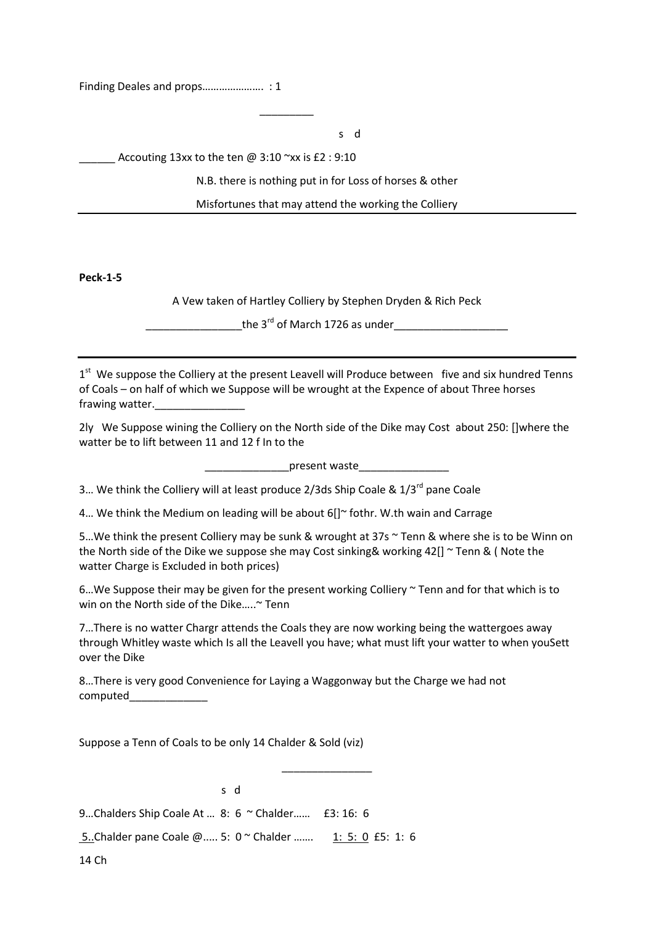Finding Deales and props…………………. : 1

\_\_\_\_\_\_\_\_\_

s descriptions of the state of the state of the state of the state of the state of the state of the state of the state of the state of the state of the state of the state of the state of the state of the state of the state

Accouting  $13xx$  to the ten @  $3:10$   $\sim$ xx is £2 : 9:10

N.B. there is nothing put in for Loss of horses & other

Misfortunes that may attend the working the Colliery

**Peck-1-5**

A Vew taken of Hartley Colliery by Stephen Dryden & Rich Peck

\_\_\_\_\_\_\_\_\_\_\_\_\_\_\_\_the 3rd of March 1726 as under\_\_\_\_\_\_\_\_\_\_\_\_\_\_\_\_\_\_\_

1<sup>st</sup> We suppose the Colliery at the present Leavell will Produce between five and six hundred Tenns of Coals – on half of which we Suppose will be wrought at the Expence of about Three horses frawing watter.

2ly We Suppose wining the Colliery on the North side of the Dike may Cost about 250: []where the watter be to lift between 11 and 12 f In to the

 $p$ resent waste

3... We think the Colliery will at least produce 2/3ds Ship Coale & 1/3<sup>rd</sup> pane Coale

4... We think the Medium on leading will be about 6[]~ fothr. W.th wain and Carrage

5...We think the present Colliery may be sunk & wrought at 37s  $\sim$  Tenn & where she is to be Winn on the North side of the Dike we suppose she may Cost sinking& working 42[] ~ Tenn & ( Note the watter Charge is Excluded in both prices)

6...We Suppose their may be given for the present working Colliery  $\sim$  Tenn and for that which is to win on the North side of the Dike…..~ Tenn

7…There is no watter Chargr attends the Coals they are now working being the wattergoes away through Whitley waste which Is all the Leavell you have; what must lift your watter to when youSett over the Dike

\_\_\_\_\_\_\_\_\_\_\_\_\_\_\_

8…There is very good Convenience for Laying a Waggonway but the Charge we had not computed\_\_\_\_\_\_\_\_\_\_\_\_\_

Suppose a Tenn of Coals to be only 14 Chalder & Sold (viz)

s de la construction de la construction de la construction de la construction de la construction de la constru

9…Chalders Ship Coale At … 8: 6 ~ Chalder…… £3: 16: 6

5..Chalder pane Coale @..... 5: 0 ~ Chalder ……. 1: 5: 0 £5: 1: 6

14 Ch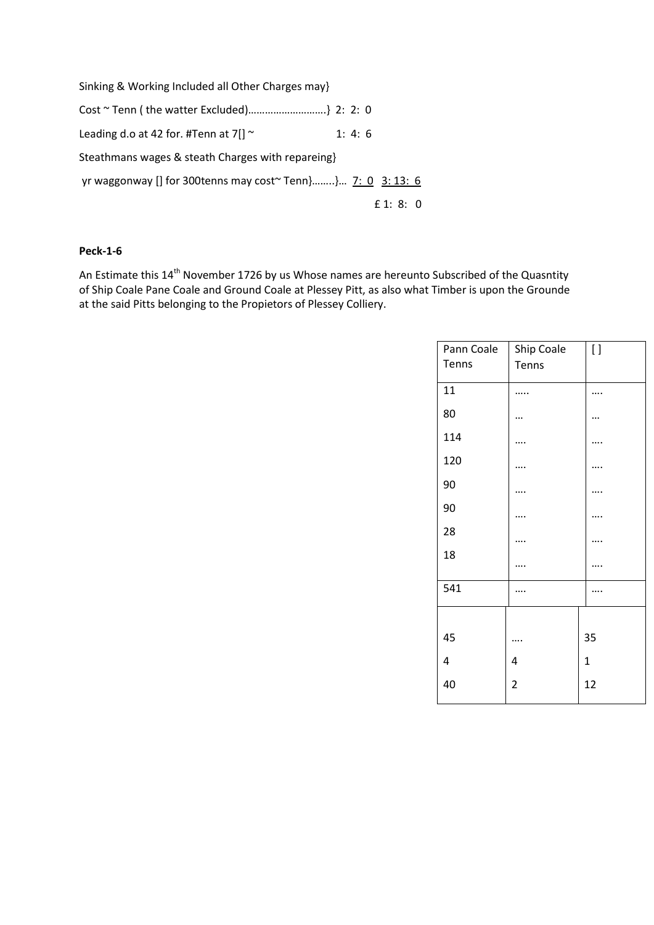Sinking & Working Included all Other Charges may} Cost ~ Tenn ( the watter Excluded)……………………….} 2: 2: 0 Leading d.o at 42 for. #Tenn at  $7[] \sim 1: 4: 6$ Steathmans wages & steath Charges with repareing} yr waggonway [] for 300tenns may cost~ Tenn}........}... 7: 0 3: 13: 6 £ 1: 8: 0

## **Peck-1-6**

An Estimate this 14<sup>th</sup> November 1726 by us Whose names are hereunto Subscribed of the Quasntity of Ship Coale Pane Coale and Ground Coale at Plessey Pitt, as also what Timber is upon the Grounde at the said Pitts belonging to the Propietors of Plessey Colliery.

| Ship Coale | $\left[ \ \right]$ |
|------------|--------------------|
|            |                    |
|            |                    |
|            |                    |
|            |                    |
|            |                    |
|            |                    |
|            |                    |
|            |                    |
|            |                    |
|            |                    |
|            |                    |
|            |                    |
|            | 35                 |
| 4          | $\mathbf{1}$       |
| 2          | 12                 |
|            | Tenns              |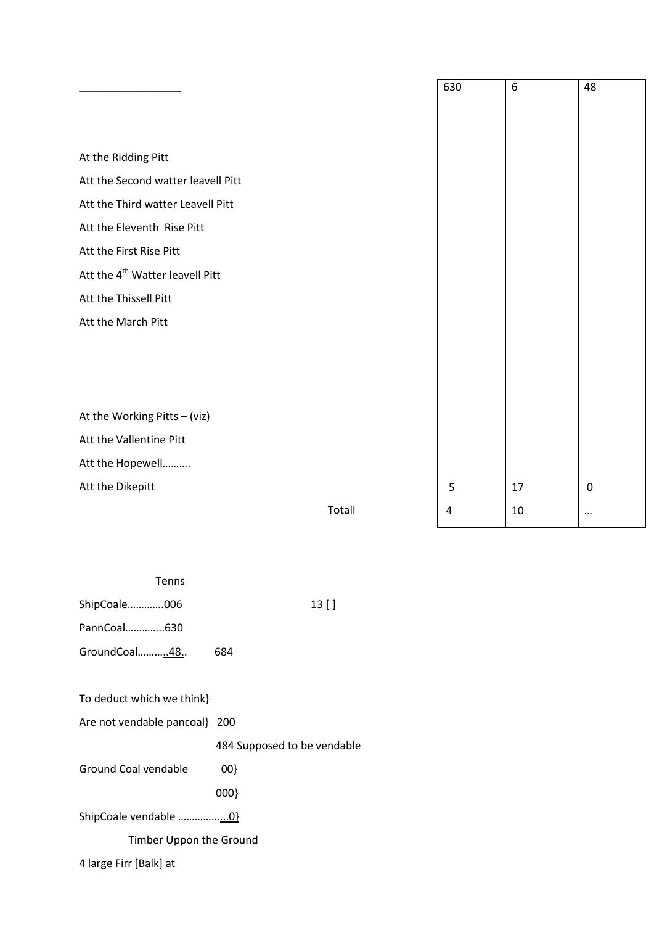|                                             |        | 630 | $\boldsymbol{6}$ | 48          |
|---------------------------------------------|--------|-----|------------------|-------------|
|                                             |        |     |                  |             |
|                                             |        |     |                  |             |
| At the Ridding Pitt                         |        |     |                  |             |
| Att the Second watter leavell Pitt          |        |     |                  |             |
| Att the Third watter Leavell Pitt           |        |     |                  |             |
| Att the Eleventh Rise Pitt                  |        |     |                  |             |
| Att the First Rise Pitt                     |        |     |                  |             |
| Att the 4 <sup>th</sup> Watter leavell Pitt |        |     |                  |             |
| Att the Thissell Pitt                       |        |     |                  |             |
| Att the March Pitt                          |        |     |                  |             |
|                                             |        |     |                  |             |
|                                             |        |     |                  |             |
|                                             |        |     |                  |             |
| At the Working Pitts - (viz)                |        |     |                  |             |
| Att the Vallentine Pitt                     |        |     |                  |             |
| Att the Hopewell                            |        |     |                  |             |
| Att the Dikepitt                            |        | 5   | 17               | $\mathbf 0$ |
|                                             | Totall | 4   | 10               | $\cdots$    |

| <b>Tenns</b> |     |         |
|--------------|-----|---------|
| ShipCoale006 |     | $13$ [] |
| PannCoal630  |     |         |
| GroundCoal48 | 684 |         |
|              |     |         |

| To deduct which we think} |  |  |  |  |
|---------------------------|--|--|--|--|
|---------------------------|--|--|--|--|

Are not vendable pancoal} 200

484 Supposed to be vendable

Ground Coal vendable 00}

000}

ShipCoale vendable ……………...0}

Timber Uppon the Ground

4 large Firr [Balk] at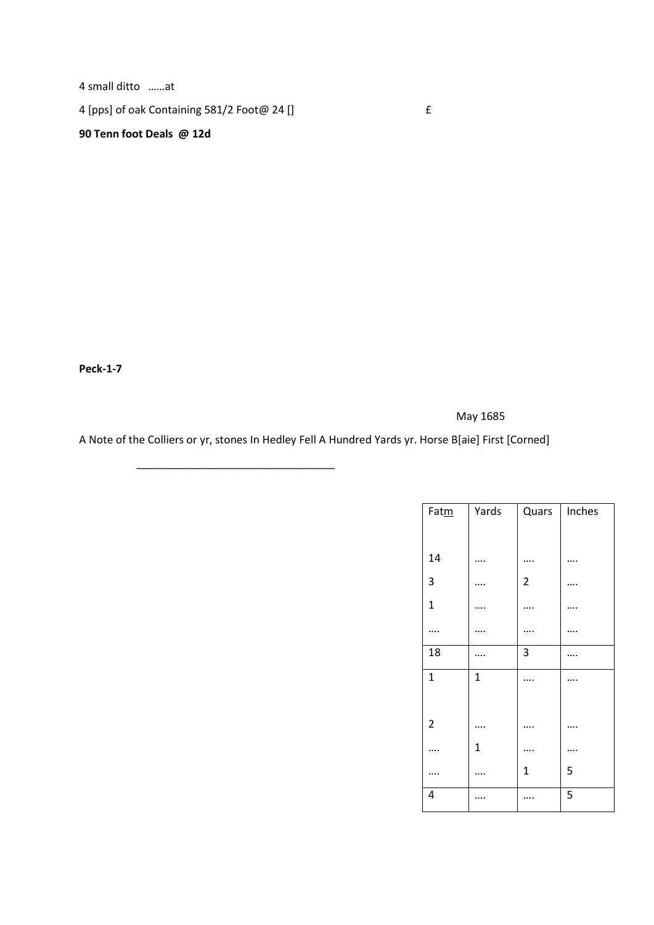4 small ditto ……at

4 [pps] of oak Containing  $581/2$  Foot@ 24 []  $\qquad \qquad \text{f}$ 

\_\_\_\_\_\_\_\_\_\_\_\_\_\_\_\_\_\_\_\_\_\_\_\_\_\_\_\_\_\_\_\_\_

# **90 Tenn foot Deals @ 12d**

**Peck-1-7**

May 1685

A Note of the Colliers or yr, stones In Hedley Fell A Hundred Yards yr. Horse B[aie] First [Corned]

| Fatm           | Yards        | Quars          | Inches |
|----------------|--------------|----------------|--------|
|                |              |                |        |
| 14             |              |                |        |
| 3              |              | $\overline{2}$ |        |
| $\mathbf{1}$   |              |                |        |
|                |              |                |        |
| 18             |              | 3              |        |
| $\mathbf{1}$   | $\mathbf{1}$ |                |        |
|                |              |                |        |
| $\overline{2}$ |              |                |        |
|                | $\mathbf{1}$ |                |        |
|                |              | $\mathbf 1$    | 5      |
| 4              |              |                | 5      |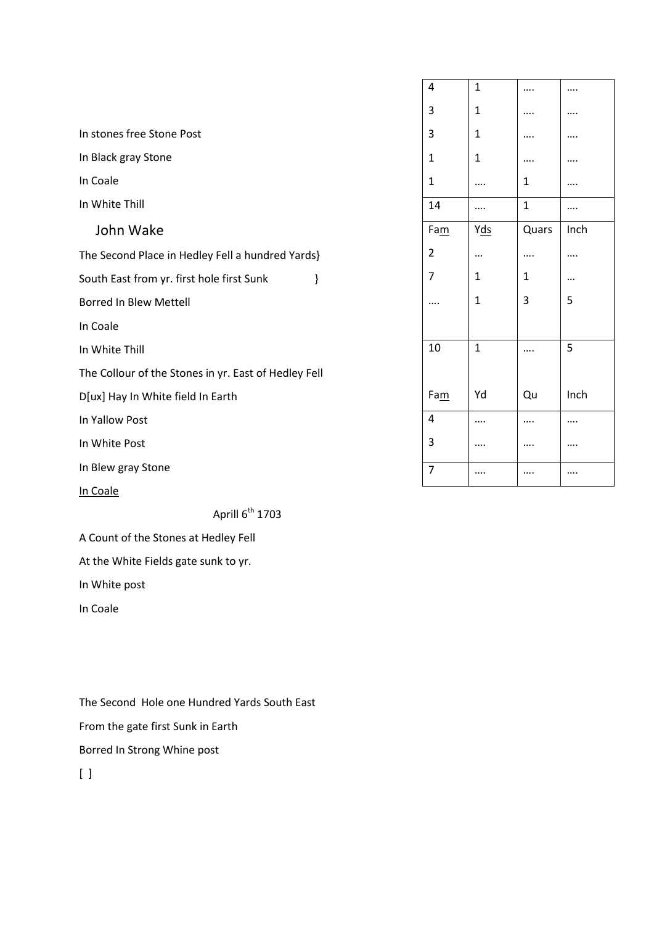|                                                      | $\overline{4}$ | $\mathbf{1}$ |             |          |
|------------------------------------------------------|----------------|--------------|-------------|----------|
|                                                      | 3              | $\mathbf{1}$ |             |          |
| In stones free Stone Post                            | 3              | 1            |             |          |
| In Black gray Stone                                  | 1              | 1            | $\cdots$    |          |
| In Coale                                             | 1              | $\cdots$     | 1           |          |
| In White Thill                                       | 14             | $\cdots$     | $\mathbf 1$ |          |
| John Wake                                            | Fam            | Y <u>ds</u>  | Quars       | Inch     |
| The Second Place in Hedley Fell a hundred Yards}     | $\overline{2}$ | $\cdots$     |             |          |
| South East from yr. first hole first Sunk<br>}       | 7              | 1            | 1           | $\cdots$ |
| <b>Borred In Blew Mettell</b>                        |                | 1            | 3           | 5        |
| In Coale                                             |                |              |             |          |
| In White Thill                                       | 10             | $\mathbf{1}$ |             | 5        |
| The Collour of the Stones in yr. East of Hedley Fell |                |              |             |          |
| D[ux] Hay In White field In Earth                    | Fam            | Yd           | Qu          | Inch     |
| In Yallow Post                                       | $\overline{4}$ | $\cdots$     |             |          |
| In White Post                                        | 3              | $\cdots$     | $\cdots$    |          |
| In Blew gray Stone                                   | $\overline{7}$ | $\cdots$     |             |          |
| In Coale                                             |                |              |             |          |

Aprill  $6^{th}$  1703

A Count of the Stones at Hedley Fell

At the White Fields gate sunk to yr.

In White post

In Coale

The Second Hole one Hundred Yards South East From the gate first Sunk in Earth Borred In Strong Whine post  $[ ]$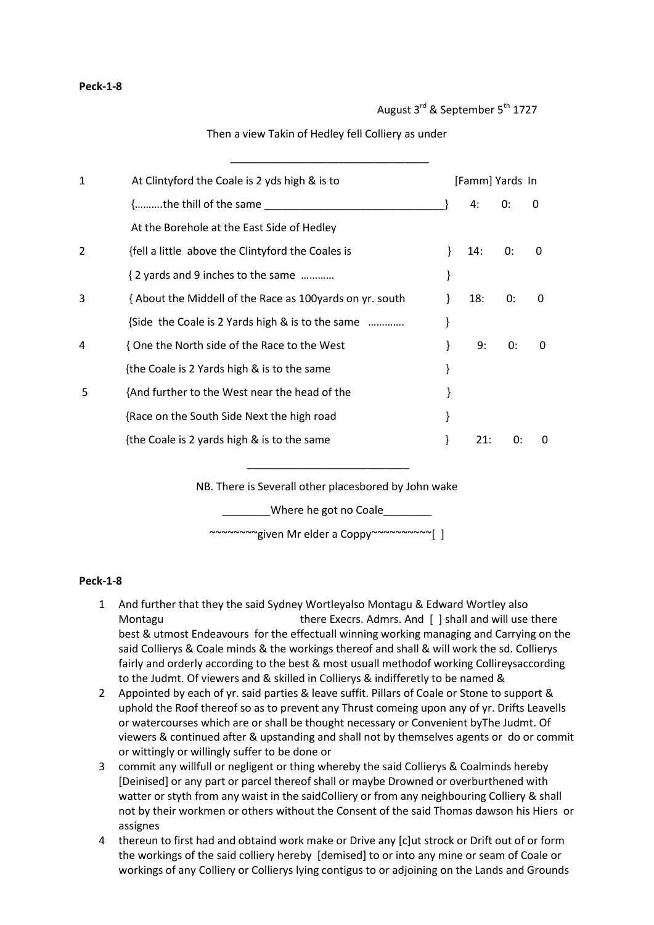## Then a view Takin of Hedley fell Colliery as under

 $\overline{\phantom{a}}$  , we can consider the constraint of the constraint  $\overline{\phantom{a}}$ 

| 1 | At Clintyford the Coale is 2 yds high & is to            | [Famm] Yards In |    |              |
|---|----------------------------------------------------------|-----------------|----|--------------|
|   | {the thill of the same                                   | 4:              | 0: | 0            |
|   | At the Borehole at the East Side of Hedley               |                 |    |              |
| 2 | {fell a little above the Clintyford the Coales is        | 14:             | 0: | $\Omega$     |
|   | { 2 yards and 9 inches to the same                       |                 |    |              |
| 3 | {About the Middell of the Race as 100 yards on yr. south | 18:             | 0: | 0            |
|   | {Side the Coale is 2 Yards high & is to the same         |                 |    |              |
| 4 | { One the North side of the Race to the West             | 9:              | 0: | 0            |
|   | {the Coale is 2 Yards high & is to the same              |                 |    |              |
| 5 | {And further to the West near the head of the            |                 |    |              |
|   | {Race on the South Side Next the high road               |                 |    |              |
|   | {the Coale is 2 yards high & is to the same              | 21:             | 0: | $\mathbf{0}$ |
|   |                                                          |                 |    |              |

NB. There is Severall other placesbored by John wake

\_\_\_\_\_\_\_\_\_\_\_\_\_\_\_\_\_\_\_\_\_\_\_\_\_\_\_

Where he got no Coale

~~~~~~~~given Mr elder a Coppy~~~~~~~~~~[ ]

## **Peck-1-8**

- 1 And further that they the said Sydney Wortleyalso Montagu & Edward Wortley also Montagu **there Execrs. Admrs. And [** ] shall and will use there best & utmost Endeavours for the effectuall winning working managing and Carrying on the said Collierys & Coale minds & the workings thereof and shall & will work the sd. Collierys fairly and orderly according to the best & most usuall methodof working Collireysaccording to the Judmt. Of viewers and & skilled in Collierys & indifferetly to be named &
- 2 Appointed by each of yr. said parties & leave suffit. Pillars of Coale or Stone to support & uphold the Roof thereof so as to prevent any Thrust comeing upon any of yr. Drifts Leavells or watercourses which are or shall be thought necessary or Convenient byThe Judmt. Of viewers & continued after & upstanding and shall not by themselves agents or do or commit or wittingly or willingly suffer to be done or
- 3 commit any willfull or negligent or thing whereby the said Collierys & Coalminds hereby [Deinised] or any part or parcel thereof shall or maybe Drowned or overburthened with watter or styth from any waist in the saidColliery or from any neighbouring Colliery & shall not by their workmen or others without the Consent of the said Thomas dawson his Hiers or assignes
- 4 thereun to first had and obtaind work make or Drive any [c]ut strock or Drift out of or form the workings of the said colliery hereby [demised] to or into any mine or seam of Coale or workings of any Colliery or Collierys lying contigus to or adjoining on the Lands and Grounds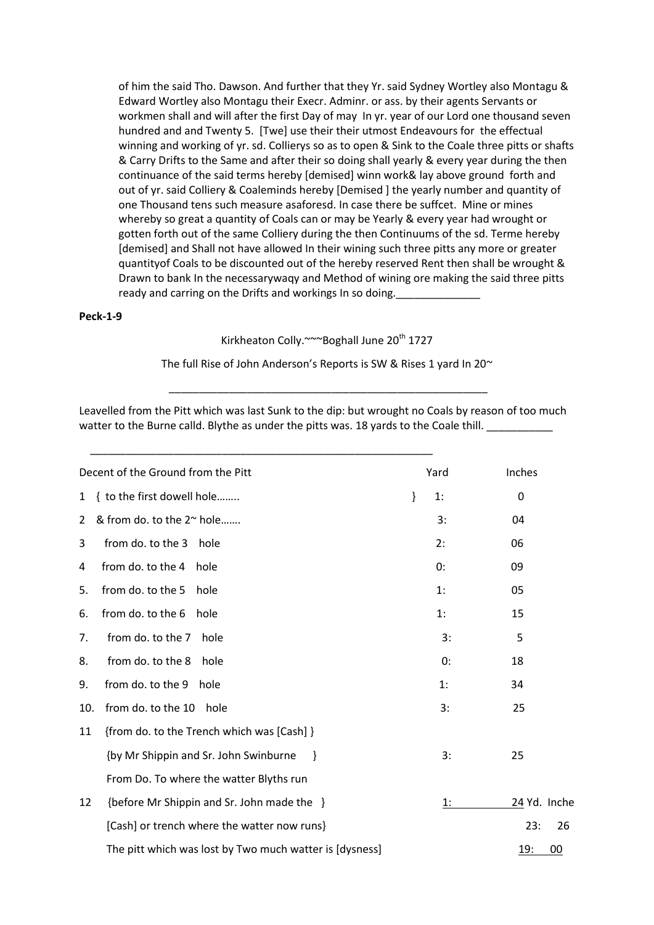of him the said Tho. Dawson. And further that they Yr. said Sydney Wortley also Montagu & Edward Wortley also Montagu their Execr. Adminr. or ass. by their agents Servants or workmen shall and will after the first Day of may In yr. year of our Lord one thousand seven hundred and and Twenty 5. [Twe] use their their utmost Endeavours for the effectual winning and working of yr. sd. Collierys so as to open & Sink to the Coale three pitts or shafts & Carry Drifts to the Same and after their so doing shall yearly & every year during the then continuance of the said terms hereby [demised] winn work& lay above ground forth and out of yr. said Colliery & Coaleminds hereby [Demised ] the yearly number and quantity of one Thousand tens such measure asaforesd. In case there be suffcet. Mine or mines whereby so great a quantity of Coals can or may be Yearly & every year had wrought or gotten forth out of the same Colliery during the then Continuums of the sd. Terme hereby [demised] and Shall not have allowed In their wining such three pitts any more or greater quantityof Coals to be discounted out of the hereby reserved Rent then shall be wrought & Drawn to bank In the necessarywaqy and Method of wining ore making the said three pitts ready and carring on the Drifts and workings In so doing.

#### **Peck-1-9**

Kirkheaton Colly.~~~Boghall June 20<sup>th</sup> 1727

The full Rise of John Anderson's Reports is SW & Rises 1 yard In 20 $\sim$ 

\_\_\_\_\_\_\_\_\_\_\_\_\_\_\_\_\_\_\_\_\_\_\_\_\_\_\_\_\_\_\_\_\_\_\_\_\_\_\_\_\_\_\_\_\_\_\_\_\_\_\_\_\_

Leavelled from the Pitt which was last Sunk to the dip: but wrought no Coals by reason of too much watter to the Burne calld. Blythe as under the pitts was. 18 yards to the Coale thill.

|              | Decent of the Ground from the Pitt                      |   | Yard | Inches           |
|--------------|---------------------------------------------------------|---|------|------------------|
| $\mathbf{1}$ | { to the first dowell hole                              | } | 1:   | 0                |
| 2            | & from do. to the 2~ hole                               |   | 3:   | 04               |
| 3            | from do. to the 3<br>hole                               |   | 2:   | 06               |
| 4            | from do. to the 4<br>hole                               |   | 0:   | 09               |
| 5.           | from do. to the 5<br>hole                               |   | 1:   | 05               |
| 6.           | from do. to the 6<br>hole                               |   | 1:   | 15               |
| 7.           | from do. to the 7<br>hole                               |   | 3:   | 5                |
| 8.           | from do. to the 8<br>hole                               |   | 0:   | 18               |
| 9.           | from do. to the 9<br>hole                               |   | 1:   | 34               |
| 10.          | from do. to the 10<br>hole                              |   | 3:   | 25               |
| 11           | {from do. to the Trench which was [Cash] }              |   |      |                  |
|              | {by Mr Shippin and Sr. John Swinburne<br><sup>}</sup>   |   | 3:   | 25               |
|              | From Do. To where the watter Blyths run                 |   |      |                  |
| 12           | {before Mr Shippin and Sr. John made the }              |   | 1:   | 24 Yd. Inche     |
|              | [Cash] or trench where the watter now runs}             |   |      | 23:<br>26        |
|              | The pitt which was lost by Two much watter is [dysness] |   |      | <u>19:</u><br>00 |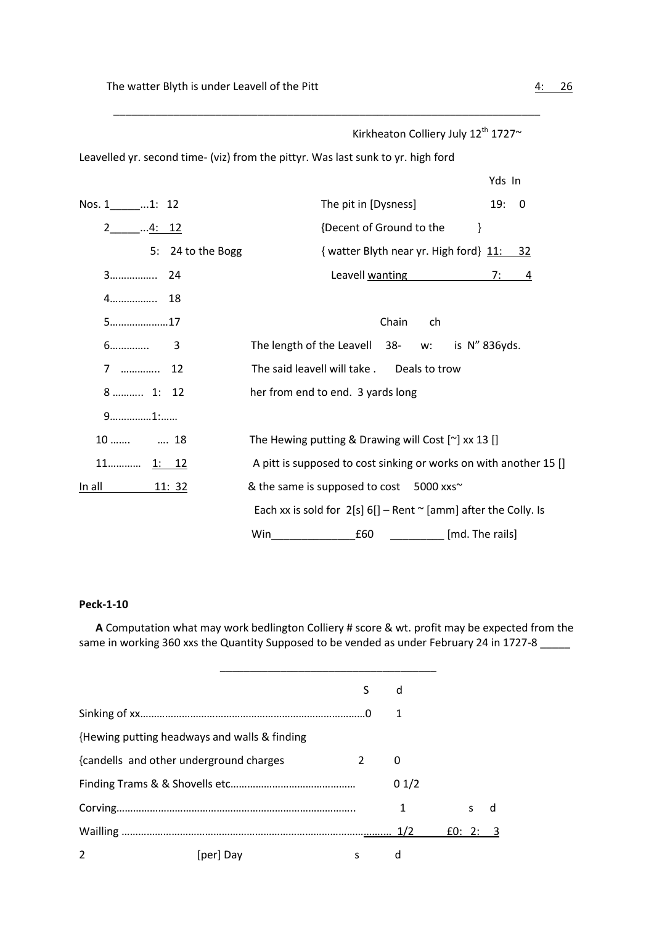|                   | Kirkheaton Colliery July 12th 1727~                                              |
|-------------------|----------------------------------------------------------------------------------|
|                   | Leavelled yr. second time- (viz) from the pittyr. Was last sunk to yr. high ford |
|                   | Yds In                                                                           |
| Nos. 1______1: 12 | The pit in [Dysness]<br>19: 0                                                    |
| $2$ 4: 12         | {Decent of Ground to the<br>$\}$                                                 |
| 5: 24 to the Bogg | { watter Blyth near yr. High ford} 11: 32                                        |
|                   | Leavell wanting <b>Exercise Services</b><br>7: $-4$                              |
|                   |                                                                                  |
| $5$ 17            | Chain<br>ch                                                                      |
|                   | The length of the Leavell 38-<br>w: is N'' 836yds.                               |
| 7  12             | The said leavell will take.<br>Deals to trow                                     |
| 8  1: 12          | her from end to end. 3 yards long                                                |
| $9$ 1:            |                                                                                  |
| $10$ $18$         | The Hewing putting & Drawing will Cost $[\sim]$ xx 13 []                         |
|                   | A pitt is supposed to cost sinking or works on with another 15 []                |
|                   | & the same is supposed to cost 5000 xxs~                                         |
|                   | Each xx is sold for $2[s]$ 6[] – Rent $\sim$ [amm] after the Colly. Is           |
|                   | Win<br>£60<br>[md. The rails]                                                    |

\_\_\_\_\_\_\_\_\_\_\_\_\_\_\_\_\_\_\_\_\_\_\_\_\_\_\_\_\_\_\_\_\_\_\_\_\_\_\_\_\_\_\_\_\_\_\_\_\_\_\_\_\_\_\_\_\_\_\_\_\_\_\_\_\_\_\_\_\_\_\_

#### **Peck-1-10**

 **A** Computation what may work bedlington Colliery # score & wt. profit may be expected from the same in working 360 xxs the Quantity Supposed to be vended as under February 24 in 1727-8 \_\_\_\_\_

|                |                                              |   | d    |          |   |
|----------------|----------------------------------------------|---|------|----------|---|
|                |                                              |   | 1    |          |   |
|                | {Hewing putting headways and walls & finding |   |      |          |   |
|                | {candells and other underground charges      | 2 | 0    |          |   |
|                |                                              |   | 01/2 |          |   |
|                |                                              |   | 1    | s        | a |
|                |                                              |   |      | f0: 2: 3 |   |
| $\overline{2}$ | [per] Day                                    | S | d    |          |   |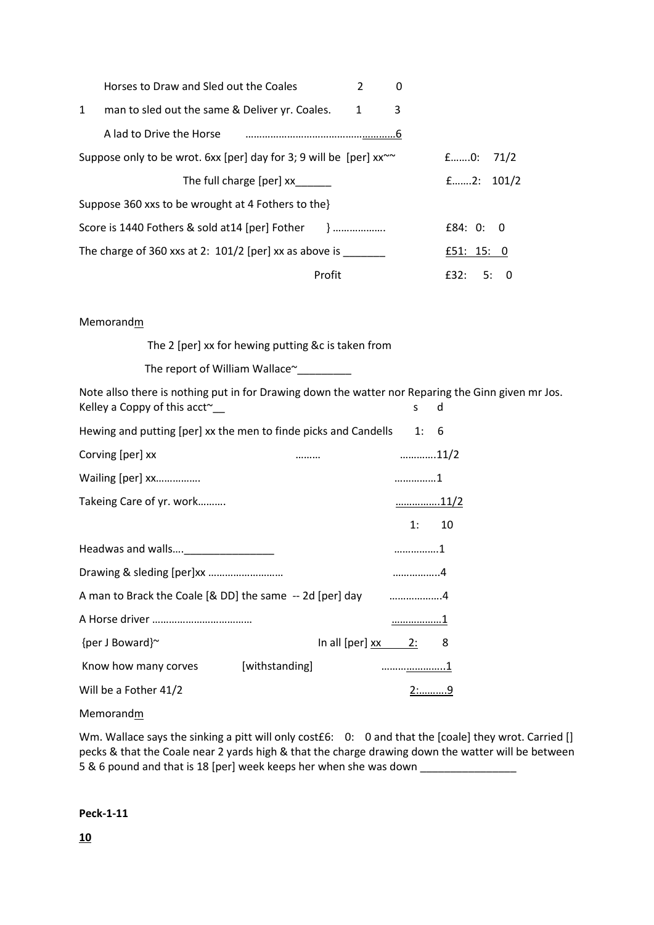|   | Horses to Draw and Sled out the Coales                                        | 2         | 0 |                  |
|---|-------------------------------------------------------------------------------|-----------|---|------------------|
| 1 | man to sled out the same & Deliver yr. Coales.                                | $1 \quad$ | 3 |                  |
|   | A lad to Drive the Horse manufactured and to Drive the Horse                  |           |   |                  |
|   | Suppose only to be wrot. 6xx [per] day for 3; 9 will be [per] $xx^{\sim\sim}$ |           |   | $f$ 0: 71/2      |
|   | The full charge [per] xx                                                      |           |   | $f$ 2: 101/2     |
|   | Suppose 360 xxs to be wrought at 4 Fothers to the                             |           |   |                  |
|   |                                                                               |           |   | f84:0:0          |
|   | The charge of 360 xxs at 2: $101/2$ [per] xx as above is                      |           |   | £51: $15: 0$     |
|   | Profit                                                                        |           |   | f32:<br>.5:<br>n |

## Memorandm

The 2 [per] xx for hewing putting &c is taken from

The report of William Wallace~

Note allso there is nothing put in for Drawing down the watter nor Reparing the Ginn given mr Jos. Kelley a Coppy of this acct<sup>~</sup>\_\_\_ s d

| Hewing and putting [per] xx the men to finde picks and Candells 1: 6 |                      |             |        |
|----------------------------------------------------------------------|----------------------|-------------|--------|
| Corving [per] xx                                                     |                      | 11/2        |        |
| Wailing [per] xx                                                     |                      | 1           |        |
| Takeing Care of yr. work                                             |                      | <u>11/2</u> |        |
|                                                                      |                      |             | 1: 10  |
|                                                                      |                      | 1           |        |
|                                                                      |                      | . 4         |        |
| A man to Brack the Coale [& DD] the same -- 2d [per] day 4           |                      |             |        |
|                                                                      |                      | <u>1</u>    |        |
| {per J Boward}~                                                      | In all [per] $xx$ 2: |             | 8      |
| Know how many corves [withstanding]                                  |                      |             |        |
| Will be a Fother 41/2                                                |                      |             | $2:$ 9 |

Memorandm

Wm. Wallace says the sinking a pitt will only cost£6: 0: 0 and that the [coale] they wrot. Carried [] pecks & that the Coale near 2 yards high & that the charge drawing down the watter will be between 5 & 6 pound and that is 18 [per] week keeps her when she was down \_\_\_\_\_\_\_\_\_\_\_\_\_\_\_\_

#### **Peck-1-11**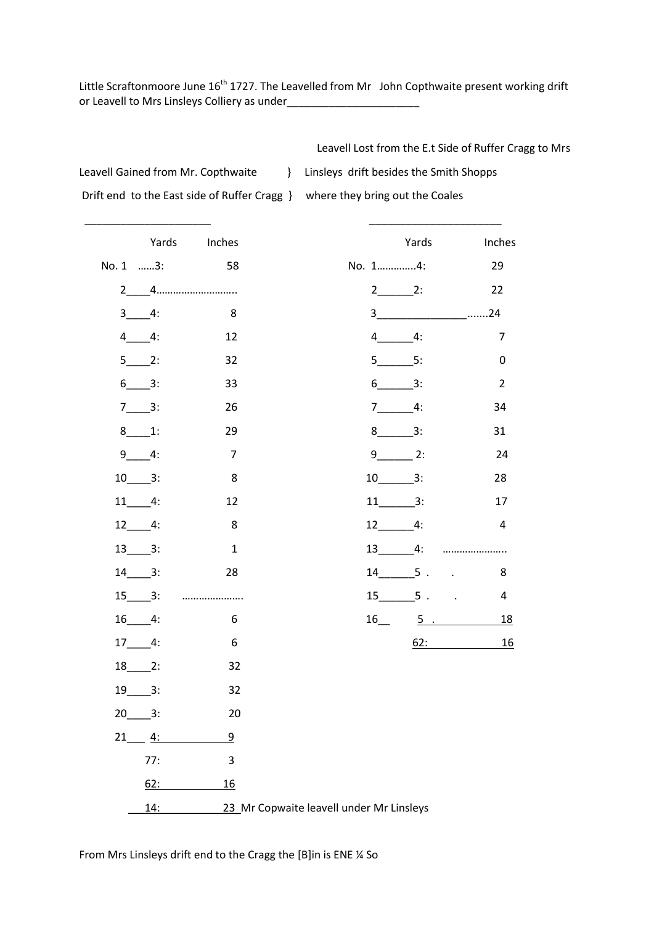Little Scraftonmoore June 16<sup>th</sup> 1727. The Leavelled from Mr John Copthwaite present working drift or Leavell to Mrs Linsleys Colliery as under\_\_\_\_\_\_\_\_\_\_\_\_\_\_\_\_\_\_\_\_\_\_

\_\_\_\_\_\_\_\_\_\_\_\_\_\_\_\_\_\_\_\_\_ \_\_\_\_\_\_\_\_\_\_\_\_\_\_\_\_\_\_\_\_\_\_

Leavell Lost from the E.t Side of Ruffer Cragg to Mrs

Leavell Gained from Mr. Copthwaite | | Linsleys drift besides the Smith Shopps

Drift end to the East side of Ruffer Cragg } where they bring out the Coales

|             |             | Yards Inches   |                                          |                        | Yards | Inches                     |
|-------------|-------------|----------------|------------------------------------------|------------------------|-------|----------------------------|
|             | No. 1 3: 58 |                |                                          | No. 14:                |       | 29                         |
|             |             |                |                                          | $2 \qquad \qquad$ 2:   |       | 22                         |
| $3 - 4:$    |             | - 8            |                                          |                        |       |                            |
| $4 - 4$ :   |             | 12             |                                          | $4 \t 4$ :             |       | $\overline{7}$             |
| $5$ 2:      |             | 32             |                                          | $5 \qquad 5$           |       | 0                          |
| $6 - 3$ :   |             | 33             |                                          | $6 \_ 3$ :             |       | $\overline{2}$             |
| $7 - 3:$    |             | 26             |                                          | $7 \_ 4$ :             |       | 34                         |
| $8 - 1$ :   |             | 29             |                                          | $8 \_ 3$ :             |       | 31                         |
| $9 - 4:$    |             | $\overline{7}$ |                                          | $9 \_ 2$ :             |       | 24                         |
| $10 - 3$ :  |             | 8              |                                          | $10$ 3:                |       | 28                         |
| $11 - 4$ :  |             | 12             |                                          | $11 \t3$ :             |       | 17                         |
| $12 \t 4$ : |             | 8              |                                          | $12 \t 4:$             |       | $\overline{4}$             |
| $13$ $3:$   |             | $\mathbf{1}$   |                                          |                        |       |                            |
| $14 - 3$ :  |             | 28             |                                          | $14 \qquad 5 \qquad .$ |       | 8                          |
| $15 - 3:$   |             |                |                                          |                        |       | $15 \t 5 \t .$<br>4        |
| $16$ 4:     |             | 6              |                                          |                        |       | $16$ $5$ $16$<br><u>18</u> |
| $17 - 4$ :  |             | 6              |                                          |                        |       | <u>16</u><br>62:           |
| $18 - 2$ :  |             | 32             |                                          |                        |       |                            |
| $19$ 3:     |             | 32             |                                          |                        |       |                            |
| $20 \t 3:$  |             | 20             |                                          |                        |       |                            |
|             | $21 \t 4$ : | $\overline{9}$ |                                          |                        |       |                            |
|             | 77:         | 3              |                                          |                        |       |                            |
|             | 62:         | 16             |                                          |                        |       |                            |
|             | 14:         |                | 23 Mr Copwaite leavell under Mr Linsleys |                        |       |                            |

From Mrs Linsleys drift end to the Cragg the [B]in is ENE ¼ So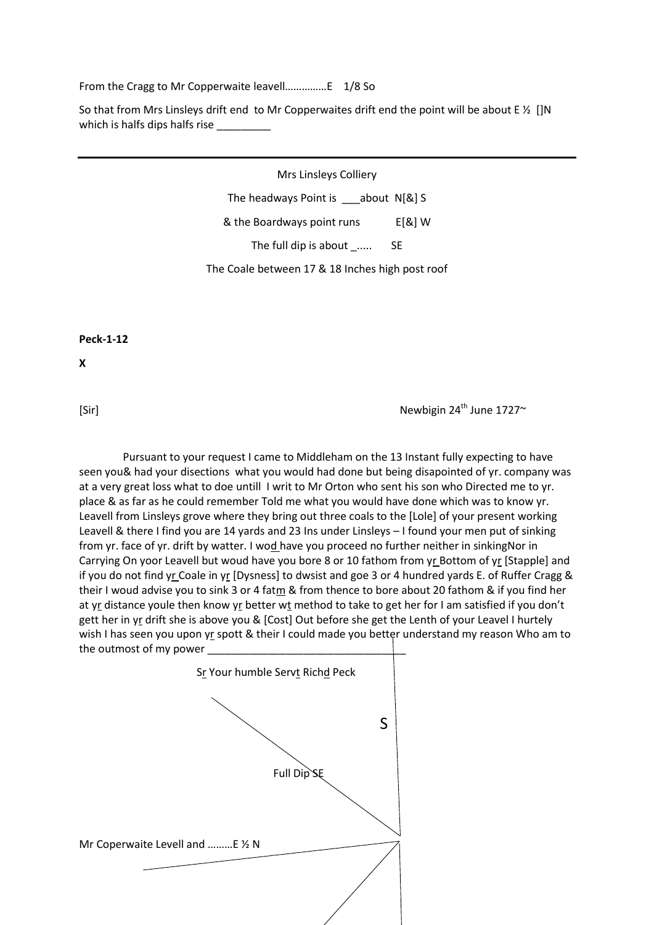From the Cragg to Mr Copperwaite leavell……………E 1/8 So

So that from Mrs Linsleys drift end to Mr Copperwaites drift end the point will be about E  $\frac{1}{2}$  []N which is halfs dips halfs rise

Mrs Linsleys Colliery

The headways Point is about N[&] S

& the Boardways point runs E[&] W

The full dip is about \_..... SE

The Coale between 17 & 18 Inches high post roof

**Peck-1-12**

**X**

 $\text{Newbigin } 24^{\text{th}}$  June 1727 $\sim$ 

 Pursuant to your request I came to Middleham on the 13 Instant fully expecting to have seen you& had your disections what you would had done but being disapointed of yr. company was at a very great loss what to doe untill I writ to Mr Orton who sent his son who Directed me to yr. place & as far as he could remember Told me what you would have done which was to know yr. Leavell from Linsleys grove where they bring out three coals to the [Lole] of your present working Leavell & there I find you are 14 yards and 23 Ins under Linsleys – I found your men put of sinking from yr. face of yr. drift by watter. I wod have you proceed no further neither in sinkingNor in Carrying On yoor Leavell but woud have you bore 8 or 10 fathom from yr Bottom of yr [Stapple] and if you do not find yr Coale in yr [Dysness] to dwsist and goe 3 or 4 hundred yards E. of Ruffer Cragg & their I woud advise you to sink 3 or 4 fatm & from thence to bore about 20 fathom & if you find her at yr distance youle then know yr better wt method to take to get her for I am satisfied if you don't gett her in yr drift she is above you & [Cost] Out before she get the Lenth of your Leavel I hurtely wish I has seen you upon yr spott & their I could made you better understand my reason Who am to the outmost of my power

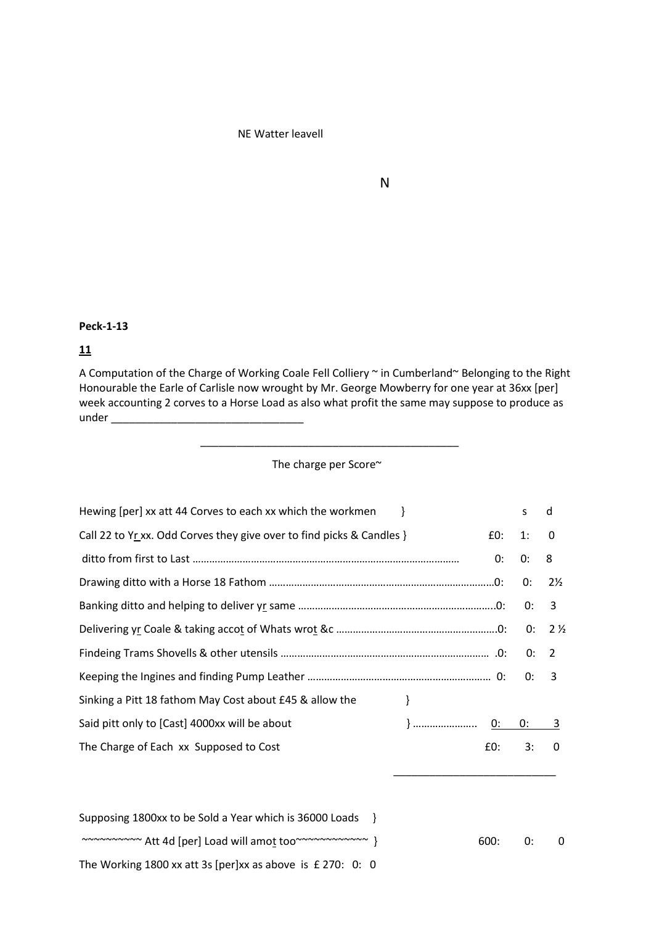#### NE Watter leavell

# N<sub>N</sub>

#### **Peck-1-13**

#### **11**

A Computation of the Charge of Working Coale Fell Colliery ~ in Cumberland~ Belonging to the Right Honourable the Earle of Carlisle now wrought by Mr. George Mowberry for one year at 36xx [per] week accounting 2 corves to a Horse Load as also what profit the same may suppose to produce as  $under$ 

#### The charge per Score~

\_\_\_\_\_\_\_\_\_\_\_\_\_\_\_\_\_\_\_\_\_\_\_\_\_\_\_\_\_\_\_\_\_\_\_\_\_\_\_\_\_\_\_

| Hewing [per] xx att 44 Corves to each xx which the workmen                   | S. | d                        |
|------------------------------------------------------------------------------|----|--------------------------|
| Call 22 to Yr xx. Odd Corves they give over to find picks & Candles }<br>E0: | 1: | $\overline{\phantom{0}}$ |
| 0:                                                                           | 0: | 8                        |
|                                                                              | 0: | $2\frac{1}{2}$           |
|                                                                              |    | 3                        |
|                                                                              |    |                          |
|                                                                              |    |                          |
|                                                                              | 0: | $\overline{3}$           |
| Sinking a Pitt 18 fathom May Cost about £45 & allow the<br>}                 |    |                          |
| Said pitt only to [Cast] 4000xx will be about                                |    |                          |
| The Charge of Each xx Supposed to Cost<br>£0:                                | 3: | $\Omega$                 |

| Supposing 1800xx to be Sold a Year which is 36000 Loads }     |         |   |
|---------------------------------------------------------------|---------|---|
| ~~~~~~~~~~ Att 4d [per] Load will amot too~~~~~~~~~~~~ }      | 600: 0: | 0 |
| The Working 1800 xx att 3s [per]xx as above is $£ 270$ : 0: 0 |         |   |

 $\overline{\phantom{a}}$  , and the contract of the contract of the contract of the contract of the contract of the contract of the contract of the contract of the contract of the contract of the contract of the contract of the contrac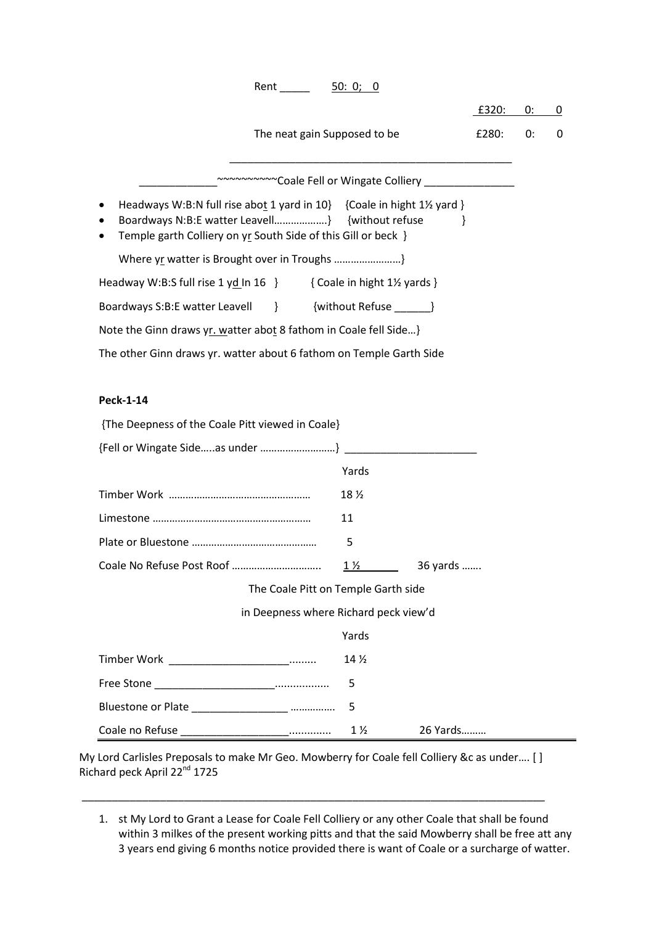| 50: 0; 0                                                                                                                                                                                  |              |      |             |
|-------------------------------------------------------------------------------------------------------------------------------------------------------------------------------------------|--------------|------|-------------|
|                                                                                                                                                                                           | £320:        | 0: 0 |             |
| The neat gain Supposed to be                                                                                                                                                              | £280:        | 0:   | $\mathbf 0$ |
|                                                                                                                                                                                           |              |      |             |
| Headways W:B:N full rise abot 1 yard in 10} {Coale in hight 1½ yard }<br>Boardways N:B:E watter Leavell} {without refuse<br>Temple garth Colliery on yr South Side of this Gill or beck } | $\mathbf{r}$ |      |             |
|                                                                                                                                                                                           |              |      |             |
| Headway W:B:S full rise 1 yd In 16 $\}$ { Coale in hight 1½ yards }                                                                                                                       |              |      |             |
| Boardways S:B:E watter Leavell } { without Refuse 1 }                                                                                                                                     |              |      |             |
| Note the Ginn draws yr. watter abot 8 fathom in Coale fell Side}                                                                                                                          |              |      |             |
| The other Ginn draws yr. watter about 6 fathom on Temple Garth Side                                                                                                                       |              |      |             |
|                                                                                                                                                                                           |              |      |             |
|                                                                                                                                                                                           |              |      |             |
|                                                                                                                                                                                           |              |      |             |
| <b>Peck-1-14</b><br>{The Deepness of the Coale Pitt viewed in Coale}                                                                                                                      |              |      |             |
|                                                                                                                                                                                           |              |      |             |
| Yards                                                                                                                                                                                     |              |      |             |
| 18 $\frac{1}{2}$                                                                                                                                                                          |              |      |             |
| 11                                                                                                                                                                                        |              |      |             |
| 5                                                                                                                                                                                         |              |      |             |
| $1\frac{1}{2}$                                                                                                                                                                            | 36 yards     |      |             |
| The Coale Pitt on Temple Garth side                                                                                                                                                       |              |      |             |
| in Deepness where Richard peck view'd                                                                                                                                                     |              |      |             |
| Yards                                                                                                                                                                                     |              |      |             |
| 14 $\frac{1}{2}$                                                                                                                                                                          |              |      |             |
| 5                                                                                                                                                                                         |              |      |             |
| Timber Work _________________________<br>5                                                                                                                                                |              |      |             |

My Lord Carlisles Preposals to make Mr Geo. Mowberry for Coale fell Colliery &c as under…. [ ] Richard peck April 22<sup>nd</sup> 1725

\_\_\_\_\_\_\_\_\_\_\_\_\_\_\_\_\_\_\_\_\_\_\_\_\_\_\_\_\_\_\_\_\_\_\_\_\_\_\_\_\_\_\_\_\_\_\_\_\_\_\_\_\_\_\_\_\_\_\_\_\_\_\_\_\_\_\_\_\_\_\_\_\_\_\_\_\_

1. st My Lord to Grant a Lease for Coale Fell Colliery or any other Coale that shall be found within 3 milkes of the present working pitts and that the said Mowberry shall be free att any 3 years end giving 6 months notice provided there is want of Coale or a surcharge of watter.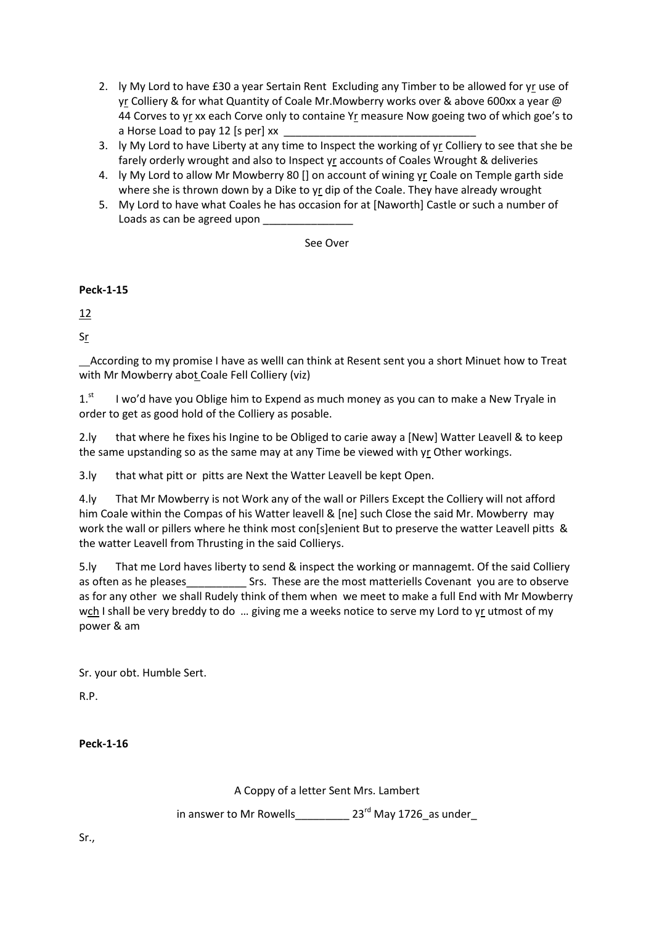- 2. ly My Lord to have £30 a year Sertain Rent Excluding any Timber to be allowed for yr use of yr Colliery & for what Quantity of Coale Mr.Mowberry works over & above 600xx a year @ 44 Corves to yr xx each Corve only to containe Yr measure Now goeing two of which goe's to a Horse Load to pay 12 [s per] xx
- 3. ly My Lord to have Liberty at any time to Inspect the working of yr Colliery to see that she be farely orderly wrought and also to Inspect yr accounts of Coales Wrought & deliveries
- 4. ly My Lord to allow Mr Mowberry 80 [] on account of wining yr Coale on Temple garth side where she is thrown down by a Dike to yr dip of the Coale. They have already wrought
- 5. My Lord to have what Coales he has occasion for at [Naworth] Castle or such a number of Loads as can be agreed upon

See Over

**Peck-1-15**

12

Sr

 According to my promise I have as wellI can think at Resent sent you a short Minuet how to Treat with Mr Mowberry abot Coale Fell Colliery (viz)

 $1<sup>st</sup>$  I wo'd have you Oblige him to Expend as much money as you can to make a New Tryale in order to get as good hold of the Colliery as posable.

2.ly that where he fixes his Ingine to be Obliged to carie away a [New] Watter Leavell & to keep the same upstanding so as the same may at any Time be viewed with yr Other workings.

3.ly that what pitt or pitts are Next the Watter Leavell be kept Open.

4.ly That Mr Mowberry is not Work any of the wall or Pillers Except the Colliery will not afford him Coale within the Compas of his Watter leavell & [ne] such Close the said Mr. Mowberry may work the wall or pillers where he think most con[s]enient But to preserve the watter Leavell pitts & the watter Leavell from Thrusting in the said Collierys.

5.ly That me Lord haves liberty to send & inspect the working or mannagemt. Of the said Colliery as often as he pleases\_\_\_\_\_\_\_\_\_\_\_\_\_\_\_\_\_ Srs. These are the most matteriells Covenant you are to observe as for any other we shall Rudely think of them when we meet to make a full End with Mr Mowberry wch I shall be very breddy to do ... giving me a weeks notice to serve my Lord to yr utmost of my power & am

Sr. your obt. Humble Sert.

R.P.

**Peck-1-16**

A Coppy of a letter Sent Mrs. Lambert

in answer to Mr Rowells  $23^{rd}$  May 1726 as under

Sr.,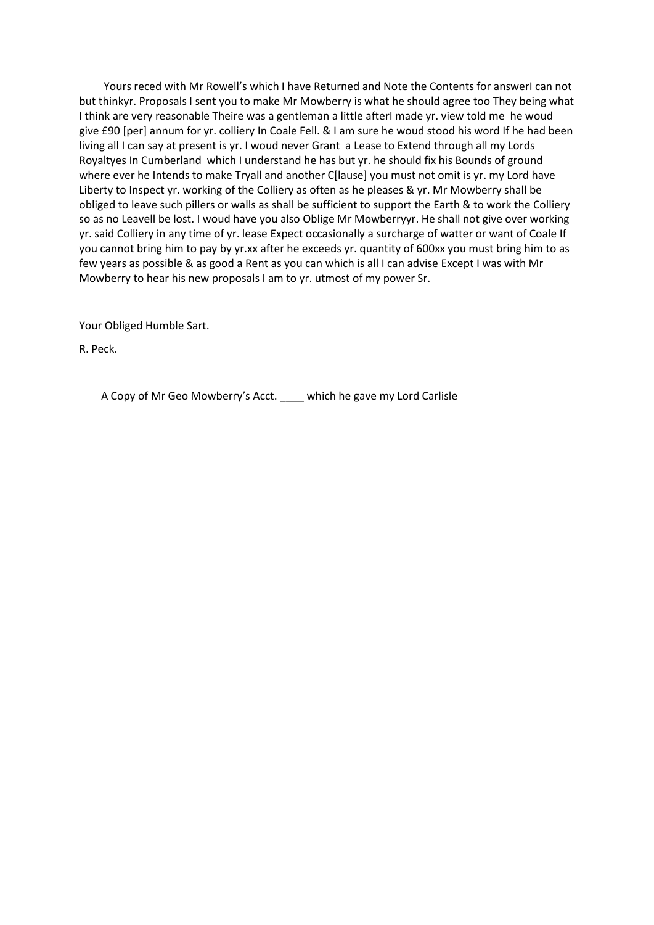Yours reced with Mr Rowell's which I have Returned and Note the Contents for answerI can not but thinkyr. Proposals I sent you to make Mr Mowberry is what he should agree too They being what I think are very reasonable Theire was a gentleman a little afterI made yr. view told me he woud give £90 [per] annum for yr. colliery In Coale Fell. & I am sure he woud stood his word If he had been living all I can say at present is yr. I woud never Grant a Lease to Extend through all my Lords Royaltyes In Cumberland which I understand he has but yr. he should fix his Bounds of ground where ever he Intends to make Tryall and another C[lause] you must not omit is yr. my Lord have Liberty to Inspect yr. working of the Colliery as often as he pleases & yr. Mr Mowberry shall be obliged to leave such pillers or walls as shall be sufficient to support the Earth & to work the Colliery so as no Leavell be lost. I woud have you also Oblige Mr Mowberryyr. He shall not give over working yr. said Colliery in any time of yr. lease Expect occasionally a surcharge of watter or want of Coale If you cannot bring him to pay by yr.xx after he exceeds yr. quantity of 600xx you must bring him to as few years as possible & as good a Rent as you can which is all I can advise Except I was with Mr Mowberry to hear his new proposals I am to yr. utmost of my power Sr.

Your Obliged Humble Sart.

R. Peck.

A Copy of Mr Geo Mowberry's Acct. \_\_\_\_ which he gave my Lord Carlisle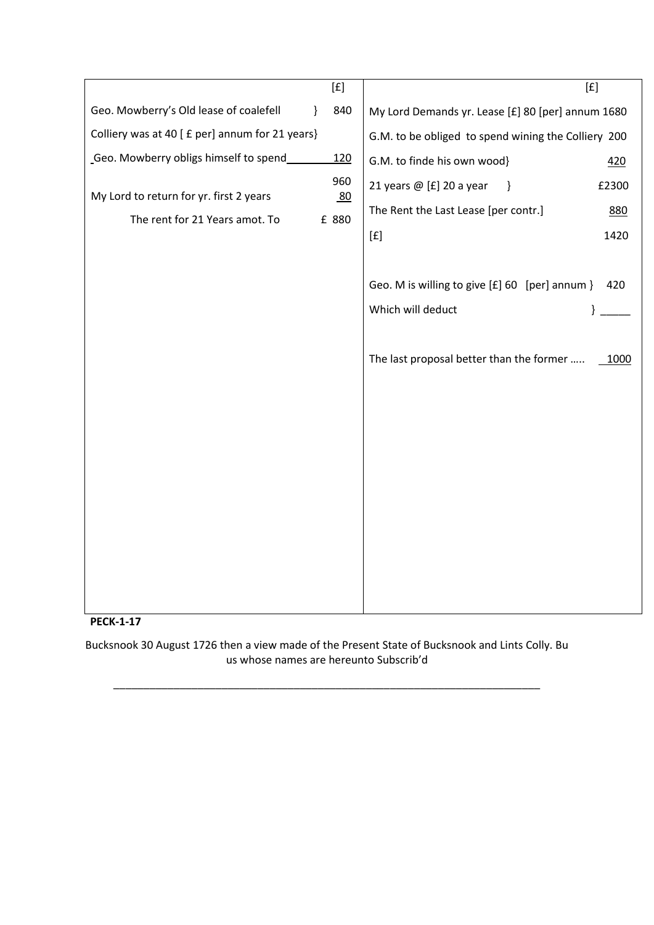|                                                 |   | [f]         | [f]                                                   |
|-------------------------------------------------|---|-------------|-------------------------------------------------------|
| Geo. Mowberry's Old lease of coalefell          | } | 840         | My Lord Demands yr. Lease [£] 80 [per] annum 1680     |
| Colliery was at 40 [ £ per] annum for 21 years} |   |             | G.M. to be obliged to spend wining the Colliery 200   |
| Geo. Mowberry obligs himself to spend           |   | <u>120</u>  | G.M. to finde his own wood}<br>420                    |
| My Lord to return for yr. first 2 years         |   | 960         | 21 years @ [£] 20 a year<br>$\mathcal{E}$<br>£2300    |
| The rent for 21 Years amot. To                  |   | 80<br>£ 880 | The Rent the Last Lease [per contr.]<br>880           |
|                                                 |   |             | 1420<br>[ <b>f</b> ]                                  |
|                                                 |   |             |                                                       |
|                                                 |   |             | Geo. M is willing to give [£] 60 [per] annum }<br>420 |
|                                                 |   |             | Which will deduct<br>}                                |
|                                                 |   |             |                                                       |
|                                                 |   |             | The last proposal better than the former<br>1000      |
|                                                 |   |             |                                                       |
|                                                 |   |             |                                                       |
|                                                 |   |             |                                                       |
|                                                 |   |             |                                                       |
|                                                 |   |             |                                                       |
|                                                 |   |             |                                                       |
|                                                 |   |             |                                                       |
|                                                 |   |             |                                                       |
|                                                 |   |             |                                                       |
|                                                 |   |             |                                                       |
|                                                 |   |             |                                                       |



Bucksnook 30 August 1726 then a view made of the Present State of Bucksnook and Lints Colly. Bu us whose names are hereunto Subscrib'd

\_\_\_\_\_\_\_\_\_\_\_\_\_\_\_\_\_\_\_\_\_\_\_\_\_\_\_\_\_\_\_\_\_\_\_\_\_\_\_\_\_\_\_\_\_\_\_\_\_\_\_\_\_\_\_\_\_\_\_\_\_\_\_\_\_\_\_\_\_\_\_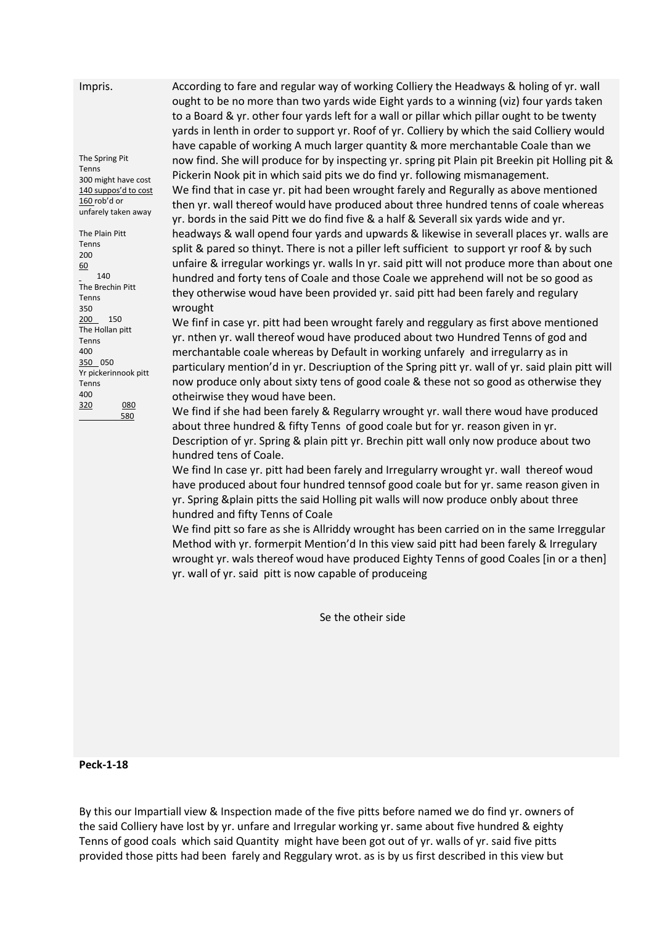Impris.

The Spring Pit Tenns 300 might have cost 140 suppos'd to cost 160 rob'd or unfarely taken away The Plain Pitt Tenns 200 60 140 The Brechin Pitt Tenns 350 200 150 The Hollan pitt Tenns 400 350 050 Yr pickerinnook pitt Tenns 400 320 080 580

According to fare and regular way of working Colliery the Headways & holing of yr. wall ought to be no more than two yards wide Eight yards to a winning (viz) four yards taken to a Board & yr. other four yards left for a wall or pillar which pillar ought to be twenty yards in lenth in order to support yr. Roof of yr. Colliery by which the said Colliery would have capable of working A much larger quantity & more merchantable Coale than we now find. She will produce for by inspecting yr. spring pit Plain pit Breekin pit Holling pit & Pickerin Nook pit in which said pits we do find yr. following mismanagement. We find that in case yr. pit had been wrought farely and Regurally as above mentioned then yr. wall thereof would have produced about three hundred tenns of coale whereas yr. bords in the said Pitt we do find five & a half & Severall six yards wide and yr. headways & wall opend four yards and upwards & likewise in severall places yr. walls are split & pared so thinyt. There is not a piller left sufficient to support yr roof & by such unfaire & irregular workings yr. walls In yr. said pitt will not produce more than about one hundred and forty tens of Coale and those Coale we apprehend will not be so good as they otherwise woud have been provided yr. said pitt had been farely and regulary wrought

We finf in case yr. pitt had been wrought farely and reggulary as first above mentioned yr. nthen yr. wall thereof woud have produced about two Hundred Tenns of god and merchantable coale whereas by Default in working unfarely and irregularry as in particulary mention'd in yr. Descriuption of the Spring pitt yr. wall of yr. said plain pitt will now produce only about sixty tens of good coale & these not so good as otherwise they otheirwise they woud have been.

We find if she had been farely & Regularry wrought yr. wall there woud have produced about three hundred & fifty Tenns of good coale but for yr. reason given in yr. Description of yr. Spring & plain pitt yr. Brechin pitt wall only now produce about two hundred tens of Coale.

We find In case yr. pitt had been farely and Irregularry wrought yr. wall thereof woud have produced about four hundred tennsof good coale but for yr. same reason given in yr. Spring &plain pitts the said Holling pit walls will now produce onbly about three hundred and fifty Tenns of Coale

We find pitt so fare as she is Allriddy wrought has been carried on in the same Irreggular Method with yr. formerpit Mention'd In this view said pitt had been farely & Irregulary wrought yr. wals thereof woud have produced Eighty Tenns of good Coales [in or a then] yr. wall of yr. said pitt is now capable of produceing

Se the otheir side

**Peck-1-18**

By this our Impartiall view & Inspection made of the five pitts before named we do find yr. owners of the said Colliery have lost by yr. unfare and Irregular working yr. same about five hundred & eighty Tenns of good coals which said Quantity might have been got out of yr. walls of yr. said five pitts provided those pitts had been farely and Reggulary wrot. as is by us first described in this view but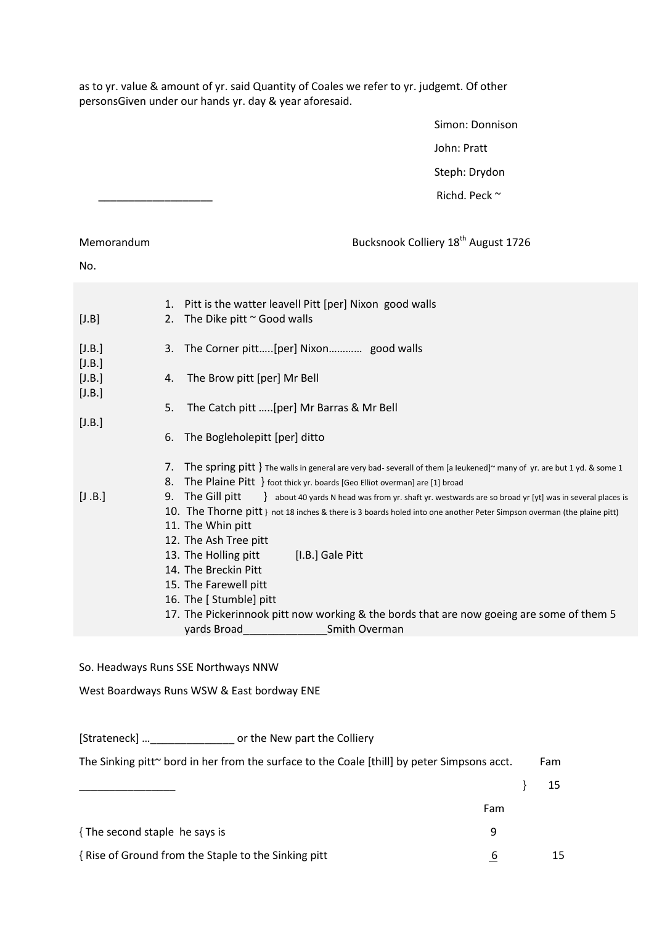as to yr. value & amount of yr. said Quantity of Coales we refer to yr. judgemt. Of other personsGiven under our hands yr. day & year aforesaid.

> Simon: Donnison John: Pratt Steph: Drydon Richd. Peck ~

# Memorandum **Bucksnook Colliery 18<sup>th</sup> August 1726**

#### No.

| [J.B.]<br>3. The Corner pitt[per] Nixon good walls<br>[J.B.]<br>[J.B.]<br>The Brow pitt [per] Mr Bell<br>4.<br>[J.B.]<br>The Catch pitt [per] Mr Barras & Mr Bell<br>5.<br>[J.B.]<br>The Bogleholepitt [per] ditto<br>6.<br>The spring pitt } The walls in general are very bad- severall of them [a leukened] $\sim$ many of yr. are but 1 yd. & some 1<br>7.<br>The Plaine Pitt } foot thick yr. boards [Geo Elliot overman] are [1] broad<br>8.<br>[J.B.]<br>9. The Gill pitt<br>about 40 yards N head was from yr. shaft yr. westwards are so broad yr [yt] was in several places is<br>10. The Thorne pitt } not 18 inches & there is 3 boards holed into one another Peter Simpson overman (the plaine pitt)<br>11. The Whin pitt<br>12. The Ash Tree pitt<br>13. The Holling pitt<br>[I.B.] Gale Pitt<br>14. The Breckin Pitt<br>15. The Farewell pitt<br>16. The [Stumble] pitt<br>17. The Pickerinnook pitt now working & the bords that are now goeing are some of them 5<br>yards Broad<br>Smith Overman | [J.B] | 1.<br>2. | Pitt is the watter leavell Pitt [per] Nixon good walls<br>The Dike pitt $\sim$ Good walls |
|---------------------------------------------------------------------------------------------------------------------------------------------------------------------------------------------------------------------------------------------------------------------------------------------------------------------------------------------------------------------------------------------------------------------------------------------------------------------------------------------------------------------------------------------------------------------------------------------------------------------------------------------------------------------------------------------------------------------------------------------------------------------------------------------------------------------------------------------------------------------------------------------------------------------------------------------------------------------------------------------------------------------|-------|----------|-------------------------------------------------------------------------------------------|
|                                                                                                                                                                                                                                                                                                                                                                                                                                                                                                                                                                                                                                                                                                                                                                                                                                                                                                                                                                                                                     |       |          |                                                                                           |
|                                                                                                                                                                                                                                                                                                                                                                                                                                                                                                                                                                                                                                                                                                                                                                                                                                                                                                                                                                                                                     |       |          |                                                                                           |
|                                                                                                                                                                                                                                                                                                                                                                                                                                                                                                                                                                                                                                                                                                                                                                                                                                                                                                                                                                                                                     |       |          |                                                                                           |
|                                                                                                                                                                                                                                                                                                                                                                                                                                                                                                                                                                                                                                                                                                                                                                                                                                                                                                                                                                                                                     |       |          |                                                                                           |
|                                                                                                                                                                                                                                                                                                                                                                                                                                                                                                                                                                                                                                                                                                                                                                                                                                                                                                                                                                                                                     |       |          |                                                                                           |
|                                                                                                                                                                                                                                                                                                                                                                                                                                                                                                                                                                                                                                                                                                                                                                                                                                                                                                                                                                                                                     |       |          |                                                                                           |
|                                                                                                                                                                                                                                                                                                                                                                                                                                                                                                                                                                                                                                                                                                                                                                                                                                                                                                                                                                                                                     |       |          |                                                                                           |
|                                                                                                                                                                                                                                                                                                                                                                                                                                                                                                                                                                                                                                                                                                                                                                                                                                                                                                                                                                                                                     |       |          |                                                                                           |

## So. Headways Runs SSE Northways NNW

West Boardways Runs WSW & East bordway ENE

[Strateneck] ...\_\_\_\_\_\_\_\_\_\_\_\_\_\_\_\_\_\_\_\_\_\_\_ or the New part the Colliery

| The Sinking pitt~ bord in her from the surface to the Coale [thill] by peter Simpsons acct. |  |    |
|---------------------------------------------------------------------------------------------|--|----|
|                                                                                             |  | 15 |
| Fam                                                                                         |  |    |
| {The second staple he says is<br>Q                                                          |  |    |
| {Rise of Ground from the Staple to the Sinking pitt<br>b                                    |  | 15 |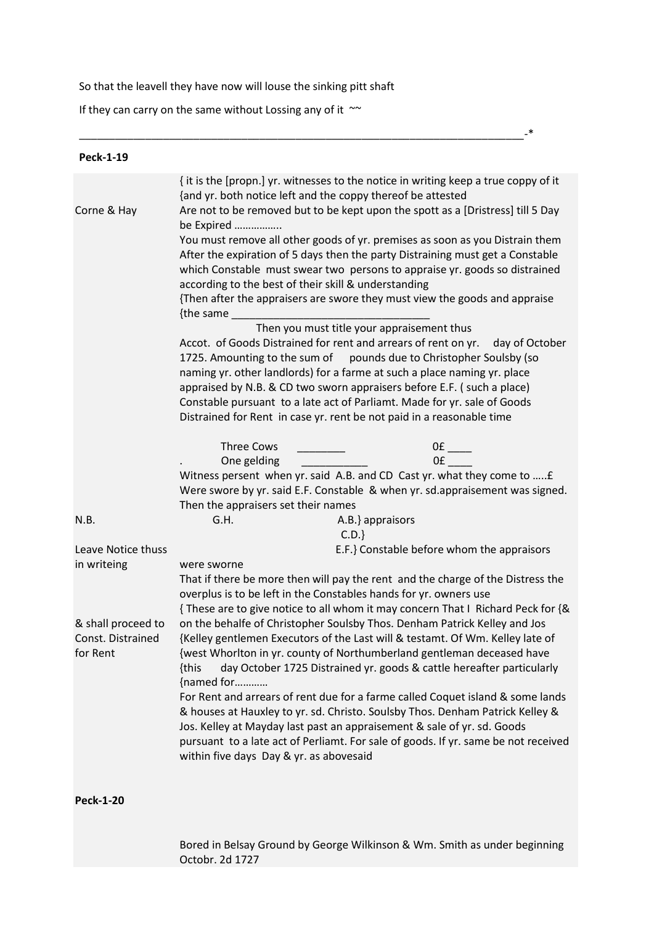So that the leavell they have now will louse the sinking pitt shaft

\_\_\_\_\_\_\_\_\_\_\_\_\_\_\_\_\_\_\_\_\_\_\_\_\_\_\_\_\_\_\_\_\_\_\_\_\_\_\_\_\_\_\_\_\_\_\_\_\_\_\_\_\_\_\_\_\_\_\_\_\_\_\_\_\_\_\_\_\_\_\_\_\_\_-\*

If they can carry on the same without Lossing any of it  $~\sim$ 

| <b>Peck-1-19</b>   |                                                                                                                                                      |
|--------------------|------------------------------------------------------------------------------------------------------------------------------------------------------|
|                    | { it is the [propn.] yr. witnesses to the notice in writing keep a true coppy of it<br>{and yr. both notice left and the coppy thereof be attested   |
| Corne & Hay        | Are not to be removed but to be kept upon the spott as a [Dristress] till 5 Day<br>be Expired                                                        |
|                    | You must remove all other goods of yr. premises as soon as you Distrain them                                                                         |
|                    | After the expiration of 5 days then the party Distraining must get a Constable                                                                       |
|                    | which Constable must swear two persons to appraise yr. goods so distrained                                                                           |
|                    | according to the best of their skill & understanding<br>{Then after the appraisers are swore they must view the goods and appraise                   |
|                    | {the same                                                                                                                                            |
|                    | Then you must title your appraisement thus                                                                                                           |
|                    | Accot. of Goods Distrained for rent and arrears of rent on yr. day of October<br>1725. Amounting to the sum of pounds due to Christopher Soulsby (so |
|                    | naming yr. other landlords) for a farme at such a place naming yr. place                                                                             |
|                    | appraised by N.B. & CD two sworn appraisers before E.F. (such a place)<br>Constable pursuant to a late act of Parliamt. Made for yr. sale of Goods   |
|                    | Distrained for Rent in case yr. rent be not paid in a reasonable time                                                                                |
|                    | <b>Three Cows</b>                                                                                                                                    |
|                    | One gelding                                                                                                                                          |
|                    | Witness persent when yr. said A.B. and CD Cast yr. what they come to  £                                                                              |
|                    | Were swore by yr. said E.F. Constable & when yr. sd.appraisement was signed.<br>Then the appraisers set their names                                  |
| N.B.               | G.H.<br>A.B.} appraisors                                                                                                                             |
|                    | C.D.                                                                                                                                                 |
| Leave Notice thuss | E.F.} Constable before whom the appraisors                                                                                                           |
| in writeing        | were sworne                                                                                                                                          |
|                    | That if there be more then will pay the rent and the charge of the Distress the<br>overplus is to be left in the Constables hands for yr. owners use |
|                    | {These are to give notice to all whom it may concern That I Richard Peck for {&                                                                      |
| & shall proceed to | on the behalfe of Christopher Soulsby Thos. Denham Patrick Kelley and Jos                                                                            |
| Const. Distrained  | {Kelley gentlemen Executors of the Last will & testamt. Of Wm. Kelley late of                                                                        |
| for Rent           | {west Whorlton in yr. county of Northumberland gentleman deceased have                                                                               |
|                    | day October 1725 Distrained yr. goods & cattle hereafter particularly<br>{this<br>{named for                                                         |
|                    | For Rent and arrears of rent due for a farme called Coquet island & some lands                                                                       |
|                    | & houses at Hauxley to yr. sd. Christo. Soulsby Thos. Denham Patrick Kelley &                                                                        |
|                    | Jos. Kelley at Mayday last past an appraisement & sale of yr. sd. Goods                                                                              |
|                    | pursuant to a late act of Perliamt. For sale of goods. If yr. same be not received<br>within five days Day & yr. as abovesaid                        |
|                    |                                                                                                                                                      |

**Peck-1-20**

Bored in Belsay Ground by George Wilkinson & Wm. Smith as under beginning Octobr. 2d 1727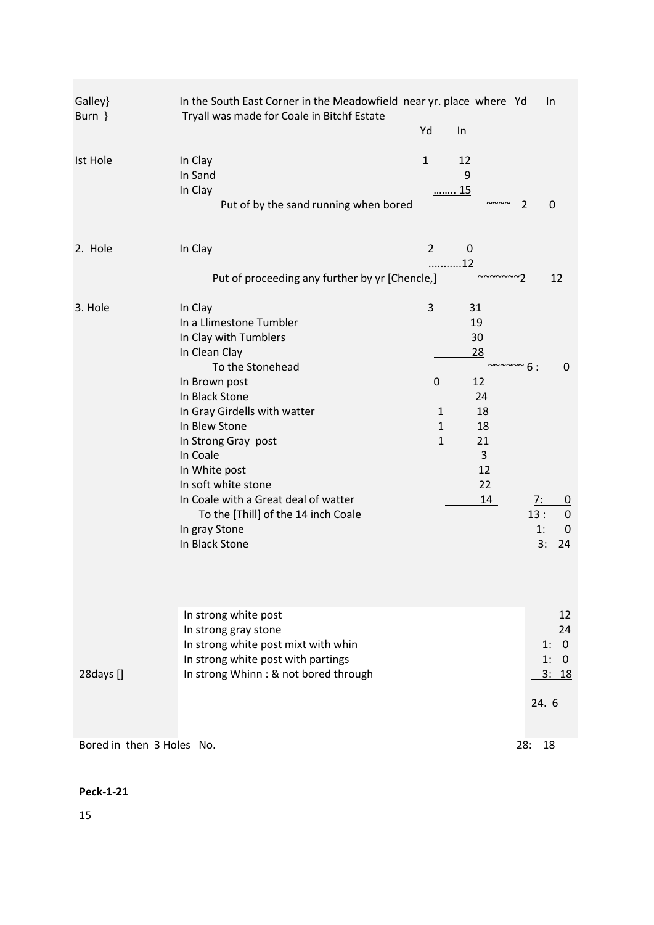| Galley}<br>Burn }         | In the South East Corner in the Meadowfield near yr. place where Yd<br>Tryall was made for Coale in Bitchf Estate                                                                                                                                                                                                                                                                 |                                                                  |                                                                           |                                          | In                                                                        |
|---------------------------|-----------------------------------------------------------------------------------------------------------------------------------------------------------------------------------------------------------------------------------------------------------------------------------------------------------------------------------------------------------------------------------|------------------------------------------------------------------|---------------------------------------------------------------------------|------------------------------------------|---------------------------------------------------------------------------|
|                           |                                                                                                                                                                                                                                                                                                                                                                                   | Yd                                                               | In                                                                        |                                          |                                                                           |
| <b>Ist Hole</b>           | In Clay<br>In Sand<br>In Clay<br>Put of by the sand running when bored                                                                                                                                                                                                                                                                                                            | $\mathbf{1}$                                                     | 12<br>9<br>15                                                             | 2                                        | 0                                                                         |
| 2. Hole                   | In Clay                                                                                                                                                                                                                                                                                                                                                                           | $\overline{2}$<br>12                                             | $\boldsymbol{0}$                                                          |                                          |                                                                           |
|                           | Put of proceeding any further by yr [Chencle,]                                                                                                                                                                                                                                                                                                                                    |                                                                  | ~~~~~~~?                                                                  |                                          | 12                                                                        |
| 3. Hole                   | In Clay<br>In a Llimestone Tumbler<br>In Clay with Tumblers<br>In Clean Clay<br>To the Stonehead<br>In Brown post<br>In Black Stone<br>In Gray Girdells with watter<br>In Blew Stone<br>In Strong Gray post<br>In Coale<br>In White post<br>In soft white stone<br>In Coale with a Great deal of watter<br>To the [Thill] of the 14 inch Coale<br>In gray Stone<br>In Black Stone | 3<br>$\mathbf 0$<br>$\mathbf{1}$<br>$\mathbf{1}$<br>$\mathbf{1}$ | 31<br>19<br>30<br>28<br>12<br>24<br>18<br>18<br>21<br>3<br>12<br>22<br>14 | $\sim\sim\sim\sim6$ :<br>7:<br>13:<br>1: | 0<br>$\boldsymbol{0}$<br>$\mathbf 0$<br>$\mathbf 0$<br>3:<br>24           |
| 28days []                 | In strong white post<br>In strong gray stone<br>In strong white post mixt with whin<br>In strong white post with partings<br>In strong Whinn: & not bored through                                                                                                                                                                                                                 |                                                                  |                                                                           |                                          | 12<br>24<br>$\overline{0}$<br>1:<br>1:<br>$\overline{0}$<br>3: 18<br>24.6 |
| Bored in then 3 Holes No. |                                                                                                                                                                                                                                                                                                                                                                                   |                                                                  |                                                                           | 28:                                      | 18                                                                        |

# **Peck-1-21**

15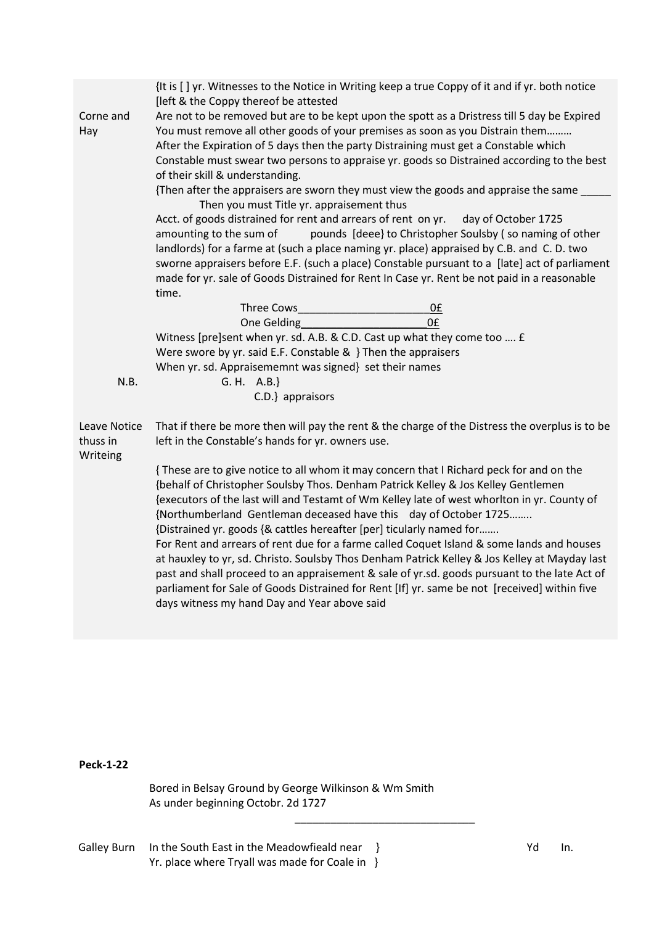|                                      | {It is [] yr. Witnesses to the Notice in Writing keep a true Coppy of it and if yr. both notice<br>[left & the Coppy thereof be attested                                                                                                                                                                                                                                                                                                                                                                                                                                                                                                                                                                                                                                                                                                                              |
|--------------------------------------|-----------------------------------------------------------------------------------------------------------------------------------------------------------------------------------------------------------------------------------------------------------------------------------------------------------------------------------------------------------------------------------------------------------------------------------------------------------------------------------------------------------------------------------------------------------------------------------------------------------------------------------------------------------------------------------------------------------------------------------------------------------------------------------------------------------------------------------------------------------------------|
| Corne and<br>Hay                     | Are not to be removed but are to be kept upon the spott as a Dristress till 5 day be Expired<br>You must remove all other goods of your premises as soon as you Distrain them<br>After the Expiration of 5 days then the party Distraining must get a Constable which<br>Constable must swear two persons to appraise yr. goods so Distrained according to the best<br>of their skill & understanding.                                                                                                                                                                                                                                                                                                                                                                                                                                                                |
|                                      | {Then after the appraisers are sworn they must view the goods and appraise the same ____<br>Then you must Title yr. appraisement thus                                                                                                                                                                                                                                                                                                                                                                                                                                                                                                                                                                                                                                                                                                                                 |
|                                      | Acct. of goods distrained for rent and arrears of rent on yr.<br>day of October 1725<br>amounting to the sum of<br>pounds [deee] to Christopher Soulsby (so naming of other<br>landlords) for a farme at (such a place naming yr. place) appraised by C.B. and C.D. two<br>sworne appraisers before E.F. (such a place) Constable pursuant to a [late] act of parliament<br>made for yr. sale of Goods Distrained for Rent In Case yr. Rent be not paid in a reasonable<br>time.                                                                                                                                                                                                                                                                                                                                                                                      |
|                                      | Three Cows<br>0 <sub>f</sub>                                                                                                                                                                                                                                                                                                                                                                                                                                                                                                                                                                                                                                                                                                                                                                                                                                          |
|                                      | 0£<br>One Gelding<br>Witness [pre]sent when yr. sd. A.B. & C.D. Cast up what they come too  £                                                                                                                                                                                                                                                                                                                                                                                                                                                                                                                                                                                                                                                                                                                                                                         |
|                                      | Were swore by yr. said E.F. Constable & } Then the appraisers                                                                                                                                                                                                                                                                                                                                                                                                                                                                                                                                                                                                                                                                                                                                                                                                         |
|                                      | When yr. sd. Appraisememnt was signed} set their names                                                                                                                                                                                                                                                                                                                                                                                                                                                                                                                                                                                                                                                                                                                                                                                                                |
| N.B.                                 | G. H. A.B.<br>C.D.} appraisors                                                                                                                                                                                                                                                                                                                                                                                                                                                                                                                                                                                                                                                                                                                                                                                                                                        |
| Leave Notice<br>thuss in<br>Writeing | That if there be more then will pay the rent & the charge of the Distress the overplus is to be<br>left in the Constable's hands for yr. owners use.                                                                                                                                                                                                                                                                                                                                                                                                                                                                                                                                                                                                                                                                                                                  |
|                                      | {These are to give notice to all whom it may concern that I Richard peck for and on the<br>{behalf of Christopher Soulsby Thos. Denham Patrick Kelley & Jos Kelley Gentlemen<br>{executors of the last will and Testamt of Wm Kelley late of west whorlton in yr. County of<br>{Northumberland Gentleman deceased have this day of October 1725<br>{Distrained yr. goods {& cattles hereafter [per] ticularly named for<br>For Rent and arrears of rent due for a farme called Coquet Island & some lands and houses<br>at hauxley to yr, sd. Christo. Soulsby Thos Denham Patrick Kelley & Jos Kelley at Mayday last<br>past and shall proceed to an appraisement & sale of yr.sd. goods pursuant to the late Act of<br>parliament for Sale of Goods Distrained for Rent [If] yr. same be not [received] within five<br>days witness my hand Day and Year above said |
|                                      |                                                                                                                                                                                                                                                                                                                                                                                                                                                                                                                                                                                                                                                                                                                                                                                                                                                                       |

**Peck-1-22**

Bored in Belsay Ground by George Wilkinson & Wm Smith As under beginning Octobr. 2d 1727

 $\overline{\phantom{a}}$  , and the set of the set of the set of the set of the set of the set of the set of the set of the set of the set of the set of the set of the set of the set of the set of the set of the set of the set of the s

Galley Burn In the South East in the Meadowfieald near } National Communisty Communisty Property Reports 10. Yr. place where Tryall was made for Coale in }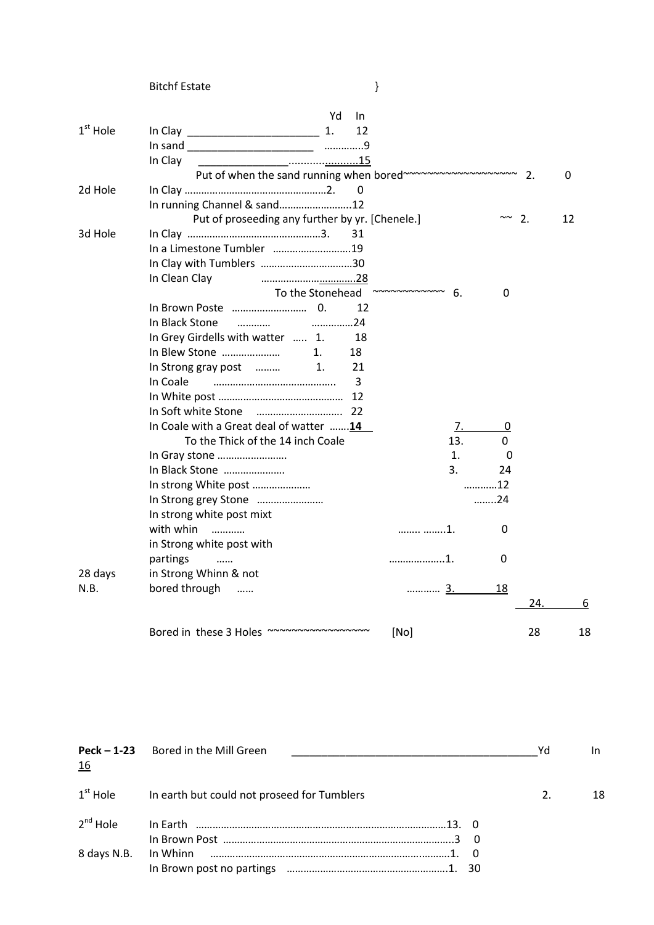|            | <b>Bitchf Estate</b>                                               | }                    |                      |                  |    |
|------------|--------------------------------------------------------------------|----------------------|----------------------|------------------|----|
|            | Yd<br>In                                                           |                      |                      |                  |    |
| $1st$ Hole | 1.<br>12                                                           |                      |                      |                  |    |
|            |                                                                    |                      |                      |                  |    |
|            | In Clay                                                            |                      |                      |                  |    |
|            | Put of when the sand running when bored~~~~~~~~~~~~~~~~~~~~~~~~ 2. |                      |                      |                  | 0  |
| 2d Hole    | 0                                                                  |                      |                      |                  |    |
|            | In running Channel & sand12                                        |                      |                      |                  |    |
|            | Put of proseeding any further by yr. [Chenele.]                    |                      | $\sim\sim$           | $\overline{2}$ . | 12 |
| 3d Hole    | 31                                                                 |                      |                      |                  |    |
|            | In a Limestone Tumbler 19                                          |                      |                      |                  |    |
|            | In Clay with Tumblers 30                                           |                      |                      |                  |    |
|            | In Clean Clay<br>28                                                |                      |                      |                  |    |
|            | To the Stonehead                                                   | $\sim$ ~~~~~~~~~~ 6. | 0                    |                  |    |
|            | 12                                                                 |                      |                      |                  |    |
|            | In Black Stone                                                     |                      |                      |                  |    |
|            | In Grey Girdells with watter  1.<br>18                             |                      |                      |                  |    |
|            | In Blew Stone<br>18<br>1.                                          |                      |                      |                  |    |
|            | In Strong gray post<br>$\mathbf{1}$ .<br>21                        |                      |                      |                  |    |
|            | 3<br>In Coale                                                      |                      |                      |                  |    |
|            |                                                                    |                      |                      |                  |    |
|            |                                                                    |                      |                      |                  |    |
|            | In Coale with a Great deal of watter 14                            |                      | 7.<br>$\overline{0}$ |                  |    |
|            | To the Thick of the 14 inch Coale                                  | 13.                  | 0                    |                  |    |
|            | In Gray stone                                                      | 1.                   | 0                    |                  |    |
|            | In Black Stone                                                     | 3.                   | 24                   |                  |    |
|            | In strong White post                                               |                      | 12                   |                  |    |
|            | In Strong grey Stone                                               |                      | 24                   |                  |    |
|            | In strong white post mixt                                          |                      |                      |                  |    |
|            | with whin<br>.                                                     | 1.                   | 0                    |                  |    |
|            | in Strong white post with                                          |                      |                      |                  |    |
|            | partings<br>$\cdots$                                               | . 1 .                | 0                    |                  |    |
| 28 days    | in Strong Whinn & not                                              |                      |                      |                  |    |
| N.B.       | bored through<br>$\cdots$                                          |                      | 18                   |                  |    |
|            |                                                                    |                      |                      | 24.              | 6  |
|            | Bored in these 3 Holes ~~~~~~~~~~~~~~~~~                           | [No]                 |                      | 28               | 18 |

| <u>16</u>   | Peck - 1-23 Bored in the Mill Green                              | Yd | In. |
|-------------|------------------------------------------------------------------|----|-----|
|             | 1 <sup>st</sup> Hole In earth but could not proseed for Tumblers |    | 18  |
|             |                                                                  |    |     |
| 8 days N.B. |                                                                  |    |     |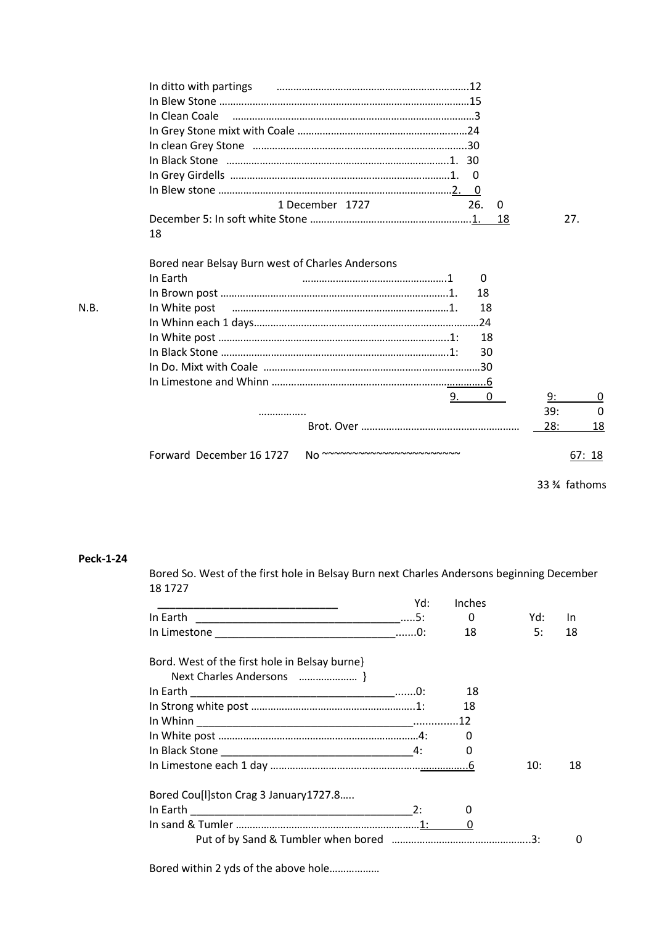| In ditto with partings <b>contained a material contract and the set of the ditto with partings</b> |     |          |
|----------------------------------------------------------------------------------------------------|-----|----------|
|                                                                                                    |     |          |
|                                                                                                    |     |          |
|                                                                                                    |     |          |
|                                                                                                    |     |          |
|                                                                                                    |     |          |
| $\overline{0}$                                                                                     |     |          |
|                                                                                                    |     |          |
| 1 December 1727<br>26.<br>0                                                                        |     |          |
| 18                                                                                                 | 27. |          |
| 18                                                                                                 |     |          |
|                                                                                                    |     |          |
| Bored near Belsay Burn west of Charles Andersons                                                   |     |          |
| In Earth<br>0                                                                                      |     |          |
| 18                                                                                                 |     |          |
| 18<br>In White post                                                                                |     |          |
|                                                                                                    |     |          |
| 18                                                                                                 |     |          |
| 30                                                                                                 |     |          |
|                                                                                                    |     |          |
|                                                                                                    |     |          |
| 9.<br>0                                                                                            | 9:  | 0        |
| .                                                                                                  | 39: | $\Omega$ |
|                                                                                                    | 28: | 18       |
|                                                                                                    |     |          |
| No ~~~~~~~~~~~~~~~~~~~~~~~~<br>Forward December 16 1727                                            |     | 67:18    |
|                                                                                                    |     |          |

33 ¾ fathoms

# **Peck-1-24**

N.B.

Bored So. West of the first hole in Belsay Burn next Charles Andersons beginning December 18 1727

|                                               | Yd: | Inches       |     |     |
|-----------------------------------------------|-----|--------------|-----|-----|
|                                               |     | 0            | Yd: | In. |
|                                               |     | 18           | 5:  | 18  |
| Bord. West of the first hole in Belsay burne} |     |              |     |     |
| Next Charles Andersons  }                     |     |              |     |     |
|                                               |     | - 18         |     |     |
|                                               |     | 18           |     |     |
|                                               |     |              |     |     |
|                                               |     | <sup>0</sup> |     |     |
|                                               |     |              |     |     |
|                                               |     |              | 10: | 18  |
| Bored Cou[I]ston Crag 3 January 1727.8        |     |              |     |     |
|                                               |     | 0            |     |     |
|                                               |     |              |     |     |
|                                               |     |              |     | 0   |

Bored within 2 yds of the above hole………………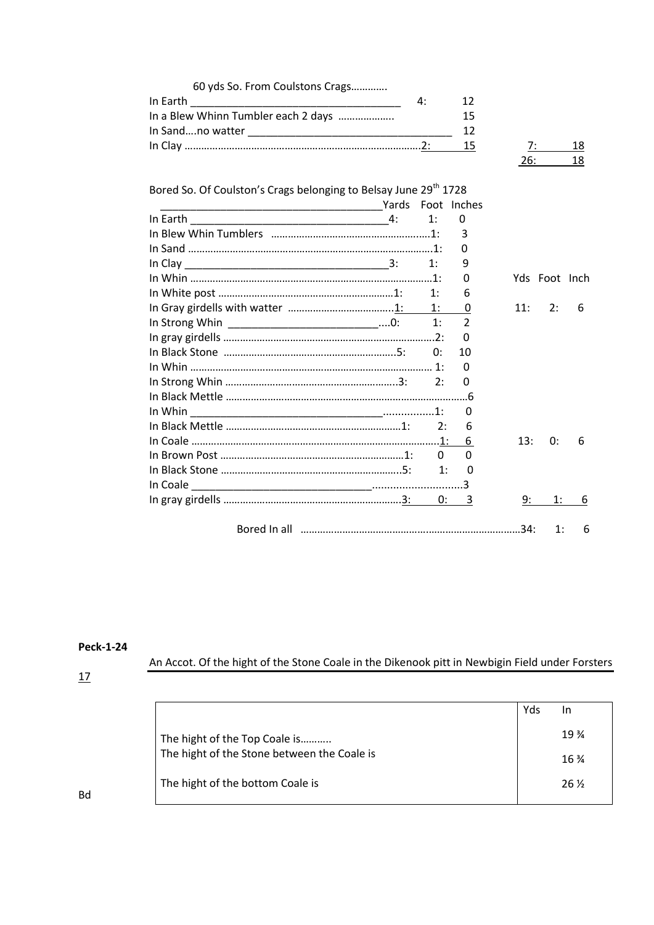| 60 yds So. From Coulstons Crags                                              |       |    |                |     |               |    |
|------------------------------------------------------------------------------|-------|----|----------------|-----|---------------|----|
| In Earth<br><u> 1989 - Johann Barbara, martxa alemaniar arg</u>              |       | 4: | 12             |     |               |    |
| In a Blew Whinn Tumbler each 2 days                                          |       |    | 15             |     |               |    |
|                                                                              |       |    | 12             |     |               |    |
|                                                                              |       |    | 15             |     | 7:            | 18 |
|                                                                              |       |    |                | 26: |               | 18 |
|                                                                              |       |    |                |     |               |    |
| Bored So. Of Coulston's Crags belonging to Belsay June 29 <sup>th</sup> 1728 |       |    |                |     |               |    |
|                                                                              | Yards |    | Foot Inches    |     |               |    |
| In Earth                                                                     |       | 1: | 0              |     |               |    |
|                                                                              |       |    | 3              |     |               |    |
|                                                                              |       |    | 0              |     |               |    |
|                                                                              |       | 1: | 9              |     |               |    |
|                                                                              |       |    | 0              |     | Yds Foot Inch |    |
|                                                                              |       | 1: | 6              |     |               |    |
|                                                                              |       | 1: | 0              | 11: | 2:            | 6  |
| In Strong Whin ____________________________0:                                |       | 1: | $\overline{2}$ |     |               |    |
|                                                                              |       |    | $\Omega$       |     |               |    |
|                                                                              |       | 0: | 10             |     |               |    |
|                                                                              |       |    | 0              |     |               |    |
|                                                                              |       | 2: | 0              |     |               |    |
|                                                                              |       |    |                |     |               |    |
|                                                                              |       |    | 0              |     |               |    |
|                                                                              |       | 2: | 6              |     |               |    |
|                                                                              |       |    | 6              | 13: | 0:            | 6  |
|                                                                              |       | 0  | $\Omega$       |     |               |    |
|                                                                              |       | 1: | 0              |     |               |    |
|                                                                              |       |    |                |     |               |    |
|                                                                              |       |    | 3              | 9:  | 1:            | 6  |
|                                                                              |       |    |                |     |               |    |
|                                                                              |       |    |                |     | 1:            | 6  |

# **Peck-1-24**

An Accot. Of the hight of the Stone Coale in the Dikenook pitt in Newbigin Field under Forsters

# 17

|                                             | Yds | In              |
|---------------------------------------------|-----|-----------------|
| The hight of the Top Coale is               |     | $19\frac{3}{4}$ |
| The hight of the Stone between the Coale is |     | $16\frac{3}{4}$ |
| The hight of the bottom Coale is            |     | 26 %            |
|                                             |     |                 |

Bd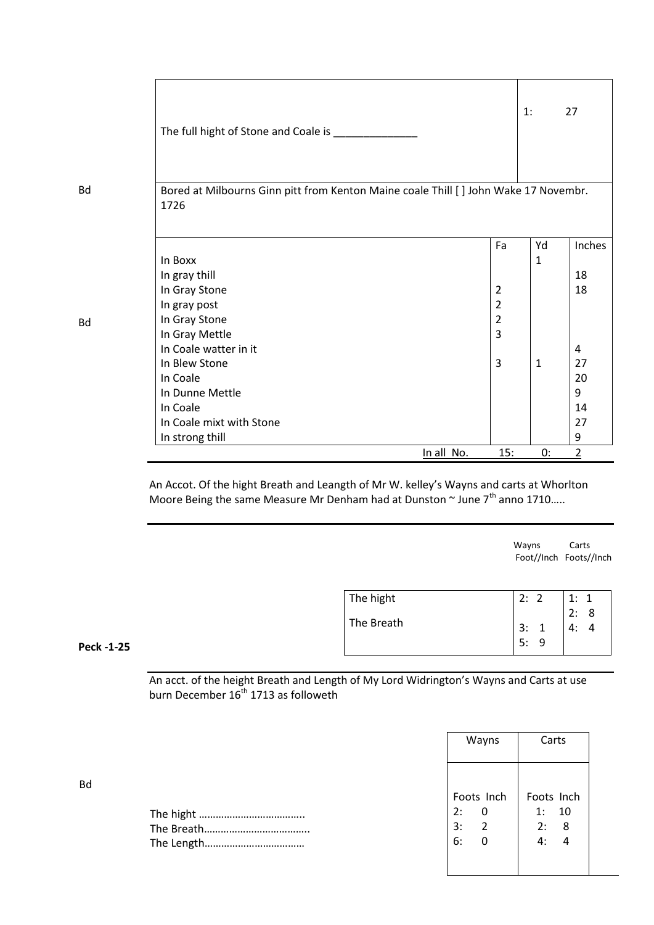| The full hight of Stone and Coale is _______                                                 |            |                | 1:           | 27             |
|----------------------------------------------------------------------------------------------|------------|----------------|--------------|----------------|
|                                                                                              |            |                |              |                |
| Bored at Milbourns Ginn pitt from Kenton Maine coale Thill [ ] John Wake 17 Novembr.<br>1726 |            |                |              |                |
|                                                                                              |            | Fa             | Yd           | Inches         |
| In Boxx                                                                                      |            |                | $\mathbf{1}$ |                |
| In gray thill                                                                                |            |                |              | 18             |
| In Gray Stone                                                                                |            | $\overline{2}$ |              | 18             |
| In gray post                                                                                 |            | $\overline{2}$ |              |                |
| In Gray Stone                                                                                |            | 2              |              |                |
| In Gray Mettle                                                                               |            | 3              |              |                |
| In Coale watter in it                                                                        |            |                |              | 4              |
| In Blew Stone                                                                                |            | $\overline{3}$ | 1            | 27             |
| In Coale                                                                                     |            |                |              | 20             |
| In Dunne Mettle                                                                              |            |                |              | 9              |
| In Coale                                                                                     |            |                |              | 14             |
| In Coale mixt with Stone                                                                     |            |                |              | 27             |
| In strong thill                                                                              |            |                |              | 9              |
|                                                                                              | In all No. | 15:            | 0:           | $\overline{2}$ |

An Accot. Of the hight Breath and Leangth of Mr W. kelley's Wayns and carts at Whorlton Moore Being the same Measure Mr Denham had at Dunston  $\sim$  June 7<sup>th</sup> anno 1710.....

wayns Carts (1999) and the control of the control of the control of the control of the control of the control of the control of the control of the control of the control of the control of the control of the control of the Foot//Inch Foots//Inch

| The hight  | 2:       | 1:            |
|------------|----------|---------------|
| The Breath | 3:<br>5: | 2:<br>8<br>Δ٠ |

# **Peck -1-25**

An acct. of the height Breath and Length of My Lord Widrington's Wayns and Carts at use burn December 16<sup>th</sup> 1713 as followeth

| Wayns                         | Carts                                  |
|-------------------------------|----------------------------------------|
|                               | Foots Inch                             |
| 2:                            | 1: 10                                  |
| 3:<br>$\overline{\mathbf{2}}$ | 2: 8                                   |
| 6:<br>$\mathbf{0}$            | $\overline{4}$ : $\overline{4}$        |
|                               | Foots Inch<br>$\overline{\phantom{0}}$ |

Bd

Bd

Bd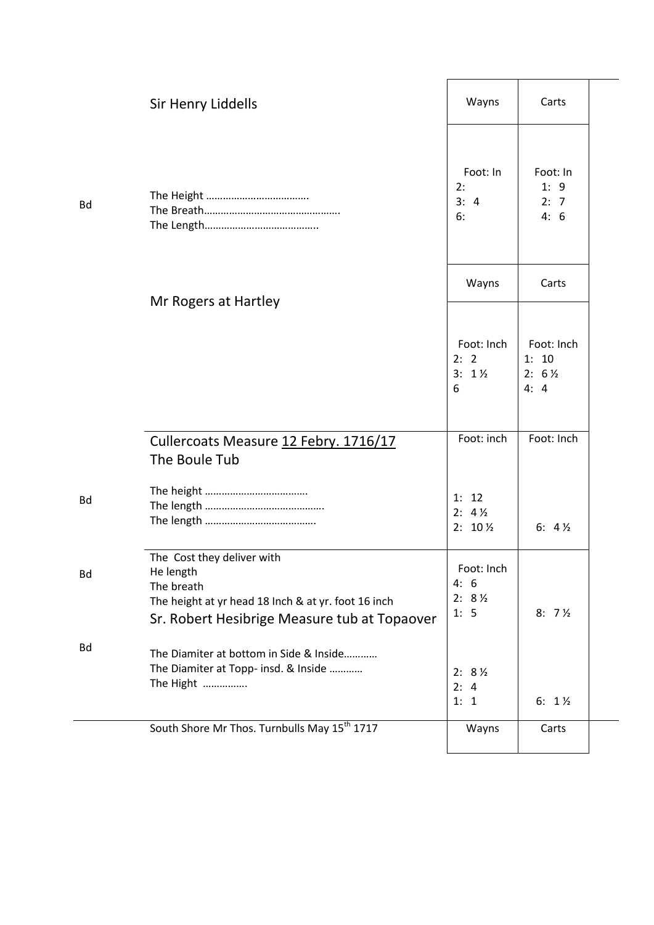|           | Sir Henry Liddells                                                                                                                                           | Wayns                                          | Carts                                           |  |
|-----------|--------------------------------------------------------------------------------------------------------------------------------------------------------------|------------------------------------------------|-------------------------------------------------|--|
| <b>Bd</b> |                                                                                                                                                              | Foot: In<br>2:<br>3:4<br>6:                    | Foot: In<br>1:9<br>2: 7<br>4:6                  |  |
|           | Mr Rogers at Hartley                                                                                                                                         | Wayns                                          | Carts                                           |  |
|           |                                                                                                                                                              | Foot: Inch<br>2: 2<br>$3: 1\%$<br>6            | Foot: Inch<br>1: 10<br>$2: 6\frac{1}{2}$<br>4:4 |  |
|           | Cullercoats Measure 12 Febry. 1716/17<br>The Boule Tub                                                                                                       | Foot: inch                                     | Foot: Inch                                      |  |
| <b>Bd</b> |                                                                                                                                                              | 1: 12<br>$2: 4\frac{1}{2}$<br>$2: 10\,\%$      | 6: $4\frac{1}{2}$                               |  |
| Bd        | The Cost they deliver with<br>He length<br>The breath<br>The height at yr head 18 Inch & at yr. foot 16 inch<br>Sr. Robert Hesibrige Measure tub at Topaover | Foot: Inch<br>4:6<br>$2: 8\frac{1}{2}$<br>1: 5 | $8:7\frac{1}{2}$                                |  |
| Bd        | The Diamiter at bottom in Side & Inside<br>The Diamiter at Topp- insd. & Inside<br>The Hight                                                                 | $2: 8\frac{1}{2}$<br>2: 4<br>1: 1              | 6: $1\frac{1}{2}$                               |  |
|           | South Shore Mr Thos. Turnbulls May 15 <sup>th</sup> 1717                                                                                                     | Wayns                                          | Carts                                           |  |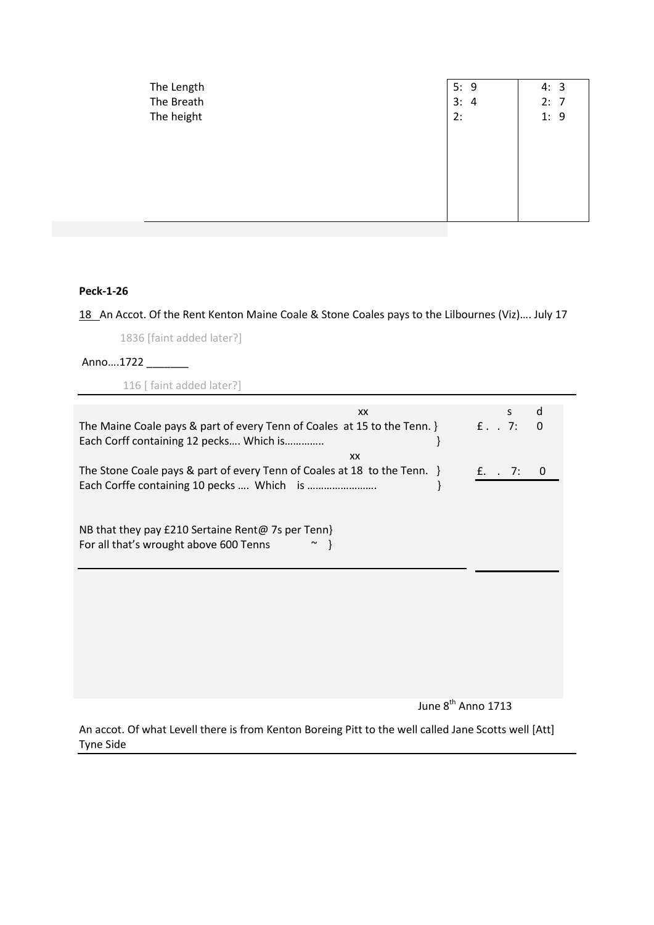| The Length<br>The Breath<br>The height | 5:9<br>3:<br>$\overline{a}$<br>2: | 4:3<br>2: 7<br>1:9 |
|----------------------------------------|-----------------------------------|--------------------|
|                                        |                                   |                    |
|                                        |                                   |                    |

## **Peck-1-26**

18 An Accot. Of the Rent Kenton Maine Coale & Stone Coales pays to the Lilbournes (Viz).... July 17

1836 [faint added later?]

Anno....1722 \_\_\_\_\_\_\_\_

116 [ faint added later?]

| XX                                                                                                                           | d<br>S           |
|------------------------------------------------------------------------------------------------------------------------------|------------------|
| The Maine Coale pays & part of every Tenn of Coales at 15 to the Tenn. $\}$ f. T:<br>Each Corff containing 12 pecks Which is | $\Omega$         |
| XX                                                                                                                           |                  |
| The Stone Coale pays & part of every Tenn of Coales at 18 to the Tenn. }                                                     | $f. \t. 7:$<br>0 |
| NB that they pay £210 Sertaine Rent@ 7s per Tenn}<br>For all that's wrought above 600 Tenns                                  |                  |
|                                                                                                                              |                  |
|                                                                                                                              |                  |
|                                                                                                                              |                  |
|                                                                                                                              |                  |

June 8<sup>th</sup> Anno 1713

An accot. Of what Levell there is from Kenton Boreing Pitt to the well called Jane Scotts well [Att] Tyne Side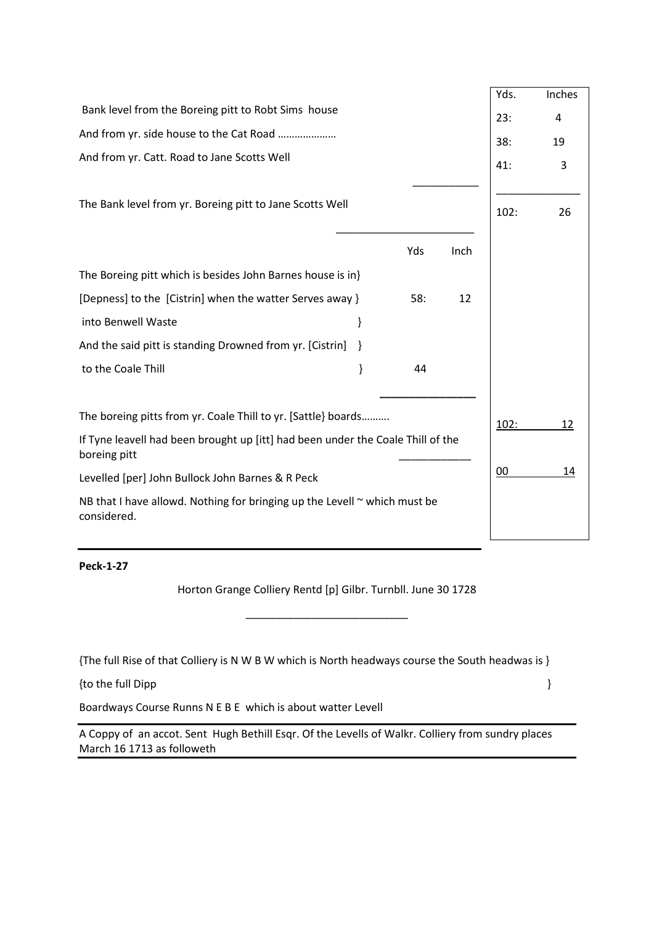|                                                                                                 |   |     |      | Yds. | Inches |
|-------------------------------------------------------------------------------------------------|---|-----|------|------|--------|
| Bank level from the Boreing pitt to Robt Sims house                                             |   |     |      | 23:  | 4      |
| And from yr. side house to the Cat Road                                                         |   |     |      | 38:  | 19     |
| And from yr. Catt. Road to Jane Scotts Well                                                     |   |     |      | 41:  | 3      |
|                                                                                                 |   |     |      |      |        |
| The Bank level from yr. Boreing pitt to Jane Scotts Well                                        |   |     |      | 102: | 26     |
|                                                                                                 |   |     |      |      |        |
|                                                                                                 |   | Yds | Inch |      |        |
| The Boreing pitt which is besides John Barnes house is in}                                      |   |     |      |      |        |
| [Depness] to the [Cistrin] when the watter Serves away }                                        |   | 58: | 12   |      |        |
| into Benwell Waste                                                                              | } |     |      |      |        |
| And the said pitt is standing Drowned from yr. [Cistrin]                                        | ł |     |      |      |        |
| to the Coale Thill                                                                              | } | 44  |      |      |        |
|                                                                                                 |   |     |      |      |        |
| The boreing pitts from yr. Coale Thill to yr. [Sattle] boards                                   |   |     |      | 102: | 12     |
| If Tyne leavell had been brought up [itt] had been under the Coale Thill of the<br>boreing pitt |   |     |      |      |        |
| Levelled [per] John Bullock John Barnes & R Peck                                                |   |     |      | 00   | 14     |
| NB that I have allowd. Nothing for bringing up the Levell $\sim$ which must be<br>considered.   |   |     |      |      |        |
|                                                                                                 |   |     |      |      |        |

**Peck-1-27**

Horton Grange Colliery Rentd [p] Gilbr. Turnbll. June 30 1728

\_\_\_\_\_\_\_\_\_\_\_\_\_\_\_\_\_\_\_\_\_\_\_\_\_\_\_

{The full Rise of that Colliery is N W B W which is North headways course the South headwas is }

{to the full Dipp } }

Boardways Course Runns N E B E which is about watter Levell

A Coppy of an accot. Sent Hugh Bethill Esqr. Of the Levells of Walkr. Colliery from sundry places March 16 1713 as followeth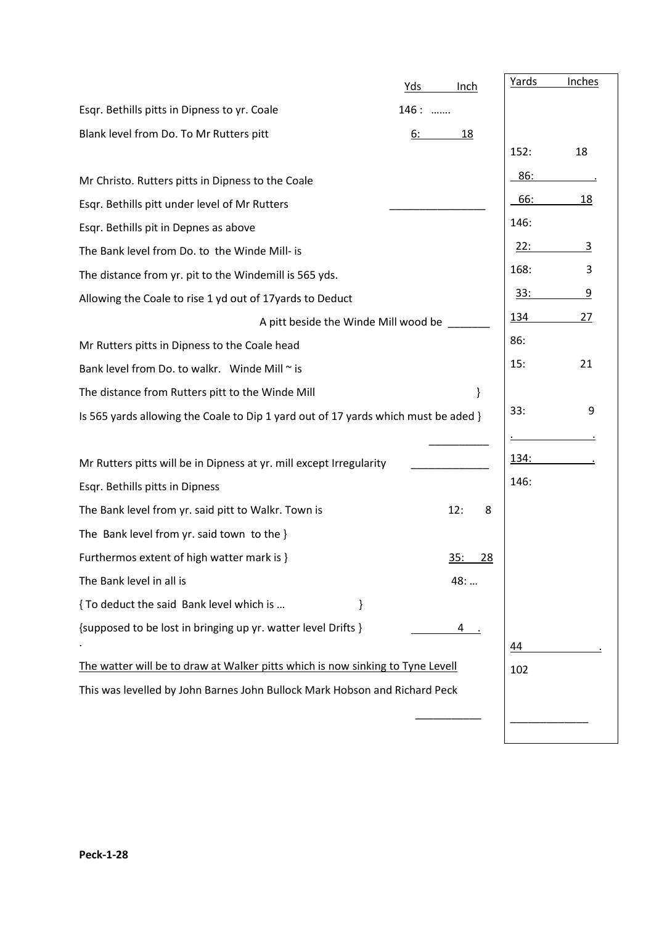|                                                                                    | Yds<br>Inch             | Yards        | Inches |
|------------------------------------------------------------------------------------|-------------------------|--------------|--------|
| Esqr. Bethills pitts in Dipness to yr. Coale                                       | 146:                    |              |        |
| Blank level from Do. To Mr Rutters pitt                                            | 6:<br><u>18</u>         |              |        |
|                                                                                    |                         | 152:         | 18     |
| Mr Christo. Rutters pitts in Dipness to the Coale                                  |                         | 86:          |        |
| Esqr. Bethills pitt under level of Mr Rutters                                      |                         | 66:          | 18     |
| Esgr. Bethills pit in Depnes as above                                              |                         | 146:         |        |
| The Bank level from Do. to the Winde Mill- is                                      |                         | <u>22:</u>   | 3      |
| The distance from yr. pit to the Windemill is 565 yds.                             |                         | 168:         | 3      |
| Allowing the Coale to rise 1 yd out of 17 yards to Deduct                          |                         | <u>33:</u>   | 9      |
| A pitt beside the Winde Mill wood be                                               |                         | 134          | 27     |
| Mr Rutters pitts in Dipness to the Coale head                                      |                         | 86:          |        |
| Bank level from Do. to walkr. Winde Mill ~ is                                      |                         | 15:          | 21     |
| The distance from Rutters pitt to the Winde Mill                                   | }                       |              |        |
| Is 565 yards allowing the Coale to Dip 1 yard out of 17 yards which must be aded } |                         | 33:          | 9      |
|                                                                                    |                         |              |        |
| Mr Rutters pitts will be in Dipness at yr. mill except Irregularity                |                         | <u> 134:</u> |        |
| Esqr. Bethills pitts in Dipness                                                    |                         | 146:         |        |
| The Bank level from yr. said pitt to Walkr. Town is                                | 12:<br>8                |              |        |
| The Bank level from yr. said town to the }                                         |                         |              |        |
| Furthermos extent of high watter mark is }                                         | <u>35:</u><br><u>28</u> |              |        |
| The Bank level in all is                                                           | 48:                     |              |        |
| { To deduct the said Bank level which is<br>}                                      |                         |              |        |
| {supposed to be lost in bringing up yr. watter level Drifts }                      | 4                       |              |        |
|                                                                                    |                         | 44           |        |
| The watter will be to draw at Walker pitts which is now sinking to Tyne Levell     |                         | 102          |        |
| This was levelled by John Barnes John Bullock Mark Hobson and Richard Peck         |                         |              |        |
|                                                                                    |                         |              |        |
|                                                                                    |                         |              |        |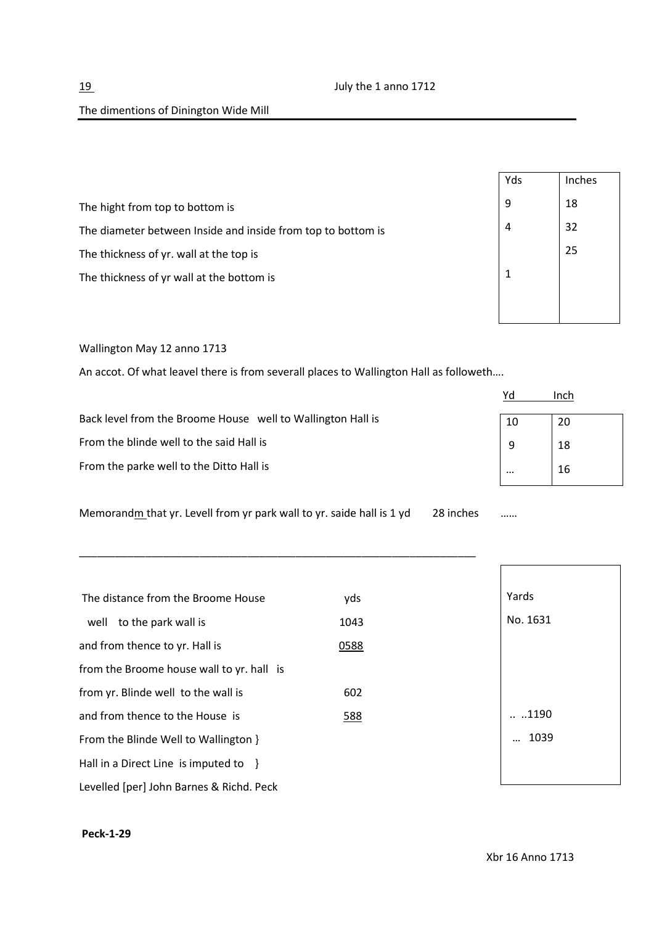|                                                              | Yds | Inches |
|--------------------------------------------------------------|-----|--------|
| The hight from top to bottom is                              | 9   | 18     |
| The diameter between Inside and inside from top to bottom is | 4   | 32     |
| The thickness of yr. wall at the top is                      |     | 25     |
| The thickness of yr wall at the bottom is                    |     |        |
|                                                              |     |        |

Wallington May 12 anno 1713

An accot. Of what leavel there is from severall places to Wallington Hall as followeth….

|                                                             |          | Inch |
|-------------------------------------------------------------|----------|------|
| Back level from the Broome House well to Wallington Hall is | 10       | 20   |
| From the blinde well to the said Hall is                    | 9        | 18   |
| From the parke well to the Ditto Hall is                    | $\cdots$ | 16   |

Memorandm that yr. Levell from yr park wall to yr. saide hall is 1 yd 28 inches ……

\_\_\_\_\_\_\_\_\_\_\_\_\_\_\_\_\_\_\_\_\_\_\_\_\_\_\_\_\_\_\_\_\_\_\_\_\_\_\_\_\_\_\_\_\_\_\_\_\_\_\_\_\_\_\_\_\_\_\_\_\_\_\_\_\_\_

| 10 | 20 |
|----|----|
|    |    |
| 9  | 18 |
|    |    |
|    | 16 |
|    |    |

| The distance from the Broome House        | yds  | Yards            |
|-------------------------------------------|------|------------------|
| to the park wall is<br>well               | 1043 | No. 1631         |
| and from thence to yr. Hall is            | 0588 |                  |
| from the Broome house wall to yr. hall is |      |                  |
| from yr. Blinde well to the wall is       | 602  |                  |
| and from thence to the House is           | 588  | $\dots$ .1190    |
| From the Blinde Well to Wallington }      |      | 1039<br>$\cdots$ |
| Hall in a Direct Line is imputed to $\}$  |      |                  |
| Levelled [per] John Barnes & Richd. Peck  |      |                  |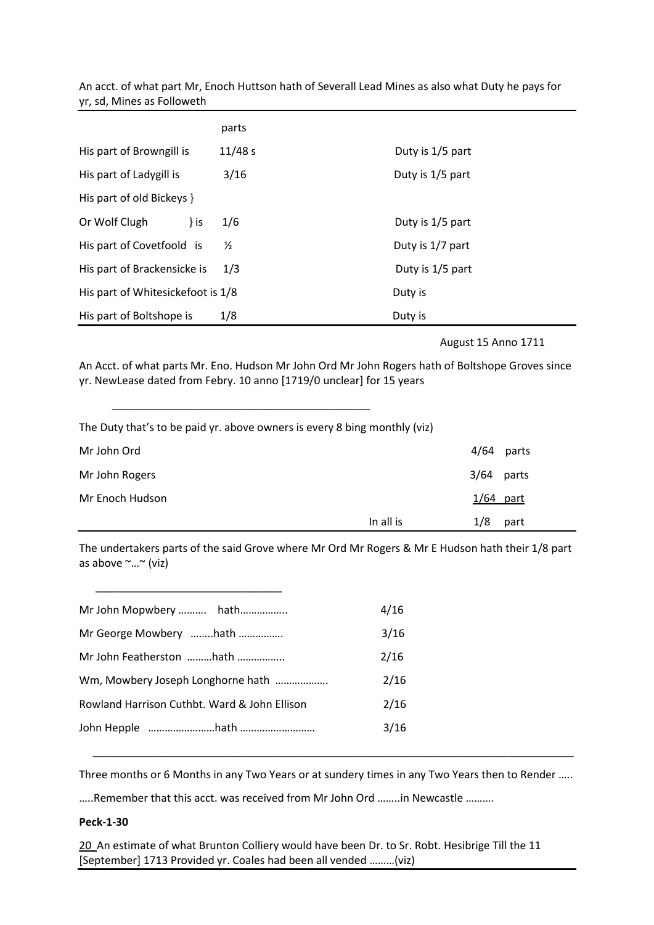An acct. of what part Mr, Enoch Huttson hath of Severall Lead Mines as also what Duty he pays for yr, sd, Mines as Followeth

|                                   | parts         |                  |
|-----------------------------------|---------------|------------------|
| His part of Browngill is          | 11/48 s       | Duty is 1/5 part |
| His part of Ladygill is           | 3/16          | Duty is 1/5 part |
| His part of old Bickeys }         |               |                  |
| Or Wolf Clugh<br>} is             | 1/6           | Duty is 1/5 part |
| His part of Covetfoold is         | $\frac{1}{2}$ | Duty is 1/7 part |
| His part of Brackensicke is       | 1/3           | Duty is 1/5 part |
| His part of Whitesickefoot is 1/8 |               | Duty is          |
| His part of Boltshope is          | 1/8           | Duty is          |

August 15 Anno 1711

An Acct. of what parts Mr. Eno. Hudson Mr John Ord Mr John Rogers hath of Boltshope Groves since yr. NewLease dated from Febry. 10 anno [1719/0 unclear] for 15 years

The Duty that's to be paid yr. above owners is every 8 bing monthly (viz)

\_\_\_\_\_\_\_\_\_\_\_\_\_\_\_\_\_\_\_\_\_\_\_\_\_\_\_\_\_\_\_\_\_\_\_\_\_\_\_\_\_\_\_

| Mr John Ord     |           | 4/64         | parts |
|-----------------|-----------|--------------|-------|
| Mr John Rogers  |           | $3/64$ parts |       |
| Mr Enoch Hudson |           | $1/64$ part  |       |
|                 | In all is | 1/8          | part  |

The undertakers parts of the said Grove where Mr Ord Mr Rogers & Mr E Hudson hath their 1/8 part as above ~…~ (viz)

| Mr John Mopwbery  hath                       | 4/16 |
|----------------------------------------------|------|
| Mr George Mowbery hath                       | 3/16 |
| Mr John Featherston hath                     | 2/16 |
| Wm, Mowbery Joseph Longhorne hath            | 2/16 |
| Rowland Harrison Cuthbt. Ward & John Ellison | 2/16 |
|                                              | 3/16 |
|                                              |      |

\_\_\_\_\_\_\_\_\_\_\_\_\_\_\_\_\_\_\_\_\_\_\_\_\_\_\_\_\_\_\_

Three months or 6 Months in any Two Years or at sundery times in any Two Years then to Render …..

\_\_\_\_\_\_\_\_\_\_\_\_\_\_\_\_\_\_\_\_\_\_\_\_\_\_\_\_\_\_\_\_\_\_\_\_\_\_\_\_\_\_\_\_\_\_\_\_\_\_\_\_\_\_\_\_\_\_\_\_\_\_\_\_\_\_\_\_\_\_\_\_\_\_\_\_\_\_\_\_

…..Remember that this acct. was received from Mr John Ord ……..in Newcastle ……….

## **Peck-1-30**

20 An estimate of what Brunton Colliery would have been Dr. to Sr. Robt. Hesibrige Till the 11 [September] 1713 Provided yr. Coales had been all vended ………(viz)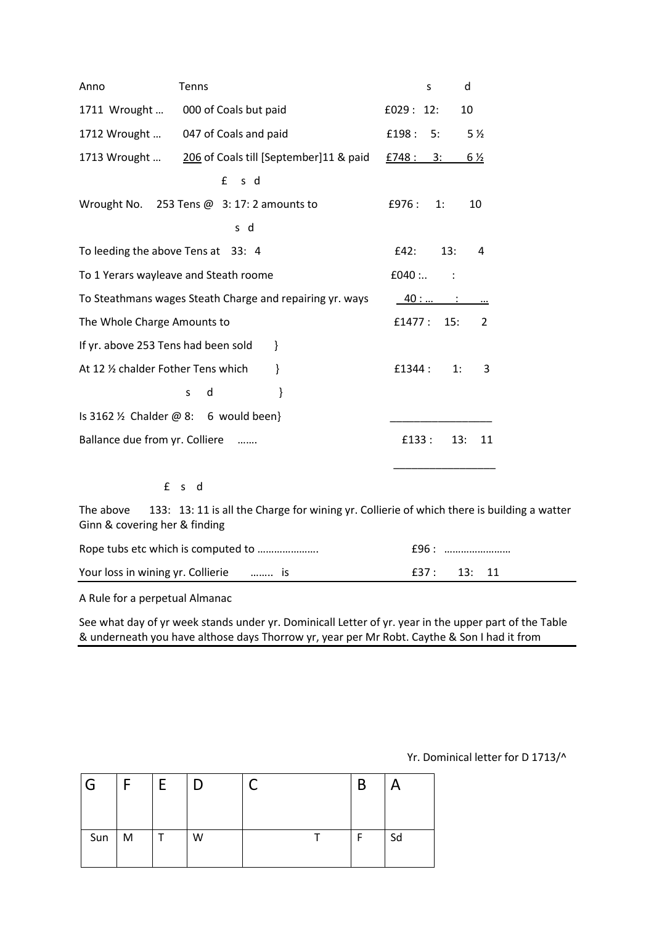| Anno                                  | Tenns                                                                        | S        |     | d              |
|---------------------------------------|------------------------------------------------------------------------------|----------|-----|----------------|
| 1711 Wrought                          | 000 of Coals but paid                                                        | £029:12: |     | 10             |
| 1712 Wrought                          | 047 of Coals and paid                                                        | £198:    | 5:  | 5 <sub>2</sub> |
| 1713 Wrought                          | 206 of Coals till [September]11 & paid                                       | £748 :   | 3:  | $6\frac{1}{2}$ |
|                                       | s d<br>$\mathbf{f}$                                                          |          |     |                |
|                                       | Wrought No. 253 Tens @ 3: 17: 2 amounts to                                   | £976:    | 1:  | 10             |
|                                       | s d                                                                          |          |     |                |
| To leeding the above Tens at 33: 4    |                                                                              | £42:     | 13: | 4              |
| To 1 Yerars wayleave and Steath roome |                                                                              | $£040:$  |     |                |
|                                       | To Steathmans wages Steath Charge and repairing yr. ways                     | $40:$ :  |     |                |
| The Whole Charge Amounts to           |                                                                              | £1477:   | 15: | 2              |
| If yr. above 253 Tens had been sold   | ł                                                                            |          |     |                |
| At 12 1/2 chalder Fother Tens which   | }                                                                            | £1344:   | 1:  | 3              |
|                                       | d<br>}<br>S                                                                  |          |     |                |
|                                       | Is 3162 $\frac{1}{2}$ Chalder @ 8: 6 would been}                             |          |     |                |
| Ballance due from yr. Colliere        |                                                                              | £133 :   | 13: | 11             |
|                                       |                                                                              |          |     |                |
| £                                     | d d<br>S                                                                     |          |     |                |
| Tho aboug                             | 123. 12.11 is all the Charge for wining $\mu$ Collierie of which there is by |          |     |                |

The above 133: 13: 11 is all the Charge for wining yr. Collierie of which there is building a watter Ginn & covering her & finding

|                                       | £96 : …………………… |             |  |
|---------------------------------------|----------------|-------------|--|
| Your loss in wining yr. Collierie  is |                | f37: 13: 11 |  |

A Rule for a perpetual Almanac

See what day of yr week stands under yr. Dominicall Letter of yr. year in the upper part of the Table & underneath you have althose days Thorrow yr, year per Mr Robt. Caythe & Son I had it from

Yr. Dominical letter for D 1713/^

| ' G | Е | E |   |  | B | A  |
|-----|---|---|---|--|---|----|
| Sun | M |   | W |  | F | Sd |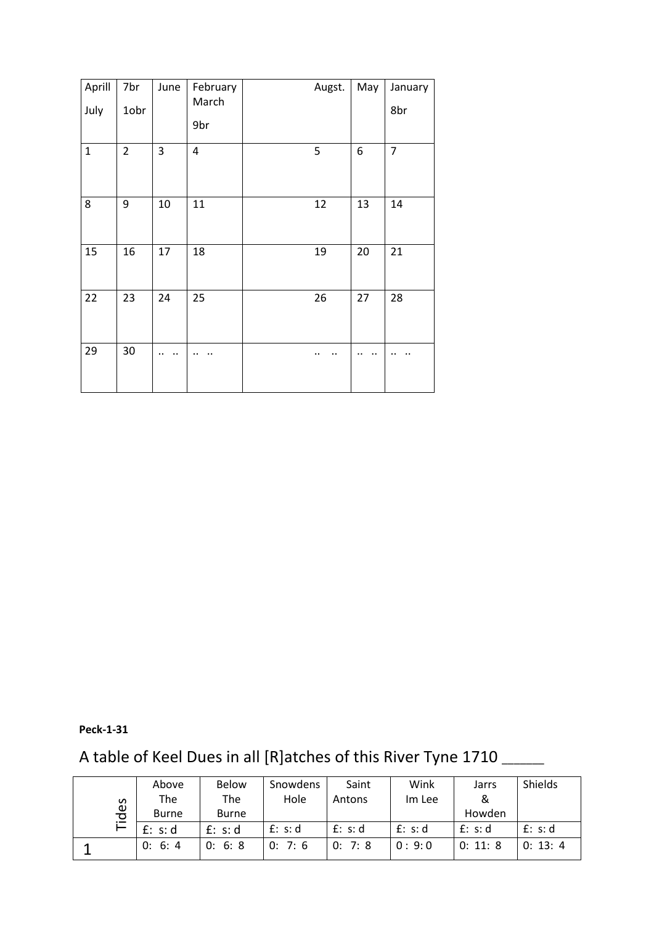| Aprill<br>July | 7br<br>1obr    | June   | February<br>March<br>9br | Augst. | May | January<br>8br |
|----------------|----------------|--------|--------------------------|--------|-----|----------------|
| $\mathbf{1}$   | $\overline{2}$ | 3      | $\pmb{4}$                | 5      | 6   | $\overline{7}$ |
| 8              | 9              | $10\,$ | 11                       | 12     | 13  | 14             |
| 15             | 16             | 17     | 18                       | 19     | 20  | 21             |
| 22             | 23             | 24     | 25                       | 26     | 27  | 28             |
| 29             | 30             |        |                          |        |     |                |

# **Peck-1-31**

# A table of Keel Dues in all [R]atches of this River Tyne 1710 \_\_\_\_\_

| S<br>မင $\frac{1}{\sigma}$ | Above | <b>Below</b> | Snowdens | Saint   | Wink    | Jarrs   | Shields  |          |
|----------------------------|-------|--------------|----------|---------|---------|---------|----------|----------|
|                            |       | The          | The      | Hole    | Antons  | Im Lee  | 8        |          |
|                            |       | <b>Burne</b> | Burne    |         |         |         | Howden   |          |
|                            |       | f: s:d       | f: s:d   | f: s: d | f: s: d | f: s: d | f: s: d  | f: s: d  |
|                            |       | 0: 6: 4      | 0: 6: 8  | 0: 7: 6 | 0: 7: 8 | 0:9:0   | 0: 11: 8 | 0: 13: 4 |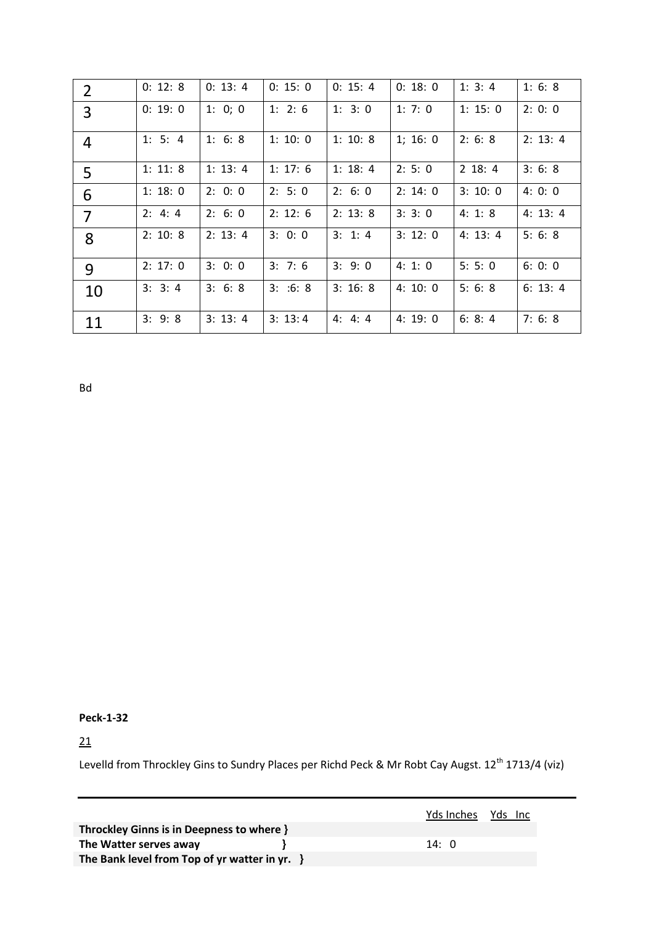| $\overline{2}$ | 0: 12: 8 | 0: 13: 4 | 0: 15: 0 | 0: 15: 4 | 0: 18: 0 | 1: 3: 4  | 1:6:8    |
|----------------|----------|----------|----------|----------|----------|----------|----------|
| 3              | 0: 19: 0 | 1: 0; 0  | 1: 2: 6  | 1: 3: 0  | 1: 7: 0  | 1: 15: 0 | 2:0:0    |
| $\overline{4}$ | 1: 5: 4  | 1: 6: 8  | 1: 10: 0 | 1: 10: 8 | 1; 16: 0 | 2: 6: 8  | 2: 13: 4 |
| 5              | 1: 11: 8 | 1: 13: 4 | 1: 17: 6 | 1: 18: 4 | 2: 5: 0  | 2 18: 4  | 3: 6: 8  |
| 6              | 1: 18: 0 | 2: 0: 0  | 2: 5: 0  | 2: 6: 0  | 2: 14: 0 | 3: 10: 0 | 4:0:0    |
| 7              | 2: 4: 4  | 2: 6: 0  | 2: 12: 6 | 2: 13: 8 | 3:3:0    | 4:1:8    | 4: 13: 4 |
| 8              | 2: 10: 8 | 2: 13: 4 | 3:0:0    | 3: 1: 4  | 3: 12: 0 | 4: 13: 4 | 5:6:8    |
| 9              | 2: 17: 0 | 3:0:0    | 3: 7: 6  | 3: 9: 0  | 4:1:0    | 5: 5: 0  | 6:0:0    |
| 10             | 3: 3: 4  | 3: 6: 8  | 3: .6: 8 | 3:16:8   | 4:10:0   | 5:6:8    | 6: 13: 4 |
| 11             | 3: 9: 8  | 3: 13: 4 | 3: 13: 4 | 4: 4: 4  | 4:19:0   | 6: 8: 4  | 7:6:8    |

Bd

**Peck-1-32**

21

Levelld from Throckley Gins to Sundry Places per Richd Peck & Mr Robt Cay Augst. 12<sup>th</sup> 1713/4 (viz)

|                                                  |              | Yds Inches Yds Inc |
|--------------------------------------------------|--------------|--------------------|
| Throckley Ginns is in Deepness to where }        |              |                    |
| The Watter serves away                           | 14: $\theta$ |                    |
| The Bank level from Top of yr watter in yr. $\}$ |              |                    |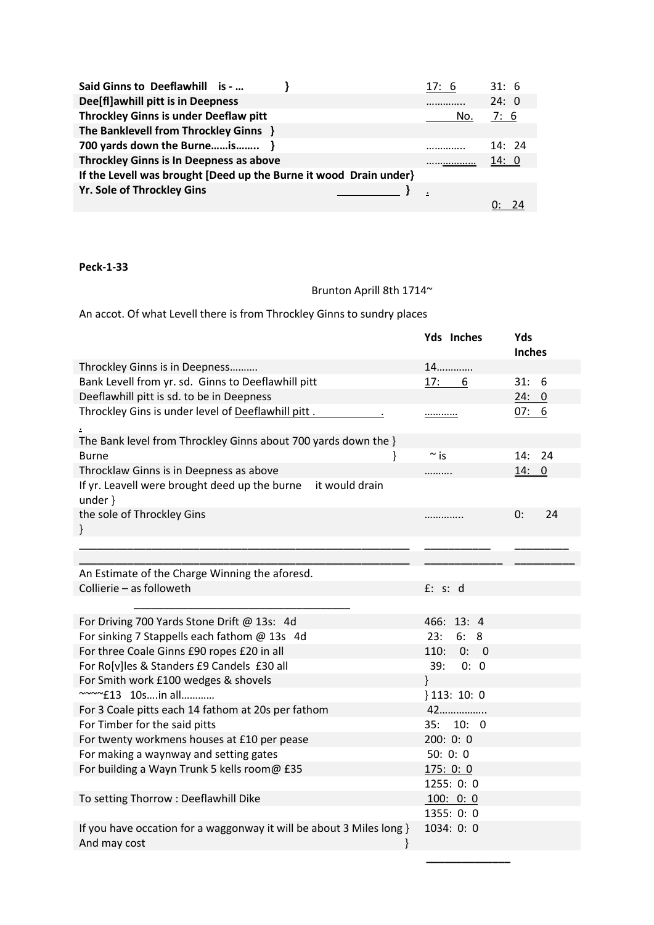| Said Ginns to Deeflawhill is -                                    | 17: 6 | 31:6  |
|-------------------------------------------------------------------|-------|-------|
| Dee[fl]awhill pitt is in Deepness                                 |       | 24:0  |
| <b>Throckley Ginns is under Deeflaw pitt</b>                      | No.   | 7:6   |
| The Banklevell from Throckley Ginns }                             |       |       |
| 700 yards down the Burneis }                                      |       | 14:24 |
| <b>Throckley Ginns is In Deepness as above</b>                    |       | 14: 0 |
| If the Levell was brought [Deed up the Burne it wood Drain under} |       |       |
| <b>Yr. Sole of Throckley Gins</b>                                 |       |       |
|                                                                   |       |       |

### Brunton Aprill 8th 1714~

An accot. Of what Levell there is from Throckley Ginns to sundry places

|                                                                               | Yds Inches   | Yds           |
|-------------------------------------------------------------------------------|--------------|---------------|
|                                                                               |              | <b>Inches</b> |
| Throckley Ginns is in Deepness                                                | 14           |               |
| Bank Levell from yr. sd. Ginns to Deeflawhill pitt                            | 17: 6        | 31:<br>-6     |
| Deeflawhill pitt is sd. to be in Deepness                                     |              | 24:0          |
| Throckley Gins is under level of Deeflawhill pitt.                            | <u></u>      | 07: 6         |
|                                                                               |              |               |
| The Bank level from Throckley Ginns about 700 yards down the }                |              |               |
| }<br><b>Burne</b>                                                             | $\sim$ is    | 14:<br>24     |
| Throcklaw Ginns is in Deepness as above                                       |              | 14: 0         |
| If yr. Leavell were brought deed up the burne<br>it would drain<br>under $\}$ |              |               |
| the sole of Throckley Gins                                                    | .            | 24<br>0:      |
| }                                                                             |              |               |
|                                                                               |              |               |
|                                                                               |              |               |
| An Estimate of the Charge Winning the aforesd.                                |              |               |
| Collierie - as followeth                                                      | f: s: d      |               |
|                                                                               |              |               |
| For Driving 700 Yards Stone Drift @ 13s: 4d                                   | 466: 13: 4   |               |
| For sinking 7 Stappells each fathom @ 13s 4d                                  | 23:<br>6:8   |               |
| For three Coale Ginns £90 ropes £20 in all                                    | 110:<br>0: 0 |               |
| For Ro[v]les & Standers £9 Candels £30 all                                    | 39:<br>0: 0  |               |
| For Smith work £100 wedges & shovels                                          | ł            |               |
| ~~~~£13 10sin all                                                             | 113:10:0     |               |
| For 3 Coale pitts each 14 fathom at 20s per fathom                            | 42           |               |
| For Timber for the said pitts                                                 | 35:<br>10: 0 |               |
| For twenty workmens houses at £10 per pease                                   | 200:0:0      |               |
| For making a waynway and setting gates                                        | 50:0:0       |               |
| For building a Wayn Trunk 5 kells room@ £35                                   | 175:0:0      |               |
|                                                                               | 1255: 0: 0   |               |
| To setting Thorrow : Deeflawhill Dike                                         | 100: 0: 0    |               |
|                                                                               | 1355: 0: 0   |               |
| If you have occation for a waggonway it will be about 3 Miles long }          | 1034: 0: 0   |               |
| And may cost<br>ł                                                             |              |               |

**\_\_\_\_\_\_\_\_\_\_\_\_\_\_**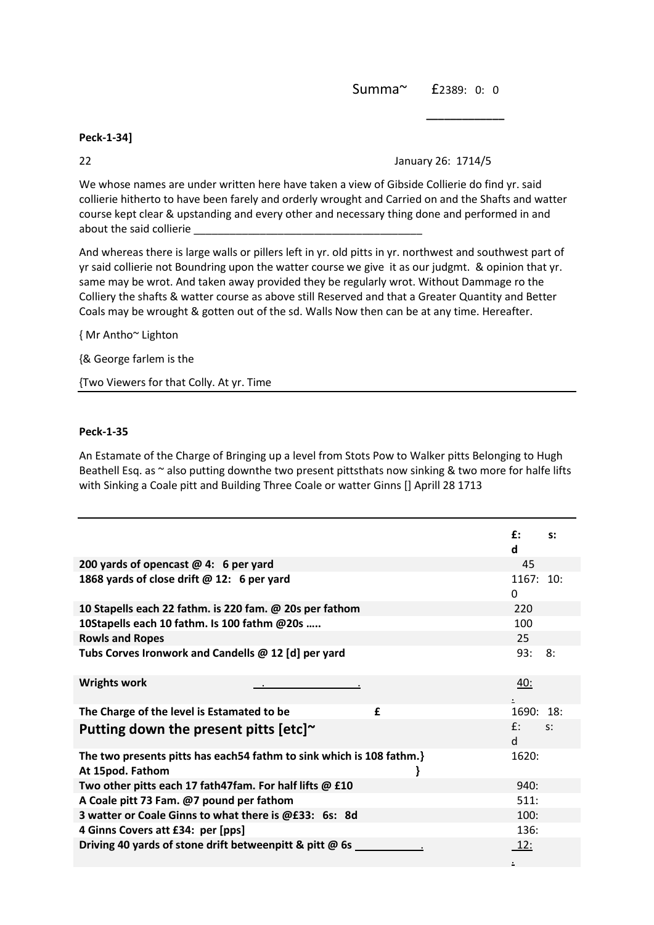Summa~ £2389: 0: 0

### **Peck-1-34]**

### 22 January 26: 1714/5

We whose names are under written here have taken a view of Gibside Collierie do find yr. said collierie hitherto to have been farely and orderly wrought and Carried on and the Shafts and watter course kept clear & upstanding and every other and necessary thing done and performed in and about the said collierie \_

**\_\_\_\_\_\_\_\_\_\_\_\_\_**

And whereas there is large walls or pillers left in yr. old pitts in yr. northwest and southwest part of yr said collierie not Boundring upon the watter course we give it as our judgmt. & opinion that yr. same may be wrot. And taken away provided they be regularly wrot. Without Dammage ro the Colliery the shafts & watter course as above still Reserved and that a Greater Quantity and Better Coals may be wrought & gotten out of the sd. Walls Now then can be at any time. Hereafter.

{ Mr Antho~ Lighton

{& George farlem is the

{Two Viewers for that Colly. At yr. Time

### **Peck-1-35**

An Estamate of the Charge of Bringing up a level from Stots Pow to Walker pitts Belonging to Hugh Beathell Esq. as  $\sim$  also putting downthe two present pittsthats now sinking & two more for halfe lifts with Sinking a Coale pitt and Building Three Coale or watter Ginns [] Aprill 28 1713

|                                                                                           | £:                    | $S$ : |
|-------------------------------------------------------------------------------------------|-----------------------|-------|
|                                                                                           | d                     |       |
| 200 yards of opencast $@$ 4: 6 per yard                                                   | 45                    |       |
| 1868 yards of close drift @ 12: 6 per yard                                                | 1167: 10:<br>$\Omega$ |       |
| 10 Stapells each 22 fathm. is 220 fam. @ 20s per fathom                                   | 220                   |       |
| 10Stapells each 10 fathm. Is 100 fathm @20s                                               | 100                   |       |
| <b>Rowls and Ropes</b>                                                                    | 25                    |       |
| Tubs Corves Ironwork and Candells @ 12 [d] per yard                                       | 93:                   | 8:    |
| <b>Wrights work</b>                                                                       | <u>40:</u>            |       |
| The Charge of the level is Estamated to be<br>£                                           | 1690: 18:             |       |
| Putting down the present pitts $[etc]$ <sup>~</sup>                                       | $f$ :<br><sub>d</sub> | $S^*$ |
| The two presents pitts has each 54 fathm to sink which is 108 fathm.}<br>At 15pod. Fathom | 1620:                 |       |
| Two other pitts each 17 fath47fam. For half lifts @ £10                                   | 940:                  |       |
| A Coale pitt 73 Fam. @7 pound per fathom                                                  | 511:                  |       |
| 3 watter or Coale Ginns to what there is @£33: 6s: 8d                                     | 100:                  |       |
| 4 Ginns Covers att £34: per [pps]                                                         | 136:                  |       |
| Driving 40 yards of stone drift betweenpitt & pitt @ 6s                                   | <u> 12:</u>           |       |
|                                                                                           |                       |       |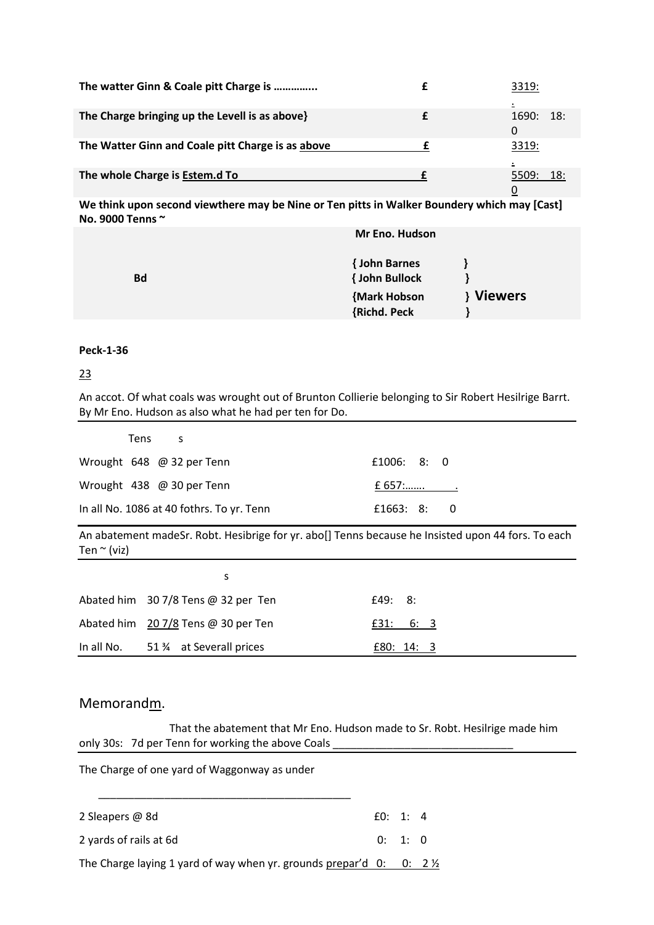| The watter Ginn & Coale pitt Charge is            | 3319:        |
|---------------------------------------------------|--------------|
| The Charge bringing up the Levell is as above}    | 18:<br>1690: |
| The Watter Ginn and Coale pitt Charge is as above | O<br>3319:   |
| The whole Charge is Estem.d To                    | 18:<br>5509: |

**We think upon second viewthere may be Nine or Ten pitts in Walker Boundery which may [Cast] No. 9000 Tenns ~**

|           | Mr Eno. Hudson        |           |
|-----------|-----------------------|-----------|
|           | { John Barnes         |           |
| <b>Bd</b> | <b>{ John Bullock</b> |           |
|           | {Mark Hobson          | } Viewers |
|           | {Richd. Peck          |           |

### **Peck-1-36**

### 23

An accot. Of what coals was wrought out of Brunton Collierie belonging to Sir Robert Hesilrige Barrt. By Mr Eno. Hudson as also what he had per ten for Do.

| Tens s                                          |             |
|-------------------------------------------------|-------------|
| Wrought $648 \quad \textcircled{a}$ 32 per Tenn | £1006: 8: 0 |
| Wrought 438 @ 30 per Tenn                       |             |
| In all No. 1086 at 40 fothrs. To yr. Tenn       | £1663: 8: 0 |

An abatement madeSr. Robt. Hesibrige for yr. abo[] Tenns because he Insisted upon 44 fors. To each Ten  $\sim$  (viz)

| S                                             |              |
|-----------------------------------------------|--------------|
| Abated him 30 7/8 Tens @ 32 per Ten           | £49: 8:      |
| Abated him 20 7/8 Tens @ 30 per Ten           | £31:<br>6: 3 |
| In all No. $51\frac{3}{4}$ at Severall prices | E80: 14: 3   |

### Memorandm.

 That the abatement that Mr Eno. Hudson made to Sr. Robt. Hesilrige made him only 30s: 7d per Tenn for working the above Coals

The Charge of one yard of Waggonway as under \_\_\_\_\_\_\_\_\_\_\_\_\_\_\_\_\_\_\_\_\_\_\_\_\_\_\_\_\_\_\_\_\_\_\_\_\_\_\_\_\_\_ 2 Sleapers @ 8d  $\qquad 60: 1: 4$ 2 yards of rails at 6d 0: 1: 0 The Charge laying 1 yard of way when yr. grounds prepar'd  $0: 0: 2 \frac{1}{2}$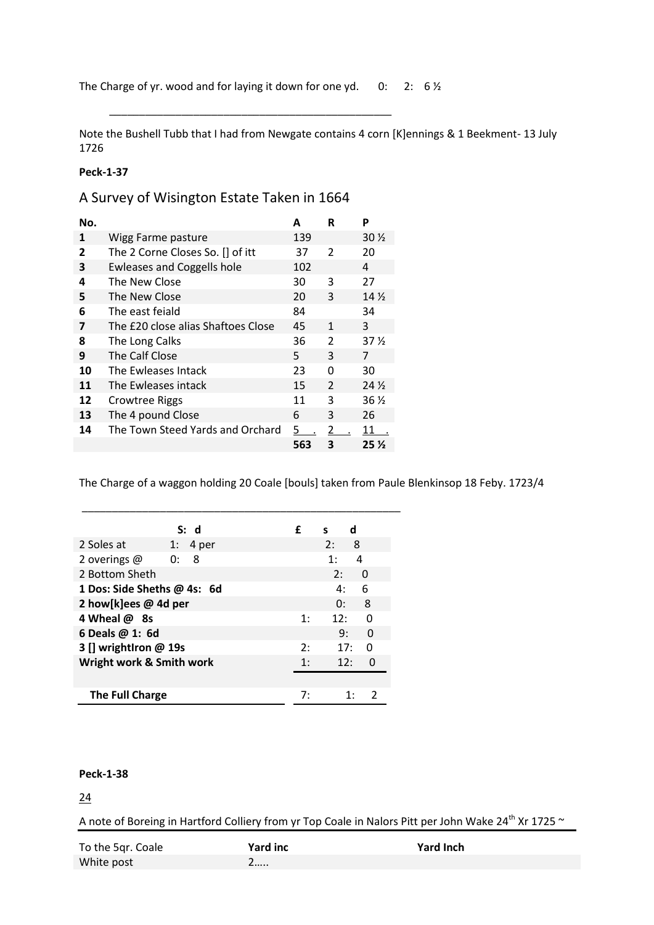\_\_\_\_\_\_\_\_\_\_\_\_\_\_\_\_\_\_\_\_\_\_\_\_\_\_\_\_\_\_\_\_\_\_\_\_\_\_\_\_\_\_\_\_\_\_\_

Note the Bushell Tubb that I had from Newgate contains 4 corn [K]ennings & 1 Beekment- 13 July 1726

### **Peck-1-37**

A Survey of Wisington Estate Taken in 1664

| No. |                                    | А              | R             | P                 |
|-----|------------------------------------|----------------|---------------|-------------------|
| 1   | Wigg Farme pasture                 | 139            |               | $30\,\mathrm{\%}$ |
| 2   | The 2 Corne Closes So. [] of itt   | 37             | 2             | 20                |
| 3   | <b>Ewleases and Coggells hole</b>  | 102            |               | 4                 |
| 4   | The New Close                      | 30             | 3             | 27                |
| 5   | The New Close                      | 20             | 3             | 14 <sub>2</sub>   |
| 6   | The east feiald                    | 84             |               | 34                |
| 7   | The £20 close alias Shaftoes Close | 45             | 1             | 3                 |
| 8   | The Long Calks                     | 36             | 2             | 37 %              |
| 9   | The Calf Close                     | 5.             | ξ             | 7                 |
| 10  | The Ewleases Intack                | 23             | O             | 30                |
| 11  | The Ewleases intack                | 15             | $\mathcal{P}$ | 24 <sub>2</sub>   |
| 12  | Crowtree Riggs                     | 11             | ς             | 36 ½              |
| 13  | The 4 pound Close                  | 6              | 3             | 26                |
| 14  | The Town Steed Yards and Orchard   | $\overline{5}$ | 2             | 11                |
|     |                                    | 563            | 3             | 25 <sub>2</sub>   |

The Charge of a waggon holding 20 Coale [bouls] taken from Paule Blenkinsop 18 Feby. 1723/4

|                             | S: d        | £   | d<br>s             |
|-----------------------------|-------------|-----|--------------------|
| 2 Soles at                  | 4 per<br>1: |     | 2:<br>8            |
| 2 overings @                | - 8<br>0:   |     | 4<br>1:            |
| 2 Bottom Sheth              |             |     | 2:<br>0            |
| 1 Dos: Side Sheths @ 4s: 6d |             |     | 6<br>4:            |
| 2 how[k]ees @ 4d per        |             |     | 8<br>0:            |
| 4 Wheal @ 8s                |             | 1:  | O<br>12:           |
| 6 Deals @ 1: 6d             |             |     | 9:<br><sup>0</sup> |
| 3 [] wrightlron @ 19s       |             | 2:  | 17:<br>ŋ           |
| Wright work & Smith work    |             | 1 : | 12:<br>O           |
|                             |             |     |                    |
| The Full Charge             |             | 7:  |                    |

\_\_\_\_\_\_\_\_\_\_\_\_\_\_\_\_\_\_\_\_\_\_\_\_\_\_\_\_\_\_\_\_\_\_\_\_\_\_\_\_\_\_\_\_\_\_\_\_\_\_\_\_\_

### **Peck-1-38**

24

A note of Boreing in Hartford Colliery from yr Top Coale in Nalors Pitt per John Wake 24<sup>th</sup> Xr 1725 ~

| To the 5qr. Coale | Yard inc | <b>Yard Inch</b> |
|-------------------|----------|------------------|
| White post        |          |                  |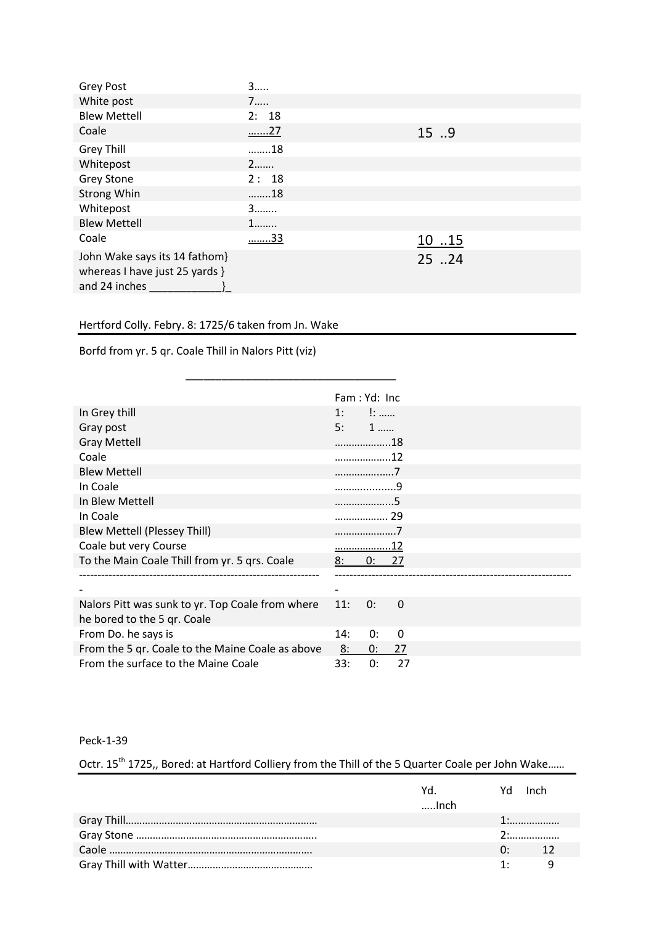| <b>Grey Post</b>                                                                 | 3         |       |
|----------------------------------------------------------------------------------|-----------|-------|
| White post                                                                       | 7         |       |
| <b>Blew Mettell</b>                                                              | 2: 18     |       |
| Coale                                                                            | <u>27</u> | 15.9  |
| <b>Grey Thill</b>                                                                | 18        |       |
| Whitepost                                                                        | $2$       |       |
| <b>Grey Stone</b>                                                                | 2:18      |       |
| <b>Strong Whin</b>                                                               | 18        |       |
| Whitepost                                                                        | 3         |       |
| <b>Blew Mettell</b>                                                              | 1         |       |
| Coale                                                                            | <u>33</u> | 1015  |
| John Wake says its 14 fathom}<br>whereas I have just 25 yards }<br>and 24 inches |           | 25 24 |

### Hertford Colly. Febry. 8: 1725/6 taken from Jn. Wake

Borfd from yr. 5 qr. Coale Thill in Nalors Pitt (viz)

|                                                  | Fam: Yd: Inc |      |              |  |
|--------------------------------------------------|--------------|------|--------------|--|
| In Grey thill                                    | 1:           | $1:$ |              |  |
| Gray post                                        | 5:           | $1$  |              |  |
| <b>Gray Mettell</b>                              | 18           |      |              |  |
| Coale                                            | 12           |      |              |  |
| <b>Blew Mettell</b>                              | 7            |      |              |  |
| In Coale                                         |              |      | $\mathbf{Q}$ |  |
| In Blew Mettell                                  | 5            |      |              |  |
| In Coale                                         | . 29         |      |              |  |
| <b>Blew Mettell (Plessey Thill)</b>              |              |      |              |  |
| Coale but very Course                            |              |      |              |  |
| To the Main Coale Thill from yr. 5 qrs. Coale    | 8:<br>0:     |      | 27           |  |
|                                                  |              |      |              |  |
|                                                  |              |      |              |  |
| Nalors Pitt was sunk to yr. Top Coale from where | 11:<br>0:    |      | 0            |  |
| he bored to the 5 qr. Coale                      |              |      |              |  |
| From Do. he says is                              | 14:          | 0:   | $\Omega$     |  |
| From the 5 qr. Coale to the Maine Coale as above | 8:<br>0:     |      | 27           |  |
| From the surface to the Maine Coale              | 33:          | 0:   | 27           |  |

 $\frac{1}{2}$  ,  $\frac{1}{2}$  ,  $\frac{1}{2}$  ,  $\frac{1}{2}$  ,  $\frac{1}{2}$  ,  $\frac{1}{2}$  ,  $\frac{1}{2}$  ,  $\frac{1}{2}$  ,  $\frac{1}{2}$  ,  $\frac{1}{2}$ 

Peck-1-39

Octr. 15<sup>th</sup> 1725,, Bored: at Hartford Colliery from the Thill of the 5 Quarter Coale per John Wake......

| Yd. In the set of the set of the set of the set of the set of the set of the set of the set of the set of the<br>$$ Inch |           | Yd Inch      |
|--------------------------------------------------------------------------------------------------------------------------|-----------|--------------|
|                                                                                                                          |           |              |
|                                                                                                                          |           |              |
|                                                                                                                          |           | 0: 12        |
|                                                                                                                          | $1 \cdot$ | <sup>9</sup> |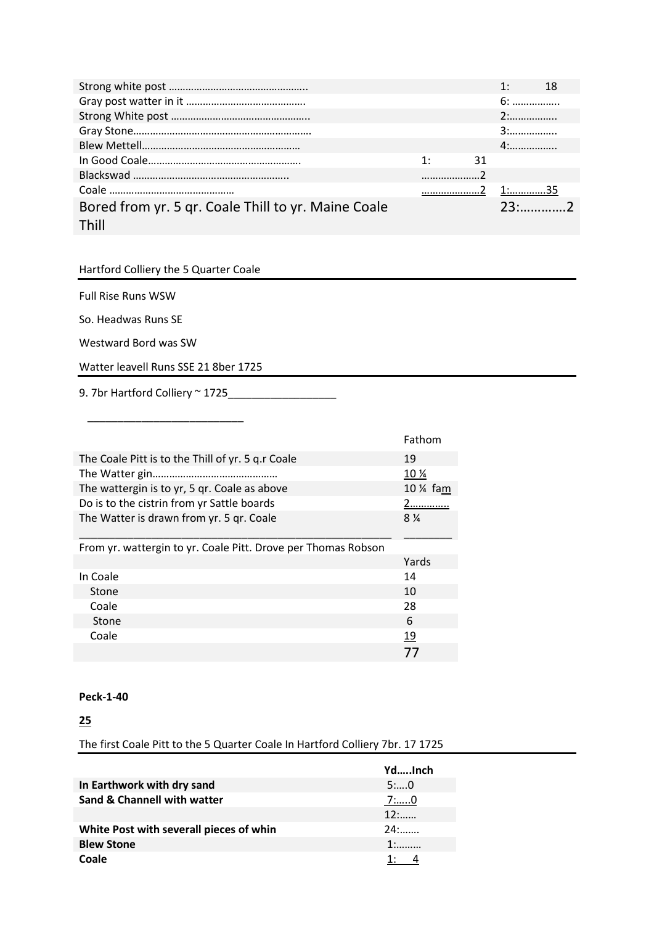|                                                              |    |    | $1:$ $\blacksquare$ | -18            |  |
|--------------------------------------------------------------|----|----|---------------------|----------------|--|
|                                                              |    |    | 6:                  |                |  |
|                                                              |    |    |                     |                |  |
|                                                              |    |    | 3:                  |                |  |
|                                                              |    |    | $4:$                |                |  |
|                                                              | 1: | 31 |                     |                |  |
|                                                              |    |    |                     |                |  |
|                                                              |    |    |                     |                |  |
| Bored from yr. 5 qr. Coale Thill to yr. Maine Coale<br>Thill |    |    |                     | $23^{\circ}$ 2 |  |

### Hartford Colliery the 5 Quarter Coale

Full Rise Runs WSW

So. Headwas Runs SE

Westward Bord was SW

Watter leavell Runs SSE 21 8ber 1725

9. 7br Hartford Colliery ~ 1725\_\_\_\_\_\_\_\_\_\_\_\_\_\_\_\_\_\_

\_\_\_\_\_\_\_\_\_\_\_\_\_\_\_\_\_\_\_\_\_\_\_\_\_\_

|                                                               | Fathom         |
|---------------------------------------------------------------|----------------|
| The Coale Pitt is to the Thill of yr. 5 q.r Coale             | 19             |
|                                                               | 10 %           |
| The wattergin is to yr, 5 gr. Coale as above                  | 10 % fam       |
| Do is to the cistrin from yr Sattle boards                    | 2 <u></u>      |
| The Watter is drawn from yr. 5 gr. Coale                      | $8\frac{1}{4}$ |
|                                                               |                |
| From yr. wattergin to yr. Coale Pitt. Drove per Thomas Robson |                |
|                                                               |                |
|                                                               | Yards          |
| In Coale                                                      | 14             |
| Stone                                                         | 10             |
| Coale                                                         | 28             |
| Stone                                                         | 6              |
| Coale                                                         | <u>19</u>      |

### **Peck-1-40**

### **25**

The first Coale Pitt to the 5 Quarter Coale In Hartford Colliery 7br. 17 1725

|                                         | YdInch |
|-----------------------------------------|--------|
| In Earthwork with dry sand              | 5:0    |
| Sand & Channell with watter             | 7:0    |
|                                         | $12$ : |
| White Post with severall pieces of whin | 24:    |
| <b>Blew Stone</b>                       | $1:$   |
| Coale                                   |        |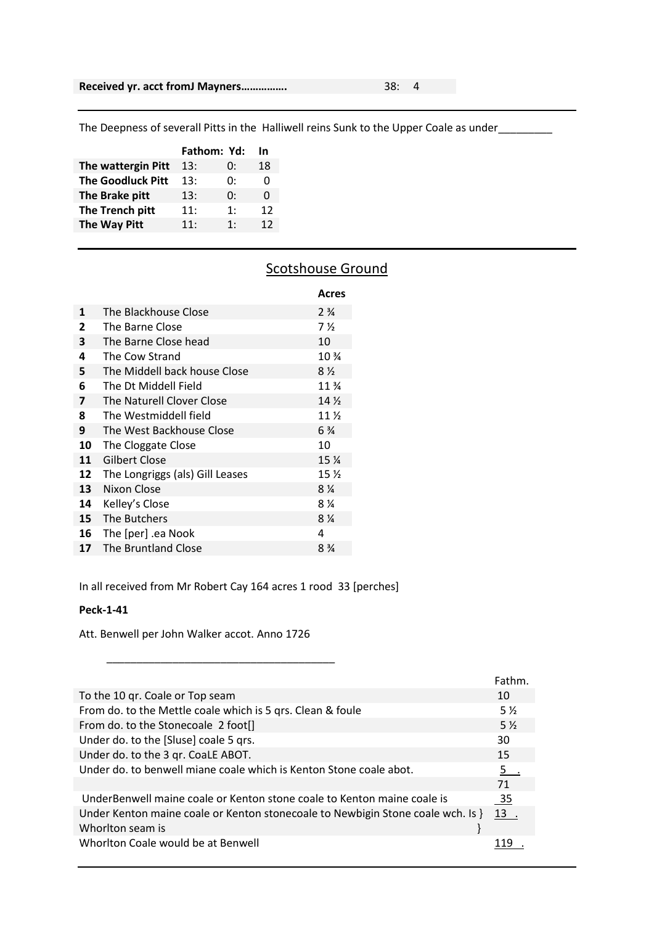The Deepness of severall Pitts in the Halliwell reins Sunk to the Upper Coale as under\_\_\_\_\_\_\_\_

|                          | Fathom: Yd: |    | In |
|--------------------------|-------------|----|----|
| The wattergin Pitt       | 13:         | 0: | 18 |
| <b>The Goodluck Pitt</b> | 13:         | 0: | O  |
| The Brake pitt           | 13:         | 0: | 0  |
| The Trench pitt          | 11:         | 1: | 12 |
| The Way Pitt             | 11:         | 1: | 12 |
|                          |             |    |    |

### **Scotshouse Ground**

|                 |                                 | Acres                          |
|-----------------|---------------------------------|--------------------------------|
| 1               | The Blackhouse Close            | $2\frac{3}{4}$                 |
| 2               | The Barne Close                 | 7 <sub>2</sub>                 |
| 3               | The Barne Close head            | 10                             |
| 4               | The Cow Strand                  | 10 <sup>3</sup> / <sub>4</sub> |
| 5               | The Middell back house Close    | $8\frac{1}{2}$                 |
| 6               | The Dt Middell Field            | 11 <sup>3</sup> / <sub>4</sub> |
| 7               | The Naturell Clover Close       | 14 <sub>2</sub>                |
| 8               | The Westmiddell field           | 11 <sub>2</sub>                |
| 9               | The West Backhouse Close        | $6\frac{3}{4}$                 |
| 10              | The Cloggate Close              | 10                             |
| 11              | Gilbert Close                   | 15 <sub>4</sub>                |
| 12              | The Longriggs (als) Gill Leases | 15 <sub>2</sub>                |
| 13              | Nixon Close                     | $8\%$                          |
| 14              | Kelley's Close                  | 8 %                            |
| 15 <sup>7</sup> | The Butchers                    | $8\%$                          |
| 16              | The [per] .ea Nook              | 4                              |
| 17              | The Bruntland Close             | $8\frac{3}{4}$                 |

In all received from Mr Robert Cay 164 acres 1 rood 33 [perches]

#### **Peck-1-41**

Att. Benwell per John Walker accot. Anno 1726

 $\overline{\phantom{a}}$  ,  $\overline{\phantom{a}}$  ,  $\overline{\phantom{a}}$  ,  $\overline{\phantom{a}}$  ,  $\overline{\phantom{a}}$  ,  $\overline{\phantom{a}}$  ,  $\overline{\phantom{a}}$  ,  $\overline{\phantom{a}}$  ,  $\overline{\phantom{a}}$  ,  $\overline{\phantom{a}}$  ,  $\overline{\phantom{a}}$  ,  $\overline{\phantom{a}}$  ,  $\overline{\phantom{a}}$  ,  $\overline{\phantom{a}}$  ,  $\overline{\phantom{a}}$  ,  $\overline{\phantom{a}}$ 

|                                                                                 | Fathm.         |
|---------------------------------------------------------------------------------|----------------|
| To the 10 gr. Coale or Top seam                                                 | 10             |
| From do. to the Mettle coale which is 5 grs. Clean & foule                      | 5 <sub>2</sub> |
| From do. to the Stonecoale 2 foot[]                                             | $5\frac{1}{2}$ |
| Under do. to the [Sluse] coale 5 qrs.                                           | 30             |
| Under do. to the 3 qr. CoaLE ABOT.                                              | 15             |
| Under do. to benwell miane coale which is Kenton Stone coale abot.              | 5.             |
|                                                                                 | 71             |
| UnderBenwell maine coale or Kenton stone coale to Kenton maine coale is         | - 35           |
| Under Kenton maine coale or Kenton stonecoale to Newbigin Stone coale wch. Is } | 13.            |
| Whorlton seam is                                                                |                |
| Whorlton Coale would be at Benwell                                              |                |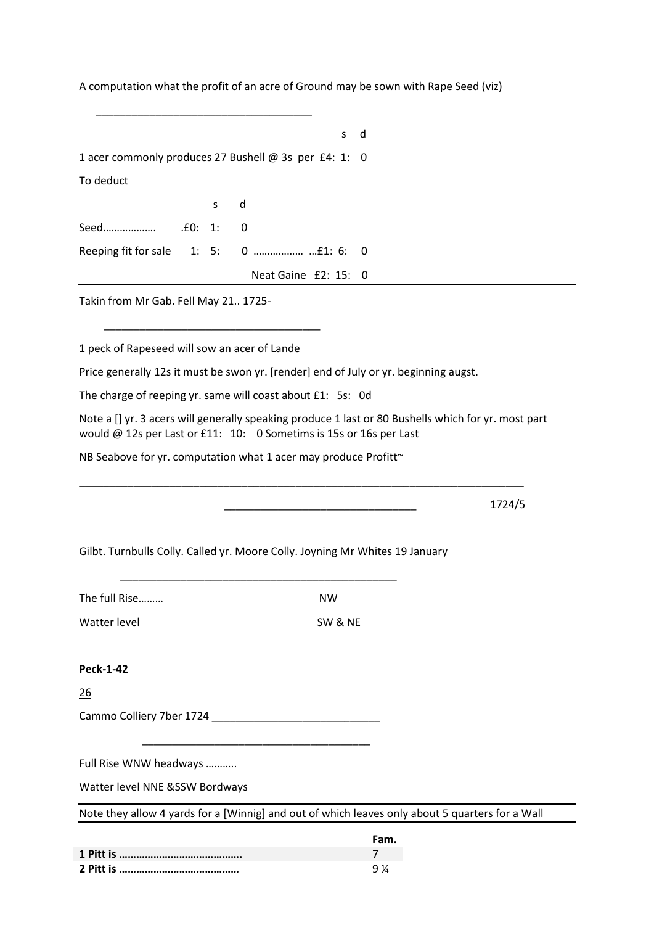A computation what the profit of an acre of Ground may be sown with Rape Seed (viz)

|                                      |                                                                                      | d<br>s  |                                                                                                     |
|--------------------------------------|--------------------------------------------------------------------------------------|---------|-----------------------------------------------------------------------------------------------------|
|                                      | 1 acer commonly produces 27 Bushell @ 3s per £4: 1: 0                                |         |                                                                                                     |
| To deduct                            |                                                                                      |         |                                                                                                     |
|                                      | d<br>s                                                                               |         |                                                                                                     |
|                                      | 0                                                                                    |         |                                                                                                     |
|                                      |                                                                                      |         |                                                                                                     |
|                                      | Neat Gaine £2: 15: 0                                                                 |         |                                                                                                     |
| Takin from Mr Gab. Fell May 21 1725- |                                                                                      |         |                                                                                                     |
|                                      |                                                                                      |         |                                                                                                     |
|                                      | 1 peck of Rapeseed will sow an acer of Lande                                         |         |                                                                                                     |
|                                      | Price generally 12s it must be swon yr. [render] end of July or yr. beginning augst. |         |                                                                                                     |
|                                      | The charge of reeping yr. same will coast about £1: 5s: 0d                           |         |                                                                                                     |
|                                      | would @ 12s per Last or £11: 10: 0 Sometims is 15s or 16s per Last                   |         | Note a [] yr. 3 acers will generally speaking produce 1 last or 80 Bushells which for yr. most part |
|                                      | NB Seabove for yr. computation what 1 acer may produce Profitt~                      |         |                                                                                                     |
|                                      |                                                                                      |         |                                                                                                     |
|                                      |                                                                                      |         | 1724/5                                                                                              |
|                                      |                                                                                      |         |                                                                                                     |
|                                      | Gilbt. Turnbulls Colly. Called yr. Moore Colly. Joyning Mr Whites 19 January         |         |                                                                                                     |
|                                      |                                                                                      |         |                                                                                                     |
| The full Rise                        |                                                                                      | NW      |                                                                                                     |
| Watter level                         |                                                                                      | SW & NE |                                                                                                     |
| <b>Peck-1-42</b>                     |                                                                                      |         |                                                                                                     |
| $\overline{26}$                      |                                                                                      |         |                                                                                                     |
|                                      | Cammo Colliery 7ber 1724                                                             |         |                                                                                                     |
|                                      |                                                                                      |         |                                                                                                     |
| Full Rise WNW headways               |                                                                                      |         |                                                                                                     |
| Watter level NNE &SSW Bordways       |                                                                                      |         |                                                                                                     |
|                                      |                                                                                      |         |                                                                                                     |
|                                      |                                                                                      |         | Note they allow 4 yards for a [Winnig] and out of which leaves only about 5 quarters for a Wall     |

| Fam. |
|------|
|      |
|      |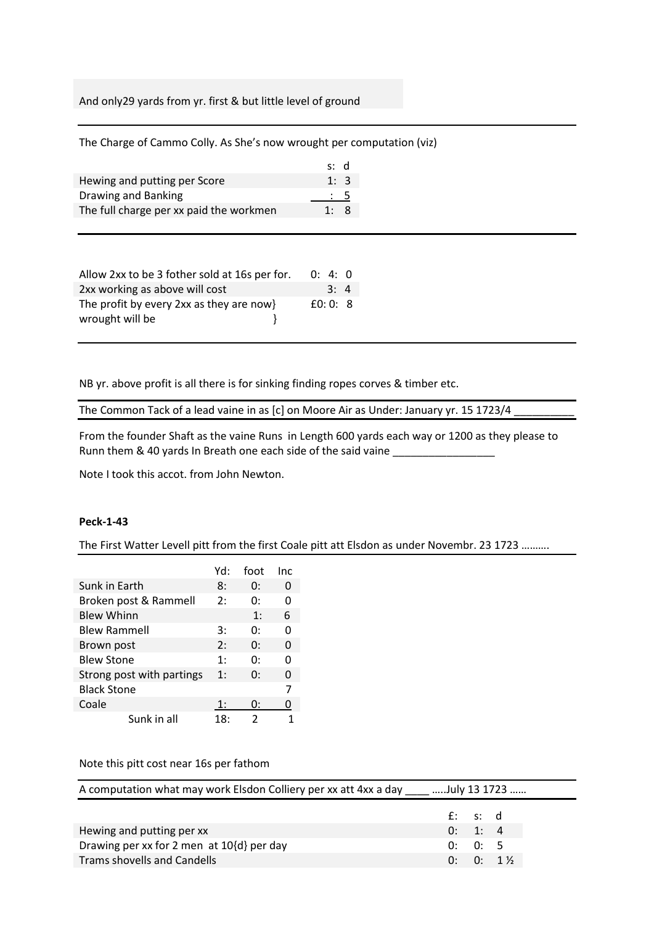And only29 yards from yr. first & but little level of ground

The Charge of Cammo Colly. As She's now wrought per computation (viz)

|                                         | s: d           |  |
|-----------------------------------------|----------------|--|
| Hewing and putting per Score            | 1:3            |  |
| Drawing and Banking                     | $\therefore$ 5 |  |
| The full charge per xx paid the workmen | 1:8            |  |

| Allow 2xx to be 3 fother sold at 16s per for. | 0: 4: 0  |
|-----------------------------------------------|----------|
| 2xx working as above will cost                | 3:4      |
| The profit by every 2xx as they are now}      | f(0:0:8) |
| wrought will be                               |          |

NB yr. above profit is all there is for sinking finding ropes corves & timber etc.

The Common Tack of a lead vaine in as [c] on Moore Air as Under: January yr. 15 1723/4

From the founder Shaft as the vaine Runs in Length 600 yards each way or 1200 as they please to Runn them & 40 yards In Breath one each side of the said vaine \_\_\_\_\_\_\_\_\_\_\_\_\_\_\_\_\_\_

Note I took this accot. from John Newton.

#### **Peck-1-43**

The First Watter Levell pitt from the first Coale pitt att Elsdon as under Novembr. 23 1723 ……….

|                           | Yd: | foot | Inc |
|---------------------------|-----|------|-----|
| Sunk in Earth             | 8:  | 0:   | 0   |
| Broken post & Rammell     | 2:  | 0:   | O   |
| <b>Blew Whinn</b>         |     | 1:   | 6   |
| <b>Blew Rammell</b>       | 3:  | 0:   | 0   |
| Brown post                | 2:  | 0:   | O   |
| <b>Blew Stone</b>         | 1:  | 0:   | ŋ   |
| Strong post with partings | 1:  | 0:   | O   |
| <b>Black Stone</b>        |     |      | 7   |
| Coale                     | 1:  | 0:   | 0   |
| Sunk in all               | 18: | 2    |     |

### Note this pitt cost near 16s per fathom

| A computation what may work Elsdon Colliery per xx att 4xx a day _____ July 13 1723 |            |         |             |
|-------------------------------------------------------------------------------------|------------|---------|-------------|
|                                                                                     | $f$ : s: d |         |             |
| Hewing and putting per xx                                                           |            | 0: 1: 4 |             |
| Drawing per xx for 2 men at $10\{d\}$ per day                                       |            | 0: 0: 5 |             |
| Trams shovells and Candells                                                         |            |         | $0: 0: 1\%$ |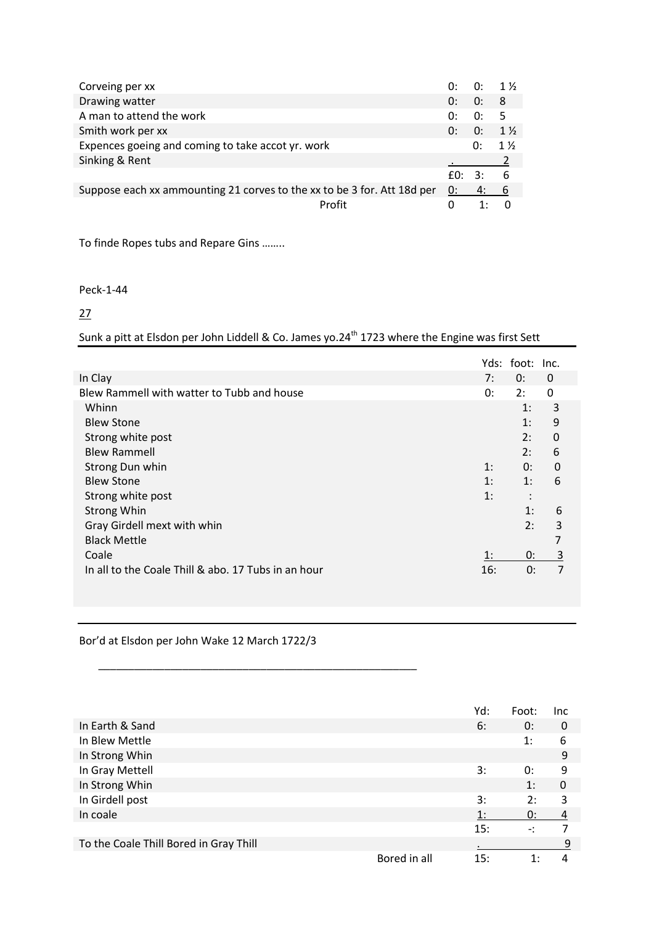| Corveing per xx                                                         | 0: | $0: 1\frac{1}{2}$ |                |
|-------------------------------------------------------------------------|----|-------------------|----------------|
| Drawing watter                                                          | 0: | 0:                | - 8            |
| A man to attend the work                                                | 0: | 0:                | .5             |
| Smith work per xx                                                       | 0: | 0:                | $1\frac{1}{2}$ |
| Expences goeing and coming to take accot yr. work                       |    | 0:                | $1\frac{1}{2}$ |
| Sinking & Rent                                                          |    |                   |                |
|                                                                         |    | f(): 3: 6         |                |
| Suppose each xx ammounting 21 corves to the xx to be 3 for. Att 18d per | 0: | 4:                | 6              |
| Profit                                                                  |    |                   |                |

To finde Ropes tubs and Repare Gins ……..

### Peck-1-44

27

Sunk a pitt at Elsdon per John Liddell & Co. James yo.24<sup>th</sup> 1723 where the Engine was first Sett

|                                                     |     | Yds: foot: Inc. |                |  |
|-----------------------------------------------------|-----|-----------------|----------------|--|
| In Clay                                             | 7:  | 0:              | $\Omega$       |  |
| Blew Rammell with watter to Tubb and house          | 0:  | 2:              | $\Omega$       |  |
| Whinn                                               |     | 1:              | 3              |  |
| <b>Blew Stone</b>                                   |     | 1:              | 9              |  |
| Strong white post                                   |     | 2:              | 0              |  |
| <b>Blew Rammell</b>                                 |     | 2:              | 6              |  |
| Strong Dun whin                                     | 1:  | 0:              | $\mathbf 0$    |  |
| <b>Blew Stone</b>                                   | 1:  | 1:              | 6              |  |
| Strong white post                                   | 1:  | $\bullet$       |                |  |
| <b>Strong Whin</b>                                  |     | 1:              | 6              |  |
| Gray Girdell mext with whin                         |     | 2:              | 3              |  |
| <b>Black Mettle</b>                                 |     |                 | 7              |  |
| Coale                                               | 1:  | 0:              | $\overline{3}$ |  |
| In all to the Coale Thill & abo. 17 Tubs in an hour | 16: | 0:              | $\overline{7}$ |  |
|                                                     |     |                 |                |  |

Bor'd at Elsdon per John Wake 12 March 1722/3

\_\_\_\_\_\_\_\_\_\_\_\_\_\_\_\_\_\_\_\_\_\_\_\_\_\_\_\_\_\_\_\_\_\_\_\_\_\_\_\_\_\_\_\_\_\_\_\_\_\_\_\_\_

|                                        | Yd: | Foot: | <b>Inc</b> |
|----------------------------------------|-----|-------|------------|
| In Earth & Sand                        | 6:  | 0:    | 0          |
| In Blew Mettle                         |     | 1:    | 6          |
| In Strong Whin                         |     |       | 9          |
| In Gray Mettell                        | 3:  | 0:    | 9          |
| In Strong Whin                         |     | 1:    | 0          |
| In Girdell post                        | 3:  | 2:    | 3          |
| In coale                               | 1:  | 0:    | 4          |
|                                        | 15: |       |            |
| To the Coale Thill Bored in Gray Thill |     |       | 9          |
| Bored in all                           | 15: |       |            |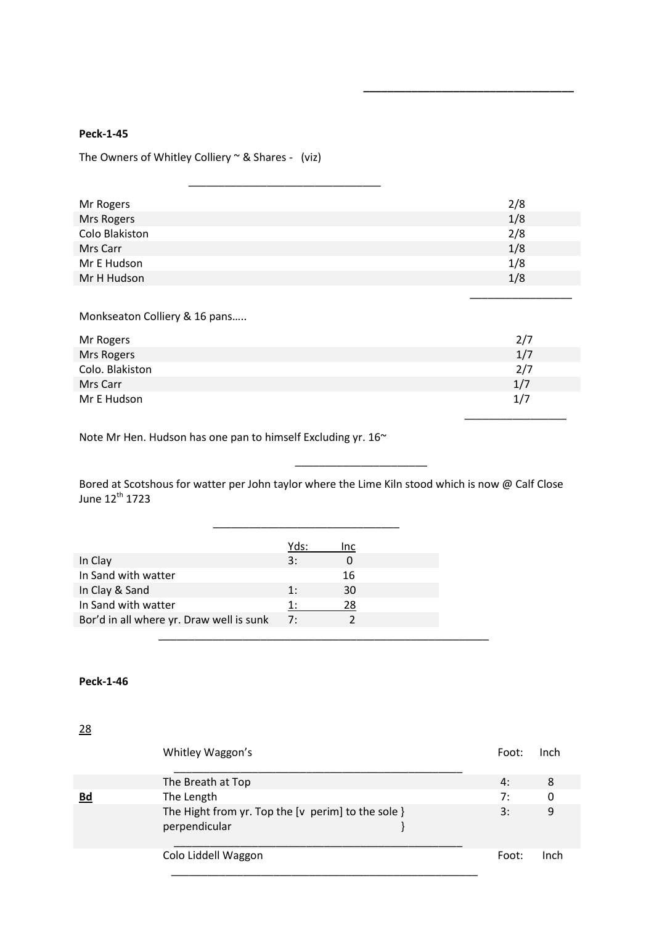The Owners of Whitley Colliery  $\sim$  & Shares - (viz)

\_\_\_\_\_\_\_\_\_\_\_\_\_\_\_\_\_\_\_\_\_\_\_\_\_\_\_\_\_\_\_\_

| Mr Rogers      | 2/8 |
|----------------|-----|
| Mrs Rogers     | 1/8 |
| Colo Blakiston | 2/8 |
| Mrs Carr       | 1/8 |
| Mr E Hudson    | 1/8 |
| Mr H Hudson    | 1/8 |

 $\overline{\phantom{a}}$  , and the contract of the contract of the contract of the contract of the contract of the contract of the contract of the contract of the contract of the contract of the contract of the contract of the contrac

**\_\_\_\_\_\_\_\_\_\_\_\_\_\_\_\_\_\_\_\_\_\_\_\_\_\_\_\_\_\_\_\_\_\_\_**

Monkseaton Colliery & 16 pans…..

| Mr Rogers       | 2/7 |
|-----------------|-----|
| Mrs Rogers      | 1/7 |
| Colo. Blakiston | 2/7 |
| Mrs Carr        | 1/7 |
| Mr E Hudson     | 1/7 |
|                 |     |

Note Mr Hen. Hudson has one pan to himself Excluding yr. 16~

 $\overline{\phantom{a}}$  , and the contract of the contract of the contract of the contract of the contract of the contract of the contract of the contract of the contract of the contract of the contract of the contract of the contrac

Bored at Scotshous for watter per John taylor where the Lime Kiln stood which is now @ Calf Close June 12<sup>th</sup> 1723

|                                          | Yds: | Inc |  |
|------------------------------------------|------|-----|--|
| In Clay                                  | 3:   |     |  |
| In Sand with watter                      |      | 16  |  |
| In Clay & Sand                           | 1:   | 30  |  |
| In Sand with watter                      | 1:   | 28  |  |
| Bor'd in all where yr. Draw well is sunk | 7:   |     |  |
|                                          |      |     |  |

### **Peck-1-46**

28

|    | Whitley Waggon's                                                    | Foot: | Inch |
|----|---------------------------------------------------------------------|-------|------|
|    | The Breath at Top                                                   | 4:    | 8    |
| Bd | The Length                                                          | 7:    | 0    |
|    | The Hight from yr. Top the [v perim] to the sole }<br>perpendicular | 3:    | 9    |
|    | Colo Liddell Waggon                                                 | Foot: | Inch |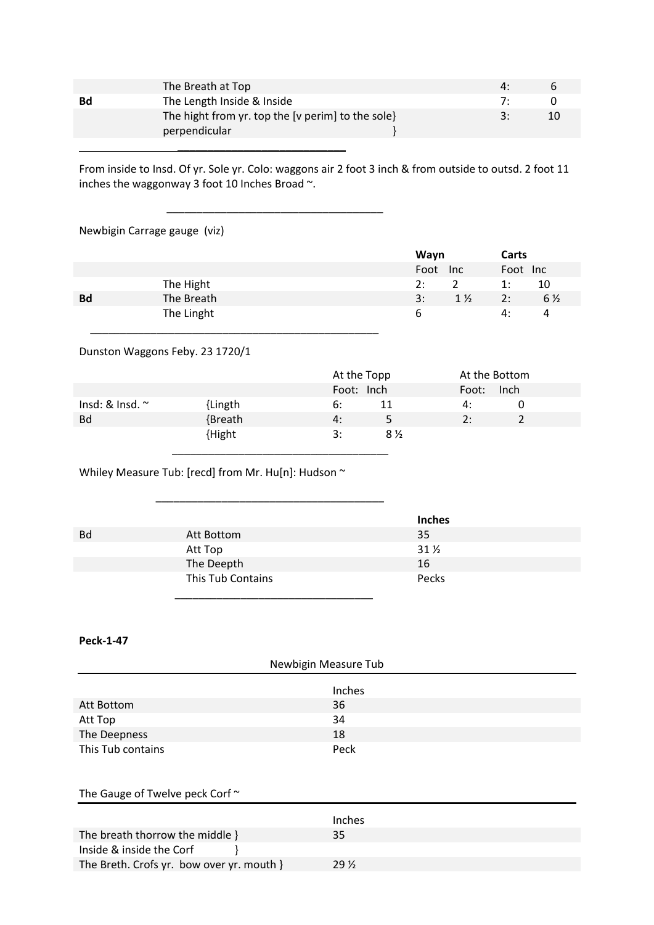|           | The Breath at Top                                 | $\Lambda$ . |    |
|-----------|---------------------------------------------------|-------------|----|
| <b>Bd</b> | The Length Inside & Inside                        | $\cdot$     |    |
|           | The hight from yr. top the [v perim] to the sole} | 2.          | 10 |
|           | perpendicular                                     |             |    |
|           |                                                   |             |    |

From inside to Insd. Of yr. Sole yr. Colo: waggons air 2 foot 3 inch & from outside to outsd. 2 foot 11 inches the waggonway 3 foot 10 Inches Broad ~.

### Newbigin Carrage gauge (viz)

|           |            | Wayn     |                | Carts    |                |
|-----------|------------|----------|----------------|----------|----------------|
|           |            | Foot Inc |                | Foot Inc |                |
|           | The Hight  | 2:       | 2              | 1:       | 10             |
| <b>Bd</b> | The Breath | 3:       | $1\frac{1}{2}$ | 2:       | $6\frac{1}{2}$ |
|           | The Linght | ь        |                | 4:       | 4              |
|           |            |          |                |          |                |

### Dunston Waggons Feby. 23 1720/1

|                      |         | At the Topp          | At the Bottom |
|----------------------|---------|----------------------|---------------|
|                      |         | Foot: Inch           | Inch<br>Foot: |
| Insd: & Insd. $\sim$ | {Lingth | 6:<br>11             | 4:            |
| <b>Bd</b>            | {Breath | 4:<br>5.             | 2:            |
|                      | {Hight  | 3:<br>$8\frac{1}{2}$ |               |
|                      |         |                      |               |

Whiley Measure Tub: [recd] from Mr. Hu[n]: Hudson ~

\_\_\_\_\_\_\_\_\_\_\_\_\_\_\_\_\_\_\_\_\_\_\_\_\_\_\_\_\_\_\_\_\_\_\_\_\_\_

\_\_\_\_\_\_\_\_\_\_\_\_\_\_\_\_\_\_\_\_\_\_\_\_\_\_\_\_\_\_\_\_\_\_\_\_

|           |                   | <b>Inches</b>   |
|-----------|-------------------|-----------------|
| <b>Bd</b> | Att Bottom        | 35              |
|           | Att Top           | $31\frac{1}{2}$ |
|           | The Deepth        | 16              |
|           | This Tub Contains | Pecks           |
|           |                   |                 |

#### **Peck-1-47**

| Newbigin Measure Tub |      |  |  |
|----------------------|------|--|--|
| Inches               |      |  |  |
| Att Bottom           | 36   |  |  |
| Att Top              | 34   |  |  |
| The Deepness         | 18   |  |  |
| This Tub contains    | Peck |  |  |

## The Gauge of Twelve peck Corf ~

|                                           | Inches |
|-------------------------------------------|--------|
| The breath thorrow the middle }           | 35     |
| Inside & inside the Corf                  |        |
| The Breth. Crofs yr. bow over yr. mouth } | 29 %   |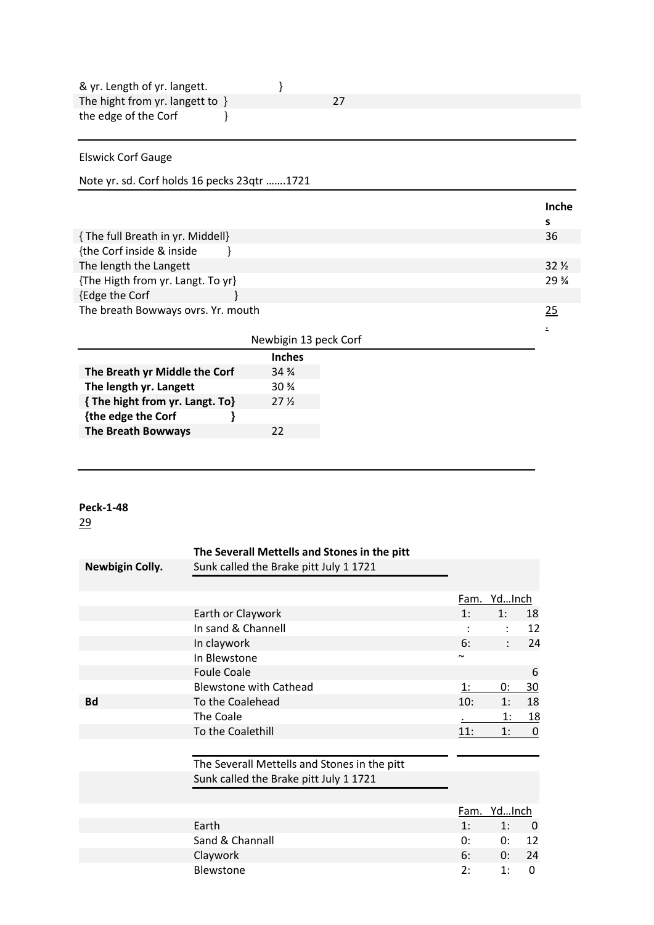| & yr. Length of yr. langett.                |                       |    |   |                 |
|---------------------------------------------|-----------------------|----|---|-----------------|
| The hight from yr. langett to $\}$          |                       | 27 |   |                 |
| the edge of the Corf                        |                       |    |   |                 |
|                                             |                       |    |   |                 |
| <b>Elswick Corf Gauge</b>                   |                       |    |   |                 |
| Note yr. sd. Corf holds 16 pecks 23qtr 1721 |                       |    |   |                 |
|                                             |                       |    |   | Inche           |
|                                             |                       |    | s |                 |
| { The full Breath in yr. Middell}           |                       |    |   | 36              |
| {the Corf inside & inside                   |                       |    |   |                 |
| The length the Langett                      |                       |    |   | 32 <sub>2</sub> |
| {The Higth from yr. Langt. To yr}           |                       |    |   | 29 %            |
| {Edge the Corf                              |                       |    |   |                 |
| The breath Bowways ovrs. Yr. mouth          |                       |    |   | 25              |
|                                             |                       |    |   |                 |
|                                             | Newbigin 13 peck Corf |    |   |                 |
|                                             | <b>Inches</b>         |    |   |                 |
| The Breath yr Middle the Corf               | $34\frac{3}{4}$       |    |   |                 |
| The length yr. Langett                      | 30 %                  |    |   |                 |
| { The hight from yr. Langt. To}             | 27 <sub>2</sub>       |    |   |                 |
| {the edge the Corf                          |                       |    |   |                 |
| <b>The Breath Bowways</b>                   | 22                    |    |   |                 |

|                        | The Severall Mettells and Stones in the pitt |        |                |             |
|------------------------|----------------------------------------------|--------|----------------|-------------|
| <b>Newbigin Colly.</b> | Sunk called the Brake pitt July 1 1721       |        |                |             |
|                        |                                              |        |                |             |
|                        |                                              |        | Fam. YdInch    |             |
|                        | Earth or Claywork                            | 1:     | 1:             | 18          |
|                        | In sand & Channell                           |        | $\ddot{\cdot}$ | 12          |
|                        | In claywork                                  | 6:     | $\ddot{\cdot}$ | 24          |
|                        | In Blewstone                                 | $\sim$ |                |             |
|                        | <b>Foule Coale</b>                           |        |                | 6           |
|                        | <b>Blewstone with Cathead</b>                | 1:     | 0:             | 30          |
| <b>Bd</b>              | To the Coalehead                             | 10:    | 1:             | 18          |
|                        | The Coale                                    |        | 1:             | <u> 18</u>  |
|                        | To the Coalethill                            | 11:    | 1:             | $\mathbf 0$ |
|                        |                                              |        |                |             |
|                        | The Severall Mettells and Stones in the pitt |        |                |             |
|                        | Sunk called the Brake pitt July 1 1721       |        |                |             |
|                        |                                              |        |                |             |
|                        |                                              | Fam.   | YdInch         |             |
|                        | Earth                                        | 1:     | 1:             | 0           |
|                        | Sand & Channall                              | 0:     | 0:             | 12          |
|                        | Claywork                                     | 6:     | 0:             | 24          |
|                        | Blewstone                                    | 2:     | 1:             | $\Omega$    |
|                        |                                              |        |                |             |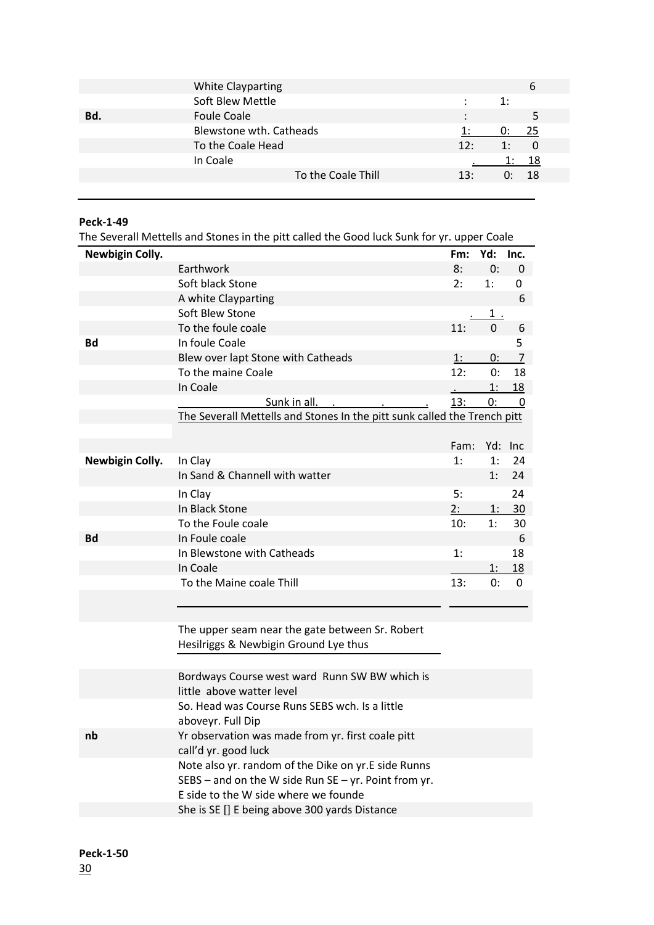|     | <b>White Clayparting</b> |     |    | n    |
|-----|--------------------------|-----|----|------|
|     | Soft Blew Mettle         | ÷   | 1: |      |
| Bd. | <b>Foule Coale</b>       |     |    |      |
|     | Blewstone wth. Catheads  |     | U: | -25  |
|     | To the Coale Head        | 12: | 1: | - 0  |
|     | In Coale                 |     |    | -18  |
|     | To the Coale Thill       | 13: | O. | - 18 |
|     |                          |     |    |      |

The Severall Mettells and Stones in the pitt called the Good luck Sunk for yr. upper Coale

|                        | The Several intertent and Stones in the pitt called the Good luck Sunk for yi. upper Coale |      |              |                |
|------------------------|--------------------------------------------------------------------------------------------|------|--------------|----------------|
| <b>Newbigin Colly.</b> |                                                                                            | Fm:  | Yd:          | Inc.           |
|                        | Earthwork                                                                                  | 8:   | 0:           | 0              |
|                        | Soft black Stone                                                                           | 2:   | 1:           | 0              |
|                        | A white Clayparting                                                                        |      |              | 6              |
|                        | Soft Blew Stone                                                                            |      | $1_{\ldots}$ |                |
|                        | To the foule coale                                                                         | 11:  | $\mathbf 0$  | 6              |
| <b>Bd</b>              | In foule Coale                                                                             |      |              | 5              |
|                        | Blew over lapt Stone with Catheads                                                         | 1:   | 0:           | $\overline{7}$ |
|                        | To the maine Coale                                                                         | 12:  | 0:           | 18             |
|                        | In Coale                                                                                   |      | 1:           | <u>18</u>      |
|                        | Sunk in all.                                                                               | 13:  | 0:           | 0              |
|                        | The Severall Mettells and Stones In the pitt sunk called the Trench pitt                   |      |              |                |
|                        |                                                                                            |      |              |                |
|                        |                                                                                            | Fam: |              | Yd: Inc        |
| <b>Newbigin Colly.</b> | In Clay                                                                                    | 1:   | 1:           | 24             |
|                        | In Sand & Channell with watter                                                             |      | 1:           | 24             |
|                        | In Clay                                                                                    | 5:   |              | 24             |
|                        | In Black Stone                                                                             | 2:   | 1:           | 30             |
|                        | To the Foule coale                                                                         | 10:  | 1:           | 30             |
| <b>Bd</b>              | In Foule coale                                                                             |      |              | 6              |
|                        | In Blewstone with Catheads                                                                 | 1:   |              | 18             |
|                        | In Coale                                                                                   |      | 1:           | <u>18</u>      |
|                        | To the Maine coale Thill                                                                   | 13:  | 0:           | 0              |
|                        |                                                                                            |      |              |                |
|                        |                                                                                            |      |              |                |
|                        | The upper seam near the gate between Sr. Robert                                            |      |              |                |
|                        | Hesilriggs & Newbigin Ground Lye thus                                                      |      |              |                |
|                        |                                                                                            |      |              |                |
|                        | Bordways Course west ward Runn SW BW which is                                              |      |              |                |
|                        | little above watter level                                                                  |      |              |                |
|                        | So. Head was Course Runs SEBS wch. Is a little                                             |      |              |                |
|                        | aboveyr. Full Dip                                                                          |      |              |                |
| nb                     | Yr observation was made from yr. first coale pitt                                          |      |              |                |
|                        | call'd yr. good luck                                                                       |      |              |                |
|                        | Note also yr. random of the Dike on yr.E side Runns                                        |      |              |                |
|                        | SEBS – and on the W side Run SE – yr. Point from yr.                                       |      |              |                |
|                        | E side to the W side where we founde                                                       |      |              |                |
|                        | She is SE [] E being above 300 yards Distance                                              |      |              |                |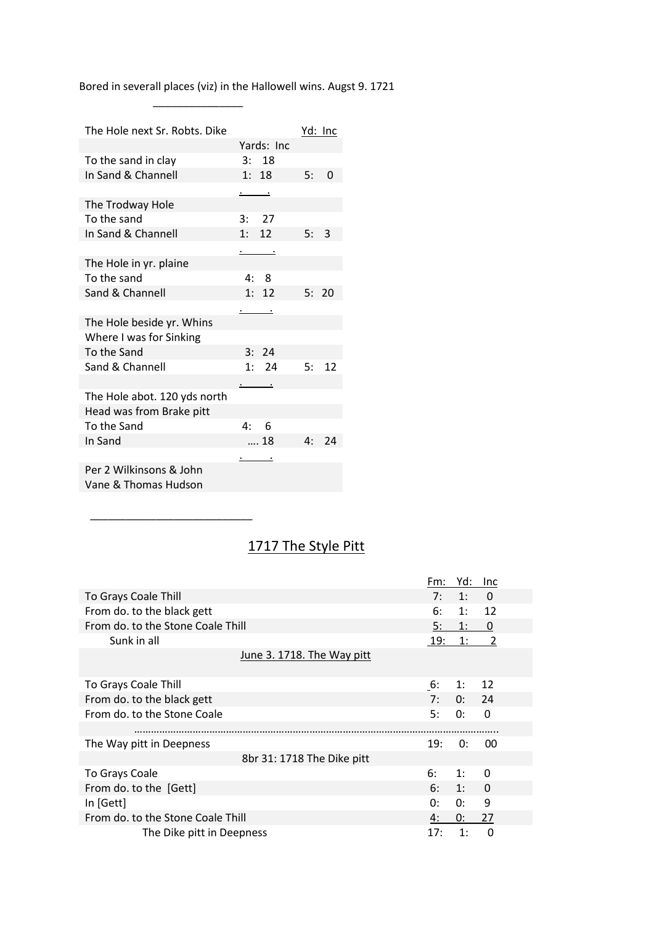Bored in severall places (viz) in the Hallowell wins. Augst 9. 1721

 $\frac{1}{\sqrt{2}}$  ,  $\frac{1}{\sqrt{2}}$  ,  $\frac{1}{\sqrt{2}}$  ,  $\frac{1}{\sqrt{2}}$  ,  $\frac{1}{\sqrt{2}}$  ,  $\frac{1}{\sqrt{2}}$  ,  $\frac{1}{\sqrt{2}}$  ,  $\frac{1}{\sqrt{2}}$  ,  $\frac{1}{\sqrt{2}}$  ,  $\frac{1}{\sqrt{2}}$  ,  $\frac{1}{\sqrt{2}}$  ,  $\frac{1}{\sqrt{2}}$  ,  $\frac{1}{\sqrt{2}}$  ,  $\frac{1}{\sqrt{2}}$  ,  $\frac{1}{\sqrt{2}}$ 

| The Hole next Sr. Robts. Dike |                         | <u>Yd: Inc</u> |
|-------------------------------|-------------------------|----------------|
|                               | Yards: Inc              |                |
| To the sand in clay           | 3:18                    |                |
| In Sand & Channell            | 1:18                    | 5:<br>0        |
|                               | <u>. .</u>              |                |
| The Trodway Hole              |                         |                |
| To the sand                   | 3: 27                   |                |
| In Sand & Channell            | 1: 12                   | 3<br>5:        |
|                               | $\cdot$ $\cdot$ $\cdot$ |                |
| The Hole in yr. plaine        |                         |                |
| To the sand                   | 4:8                     |                |
| Sand & Channell               | 1: 12                   | 20<br>5:       |
|                               | $\sim$ $\sim$           |                |
| The Hole beside yr. Whins     |                         |                |
| Where I was for Sinking       |                         |                |
| To the Sand                   | 3:24                    |                |
| Sand & Channell               | 1: 24                   | 12<br>5:       |
|                               |                         |                |
| The Hole abot. 120 yds north  |                         |                |
| Head was from Brake pitt      |                         |                |
| To the Sand                   | $4^{\cdot}$<br>- 6      |                |
| In Sand                       | 18                      | 24<br>4:       |
|                               | $\bullet$               |                |
| Per 2 Wilkinsons & John       |                         |                |
| Vane & Thomas Hudson          |                         |                |

\_\_\_\_\_\_\_\_\_\_\_\_\_\_\_\_\_\_\_\_\_\_\_\_\_\_\_

# 1717 The Style Pitt

|                                   | Fm: | Yd:   | Inc            |
|-----------------------------------|-----|-------|----------------|
| To Grays Coale Thill              | 7:  | 1:    | $\Omega$       |
| From do. to the black gett        | 6:  | 1:    | 12             |
| From do. to the Stone Coale Thill | 5:  | 1:    | 0              |
| Sunk in all                       | 19: | 1:    | $\overline{2}$ |
| June 3. 1718. The Way pitt        |     |       |                |
|                                   |     |       |                |
| To Grays Coale Thill              | 6:  | 1:    | 12             |
| From do. to the black gett        | 7:  | 0: 24 |                |
| From do. to the Stone Coale       | 5:  | 0:    | $\Omega$       |
|                                   |     |       |                |
| The Way pitt in Deepness          | 19: | 0:    | 00             |
| 8br 31: 1718 The Dike pitt        |     |       |                |
| To Grays Coale                    | 6:  | 1:    | 0              |
| From do. to the [Gett]            | 6:  | 1:    | $\Omega$       |
| In [Gett]                         | 0:  | 0:    | 9              |
| From do. to the Stone Coale Thill | 4:  | 0:    | 27             |
| The Dike pitt in Deepness         | 17: | 1:    | $\Omega$       |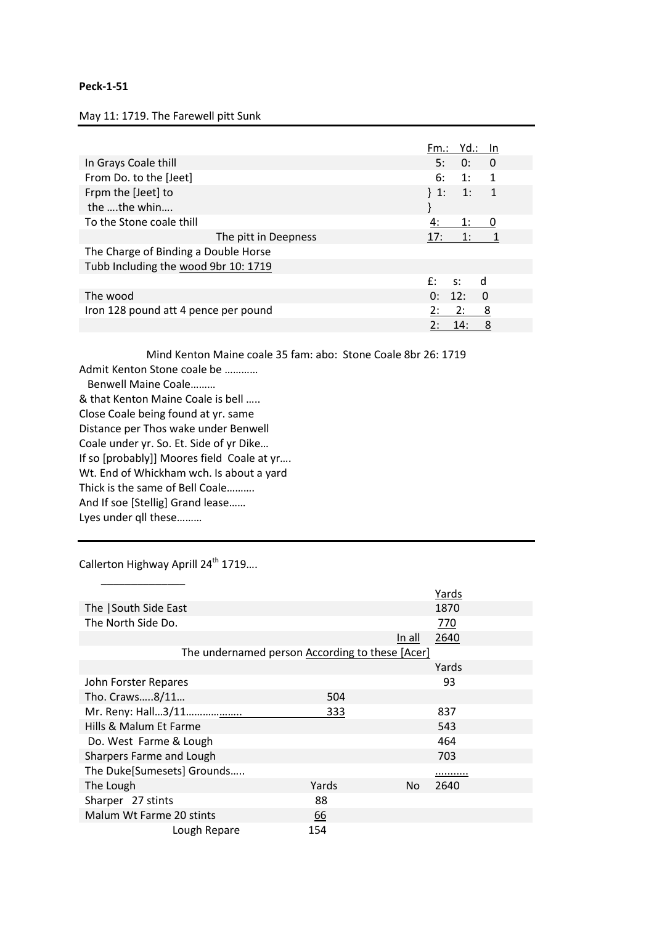May 11: 1719. The Farewell pitt Sunk

|                                      | Fm.: Yd.:<br>In.                 |
|--------------------------------------|----------------------------------|
| In Grays Coale thill                 | 5:<br>0:<br>0                    |
| From Do. to the [Jeet]               | 6:<br>1:<br>1                    |
| Frpm the [Jeet] to                   | ${}^{1:}$<br>$\mathbf{1}$ :<br>1 |
| the the whin                         |                                  |
| To the Stone coale thill             | 1:<br>0<br>4:                    |
| The pitt in Deepness                 | 17:<br>1:                        |
| The Charge of Binding a Double Horse |                                  |
| Tubb Including the wood 9br 10: 1719 |                                  |
|                                      | $f$ :<br>d<br>$\sim$ S:          |
| The wood                             | 12:<br>$\overline{0}$<br>0:      |
| Iron 128 pound att 4 pence per pound | 2:<br>8<br>2:                    |
|                                      | 8<br>2:<br>14:                   |

Mind Kenton Maine coale 35 fam: abo: Stone Coale 8br 26: 1719 Admit Kenton Stone coale be ………… Benwell Maine Coale……… & that Kenton Maine Coale is bell ….. Close Coale being found at yr. same Distance per Thos wake under Benwell Coale under yr. So. Et. Side of yr Dike… If so [probably]] Moores field Coale at yr…. Wt. End of Whickham wch. Is about a yard Thick is the same of Bell Coale………. And If soe [Stellig] Grand lease…… Lyes under qll these………

Callerton Highway Aprill 24<sup>th</sup> 1719....

|                                                 |       | Yards          |
|-------------------------------------------------|-------|----------------|
| The South Side East                             |       | 1870           |
| The North Side Do.                              |       | 770            |
|                                                 |       | 2640<br>In all |
| The undernamed person According to these [Acer] |       |                |
|                                                 |       | Yards          |
| John Forster Repares                            |       | 93             |
| Tho. Craws8/11                                  | 504   |                |
| Mr. Reny: Hall3/11                              | 333   | 837            |
| Hills & Malum Et Farme                          |       | 543            |
| Do. West Farme & Lough                          |       | 464            |
| Sharpers Farme and Lough                        |       | 703            |
| The Duke[Sumesets] Grounds                      |       | .              |
| The Lough                                       | Yards | 2640<br>No     |
| Sharper 27 stints                               | 88    |                |
| Malum Wt Farme 20 stints                        | 66    |                |
| Lough Repare                                    | 154   |                |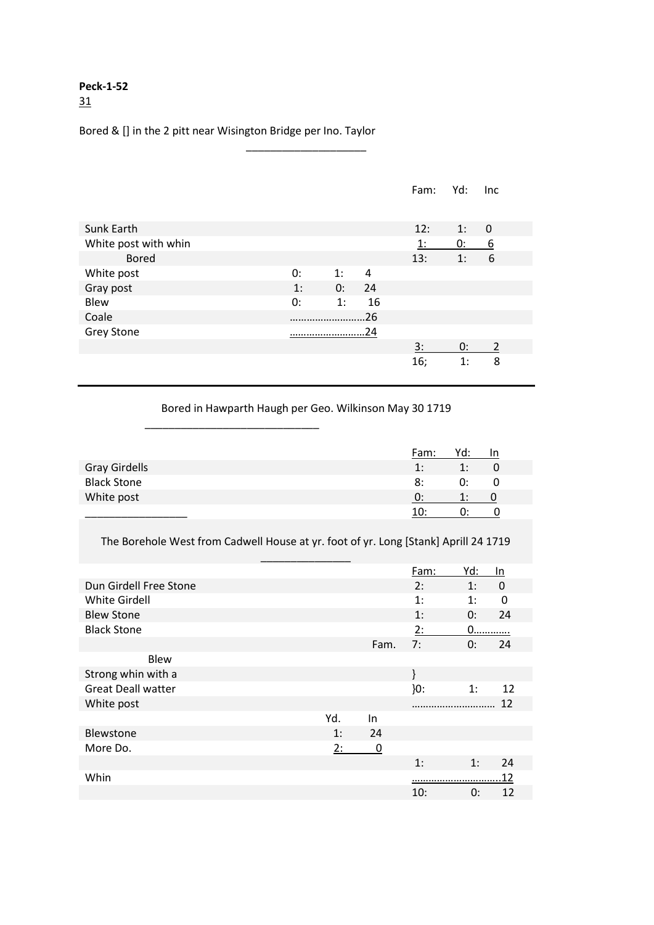### Bored & [] in the 2 pitt near Wisington Bridge per Ino. Taylor

 $\frac{1}{2}$  ,  $\frac{1}{2}$  ,  $\frac{1}{2}$  ,  $\frac{1}{2}$  ,  $\frac{1}{2}$  ,  $\frac{1}{2}$  ,  $\frac{1}{2}$  ,  $\frac{1}{2}$  ,  $\frac{1}{2}$  ,  $\frac{1}{2}$  ,  $\frac{1}{2}$  ,  $\frac{1}{2}$  ,  $\frac{1}{2}$  ,  $\frac{1}{2}$  ,  $\frac{1}{2}$  ,  $\frac{1}{2}$  ,  $\frac{1}{2}$  ,  $\frac{1}{2}$  ,  $\frac{1$ 

|                      |    |    |     | Fam:      | Yd: | Inc      |
|----------------------|----|----|-----|-----------|-----|----------|
| Sunk Earth           |    |    |     | 12:       | 1:  | 0        |
| White post with whin |    |    |     | 1:        | 0:  | <u>6</u> |
| <b>Bored</b>         |    |    |     | 13:       | 1:  | 6        |
| White post           | 0: | 1: | 4   |           |     |          |
| Gray post            | 1: | 0: | 24  |           |     |          |
| Blew                 | 0: | 1: | 16  |           |     |          |
| Coale                |    |    | .26 |           |     |          |
| <b>Grey Stone</b>    |    | 24 |     |           |     |          |
|                      |    |    |     | <u>3:</u> | 0:  | 2        |
|                      |    |    |     | 16;       | 1:  | 8        |

\_\_\_\_\_\_\_\_\_\_\_\_\_\_\_\_\_\_\_\_

Bored in Hawparth Haugh per Geo. Wilkinson May 30 1719

|                    | Fam:           | Yd: | 1n |
|--------------------|----------------|-----|----|
| Gray Girdells      | $\mathbf{1}$ : | 1:  |    |
| <b>Black Stone</b> | 8:             | 0:  | O  |
| White post         |                |     |    |
|                    | 10۰            |     |    |

The Borehole West from Cadwell House at yr. foot of yr. Long [Stank] Aprill 24 1719

|                           |     |             | Fam:   | Yd: | In       |
|---------------------------|-----|-------------|--------|-----|----------|
| Dun Girdell Free Stone    |     |             | 2:     | 1:  | $\Omega$ |
| <b>White Girdell</b>      |     |             | 1:     | 1:  | 0        |
| <b>Blew Stone</b>         |     |             | 1:     | 0:  | 24       |
| <b>Black Stone</b>        |     |             | 2:     | $0$ |          |
|                           |     | Fam.        | 7:     | 0:  | 24       |
| <b>Blew</b>               |     |             |        |     |          |
| Strong whin with a        |     |             |        |     |          |
| <b>Great Deall watter</b> |     |             | $}0$ : | 1:  | 12       |
| White post                |     |             |        |     | 12       |
|                           | Yd. | In.         |        |     |          |
| Blewstone                 | 1:  | 24          |        |     |          |
| More Do.                  | 2:  | $\mathbf 0$ |        |     |          |
|                           |     |             | 1:     | 1:  | 24       |
| Whin                      |     |             |        |     | 12       |
|                           |     |             | 10:    | 0:  | 12       |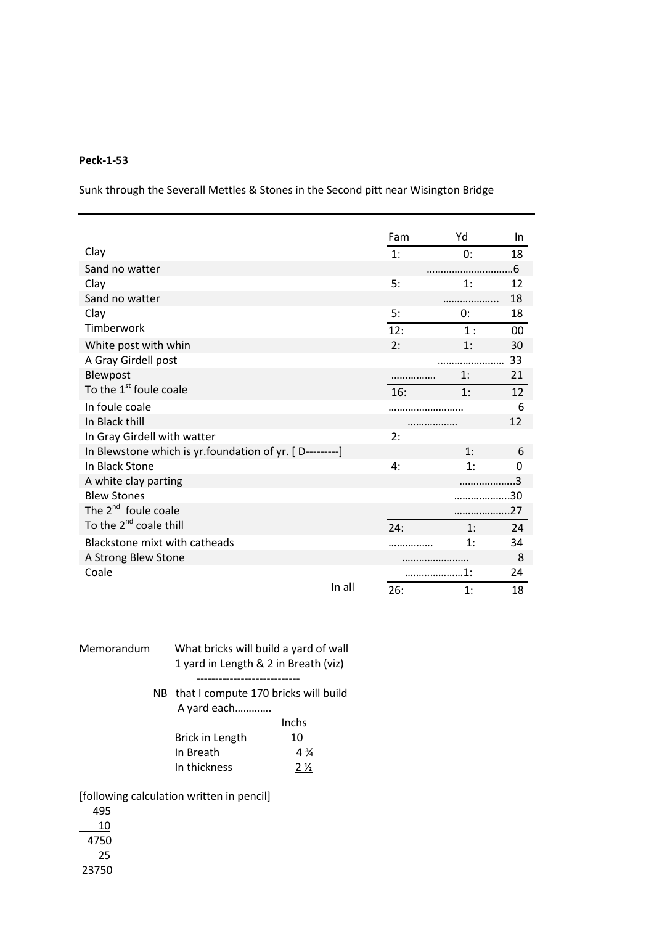Sunk through the Severall Mettles & Stones in the Second pitt near Wisington Bridge

|                                                         |        | Fam | Yd  | In.    |
|---------------------------------------------------------|--------|-----|-----|--------|
| Clay                                                    |        | 1:  | 0:  | 18     |
| Sand no watter                                          |        |     |     | 6.5    |
| Clay                                                    |        | 5:  | 1:  | 12     |
| Sand no watter                                          |        |     |     | 18     |
| Clay                                                    |        | 5:  | 0:  | 18     |
| Timberwork                                              |        | 12: | 1:  | $00\,$ |
| White post with whin                                    |        | 2:  | 1:  | 30     |
| A Gray Girdell post                                     |        |     |     | 33     |
| Blewpost                                                |        |     | 1:  | 21     |
| To the 1 <sup>st</sup> foule coale                      |        | 16: | 1:  | 12     |
| In foule coale                                          |        |     |     | 6      |
| In Black thill                                          |        |     |     | 12     |
| In Gray Girdell with watter                             |        | 2:  |     |        |
| In Blewstone which is yr.foundation of yr. [D---------] |        |     | 1:  | 6      |
| In Black Stone                                          |        | 4:  | 1:  | 0      |
| A white clay parting                                    |        |     |     | ς      |
| <b>Blew Stones</b>                                      |        |     |     | 30     |
| The 2 <sup>nd</sup> foule coale                         |        |     |     | .27    |
| To the 2 <sup>nd</sup> coale thill                      |        | 24: | 1:  | 24     |
| Blackstone mixt with catheads                           |        |     | 1:  | 34     |
| A Strong Blew Stone                                     |        |     |     | 8      |
| Coale                                                   |        |     | .1: | 24     |
|                                                         | In all | 26: | 1:  | 18     |

| Memorandum | What bricks will build a yard of wall<br>1 yard in Length & 2 in Breath (viz) |                            |  |  |
|------------|-------------------------------------------------------------------------------|----------------------------|--|--|
|            | NB that I compute 170 bricks will build<br>A yard each                        | Inchs                      |  |  |
|            | Brick in Length<br>In Breath<br>In thickness                                  | 10<br>$4\frac{3}{4}$<br>2½ |  |  |

[following calculation written in pencil]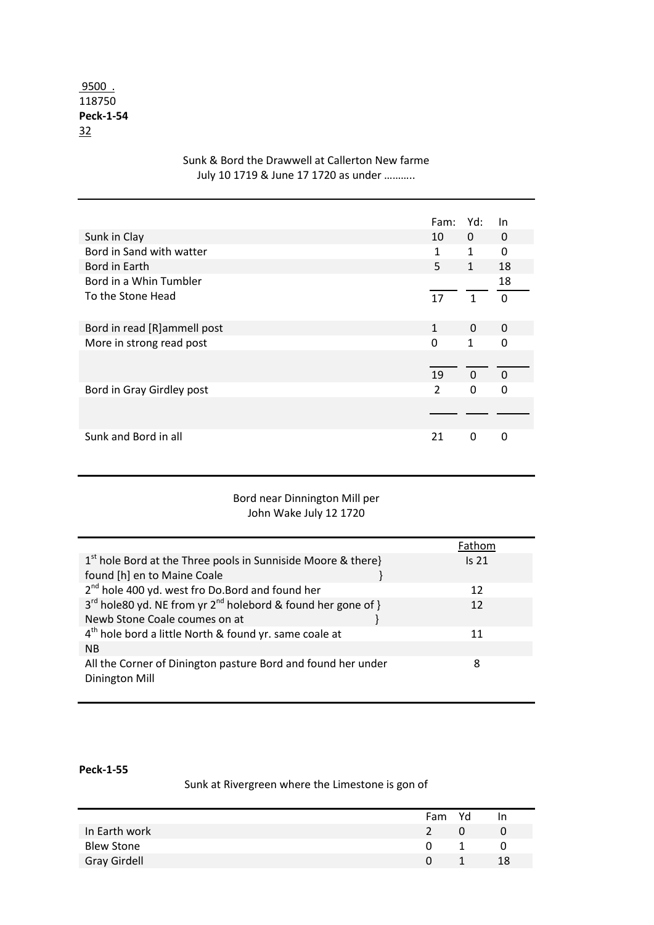### 9500 . 118750 **Peck-1-54** 32

|                             | Fam:          | Yd:          | In           |
|-----------------------------|---------------|--------------|--------------|
| Sunk in Clay                | 10            | 0            | 0            |
| Bord in Sand with watter    | 1             | 1            | 0            |
| Bord in Earth               | 5             | $\mathbf{1}$ | 18           |
| Bord in a Whin Tumbler      |               |              | 18           |
| To the Stone Head           | 17            | $\mathbf{1}$ | $\Omega$     |
| Bord in read [R]ammell post | 1             | 0            | 0            |
| More in strong read post    | 0             | 1            | $\mathbf{0}$ |
|                             |               |              |              |
|                             | 19            | $\Omega$     | $\Omega$     |
| Bord in Gray Girdley post   | $\mathcal{P}$ | $\Omega$     | $\Omega$     |
|                             |               |              |              |
|                             |               |              |              |
| Sunk and Bord in all        | 21            | 0            | O            |

### Sunk & Bord the Drawwell at Callerton New farme July 10 1719 & June 17 1720 as under ………..

### Bord near Dinnington Mill per John Wake July 12 1720

|                                                                         | Fathom           |
|-------------------------------------------------------------------------|------------------|
| $1st$ hole Bord at the Three pools in Sunniside Moore & there}          | Is <sub>21</sub> |
| found [h] en to Maine Coale                                             |                  |
| 2 <sup>nd</sup> hole 400 yd. west fro Do.Bord and found her             | 12               |
| $3^{rd}$ hole 80 yd. NE from yr $2^{nd}$ holebord & found her gone of } | 12               |
| Newb Stone Coale coumes on at                                           |                  |
| 4 <sup>th</sup> hole bord a little North & found yr. same coale at      | 11               |
| <b>NB</b>                                                               |                  |
| All the Corner of Dinington pasture Bord and found her under            | 8                |
| Dinington Mill                                                          |                  |
|                                                                         |                  |

### **Peck-1-55**

## Sunk at Rivergreen where the Limestone is gon of

|                     | Fam           | Yd | In. |
|---------------------|---------------|----|-----|
| In Earth work       | $\mathcal{P}$ |    |     |
| <b>Blew Stone</b>   |               |    | Ü   |
| <b>Gray Girdell</b> |               |    | 18  |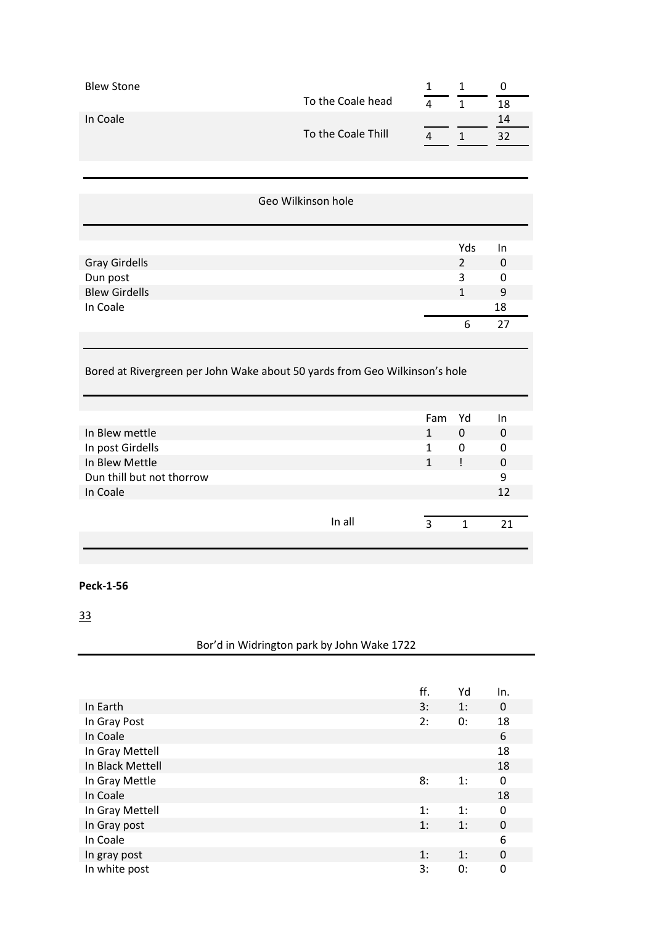| <b>Blew Stone</b>                   |                                                                            | $\mathbf{1}$   | $\mathbf{1}$   | $\pmb{0}$              |
|-------------------------------------|----------------------------------------------------------------------------|----------------|----------------|------------------------|
|                                     | To the Coale head                                                          | $\overline{4}$ | $\mathbf 1$    | 18                     |
| In Coale                            |                                                                            |                |                | 14                     |
|                                     | To the Coale Thill                                                         | 4              | $\mathbf{1}$   | 32                     |
|                                     |                                                                            |                |                |                        |
|                                     |                                                                            |                |                |                        |
|                                     |                                                                            |                |                |                        |
|                                     | Geo Wilkinson hole                                                         |                |                |                        |
|                                     |                                                                            |                | Yds            |                        |
| <b>Gray Girdells</b>                |                                                                            |                | $\overline{2}$ | In<br>$\boldsymbol{0}$ |
| Dun post                            |                                                                            |                | 3              | 0                      |
| <b>Blew Girdells</b>                |                                                                            |                | $\mathbf{1}$   | 9                      |
| In Coale                            |                                                                            |                |                | 18                     |
|                                     |                                                                            |                | 6              | 27                     |
|                                     |                                                                            |                |                |                        |
|                                     |                                                                            |                |                |                        |
|                                     | Bored at Rivergreen per John Wake about 50 yards from Geo Wilkinson's hole |                |                |                        |
|                                     |                                                                            |                |                |                        |
|                                     |                                                                            | Fam            | Yd             | In                     |
| In Blew mettle                      |                                                                            | $\mathbf{1}$   | $\pmb{0}$      | 0                      |
| In post Girdells                    |                                                                            | $\mathbf{1}$   | 0              | 0                      |
| In Blew Mettle                      |                                                                            | $\mathbf{1}$   | Ţ              | $\pmb{0}$              |
| Dun thill but not thorrow           |                                                                            |                |                | 9                      |
| In Coale                            |                                                                            |                |                | 12                     |
|                                     | In all                                                                     | $\overline{3}$ | $\mathbf{1}$   | 21                     |
|                                     |                                                                            |                |                |                        |
|                                     |                                                                            |                |                |                        |
| <b>Peck-1-56</b>                    |                                                                            |                |                |                        |
|                                     |                                                                            |                |                |                        |
| $\frac{33}{2}$                      |                                                                            |                |                |                        |
|                                     | Bor'd in Widrington park by John Wake 1722                                 |                |                |                        |
|                                     |                                                                            |                |                |                        |
|                                     |                                                                            |                |                |                        |
|                                     |                                                                            | ff.            | Yd             | In.                    |
| In Earth                            |                                                                            | 3:<br>2:       | 1:             | $\pmb{0}$              |
| In Gray Post<br>In Coale            |                                                                            |                | 0:             | 18<br>$6\,$            |
|                                     |                                                                            |                |                | 18                     |
| In Gray Mettell<br>In Black Mettell |                                                                            |                |                | 18                     |
| In Gray Mettle                      |                                                                            | 8:             | 1:             | $\boldsymbol{0}$       |
| In Coale                            |                                                                            |                |                | 18                     |
|                                     |                                                                            |                |                |                        |

In Coale 18<br>
In Gray Mettell 18<br>
1: 1: 0 In Gray Mettell 1: 1: 0<br>
In Gray post 1: 1: 0 In Gray post 1: 1: 0<br>In Coale 6 In Coale 6 In gray post 1: 1: 0<br>
In white post 3: 0: 0 In white post 3: 0: 0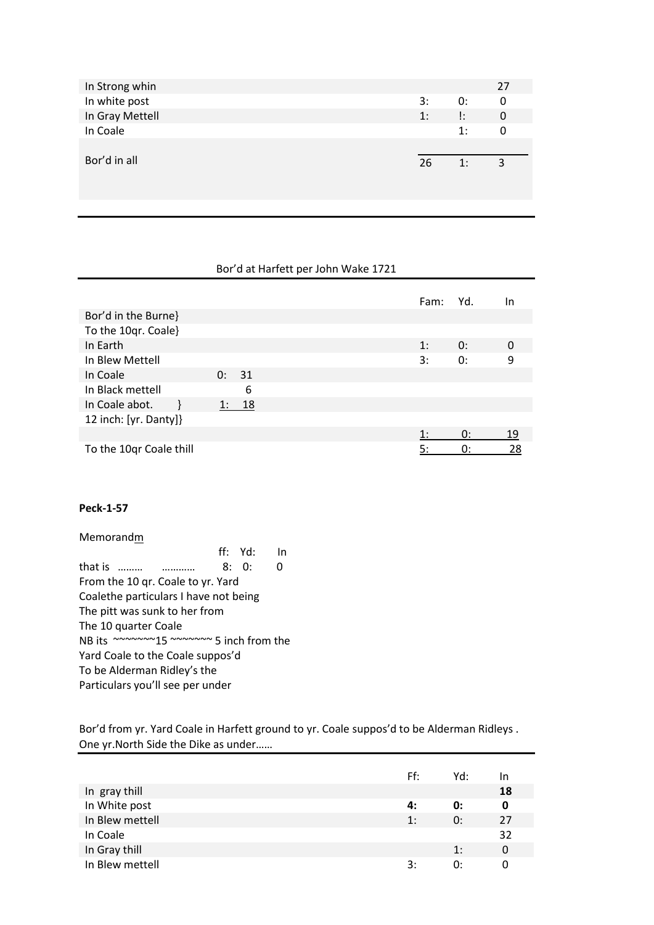| In Strong whin  |    |    | 27          |
|-----------------|----|----|-------------|
| In white post   | 3: | 0: | 0           |
| In Gray Mettell | 1: | ļ: | $\mathbf 0$ |
| In Coale        |    | 1: | 0           |
|                 |    |    |             |
| Bor'd in all    | 26 | 1: | 3           |
|                 |    |    |             |
|                 |    |    |             |

### Bor'd at Harfett per John Wake 1721

|                         |    |    | Fam: | Yd. | In |
|-------------------------|----|----|------|-----|----|
| Bor'd in the Burne}     |    |    |      |     |    |
| To the 10qr. Coale}     |    |    |      |     |    |
| In Earth                |    |    | 1:   | 0:  | 0  |
| In Blew Mettell         |    |    | 3:   | 0:  | 9  |
| In Coale                | 0: | 31 |      |     |    |
| In Black mettell        |    | 6  |      |     |    |
| In Coale abot.          |    | 18 |      |     |    |
| 12 inch: [yr. Danty]}   |    |    |      |     |    |
|                         |    |    | 1:   | 0:  | 19 |
| To the 10qr Coale thill |    |    | 5:   | 0:  | 28 |

### **Peck-1-57**

Memorandm ff: Yd: In that is ……… ………… 8: 0: 0 From the 10 qr. Coale to yr. Yard Coalethe particulars I have not being The pitt was sunk to her from The 10 quarter Coale NB its ~~~~~~~15 ~~~~~~~~~~ 5 inch from the Yard Coale to the Coale suppos'd To be Alderman Ridley's the Particulars you'll see per under

Bor'd from yr. Yard Coale in Harfett ground to yr. Coale suppos'd to be Alderman Ridleys . One yr.North Side the Dike as under……

|                 | Ff: | Yd: | 1n |
|-----------------|-----|-----|----|
| In gray thill   |     |     | 18 |
| In White post   | 4:  | 0:  | 0  |
| In Blew mettell | 1:  | 0:  | 27 |
| In Coale        |     |     | 32 |
| In Gray thill   |     | 1:  | 0  |
| In Blew mettell | 3:  | 0:  | 0  |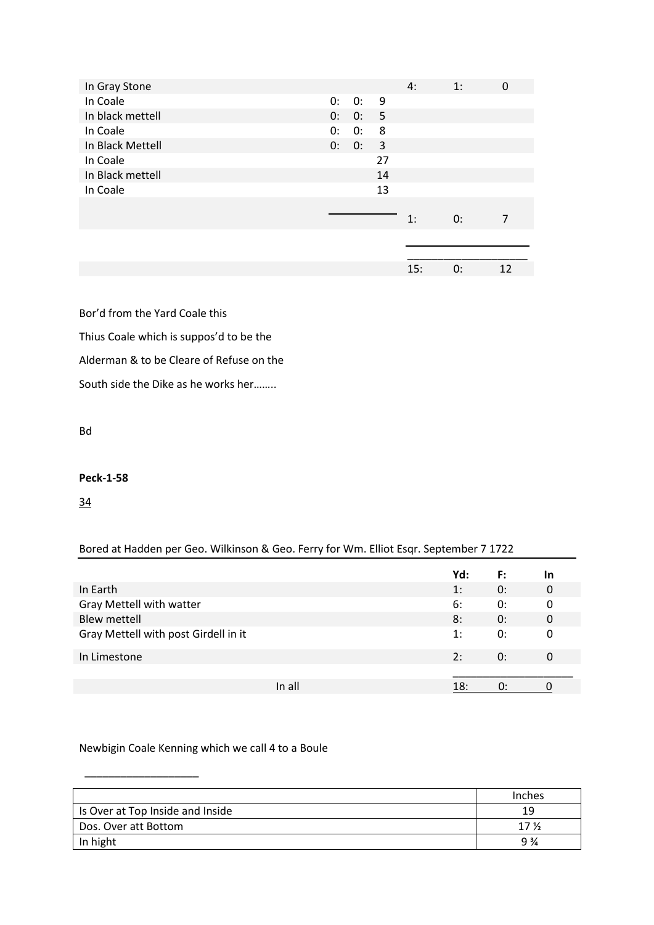| In Gray Stone    |    |       |                         | 4:  | 1: | 0  |
|------------------|----|-------|-------------------------|-----|----|----|
| In Coale         | 0: | 0:    | 9                       |     |    |    |
| In black mettell | 0: | 0:    | $-5$                    |     |    |    |
| In Coale         | 0: | 0:    | 8                       |     |    |    |
| In Black Mettell |    | 0: 0: | $\overline{\mathbf{3}}$ |     |    |    |
| In Coale         |    |       | 27                      |     |    |    |
| In Black mettell |    |       | 14                      |     |    |    |
| In Coale         |    |       | 13                      |     |    |    |
|                  |    |       |                         |     |    |    |
|                  |    |       |                         | 1:  | 0: | 7  |
|                  |    |       |                         |     |    |    |
|                  |    |       |                         |     |    |    |
|                  |    |       |                         | 15: | 0: | 12 |

Bor'd from the Yard Coale this Thius Coale which is suppos'd to be the

Alderman & to be Cleare of Refuse on the

South side the Dike as he works her……..

Bd

### **Peck-1-58**

34

### Bored at Hadden per Geo. Wilkinson & Geo. Ferry for Wm. Elliot Esqr. September 7 1722

|                                      | Yd: | F: | In |
|--------------------------------------|-----|----|----|
| In Earth                             | 1:  | 0: | 0  |
| Gray Mettell with watter             | 6:  | 0: | 0  |
| <b>Blew mettell</b>                  | 8:  | 0: | 0  |
| Gray Mettell with post Girdell in it | 1:  | 0: | 0  |
| In Limestone                         | 2:  | 0: | 0  |
|                                      |     |    |    |
| In all                               | 18: | ∩∙ |    |

### Newbigin Coale Kenning which we call 4 to a Boule

\_\_\_\_\_\_\_\_\_\_\_\_\_\_\_\_\_\_\_

|                                  | Inches         |
|----------------------------------|----------------|
| Is Over at Top Inside and Inside | 19             |
| Dos. Over att Bottom             | $17\%$         |
| In hight                         | $9\frac{3}{4}$ |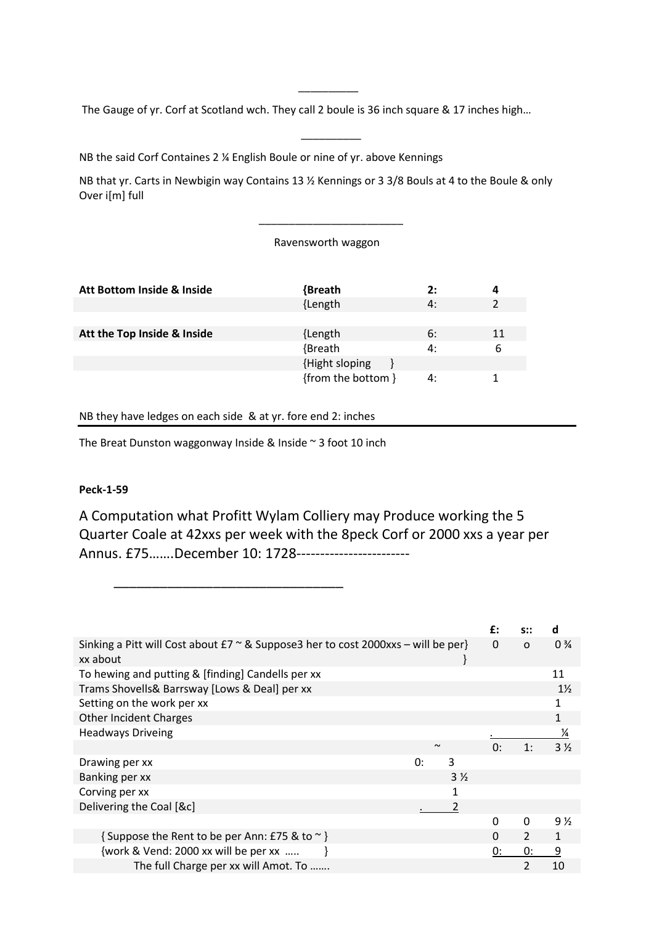The Gauge of yr. Corf at Scotland wch. They call 2 boule is 36 inch square & 17 inches high…

\_\_\_\_\_\_\_\_\_\_

 $\overline{\phantom{a}}$   $\overline{\phantom{a}}$   $\overline{\phantom{a}}$   $\overline{\phantom{a}}$   $\overline{\phantom{a}}$   $\overline{\phantom{a}}$   $\overline{\phantom{a}}$   $\overline{\phantom{a}}$   $\overline{\phantom{a}}$   $\overline{\phantom{a}}$   $\overline{\phantom{a}}$   $\overline{\phantom{a}}$   $\overline{\phantom{a}}$   $\overline{\phantom{a}}$   $\overline{\phantom{a}}$   $\overline{\phantom{a}}$   $\overline{\phantom{a}}$   $\overline{\phantom{a}}$   $\overline{\$ 

NB the said Corf Containes 2 ¼ English Boule or nine of yr. above Kennings

NB that yr. Carts in Newbigin way Contains 13 ½ Kennings or 3 3/8 Bouls at 4 to the Boule & only Over i[m] full

### Ravensworth waggon

 $\overline{\phantom{a}}$  , and the set of the set of the set of the set of the set of the set of the set of the set of the set of the set of the set of the set of the set of the set of the set of the set of the set of the set of the s

| Att Bottom Inside & Inside  | {Breath            | 2: |    |
|-----------------------------|--------------------|----|----|
|                             | {Length            | 4: |    |
|                             |                    |    |    |
| Att the Top Inside & Inside | {Length            | 6: | 11 |
|                             | {Breath            | 4: | 6  |
|                             | {Hight sloping     |    |    |
|                             | {from the bottom } | 4: |    |

### NB they have ledges on each side & at yr. fore end 2: inches

The Breat Dunston waggonway Inside & Inside ~ 3 foot 10 inch

\_\_\_\_\_\_\_\_\_\_\_\_\_\_\_\_\_\_\_\_\_\_\_\_\_\_\_\_\_\_

### **Peck-1-59**

A Computation what Profitt Wylam Colliery may Produce working the 5 Quarter Coale at 42xxs per week with the 8peck Corf or 2000 xxs a year per Annus. £75…….December 10: 1728------------------------

|                                                                                                       |        |                | £:       |          | d              |
|-------------------------------------------------------------------------------------------------------|--------|----------------|----------|----------|----------------|
| Sinking a Pitt will Cost about $E7 \approx 8$ Suppose3 her to cost 2000xxs – will be per}<br>xx about |        |                | 0        | $\Omega$ | $0\frac{3}{4}$ |
| To hewing and putting & [finding] Candells per xx                                                     |        |                |          |          | 11             |
| Trams Shovells& Barrsway [Lows & Deal] per xx                                                         |        |                |          |          | $1\frac{1}{2}$ |
| Setting on the work per xx                                                                            |        |                |          |          |                |
| <b>Other Incident Charges</b>                                                                         |        |                |          |          | 1              |
| <b>Headways Driveing</b>                                                                              |        |                |          |          | $\frac{1}{4}$  |
|                                                                                                       | $\sim$ |                | 0:       | 1:       | $3\frac{1}{2}$ |
| Drawing per xx                                                                                        | 0:     | 3              |          |          |                |
| Banking per xx                                                                                        |        | $3\frac{1}{2}$ |          |          |                |
| Corving per xx                                                                                        |        | 1              |          |          |                |
| Delivering the Coal [&c]                                                                              |        | 2              |          |          |                |
|                                                                                                       |        |                | 0        | 0        | $9\frac{1}{2}$ |
| { Suppose the Rent to be per Ann: £75 & to ~ }                                                        |        |                | $\Omega$ | 2        | 1              |
| {work & Vend: 2000 xx will be per xx                                                                  |        |                | 0:       | 0:       | 9              |
| The full Charge per xx will Amot. To                                                                  |        |                |          | 2        | 10             |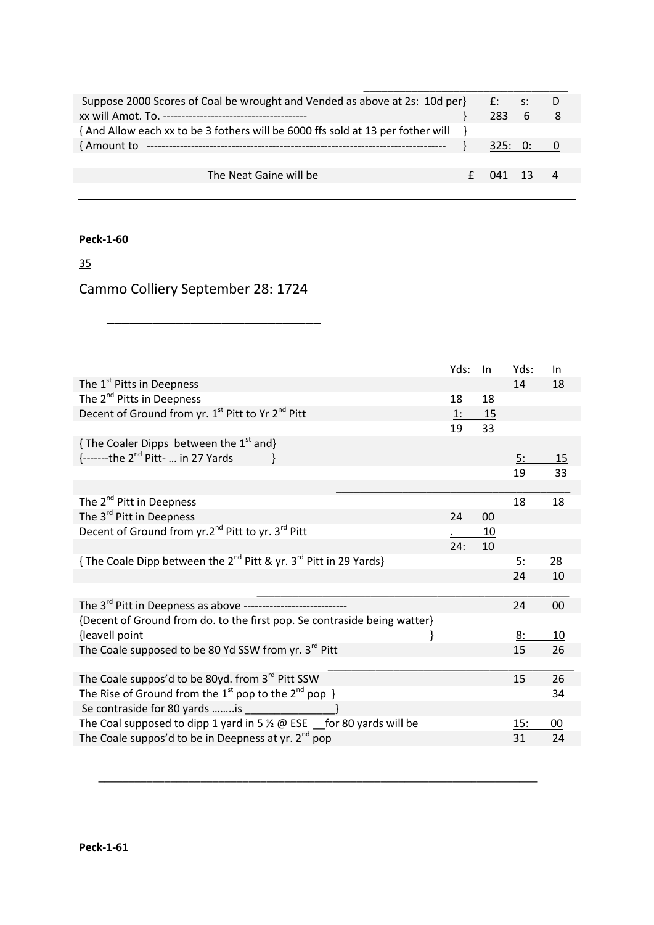| Suppose 2000 Scores of Coal be wrought and Vended as above at 2s: 10d per $f$ $f$ : s: |            |           |     |
|----------------------------------------------------------------------------------------|------------|-----------|-----|
|                                                                                        | $283 \t 6$ |           | - 8 |
| {And Allow each xx to be 3 fothers will be 6000 ffs sold at 13 per fother will         |            |           |     |
| { Amount to                                                                            |            | 325: 0: 0 |     |
|                                                                                        |            |           |     |
| The Neat Gaine will be                                                                 | (141 13    |           |     |
|                                                                                        |            |           |     |

### 35

# Cammo Colliery September 28: 1724

\_\_\_\_\_\_\_\_\_\_\_\_\_\_\_\_\_\_\_\_\_\_\_\_\_\_\_\_

| The 1 <sup>st</sup> Pitts in Deepness<br>14<br>18<br>The 2 <sup>nd</sup> Pitts in Deepness<br>18<br>18<br>Decent of Ground from yr. 1st Pitt to Yr 2 <sup>nd</sup> Pitt<br>1:<br>15<br>33<br>19<br>{The Coaler Dipps between the $1st$ and}<br>$\{-$ ------the 2 <sup>nd</sup> Pitt-  in 27 Yards<br>5:<br>15<br>33<br>19<br>The 2 <sup>nd</sup> Pitt in Deepness<br>18<br>18<br>The 3 <sup>rd</sup> Pitt in Deepness<br>24<br>00<br>Decent of Ground from yr.2 <sup>nd</sup> Pitt to yr. 3 <sup>rd</sup> Pitt<br><u>10</u><br>10<br>24:<br>{The Coale Dipp between the 2 <sup>nd</sup> Pitt & yr. 3 <sup>rd</sup> Pitt in 29 Yards}<br><u>5:</u><br><u>28</u><br>24<br>10<br>The 3 <sup>rd</sup> Pitt in Deepness as above -----------------------------<br>00<br>24<br>{Decent of Ground from do. to the first pop. Se contraside being watter}<br>{leavell point<br><u>8:</u><br>10<br>The Coale supposed to be 80 Yd SSW from yr. 3 <sup>rd</sup> Pitt<br>15<br>26<br>The Coale suppos'd to be 80yd. from 3 <sup>rd</sup> Pitt SSW<br>15<br>26<br>The Rise of Ground from the 1 <sup>st</sup> pop to the 2 <sup>nd</sup> pop }<br>34<br>Se contraside for 80 yards is |                                                                                 | Yds: | $\ln$ | Yds: | In.    |
|---------------------------------------------------------------------------------------------------------------------------------------------------------------------------------------------------------------------------------------------------------------------------------------------------------------------------------------------------------------------------------------------------------------------------------------------------------------------------------------------------------------------------------------------------------------------------------------------------------------------------------------------------------------------------------------------------------------------------------------------------------------------------------------------------------------------------------------------------------------------------------------------------------------------------------------------------------------------------------------------------------------------------------------------------------------------------------------------------------------------------------------------------------------------------|---------------------------------------------------------------------------------|------|-------|------|--------|
|                                                                                                                                                                                                                                                                                                                                                                                                                                                                                                                                                                                                                                                                                                                                                                                                                                                                                                                                                                                                                                                                                                                                                                           |                                                                                 |      |       |      |        |
|                                                                                                                                                                                                                                                                                                                                                                                                                                                                                                                                                                                                                                                                                                                                                                                                                                                                                                                                                                                                                                                                                                                                                                           |                                                                                 |      |       |      |        |
|                                                                                                                                                                                                                                                                                                                                                                                                                                                                                                                                                                                                                                                                                                                                                                                                                                                                                                                                                                                                                                                                                                                                                                           |                                                                                 |      |       |      |        |
|                                                                                                                                                                                                                                                                                                                                                                                                                                                                                                                                                                                                                                                                                                                                                                                                                                                                                                                                                                                                                                                                                                                                                                           |                                                                                 |      |       |      |        |
|                                                                                                                                                                                                                                                                                                                                                                                                                                                                                                                                                                                                                                                                                                                                                                                                                                                                                                                                                                                                                                                                                                                                                                           |                                                                                 |      |       |      |        |
|                                                                                                                                                                                                                                                                                                                                                                                                                                                                                                                                                                                                                                                                                                                                                                                                                                                                                                                                                                                                                                                                                                                                                                           |                                                                                 |      |       |      |        |
|                                                                                                                                                                                                                                                                                                                                                                                                                                                                                                                                                                                                                                                                                                                                                                                                                                                                                                                                                                                                                                                                                                                                                                           |                                                                                 |      |       |      |        |
|                                                                                                                                                                                                                                                                                                                                                                                                                                                                                                                                                                                                                                                                                                                                                                                                                                                                                                                                                                                                                                                                                                                                                                           |                                                                                 |      |       |      |        |
|                                                                                                                                                                                                                                                                                                                                                                                                                                                                                                                                                                                                                                                                                                                                                                                                                                                                                                                                                                                                                                                                                                                                                                           |                                                                                 |      |       |      |        |
|                                                                                                                                                                                                                                                                                                                                                                                                                                                                                                                                                                                                                                                                                                                                                                                                                                                                                                                                                                                                                                                                                                                                                                           |                                                                                 |      |       |      |        |
|                                                                                                                                                                                                                                                                                                                                                                                                                                                                                                                                                                                                                                                                                                                                                                                                                                                                                                                                                                                                                                                                                                                                                                           |                                                                                 |      |       |      |        |
|                                                                                                                                                                                                                                                                                                                                                                                                                                                                                                                                                                                                                                                                                                                                                                                                                                                                                                                                                                                                                                                                                                                                                                           |                                                                                 |      |       |      |        |
|                                                                                                                                                                                                                                                                                                                                                                                                                                                                                                                                                                                                                                                                                                                                                                                                                                                                                                                                                                                                                                                                                                                                                                           |                                                                                 |      |       |      |        |
|                                                                                                                                                                                                                                                                                                                                                                                                                                                                                                                                                                                                                                                                                                                                                                                                                                                                                                                                                                                                                                                                                                                                                                           |                                                                                 |      |       |      |        |
|                                                                                                                                                                                                                                                                                                                                                                                                                                                                                                                                                                                                                                                                                                                                                                                                                                                                                                                                                                                                                                                                                                                                                                           |                                                                                 |      |       |      |        |
|                                                                                                                                                                                                                                                                                                                                                                                                                                                                                                                                                                                                                                                                                                                                                                                                                                                                                                                                                                                                                                                                                                                                                                           |                                                                                 |      |       |      |        |
|                                                                                                                                                                                                                                                                                                                                                                                                                                                                                                                                                                                                                                                                                                                                                                                                                                                                                                                                                                                                                                                                                                                                                                           |                                                                                 |      |       |      |        |
|                                                                                                                                                                                                                                                                                                                                                                                                                                                                                                                                                                                                                                                                                                                                                                                                                                                                                                                                                                                                                                                                                                                                                                           |                                                                                 |      |       |      |        |
|                                                                                                                                                                                                                                                                                                                                                                                                                                                                                                                                                                                                                                                                                                                                                                                                                                                                                                                                                                                                                                                                                                                                                                           |                                                                                 |      |       |      |        |
|                                                                                                                                                                                                                                                                                                                                                                                                                                                                                                                                                                                                                                                                                                                                                                                                                                                                                                                                                                                                                                                                                                                                                                           |                                                                                 |      |       |      |        |
|                                                                                                                                                                                                                                                                                                                                                                                                                                                                                                                                                                                                                                                                                                                                                                                                                                                                                                                                                                                                                                                                                                                                                                           |                                                                                 |      |       |      |        |
|                                                                                                                                                                                                                                                                                                                                                                                                                                                                                                                                                                                                                                                                                                                                                                                                                                                                                                                                                                                                                                                                                                                                                                           |                                                                                 |      |       |      |        |
|                                                                                                                                                                                                                                                                                                                                                                                                                                                                                                                                                                                                                                                                                                                                                                                                                                                                                                                                                                                                                                                                                                                                                                           |                                                                                 |      |       |      |        |
|                                                                                                                                                                                                                                                                                                                                                                                                                                                                                                                                                                                                                                                                                                                                                                                                                                                                                                                                                                                                                                                                                                                                                                           | The Coal supposed to dipp 1 yard in 5 $\frac{1}{2}$ @ ESE _for 80 yards will be |      |       | 15:  | $00\,$ |
| The Coale suppos'd to be in Deepness at yr. $2^{nd}$ pop<br>31<br>24                                                                                                                                                                                                                                                                                                                                                                                                                                                                                                                                                                                                                                                                                                                                                                                                                                                                                                                                                                                                                                                                                                      |                                                                                 |      |       |      |        |

\_\_\_\_\_\_\_\_\_\_\_\_\_\_\_\_\_\_\_\_\_\_\_\_\_\_\_\_\_\_\_\_\_\_\_\_\_\_\_\_\_\_\_\_\_\_\_\_\_\_\_\_\_\_\_\_\_\_\_\_\_\_\_\_\_\_\_\_\_\_\_\_\_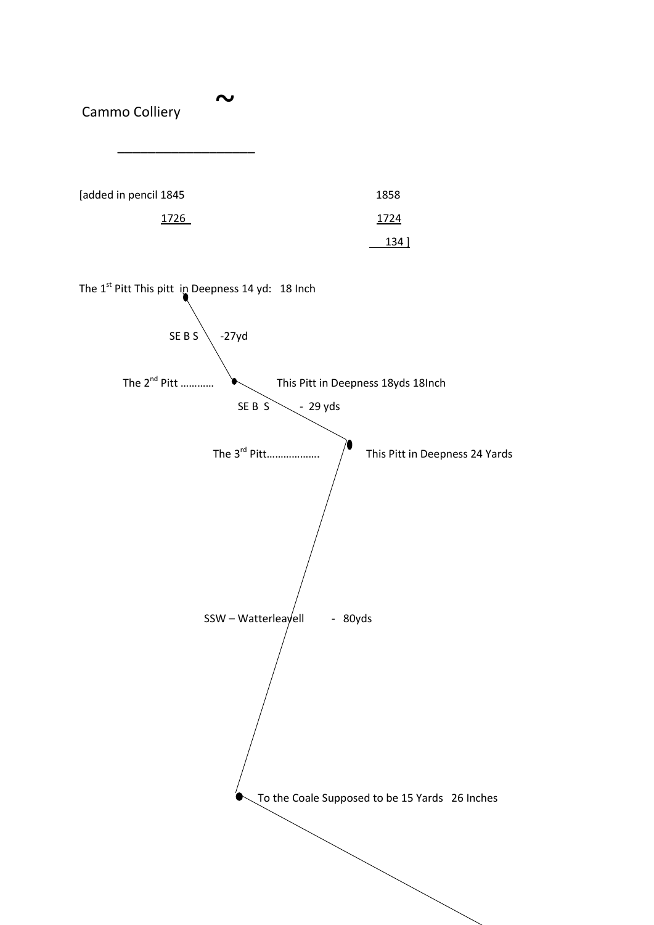Cammo Colliery  $\overline{\phantom{a}}$  ,  $\overline{\phantom{a}}$  ,  $\overline{\phantom{a}}$  ,  $\overline{\phantom{a}}$  ,  $\overline{\phantom{a}}$  ,  $\overline{\phantom{a}}$  ,  $\overline{\phantom{a}}$  ,  $\overline{\phantom{a}}$  ,  $\overline{\phantom{a}}$  ,  $\overline{\phantom{a}}$  ,  $\overline{\phantom{a}}$  ,  $\overline{\phantom{a}}$  ,  $\overline{\phantom{a}}$  ,  $\overline{\phantom{a}}$  ,  $\overline{\phantom{a}}$  ,  $\overline{\phantom{a}}$ [added in pencil 1845 1858 1726 1724  $134$  ] The  $1^{st}$  Pitt This pitt in Deepness 14 yd: 18 Inch SE B S  $\backslash$  -27yd The 2<sup>nd</sup> Pitt ………… **This Pitt in Deepness 18yds 18Inch** SE B  $S \setminus -29$  yds The 3rd Pitt………………. This Pitt in Deepness 24 Yards  $SSW - Watterleayell$  - 80yds To the Coale Supposed to be 15 Yards 26 Inches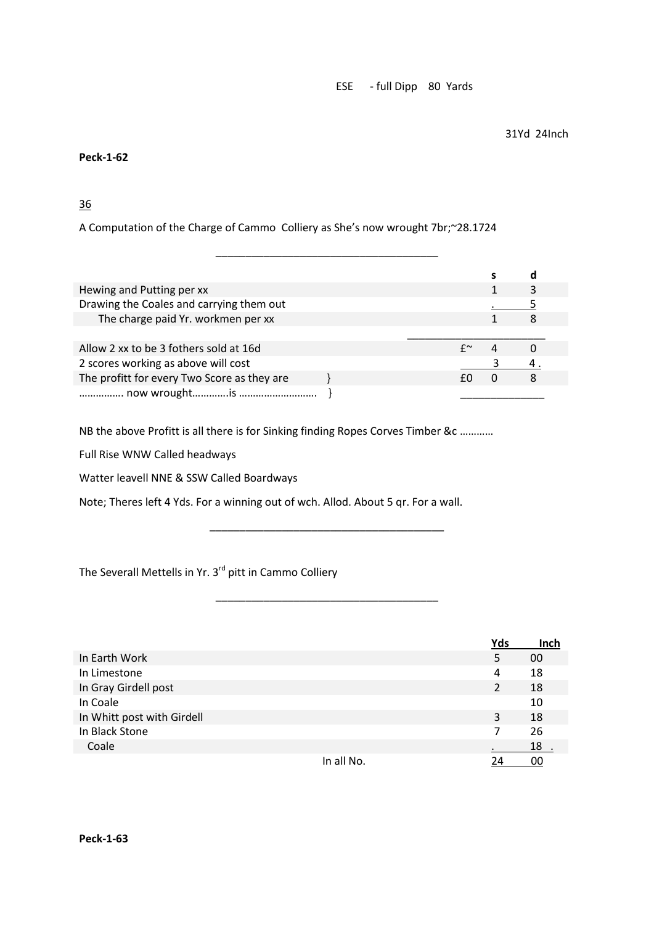ESE - full Dipp 80 Yards

31Yd 24Inch

**Peck-1-62**

36

A Computation of the Charge of Cammo Colliery as She's now wrought 7br;~28.1724

| Hewing and Putting per xx                   |  |  |  |
|---------------------------------------------|--|--|--|
| Drawing the Coales and carrying them out    |  |  |  |
| The charge paid Yr. workmen per xx          |  |  |  |
|                                             |  |  |  |
| Allow 2 xx to be 3 fothers sold at 16d      |  |  |  |
| 2 scores working as above will cost         |  |  |  |
|                                             |  |  |  |
| The profitt for every Two Score as they are |  |  |  |

\_\_\_\_\_\_\_\_\_\_\_\_\_\_\_\_\_\_\_\_\_\_\_\_\_\_\_\_\_\_\_\_\_\_\_\_\_

NB the above Profitt is all there is for Sinking finding Ropes Corves Timber &c …………

Full Rise WNW Called headways

Watter leavell NNE & SSW Called Boardways

Note; Theres left 4 Yds. For a winning out of wch. Allod. About 5 qr. For a wall.

The Severall Mettells in Yr. 3<sup>rd</sup> pitt in Cammo Colliery

|                            |            | Yds | Inch |
|----------------------------|------------|-----|------|
| In Earth Work              |            | 5   | 00   |
| In Limestone               |            | 4   | 18   |
| In Gray Girdell post       |            | 2   | 18   |
| In Coale                   |            |     | 10   |
| In Whitt post with Girdell |            | 3   | 18   |
| In Black Stone             |            | 7   | 26   |
| Coale                      |            |     | 18   |
|                            | In all No. | 24  | 00   |

\_\_\_\_\_\_\_\_\_\_\_\_\_\_\_\_\_\_\_\_\_\_\_\_\_\_\_\_\_\_\_\_\_\_\_\_\_\_\_

\_\_\_\_\_\_\_\_\_\_\_\_\_\_\_\_\_\_\_\_\_\_\_\_\_\_\_\_\_\_\_\_\_\_\_\_\_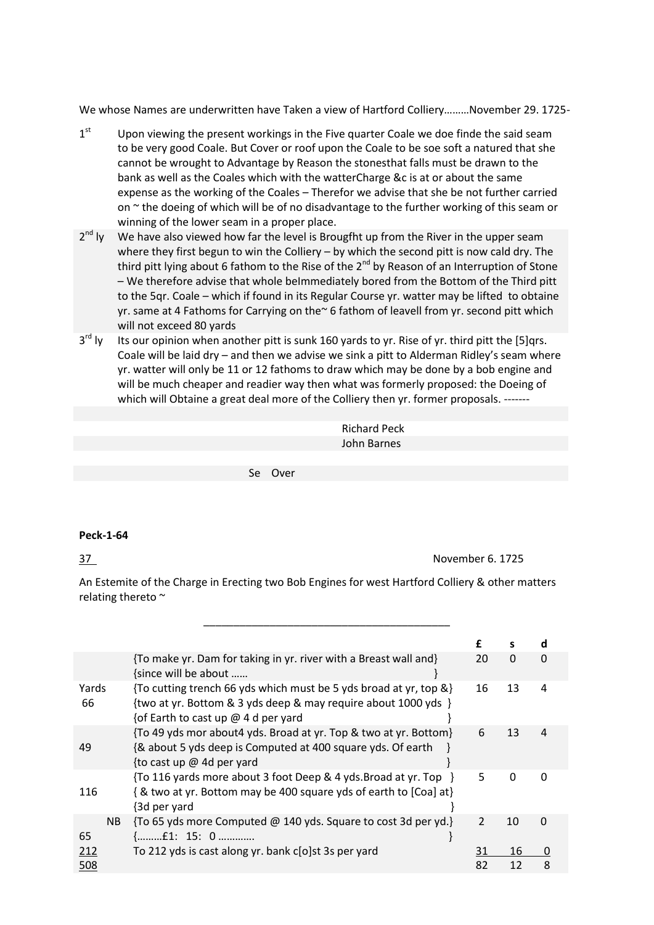We whose Names are underwritten have Taken a view of Hartford Colliery………November 29. 1725-

- $1<sup>st</sup>$ Upon viewing the present workings in the Five quarter Coale we doe finde the said seam to be very good Coale. But Cover or roof upon the Coale to be soe soft a natured that she cannot be wrought to Advantage by Reason the stonesthat falls must be drawn to the bank as well as the Coales which with the watterCharge &c is at or about the same expense as the working of the Coales – Therefor we advise that she be not further carried on  $\sim$  the doeing of which will be of no disadvantage to the further working of this seam or winning of the lower seam in a proper place.
- $2^{nd}$  Iv We have also viewed how far the level is Brougfht up from the River in the upper seam where they first begun to win the Colliery - by which the second pitt is now cald dry. The third pitt lying about 6 fathom to the Rise of the  $2^{nd}$  by Reason of an Interruption of Stone – We therefore advise that whole beImmediately bored from the Bottom of the Third pitt to the 5qr. Coale – which if found in its Regular Course yr. watter may be lifted to obtaine yr. same at 4 Fathoms for Carrying on the~ 6 fathom of leavell from yr. second pitt which will not exceed 80 yards
- $3<sup>rd</sup>$  Iv Its our opinion when another pitt is sunk 160 yards to yr. Rise of yr. third pitt the [5]qrs. Coale will be laid dry – and then we advise we sink a pitt to Alderman Ridley's seam where yr. watter will only be 11 or 12 fathoms to draw which may be done by a bob engine and will be much cheaper and readier way then what was formerly proposed: the Doeing of which will Obtaine a great deal more of the Colliery then yr. former proposals. -------

| <b>Richard Peck</b> |
|---------------------|
| John Barnes         |

Se Over

### **Peck-1-64**

37 November 6. 1725

An Estemite of the Charge in Erecting two Bob Engines for west Hartford Colliery & other matters relating thereto ~

|             |                                                                                                                                                                            | £              | s        | d            |
|-------------|----------------------------------------------------------------------------------------------------------------------------------------------------------------------------|----------------|----------|--------------|
|             | {To make yr. Dam for taking in yr. river with a Breast wall and}<br>{since will be about                                                                                   | 20             | $\Omega$ | $\Omega$     |
| Yards<br>66 | {To cutting trench 66 yds which must be 5 yds broad at yr, top &}<br>{two at yr. Bottom & 3 yds deep & may require about 1000 yds }<br>{of Earth to cast up @ 4 d per yard | 16             | 13       | 4            |
| 49          | {To 49 yds mor about4 yds. Broad at yr. Top & two at yr. Bottom}<br>{& about 5 yds deep is Computed at 400 square yds. Of earth<br>{to cast up $@$ 4d per yard             | 6              | 13       | 4            |
| 116         | {To 116 yards more about 3 foot Deep & 4 yds. Broad at yr. Top<br>{& two at yr. Bottom may be 400 square yds of earth to [Coa] at}<br>{3d per yard                         | 5              | $\Omega$ | <sup>0</sup> |
| NB.<br>65   | {To 65 yds more Computed @ 140 yds. Square to cost 3d per yd.}                                                                                                             | $\overline{2}$ | 10       | $\Omega$     |
| 212         | To 212 yds is cast along yr. bank c[o]st 3s per yard                                                                                                                       | 31             | 16       | 0            |
| 508         |                                                                                                                                                                            | 82             | 12       | ጸ            |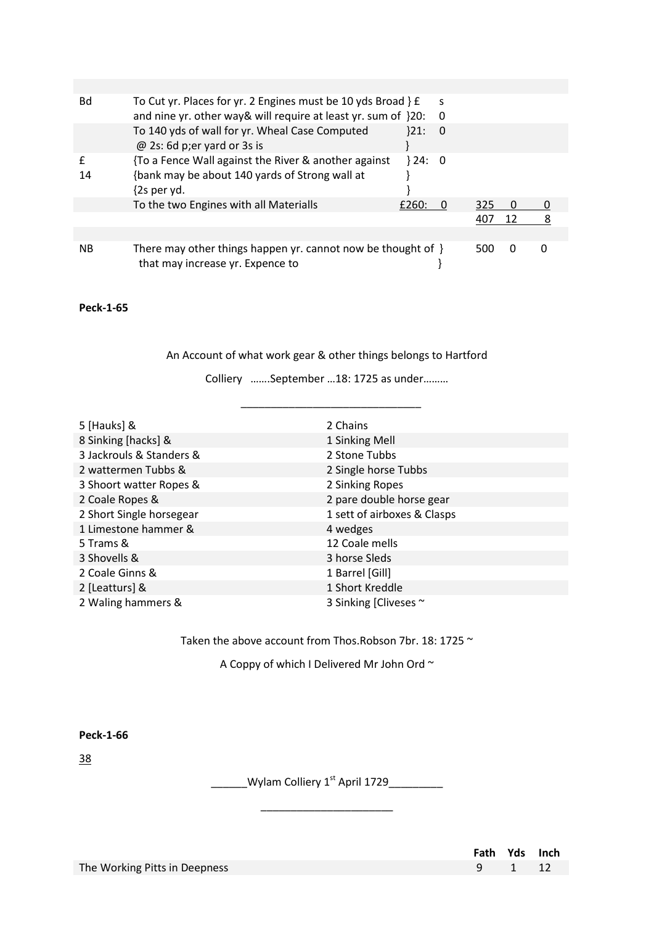| Bd | To Cut yr. Places for yr. 2 Engines must be 10 yds Broad } £<br>and nine yr. other way& will require at least yr. sum of }20: |       | S<br>-0  |     |          |  |
|----|-------------------------------------------------------------------------------------------------------------------------------|-------|----------|-----|----------|--|
|    | To 140 yds of wall for yr. Wheal Case Computed<br>$@$ 2s: 6d p; er yard or 3s is                                              | 21:   | $\bf{0}$ |     |          |  |
| 14 | {To a Fence Wall against the River & another against<br>{bank may be about 140 yards of Strong wall at<br>$\{2s\$ per yd.     | 324:0 |          |     |          |  |
|    | To the two Engines with all Materialls                                                                                        | £260: |          | 325 | $\Omega$ |  |
|    |                                                                                                                               |       |          | 407 | 12       |  |
|    |                                                                                                                               |       |          |     |          |  |
| ΝB | There may other things happen yr. cannot now be thought of $\}$<br>that may increase yr. Expence to                           |       |          | 500 | $\Omega$ |  |

An Account of what work gear & other things belongs to Hartford

Colliery …….September …18: 1725 as under………

 $\overline{\phantom{a}}$  , and the set of the set of the set of the set of the set of the set of the set of the set of the set of the set of the set of the set of the set of the set of the set of the set of the set of the set of the s

| 5 [Hauks] &              | 2 Chains                    |
|--------------------------|-----------------------------|
| 8 Sinking [hacks] &      | 1 Sinking Mell              |
| 3 Jackrouls & Standers & | 2 Stone Tubbs               |
| 2 wattermen Tubbs &      | 2 Single horse Tubbs        |
| 3 Shoort watter Ropes &  | 2 Sinking Ropes             |
| 2 Coale Ropes &          | 2 pare double horse gear    |
| 2 Short Single horsegear | 1 sett of airboxes & Clasps |
| 1 Limestone hammer &     | 4 wedges                    |
| 5 Trams &                | 12 Coale mells              |
| 3 Shovells &             | 3 horse Sleds               |
| 2 Coale Ginns &          | 1 Barrel [Gill]             |
| 2 [Leatturs] &           | 1 Short Kreddle             |
| 2 Waling hammers &       | 3 Sinking [Cliveses ~       |

Taken the above account from Thos.Robson 7br. 18: 1725  $\sim$ 

A Coppy of which I Delivered Mr John Ord ~

**Peck-1-66**

38

Wylam Colliery  $1^{st}$  April 1729

\_\_\_\_\_\_\_\_\_\_\_\_\_\_\_\_\_\_\_\_\_\_

|                               | Fath Yds Inch |  |
|-------------------------------|---------------|--|
| The Working Pitts in Deepness | 9 1 12        |  |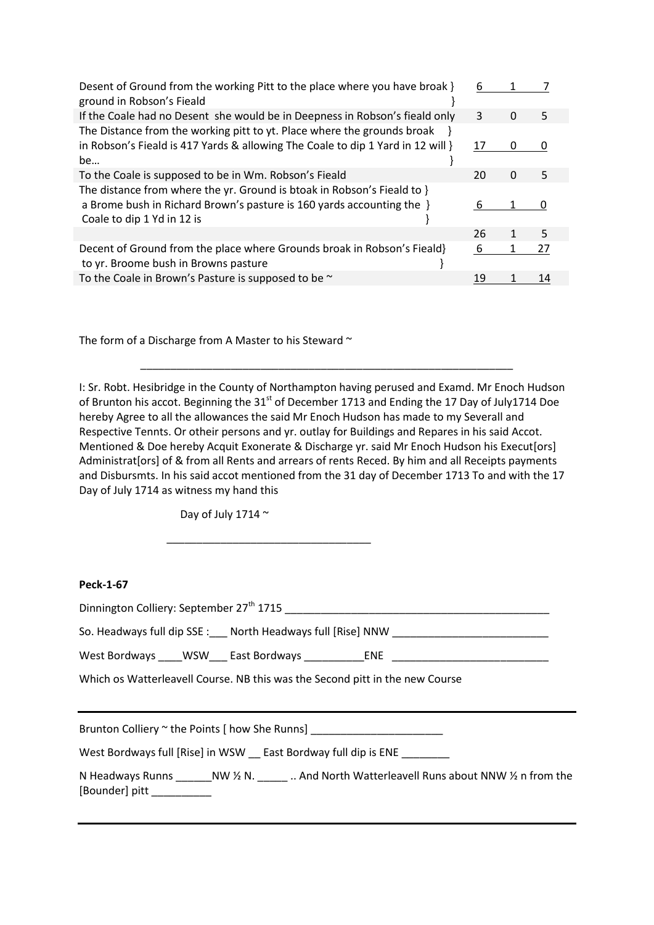| Desent of Ground from the working Pitt to the place where you have broak }<br>ground in Robson's Fieald                                                                        | 6  |   |    |
|--------------------------------------------------------------------------------------------------------------------------------------------------------------------------------|----|---|----|
| If the Coale had no Desent she would be in Deepness in Robson's fieald only                                                                                                    | 3  | 0 | 5  |
| The Distance from the working pitt to yt. Place where the grounds broak<br>in Robson's Fieald is 417 Yards & allowing The Coale to dip 1 Yard in 12 will }<br>be               | 17 | 0 |    |
| To the Coale is supposed to be in Wm. Robson's Fieald                                                                                                                          | 20 | O | 5  |
| The distance from where the yr. Ground is btoak in Robson's Fieald to }<br>a Brome bush in Richard Brown's pasture is 160 yards accounting the }<br>Coale to dip 1 Yd in 12 is | 6  |   |    |
|                                                                                                                                                                                | 26 | 1 | 5  |
| Decent of Ground from the place where Grounds broak in Robson's Fieald}<br>to yr. Broome bush in Browns pasture                                                                | 6  |   | 27 |
| To the Coale in Brown's Pasture is supposed to be ~                                                                                                                            | 19 |   | 14 |

The form of a Discharge from A Master to his Steward  $\sim$ 

I: Sr. Robt. Hesibridge in the County of Northampton having perused and Examd. Mr Enoch Hudson of Brunton his accot. Beginning the  $31<sup>st</sup>$  of December 1713 and Ending the 17 Day of July1714 Doe hereby Agree to all the allowances the said Mr Enoch Hudson has made to my Severall and Respective Tennts. Or otheir persons and yr. outlay for Buildings and Repares in his said Accot. Mentioned & Doe hereby Acquit Exonerate & Discharge yr. said Mr Enoch Hudson his Execut[ors] Administrat[ors] of & from all Rents and arrears of rents Reced. By him and all Receipts payments and Disbursmts. In his said accot mentioned from the 31 day of December 1713 To and with the 17 Day of July 1714 as witness my hand this

\_\_\_\_\_\_\_\_\_\_\_\_\_\_\_\_\_\_\_\_\_\_\_\_\_\_\_\_\_\_\_\_\_\_\_\_\_\_\_\_\_\_\_\_\_\_\_\_\_\_\_\_\_\_\_\_\_\_\_\_\_\_

Day of July 1714  $\sim$ 

 $\overline{\phantom{a}}$  ,  $\overline{\phantom{a}}$  ,  $\overline{\phantom{a}}$  ,  $\overline{\phantom{a}}$  ,  $\overline{\phantom{a}}$  ,  $\overline{\phantom{a}}$  ,  $\overline{\phantom{a}}$  ,  $\overline{\phantom{a}}$  ,  $\overline{\phantom{a}}$  ,  $\overline{\phantom{a}}$  ,  $\overline{\phantom{a}}$  ,  $\overline{\phantom{a}}$  ,  $\overline{\phantom{a}}$  ,  $\overline{\phantom{a}}$  ,  $\overline{\phantom{a}}$  ,  $\overline{\phantom{a}}$ 

### **Peck-1-67**

| Dinnington Colliery: September 27 <sup>th</sup> 1715          |  |  |  |  |  |  |
|---------------------------------------------------------------|--|--|--|--|--|--|
| North Headways full [Rise] NNW<br>So. Headways full dip SSE : |  |  |  |  |  |  |

West Bordways \_\_\_\_WSW \_\_\_ East Bordways \_\_\_\_\_\_\_\_\_\_\_\_\_\_ENE

Which os Watterleavell Course. NB this was the Second pitt in the new Course

Brunton Colliery ~ the Points [ how She Runns]

West Bordways full [Rise] in WSW \_\_ East Bordway full dip is ENE \_\_\_\_\_\_\_\_

| N Headways Runns | NW $\frac{1}{2}$ N. | And North Watterleavell Runs about NNW 1/2 n from the |
|------------------|---------------------|-------------------------------------------------------|
| [Bounder] pitt   |                     |                                                       |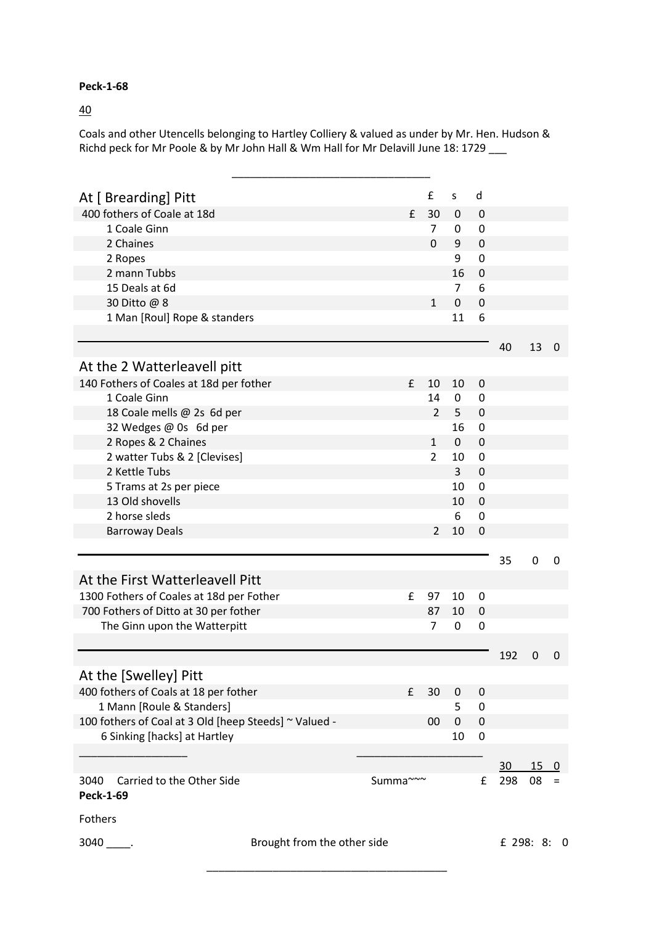### 40

Coals and other Utencells belonging to Hartley Colliery & valued as under by Mr. Hen. Hudson & Richd peck for Mr Poole & by Mr John Hall & Wm Hall for Mr Delavill June 18: 1729

| At [ Brearding] Pitt                                  |                             |              | £              | S              | d                |                 |     |                   |
|-------------------------------------------------------|-----------------------------|--------------|----------------|----------------|------------------|-----------------|-----|-------------------|
| 400 fothers of Coale at 18d                           |                             | £            | 30             | $\mathbf 0$    | $\mathbf 0$      |                 |     |                   |
| 1 Coale Ginn                                          |                             |              | 7              | $\mathbf 0$    | $\mathbf 0$      |                 |     |                   |
| 2 Chaines                                             |                             |              | $\Omega$       | 9              | $\mathbf{0}$     |                 |     |                   |
| 2 Ropes                                               |                             |              |                | 9              | $\mathbf 0$      |                 |     |                   |
| 2 mann Tubbs                                          |                             |              |                | 16             | $\mathbf 0$      |                 |     |                   |
| 15 Deals at 6d                                        |                             |              |                | $\overline{7}$ | 6                |                 |     |                   |
| 30 Ditto @ 8                                          |                             |              | $\mathbf{1}$   | $\mathbf 0$    | $\mathbf 0$      |                 |     |                   |
| 1 Man [Roul] Rope & standers                          |                             |              |                | 11             | 6                |                 |     |                   |
|                                                       |                             |              |                |                |                  | 40              | 13  | 0                 |
| At the 2 Watterleavell pitt                           |                             |              |                |                |                  |                 |     |                   |
| 140 Fothers of Coales at 18d per fother               |                             | £            | 10             | 10             | $\mathbf 0$      |                 |     |                   |
| 1 Coale Ginn                                          |                             |              | 14             | $\mathbf 0$    | $\mathbf 0$      |                 |     |                   |
| 18 Coale mells @ 2s 6d per                            |                             |              | $\overline{2}$ | 5              | $\mathbf{0}$     |                 |     |                   |
| 32 Wedges @ 0s 6d per                                 |                             |              |                | 16             | $\mathbf 0$      |                 |     |                   |
| 2 Ropes & 2 Chaines                                   |                             |              | $\mathbf{1}$   | $\mathbf{0}$   | $\overline{0}$   |                 |     |                   |
| 2 watter Tubs & 2 [Clevises]                          |                             |              | $\overline{2}$ | 10             | $\mathbf 0$      |                 |     |                   |
| 2 Kettle Tubs                                         |                             |              |                | 3              | $\mathbf 0$      |                 |     |                   |
| 5 Trams at 2s per piece                               |                             |              |                | 10             | $\mathbf 0$      |                 |     |                   |
| 13 Old shovells                                       |                             |              |                | 10             | $\mathbf 0$      |                 |     |                   |
| 2 horse sleds                                         |                             |              |                | 6              | $\mathbf 0$      |                 |     |                   |
| <b>Barroway Deals</b>                                 |                             |              | $\overline{2}$ | 10             | $\Omega$         |                 |     |                   |
|                                                       |                             |              |                |                |                  | 35              | 0   | 0                 |
| At the First Watterleavell Pitt                       |                             |              |                |                |                  |                 |     |                   |
| 1300 Fothers of Coales at 18d per Fother              |                             | $\mathbf{f}$ | 97             | 10             | 0                |                 |     |                   |
| 700 Fothers of Ditto at 30 per fother                 |                             |              | 87             | 10             | $\mathbf 0$      |                 |     |                   |
| The Ginn upon the Watterpitt                          |                             |              | $\overline{7}$ | $\mathbf 0$    | $\mathbf 0$      |                 |     |                   |
|                                                       |                             |              |                |                |                  |                 |     |                   |
|                                                       |                             |              |                |                |                  | 192             | 0   | 0                 |
| At the [Swelley] Pitt                                 |                             |              |                |                |                  |                 |     |                   |
| 400 fothers of Coals at 18 per fother                 |                             | £            | 30             | 0              | $\mathbf 0$      |                 |     |                   |
| 1 Mann [Roule & Standers]                             |                             |              |                | 5              | $\mathbf 0$      |                 |     |                   |
| 100 fothers of Coal at 3 Old [heep Steeds] ~ Valued - |                             |              | 00             | $\pmb{0}$      | $\mathbf 0$      |                 |     |                   |
| 6 Sinking [hacks] at Hartley                          |                             |              |                | 10             | $\boldsymbol{0}$ |                 |     |                   |
|                                                       |                             |              |                |                |                  |                 |     |                   |
|                                                       |                             |              |                |                |                  | 30 <sup>°</sup> | 150 |                   |
| Carried to the Other Side<br>3040<br><b>Peck-1-69</b> |                             | Summa~~~     |                |                | £                | 298             | 08  | $\qquad \qquad =$ |
| Fothers                                               |                             |              |                |                |                  |                 |     |                   |
| $3040$                                                | Brought from the other side |              |                |                |                  | £ 298: 8: 0     |     |                   |

\_\_\_\_\_\_\_\_\_\_\_\_\_\_\_\_\_\_\_\_\_\_\_\_\_\_\_\_\_\_\_\_\_\_\_\_\_\_\_\_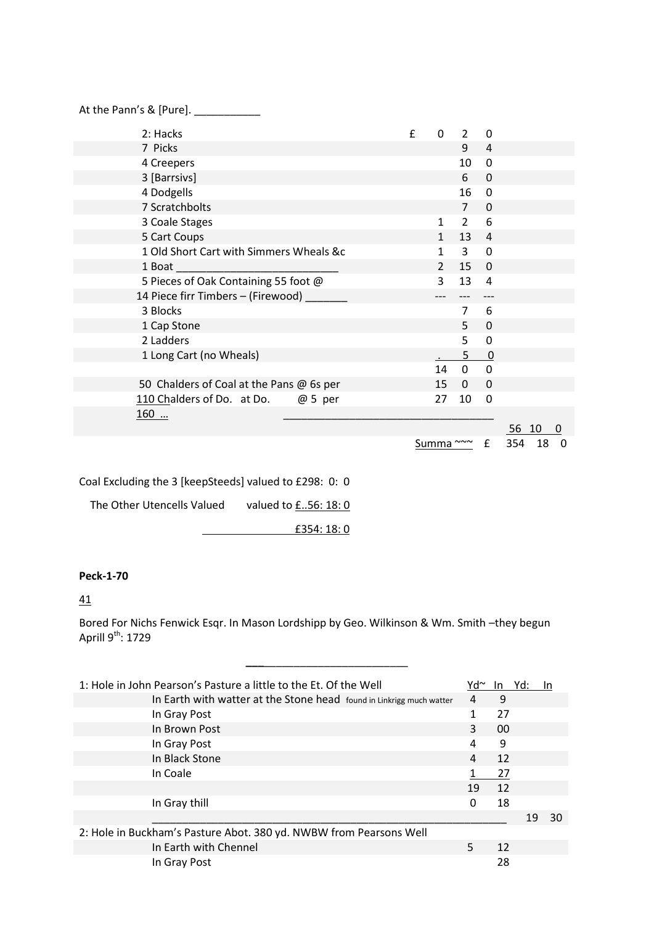| At the Pann's & [Pure]. _______          |   |               |                |                |          |
|------------------------------------------|---|---------------|----------------|----------------|----------|
| 2: Hacks                                 | f | $\Omega$      | $\overline{2}$ | 0              |          |
| 7 Picks                                  |   |               | 9              | 4              |          |
| 4 Creepers                               |   |               | 10             | $\Omega$       |          |
| 3 [Barrsivs]                             |   |               | 6              | $\Omega$       |          |
| 4 Dodgells                               |   |               | 16             | 0              |          |
| 7 Scratchbolts                           |   |               | $\overline{7}$ | $\Omega$       |          |
| 3 Coale Stages                           |   | 1             | $\overline{2}$ | 6              |          |
| 5 Cart Coups                             |   | $\mathbf{1}$  | 13             | $\overline{4}$ |          |
| 1 Old Short Cart with Simmers Wheals &c  |   | 1             | $\mathbf{3}$   | $\Omega$       |          |
| 1 Boat                                   |   | $\mathcal{P}$ | 15             | $\mathbf 0$    |          |
| 5 Pieces of Oak Containing 55 foot @     |   | 3             | 13             | $\overline{4}$ |          |
| 14 Piece firr Timbers - (Firewood)       |   |               |                |                |          |
| 3 Blocks                                 |   |               | $\overline{7}$ | 6              |          |
| 1 Cap Stone                              |   |               | 5              | $\Omega$       |          |
| 2 Ladders                                |   |               | 5              | 0              |          |
| 1 Long Cart (no Wheals)                  |   |               | 5              | $\mathbf 0$    |          |
|                                          |   | 14            | $\Omega$       | $\overline{0}$ |          |
| 50 Chalders of Coal at the Pans @ 6s per |   | 15            | 0              | $\Omega$       |          |
| 110 Chalders of Do. at Do. @ 5 per       |   | 27            | 10             | 0              |          |
| 160                                      |   |               |                |                |          |
|                                          |   |               |                |                | 56<br>10 |
|                                          |   |               |                |                |          |

Summa ~~~ £ 354 18 0

 $\overline{0}$ 

Coal Excluding the 3 [keepSteeds] valued to £298: 0: 0

The Other Utencells Valued valued to  $\underline{f..56:18:0}$ 

£354: 18: 0

### **Peck-1-70**

### 41

Bored For Nichs Fenwick Esqr. In Mason Lordshipp by Geo. Wilkinson & Wm. Smith –they begun Aprill 9<sup>th</sup>: 1729

**\_\_\_**\_\_\_\_\_\_\_\_\_\_\_\_\_\_\_\_\_\_\_\_\_\_\_\_

| 1: Hole in John Pearson's Pasture a little to the Et. Of the Well    | Yd∼ | In. | Yd: |    |
|----------------------------------------------------------------------|-----|-----|-----|----|
| In Earth with watter at the Stone head found in Linkrigg much watter | 4   | 9   |     |    |
| In Gray Post                                                         |     | 27  |     |    |
| In Brown Post                                                        | 3   | 00  |     |    |
| In Gray Post                                                         | 4   | 9   |     |    |
| In Black Stone                                                       | 4   | 12  |     |    |
| In Coale                                                             |     | 27  |     |    |
|                                                                      | 19  | 12  |     |    |
| In Gray thill                                                        | 0   | 18  |     |    |
|                                                                      |     |     | 19  | 30 |
| 2: Hole in Buckham's Pasture Abot. 380 yd. NWBW from Pearsons Well   |     |     |     |    |
| In Earth with Chennel                                                | 5.  | 12  |     |    |
| In Gray Post                                                         |     | 28  |     |    |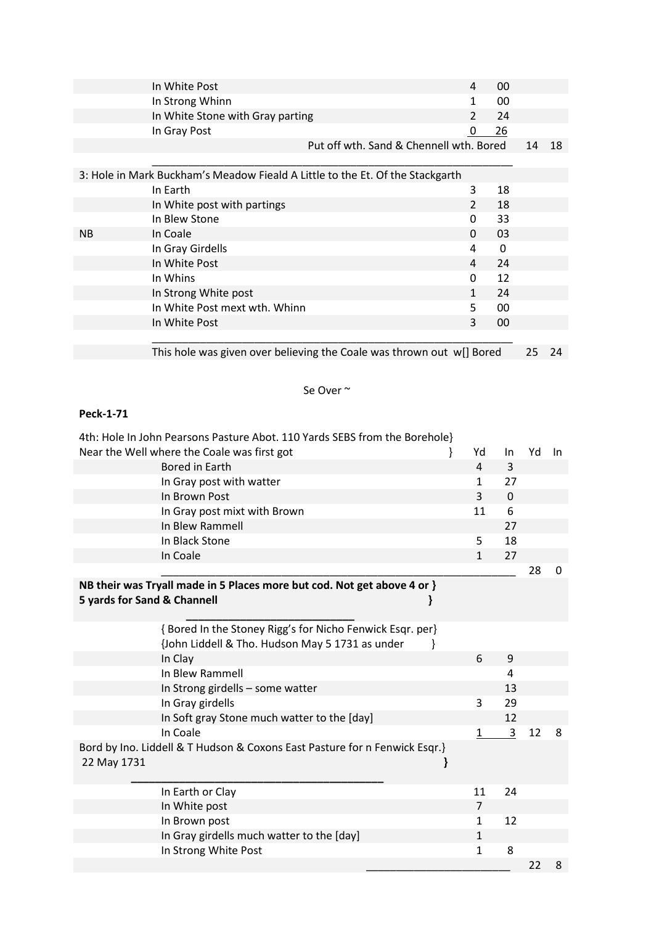|                             | In White Post                                                                 |   | 4                | 00          |    |       |
|-----------------------------|-------------------------------------------------------------------------------|---|------------------|-------------|----|-------|
|                             | In Strong Whinn                                                               |   | 1                | 00          |    |       |
|                             | In White Stone with Gray parting                                              |   | 2                | 24          |    |       |
|                             | In Gray Post                                                                  |   | $\boldsymbol{0}$ | 26          |    |       |
|                             | Put off wth. Sand & Chennell wth. Bored                                       |   |                  |             | 14 | 18    |
|                             |                                                                               |   |                  |             |    |       |
|                             | 3: Hole in Mark Buckham's Meadow Fieald A Little to the Et. Of the Stackgarth |   |                  |             |    |       |
|                             | In Earth                                                                      |   | 3                | 18          |    |       |
|                             | In White post with partings                                                   |   | $\overline{2}$   | 18          |    |       |
|                             | In Blew Stone                                                                 |   | 0                | 33          |    |       |
| <b>NB</b>                   | In Coale                                                                      |   | 0                | 03          |    |       |
|                             | In Gray Girdells                                                              |   | 4                | 0           |    |       |
|                             | In White Post                                                                 |   | 4                | 24          |    |       |
|                             | In Whins                                                                      |   | 0                | 12          |    |       |
|                             | In Strong White post                                                          |   | $\mathbf{1}$     | 24          |    |       |
|                             | In White Post mext wth. Whinn                                                 |   | 5                | 00          |    |       |
|                             | In White Post                                                                 |   | 3                | 00          |    |       |
|                             |                                                                               |   |                  |             |    |       |
|                             | This hole was given over believing the Coale was thrown out w[] Bored         |   |                  |             | 25 | 24    |
|                             |                                                                               |   |                  |             |    |       |
|                             |                                                                               |   |                  |             |    |       |
|                             | Se Over ~                                                                     |   |                  |             |    |       |
|                             |                                                                               |   |                  |             |    |       |
| Peck-1-71                   |                                                                               |   |                  |             |    |       |
|                             | 4th: Hole In John Pearsons Pasture Abot. 110 Yards SEBS from the Borehole}    |   |                  |             |    |       |
|                             | Near the Well where the Coale was first got                                   | } | Yd               | In          | Yd | $\ln$ |
|                             | Bored in Earth                                                                |   | 4                | 3           |    |       |
|                             | In Gray post with watter                                                      |   | $\mathbf{1}$     | 27          |    |       |
|                             | In Brown Post                                                                 |   | 3                | $\mathbf 0$ |    |       |
|                             |                                                                               |   | 11               | 6           |    |       |
|                             | In Gray post mixt with Brown                                                  |   |                  |             |    |       |
|                             | In Blew Rammell                                                               |   |                  | 27          |    |       |
|                             | In Black Stone                                                                |   | 5                | 18          |    |       |
|                             | In Coale                                                                      |   | $\mathbf{1}$     | 27          |    |       |
|                             |                                                                               |   |                  |             | 28 | 0     |
|                             | NB their was Tryall made in 5 Places more but cod. Not get above 4 or }       |   |                  |             |    |       |
| 5 yards for Sand & Channell | ł                                                                             |   |                  |             |    |       |
|                             |                                                                               |   |                  |             |    |       |
|                             | {Bored In the Stoney Rigg's for Nicho Fenwick Esqr. per}                      |   |                  |             |    |       |
|                             | {John Liddell & Tho. Hudson May 5 1731 as under<br>ł                          |   |                  |             |    |       |
|                             | In Clay                                                                       |   | 6                | 9           |    |       |
|                             | In Blew Rammell                                                               |   |                  | 4           |    |       |
|                             | In Strong girdells - some watter                                              |   |                  | 13          |    |       |
|                             | In Gray girdells                                                              |   | 3                | 29          |    |       |
|                             | In Soft gray Stone much watter to the [day]                                   |   |                  | 12          |    |       |
|                             | In Coale                                                                      |   | $\mathbf{1}$     | 3           | 12 | 8     |
|                             | Bord by Ino. Liddell & T Hudson & Coxons East Pasture for n Fenwick Esqr.}    |   |                  |             |    |       |
| 22 May 1731                 |                                                                               | } |                  |             |    |       |
|                             |                                                                               |   |                  |             |    |       |
|                             | In Earth or Clay                                                              |   | 11               | 24          |    |       |
|                             | In White post                                                                 |   | $\overline{7}$   |             |    |       |
|                             | In Brown post                                                                 |   | $\mathbf{1}$     | 12          |    |       |
|                             | In Gray girdells much watter to the [day]                                     |   | $\mathbf{1}$     |             |    |       |
|                             | In Strong White Post                                                          |   | $\mathbf{1}$     | 8           |    |       |
|                             |                                                                               |   |                  |             | 22 | 8     |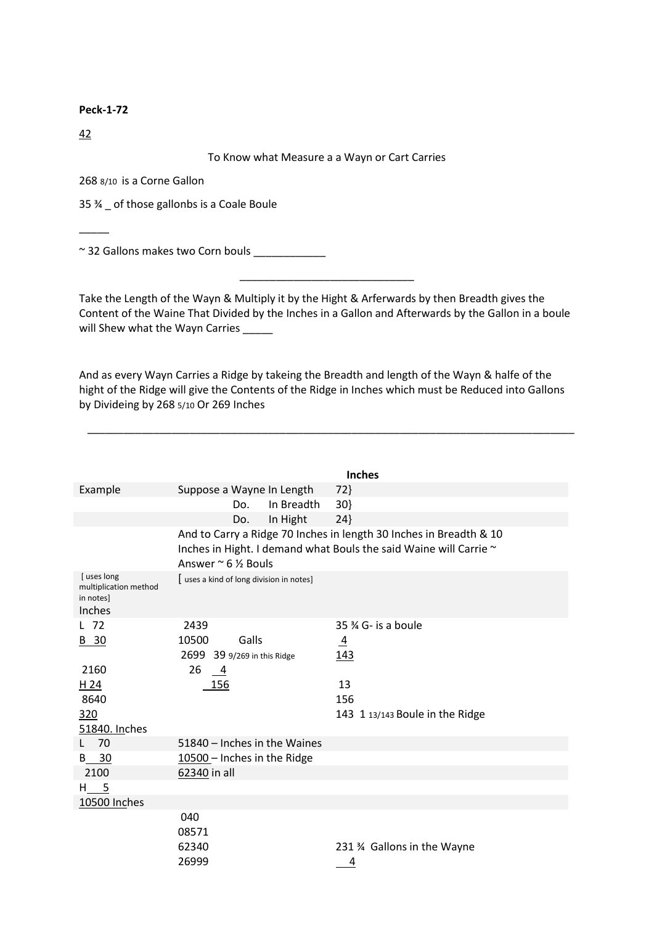42

 $\overline{\phantom{a}}$ 

#### To Know what Measure a a Wayn or Cart Carries

268 8/10 is a Corne Gallon

35 ¾ \_ of those gallonbs is a Coale Boule

~ 32 Gallons makes two Corn bouls \_\_\_\_\_\_\_\_\_\_\_\_

Take the Length of the Wayn & Multiply it by the Hight & Arferwards by then Breadth gives the Content of the Waine That Divided by the Inches in a Gallon and Afterwards by the Gallon in a boule will Shew what the Wayn Carries \_\_\_\_\_

\_\_\_\_\_\_\_\_\_\_\_\_\_\_\_\_\_\_\_\_\_\_\_\_\_\_\_\_\_

And as every Wayn Carries a Ridge by takeing the Breadth and length of the Wayn & halfe of the hight of the Ridge will give the Contents of the Ridge in Inches which must be Reduced into Gallons by Divideing by 268 5/10 Or 269 Inches

\_\_\_\_\_\_\_\_\_\_\_\_\_\_\_\_\_\_\_\_\_\_\_\_\_\_\_\_\_\_\_\_\_\_\_\_\_\_\_\_\_\_\_\_\_\_\_\_\_\_\_\_\_\_\_\_\_\_\_\_\_\_\_\_\_\_\_\_\_\_\_\_\_\_\_\_\_\_\_\_\_

|                                                            |                                               |            | <b>Inches</b>                                                                                                                           |
|------------------------------------------------------------|-----------------------------------------------|------------|-----------------------------------------------------------------------------------------------------------------------------------------|
| Example                                                    | Suppose a Wayne In Length                     |            | 72                                                                                                                                      |
|                                                            | Do.                                           | In Breadth | 30                                                                                                                                      |
|                                                            | Do.                                           | In Hight   | 24                                                                                                                                      |
|                                                            | Answer $\approx$ 6 $\frac{1}{2}$ Bouls        |            | And to Carry a Ridge 70 Inches in length 30 Inches in Breadth & 10<br>Inches in Hight. I demand what Bouls the said Waine will Carrie ~ |
| [uses long<br>multiplication method<br>in notes]<br>Inches | [uses a kind of long division in notes]       |            |                                                                                                                                         |
| L 72                                                       | 2439                                          |            | $35\%$ G- is a boule                                                                                                                    |
| B 30                                                       | Galls<br>10500<br>2699 39 9/269 in this Ridge |            | $\overline{4}$<br><u>143</u>                                                                                                            |
| 2160                                                       | 26<br>$\overline{4}$                          |            |                                                                                                                                         |
| H <sub>24</sub>                                            | 156                                           |            | 13                                                                                                                                      |
| 8640                                                       |                                               |            | 156                                                                                                                                     |
| 320                                                        |                                               |            | 143 1 13/143 Boule in the Ridge                                                                                                         |
| 51840. Inches                                              |                                               |            |                                                                                                                                         |
| 70                                                         | 51840 - Inches in the Waines                  |            |                                                                                                                                         |
| - 30<br>B                                                  | 10500 - Inches in the Ridge                   |            |                                                                                                                                         |
| 2100                                                       | 62340 in all                                  |            |                                                                                                                                         |
| H 5                                                        |                                               |            |                                                                                                                                         |
| 10500 Inches                                               |                                               |            |                                                                                                                                         |
|                                                            | 040<br>08571<br>62340<br>26999                |            | 231 % Gallons in the Wayne<br>4                                                                                                         |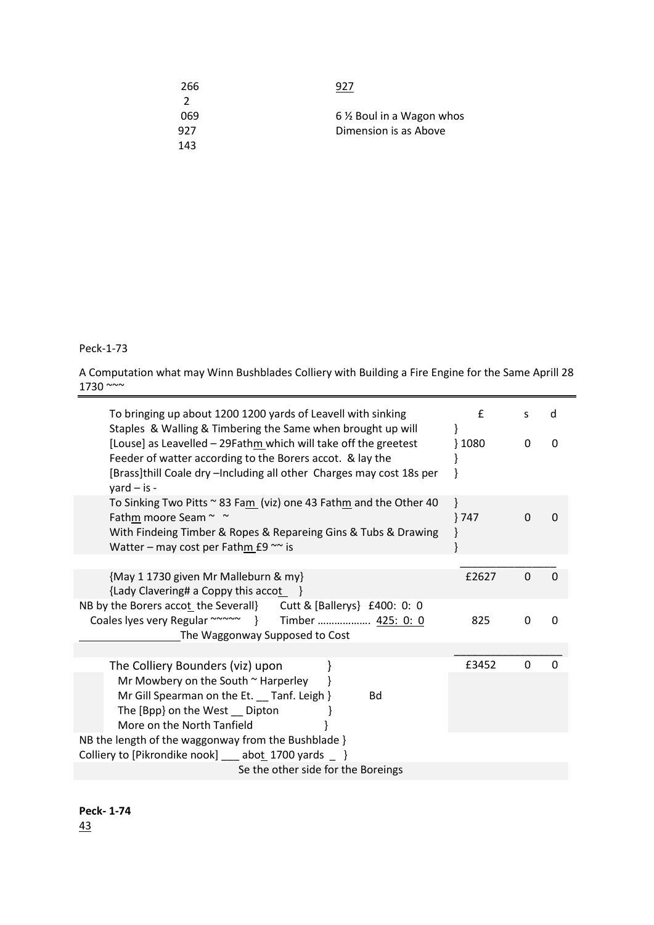| 266           | 927                      |
|---------------|--------------------------|
| $\mathcal{L}$ |                          |
| 069           | 6 % Boul in a Wagon whos |
| 927           | Dimension is as Above    |
| 143           |                          |

A Computation what may Winn Bushblades Colliery with Building a Fire Engine for the Same Aprill 28 1730  $\sim$ 

| To bringing up about 1200 1200 yards of Leavell with sinking<br>Staples & Walling & Timbering the Same when brought up will                                                                                                 | $\mathbf{f}$     | S        | d        |
|-----------------------------------------------------------------------------------------------------------------------------------------------------------------------------------------------------------------------------|------------------|----------|----------|
| [Louse] as Leavelled - 29Fathm which will take off the greetest<br>Feeder of watter according to the Borers accot. & lay the<br>[Brass]thill Coale dry -Including all other Charges may cost 18s per<br>$\gamma$ ard – is - | $\frac{1080}{ }$ | 0        | 0        |
| To Sinking Two Pitts ~ 83 Fam (viz) one 43 Fathm and the Other 40<br>Fathm moore Seam ~ ~<br>With Findeing Timber & Ropes & Repareing Gins & Tubs & Drawing<br>Watter - may cost per Fathm $f9 \sim$ is                     | $}747$           | $\Omega$ | $\Omega$ |
|                                                                                                                                                                                                                             |                  |          |          |
| {May 1 1730 given Mr Malleburn & my}<br>{Lady Clavering# a Coppy this accot                                                                                                                                                 | £2627            | $\Omega$ | $\Omega$ |
| NB by the Borers accot the Severall} Cutt & [Ballerys] £400: 0: 0                                                                                                                                                           |                  |          |          |
| Coales lyes very Regular ~~~~~ } Timber  425: 0: 0<br>The Waggonway Supposed to Cost                                                                                                                                        | 825              | 0        | $\Omega$ |
|                                                                                                                                                                                                                             |                  |          |          |
| The Colliery Bounders (viz) upon                                                                                                                                                                                            | £3452            | $\Omega$ | $\Omega$ |
| Mr Mowbery on the South $\sim$ Harperley                                                                                                                                                                                    |                  |          |          |
| Mr Gill Spearman on the Et. __ Tanf. Leigh }<br><b>Bd</b>                                                                                                                                                                   |                  |          |          |
| The [Bpp] on the West __ Dipton                                                                                                                                                                                             |                  |          |          |
| More on the North Tanfield                                                                                                                                                                                                  |                  |          |          |
| NB the length of the waggonway from the Bushblade }                                                                                                                                                                         |                  |          |          |
| Colliery to [Pikrondike nook] __ abot_1700 yards _ }                                                                                                                                                                        |                  |          |          |
| Se the other side for the Boreings                                                                                                                                                                                          |                  |          |          |

**Peck- 1-74** 43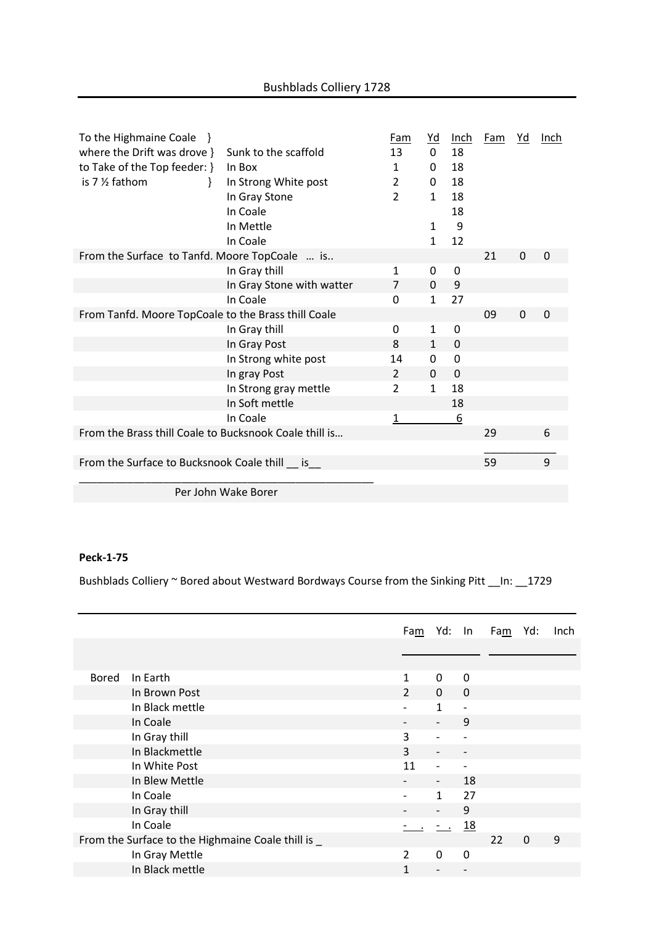| To the Highmaine Coale }                               |                           | Fam            | <u>Yd</u>    | Inch     | <b>Fam</b> | Yd       | Inch     |
|--------------------------------------------------------|---------------------------|----------------|--------------|----------|------------|----------|----------|
| where the Drift was drove }                            | Sunk to the scaffold      | 13             | $\Omega$     | 18       |            |          |          |
| to Take of the Top feeder: }                           | In Box                    | 1              | 0            | 18       |            |          |          |
| is 7 % fathom<br>Ł                                     | In Strong White post      | $\overline{2}$ | 0            | 18       |            |          |          |
|                                                        | In Gray Stone             | $\overline{2}$ | 1            | 18       |            |          |          |
|                                                        | In Coale                  |                |              | 18       |            |          |          |
|                                                        | In Mettle                 |                | 1            | 9        |            |          |          |
|                                                        | In Coale                  |                | $\mathbf{1}$ | 12       |            |          |          |
| From the Surface to Tanfd. Moore TopCoale  is          |                           |                |              |          | 21         | $\Omega$ | $\Omega$ |
|                                                        | In Gray thill             | 1              | 0            | 0        |            |          |          |
|                                                        | In Gray Stone with watter | $\overline{7}$ | 0            | 9        |            |          |          |
|                                                        | In Coale                  | 0              | $\mathbf{1}$ | 27       |            |          |          |
| From Tanfd. Moore TopCoale to the Brass thill Coale    |                           |                |              |          | 09         | $\Omega$ | $\Omega$ |
|                                                        | In Gray thill             | 0              | 1            | 0        |            |          |          |
|                                                        | In Gray Post              | 8              | $\mathbf{1}$ | $\Omega$ |            |          |          |
|                                                        | In Strong white post      | 14             | 0            | 0        |            |          |          |
|                                                        | In gray Post              | $\overline{2}$ | 0            | $\Omega$ |            |          |          |
|                                                        | In Strong gray mettle     | 2              | $\mathbf{1}$ | 18       |            |          |          |
|                                                        | In Soft mettle            |                |              | 18       |            |          |          |
|                                                        | In Coale                  | 1              |              | <u>6</u> |            |          |          |
| From the Brass thill Coale to Bucksnook Coale thill is |                           |                |              |          | 29         |          | 6        |
|                                                        |                           |                |              |          |            |          |          |
| From the Surface to Bucksnook Coale thill is           |                           |                |              |          | 59         |          | 9        |
|                                                        |                           |                |              |          |            |          |          |
| Per John Wake Borer                                    |                           |                |              |          |            |          |          |

Bushblads Colliery ~ Bored about Westward Bordways Course from the Sinking Pitt \_\_In: \_\_1729

|                                                    |                 |                |                          |                          | Fam Yd: In Fam | Yd:         | Inch |
|----------------------------------------------------|-----------------|----------------|--------------------------|--------------------------|----------------|-------------|------|
|                                                    |                 |                |                          |                          |                |             |      |
|                                                    |                 |                |                          |                          |                |             |      |
| <b>Bored</b>                                       | In Earth        | $\mathbf{1}$   | 0                        | 0                        |                |             |      |
|                                                    | In Brown Post   | $\overline{2}$ | $\mathbf{0}$             | $\Omega$                 |                |             |      |
|                                                    | In Black mettle |                | $\mathbf{1}$             | $\overline{\phantom{a}}$ |                |             |      |
|                                                    | In Coale        |                |                          | 9                        |                |             |      |
|                                                    | In Gray thill   | 3              |                          |                          |                |             |      |
|                                                    | In Blackmettle  | 3              |                          |                          |                |             |      |
|                                                    | In White Post   | 11             |                          |                          |                |             |      |
|                                                    | In Blew Mettle  |                | $\overline{\phantom{a}}$ | 18                       |                |             |      |
|                                                    | In Coale        |                | $\mathbf{1}$             | 27                       |                |             |      |
|                                                    | In Gray thill   |                |                          | 9                        |                |             |      |
|                                                    | In Coale        |                | $-$ .                    | <u>18</u>                |                |             |      |
| From the Surface to the Highmaine Coale thill is _ |                 |                |                          |                          | 22             | $\mathbf 0$ | 9    |
|                                                    | In Gray Mettle  | $\overline{2}$ | $\Omega$                 | $\Omega$                 |                |             |      |
|                                                    | In Black mettle | 1              |                          |                          |                |             |      |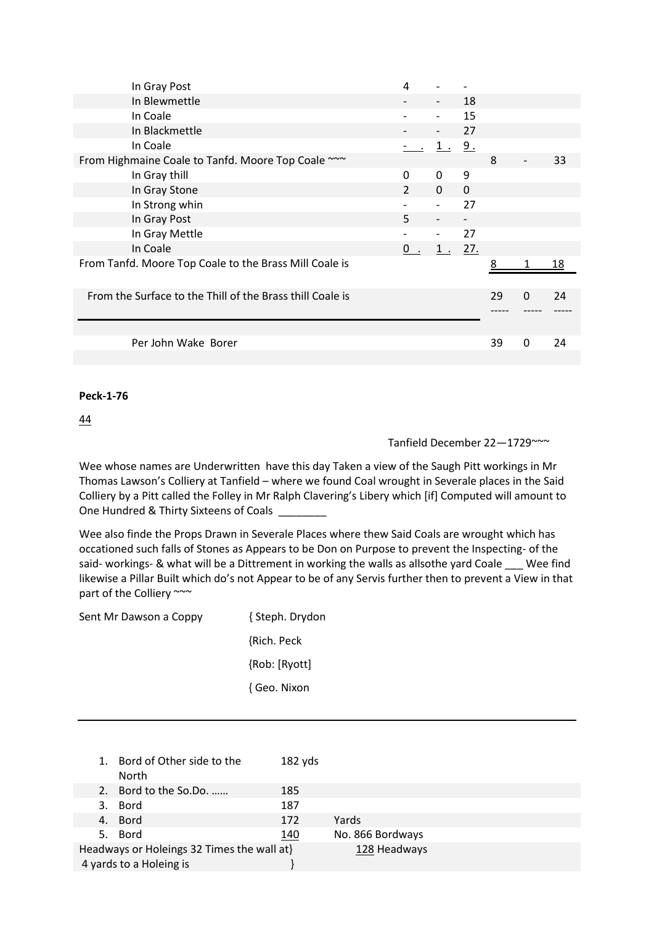| In Gray Post                                              | 4              |                          |                          |    |          |    |
|-----------------------------------------------------------|----------------|--------------------------|--------------------------|----|----------|----|
| In Blewmettle                                             |                |                          | 18                       |    |          |    |
| In Coale                                                  |                |                          | 15                       |    |          |    |
| In Blackmettle                                            |                |                          | 27                       |    |          |    |
| In Coale                                                  |                | $1$ .                    | 9.                       |    |          |    |
| From Highmaine Coale to Tanfd. Moore Top Coale ~~~        |                |                          |                          | 8  |          | 33 |
| In Gray thill                                             | $\Omega$       | $\Omega$                 | 9                        |    |          |    |
| In Gray Stone                                             | $\overline{2}$ | $\mathbf{0}$             | $\mathbf{0}$             |    |          |    |
| In Strong whin                                            |                | $\overline{\phantom{a}}$ | 27                       |    |          |    |
| In Gray Post                                              | 5              | $\overline{\phantom{a}}$ | $\overline{\phantom{0}}$ |    |          |    |
| In Gray Mettle                                            |                | $\overline{\phantom{0}}$ | 27                       |    |          |    |
| In Coale                                                  | $\mathbf{0}$   | $1$ .                    | 27.                      |    |          |    |
| From Tanfd. Moore Top Coale to the Brass Mill Coale is    |                |                          |                          | 8  |          | 18 |
|                                                           |                |                          |                          |    |          |    |
| From the Surface to the Thill of the Brass thill Coale is |                |                          |                          | 29 | $\Omega$ | 24 |
|                                                           |                |                          |                          |    |          |    |
|                                                           |                |                          |                          |    |          |    |
| Per John Wake Borer                                       |                |                          |                          | 39 | $\Omega$ | 24 |
|                                                           |                |                          |                          |    |          |    |

44

# Tanfield December 22—1729~~~

Wee whose names are Underwritten have this day Taken a view of the Saugh Pitt workings in Mr Thomas Lawson's Colliery at Tanfield – where we found Coal wrought in Severale places in the Said Colliery by a Pitt called the Folley in Mr Ralph Clavering's Libery which [if] Computed will amount to One Hundred & Thirty Sixteens of Coals

Wee also finde the Props Drawn in Severale Places where thew Said Coals are wrought which has occationed such falls of Stones as Appears to be Don on Purpose to prevent the Inspecting- of the said- workings- & what will be a Dittrement in working the walls as allsothe yard Coale Wee find likewise a Pillar Built which do's not Appear to be of any Servis further then to prevent a View in that part of the Colliery ~~~

| { Steph. Drydon |
|-----------------|
| {Rich. Peck     |
| {Rob: [Ryott]   |
| { Geo. Nixon    |
|                 |

| 1. Bord of Other side to the<br>North                                 | $182$ yds |                  |
|-----------------------------------------------------------------------|-----------|------------------|
| 2. Bord to the So.Do.                                                 | 185       |                  |
| 3. Bord                                                               | 187       |                  |
| 4. Bord                                                               | 172       | Yards            |
| 5. Bord                                                               | 140       | No. 866 Bordways |
| Headways or Holeings 32 Times the wall at}<br>4 yards to a Holeing is |           | 128 Headways     |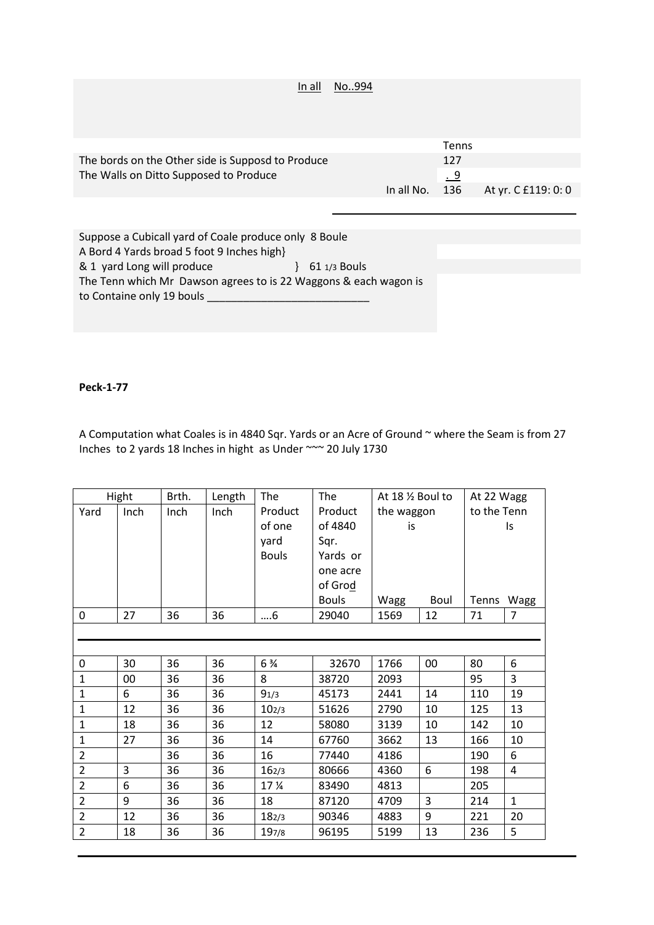| In all                                            | No994 |            |              |                     |
|---------------------------------------------------|-------|------------|--------------|---------------------|
|                                                   |       |            |              |                     |
|                                                   |       |            |              |                     |
|                                                   |       |            |              |                     |
|                                                   |       |            |              |                     |
|                                                   |       |            | <b>Tenns</b> |                     |
| The bords on the Other side is Supposd to Produce |       |            | 127          |                     |
| The Walls on Ditto Supposed to Produce            |       |            | <u>. 9</u>   |                     |
|                                                   |       | In all No. | 136          | At yr. C £119: 0: 0 |
|                                                   |       |            |              |                     |

Suppose a Cubicall yard of Coale produce only 8 Boule A Bord 4 Yards broad 5 foot 9 Inches high} & 1 yard Long will produce } 61 1/3 Bouls The Tenn which Mr Dawson agrees to is 22 Waggons & each wagon is to Containe only 19 bouls \_\_\_\_\_\_\_\_\_\_\_\_\_\_\_\_\_\_\_\_\_\_\_\_\_\_\_

## **Peck-1-77**

A Computation what Coales is in 4840 Sqr. Yards or an Acre of Ground ~ where the Seam is from 27 Inches to 2 yards 18 Inches in hight as Under ~~~ 20 July 1730

|                | Hight  | Brth. | Length | The               | The          | At 18 1/2 Boul to |        | At 22 Wagg  |                |  |
|----------------|--------|-------|--------|-------------------|--------------|-------------------|--------|-------------|----------------|--|
| Yard           | Inch   | Inch  | Inch   | Product           | Product      | the waggon        |        | to the Tenn |                |  |
|                |        |       |        | of one            | of 4840      | is                |        |             | Is             |  |
|                |        |       |        | yard              | Sqr.         |                   |        |             |                |  |
|                |        |       |        | <b>Bouls</b>      | Yards or     |                   |        |             |                |  |
|                |        |       |        |                   | one acre     |                   |        |             |                |  |
|                |        |       |        |                   | of Grod      |                   |        |             |                |  |
|                |        |       |        |                   | <b>Bouls</b> | Wagg              | Boul   | Tenns Wagg  |                |  |
| $\mathbf 0$    | 27     | 36    | 36     | $\dots6$          | 29040        | 1569              | 12     | 71          | $\overline{7}$ |  |
|                |        |       |        |                   |              |                   |        |             |                |  |
|                |        |       |        |                   |              |                   |        |             |                |  |
| $\pmb{0}$      | 30     | 36    | 36     | $6\frac{3}{4}$    | 32670        | 1766              | $00\,$ | 80          | $6\,$          |  |
| $\mathbf{1}$   | $00\,$ | 36    | 36     | 8                 | 38720        | 2093              |        | 95          | 3              |  |
| $\mathbf 1$    | 6      | 36    | 36     | 91/3              | 45173        | 2441              | 14     | 110         | 19             |  |
| $\mathbf 1$    | 12     | 36    | 36     | 10 <sub>2/3</sub> | 51626        | 2790              | 10     | 125         | 13             |  |
| $\mathbf{1}$   | 18     | 36    | 36     | 12                | 58080        | 3139              | 10     | 142         | 10             |  |
| $\mathbf 1$    | 27     | 36    | 36     | 14                | 67760        | 3662              | 13     | 166         | 10             |  |
| $\mathbf 2$    |        | 36    | 36     | 16                | 77440        | 4186              |        | 190         | 6              |  |
| $\overline{2}$ | 3      | 36    | 36     | 162/3             | 80666        | 4360              | 6      | 198         | $\overline{4}$ |  |
| $\overline{2}$ | 6      | 36    | 36     | 17 %              | 83490        | 4813              |        | 205         |                |  |
| $\overline{2}$ | $9\,$  | 36    | 36     | 18                | 87120        | 4709              | 3      | 214         | $\mathbf{1}$   |  |
| $\overline{2}$ | 12     | 36    | 36     | 182/3             | 90346        | 4883              | 9      | 221         | 20             |  |
| $\overline{2}$ | 18     | 36    | 36     | 197/8             | 96195        | 5199              | 13     | 236         | 5              |  |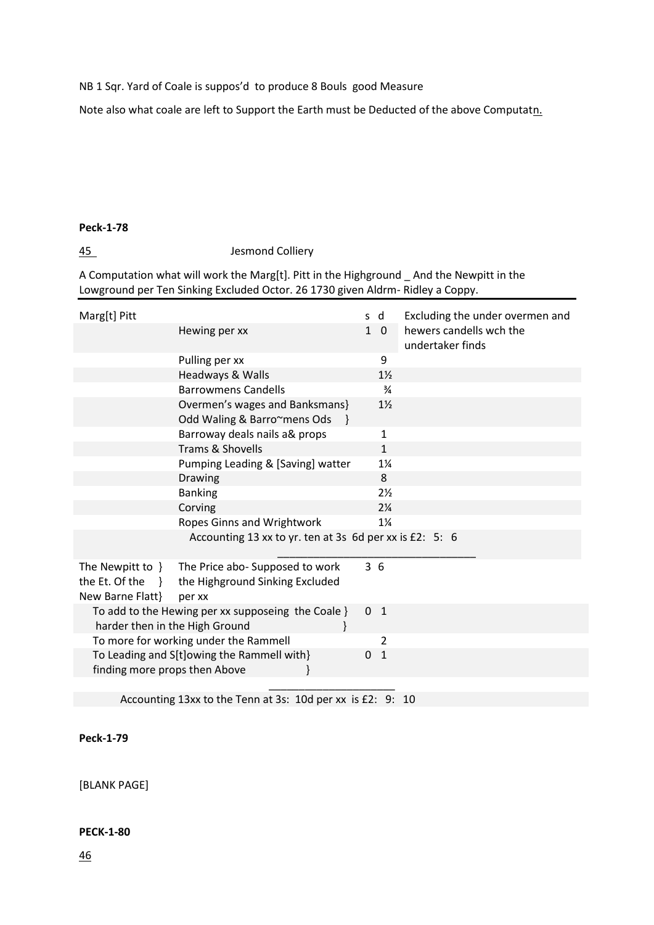NB 1 Sqr. Yard of Coale is suppos'd to produce 8 Bouls good Measure

Note also what coale are left to Support the Earth must be Deducted of the above Computatn.

#### **Peck-1-78**

45 Jesmond Colliery

A Computation what will work the Marg[t]. Pitt in the Highground \_ And the Newpitt in the Lowground per Ten Sinking Excluded Octor. 26 1730 given Aldrm- Ridley a Coppy.

| Marg[t] Pitt                                                            |                                                                              | s d          |                | Excluding the under overmen and             |
|-------------------------------------------------------------------------|------------------------------------------------------------------------------|--------------|----------------|---------------------------------------------|
|                                                                         | Hewing per xx                                                                | $\mathbf{1}$ | $\mathbf{0}$   | hewers candells wch the<br>undertaker finds |
|                                                                         | Pulling per xx                                                               |              | 9              |                                             |
|                                                                         | Headways & Walls                                                             |              | $1\frac{1}{2}$ |                                             |
|                                                                         | <b>Barrowmens Candells</b>                                                   |              | $\frac{3}{4}$  |                                             |
|                                                                         | Overmen's wages and Banksmans}<br>Odd Waling & Barro~mens Ods                |              | $1\frac{1}{2}$ |                                             |
|                                                                         | Barroway deals nails a& props                                                |              | $\mathbf{1}$   |                                             |
|                                                                         | Trams & Shovells                                                             |              | $\mathbf{1}$   |                                             |
|                                                                         | Pumping Leading & [Saving] watter                                            |              | $1\frac{1}{4}$ |                                             |
|                                                                         | Drawing                                                                      |              | 8              |                                             |
|                                                                         | <b>Banking</b>                                                               |              | $2\frac{1}{2}$ |                                             |
|                                                                         | Corving                                                                      |              | $2\frac{1}{4}$ |                                             |
|                                                                         | Ropes Ginns and Wrightwork                                                   |              | $1\frac{1}{4}$ |                                             |
|                                                                         | Accounting 13 xx to yr. ten at 3s 6d per xx is £2: 5: 6                      |              |                |                                             |
| The Newpitt to }<br>the Et. Of the<br>$\rightarrow$<br>New Barne Flatt} | The Price abo- Supposed to work<br>the Highground Sinking Excluded<br>per xx | 36           |                |                                             |
| harder then in the High Ground                                          | To add to the Hewing per xx supposeing the Coale }                           |              | 0 <sub>1</sub> |                                             |
|                                                                         | To more for working under the Rammell                                        |              | $\overline{2}$ |                                             |
| finding more props then Above                                           | To Leading and S[t]owing the Rammell with}                                   | $\Omega$     | $\mathbf{1}$   |                                             |
|                                                                         |                                                                              |              |                |                                             |

Accounting 13xx to the Tenn at 3s: 10d per xx is £2: 9: 10

**Peck-1-79**

[BLANK PAGE]

**PECK-1-80**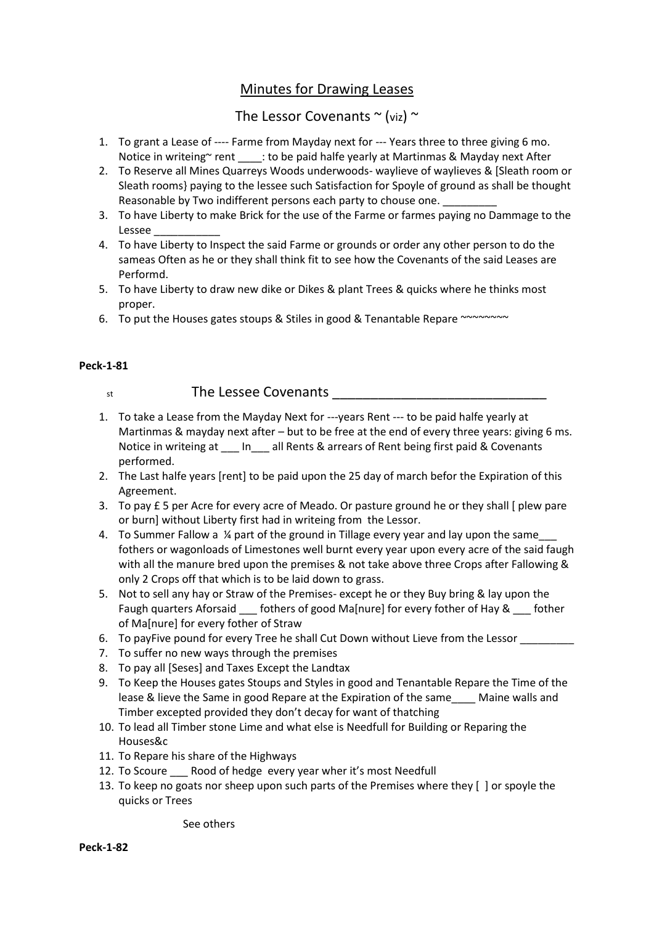# Minutes for Drawing Leases

# The Lessor Covenants  $\sim$  (viz)  $\sim$

- 1. To grant a Lease of ---- Farme from Mayday next for --- Years three to three giving 6 mo. Notice in writeing~ rent \_\_\_\_: to be paid halfe yearly at Martinmas & Mayday next After
- 2. To Reserve all Mines Quarreys Woods underwoods- waylieve of waylieves & [Sleath room or Sleath rooms} paying to the lessee such Satisfaction for Spoyle of ground as shall be thought Reasonable by Two indifferent persons each party to chouse one.
- 3. To have Liberty to make Brick for the use of the Farme or farmes paying no Dammage to the Lessee \_\_\_\_\_\_\_\_\_\_\_
- 4. To have Liberty to Inspect the said Farme or grounds or order any other person to do the sameas Often as he or they shall think fit to see how the Covenants of the said Leases are Performd.
- 5. To have Liberty to draw new dike or Dikes & plant Trees & quicks where he thinks most proper.
- 6. To put the Houses gates stoups & Stiles in good & Tenantable Repare ~~~~~~~~

# **Peck-1-81**

# st the Lessee Covenants

- 1. To take a Lease from the Mayday Next for ---years Rent --- to be paid halfe yearly at Martinmas & mayday next after – but to be free at the end of every three years: giving 6 ms. Notice in writeing at \_\_\_ In\_\_\_ all Rents & arrears of Rent being first paid & Covenants performed.
- 2. The Last halfe years [rent] to be paid upon the 25 day of march befor the Expiration of this Agreement.
- 3. To pay £ 5 per Acre for every acre of Meado. Or pasture ground he or they shall [ plew pare or burn] without Liberty first had in writeing from the Lessor.
- 4. To Summer Fallow a ¼ part of the ground in Tillage every year and lay upon the same fothers or wagonloads of Limestones well burnt every year upon every acre of the said faugh with all the manure bred upon the premises & not take above three Crops after Fallowing & only 2 Crops off that which is to be laid down to grass.
- 5. Not to sell any hay or Straw of the Premises- except he or they Buy bring & lay upon the Faugh quarters Aforsaid \_\_\_\_ fothers of good Ma[nure] for every fother of Hay & \_\_\_ fother of Ma[nure] for every fother of Straw
- 6. To payFive pound for every Tree he shall Cut Down without Lieve from the Lessor
- 7. To suffer no new ways through the premises
- 8. To pay all [Seses] and Taxes Except the Landtax
- 9. To Keep the Houses gates Stoups and Styles in good and Tenantable Repare the Time of the lease & lieve the Same in good Repare at the Expiration of the same Maine walls and Timber excepted provided they don't decay for want of thatching
- 10. To lead all Timber stone Lime and what else is Needfull for Building or Reparing the Houses&c
- 11. To Repare his share of the Highways
- 12. To Scoure \_\_\_ Rood of hedge every year wher it's most Needfull
- 13. To keep no goats nor sheep upon such parts of the Premises where they [ ] or spoyle the quicks or Trees

See others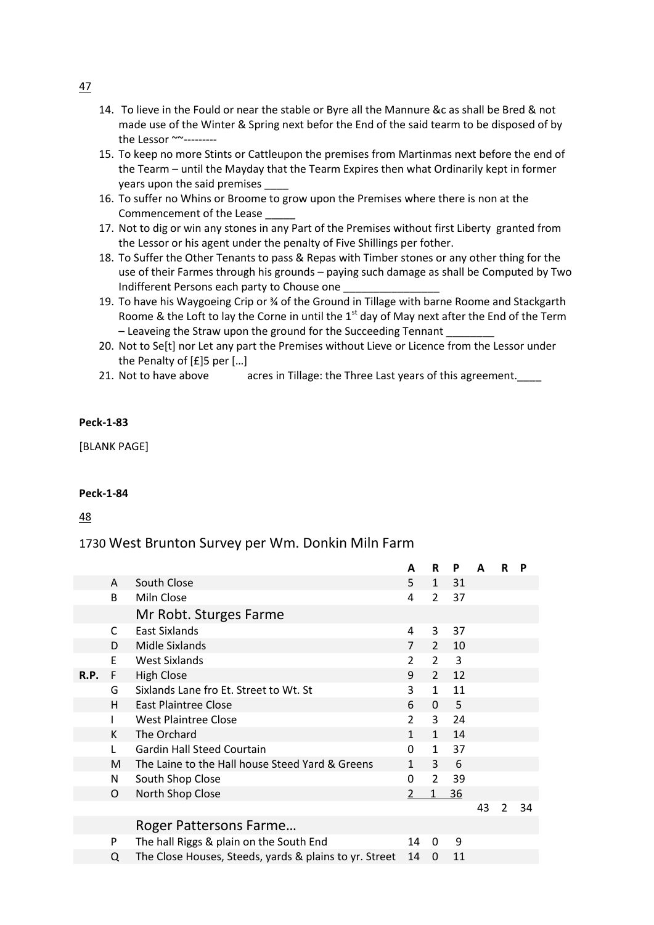- 14. To lieve in the Fould or near the stable or Byre all the Mannure &c as shall be Bred & not made use of the Winter & Spring next befor the End of the said tearm to be disposed of by the Lessor ~~---------
- 15. To keep no more Stints or Cattleupon the premises from Martinmas next before the end of the Tearm – until the Mayday that the Tearm Expires then what Ordinarily kept in former years upon the said premises
- 16. To suffer no Whins or Broome to grow upon the Premises where there is non at the Commencement of the Lease
- 17. Not to dig or win any stones in any Part of the Premises without first Liberty granted from the Lessor or his agent under the penalty of Five Shillings per fother.
- 18. To Suffer the Other Tenants to pass & Repas with Timber stones or any other thing for the use of their Farmes through his grounds – paying such damage as shall be Computed by Two Indifferent Persons each party to Chouse one
- 19. To have his Waygoeing Crip or ¾ of the Ground in Tillage with barne Roome and Stackgarth Roome & the Loft to lay the Corne in until the  $1<sup>st</sup>$  day of May next after the End of the Term – Leaveing the Straw upon the ground for the Succeeding Tennant \_\_\_\_\_\_\_\_
- 20. Not to Se[t] nor Let any part the Premises without Lieve or Licence from the Lessor under the Penalty of [£]5 per […]
- 21. Not to have above acres in Tillage: the Three Last years of this agreement.

[BLANK PAGE]

### **Peck-1-84**

48

# 1730 West Brunton Survey per Wm. Donkin Miln Farm

|      |   |                                                        | A              | R              | P  | A  | R             | P  |
|------|---|--------------------------------------------------------|----------------|----------------|----|----|---------------|----|
|      | A | South Close                                            | 5.             | $\mathbf{1}$   | 31 |    |               |    |
|      | B | Miln Close                                             | 4              | $\overline{2}$ | 37 |    |               |    |
|      |   | Mr Robt. Sturges Farme                                 |                |                |    |    |               |    |
|      | C | <b>East Sixlands</b>                                   | 4              | 3              | 37 |    |               |    |
|      | D | Midle Sixlands                                         | $\overline{7}$ | $\overline{2}$ | 10 |    |               |    |
|      | E | <b>West Sixlands</b>                                   | $\overline{2}$ | $\overline{2}$ | 3  |    |               |    |
| R.P. | F | <b>High Close</b>                                      | 9              | $\overline{2}$ | 12 |    |               |    |
|      | G | Sixlands Lane fro Et. Street to Wt. St                 | 3              | $\mathbf{1}$   | 11 |    |               |    |
|      | H | East Plaintree Close                                   | 6              | $\Omega$       | 5  |    |               |    |
|      |   | <b>West Plaintree Close</b>                            | $\overline{2}$ | 3              | 24 |    |               |    |
|      | K | The Orchard                                            | $\mathbf{1}$   | $\mathbf{1}$   | 14 |    |               |    |
|      | L | <b>Gardin Hall Steed Courtain</b>                      | $\mathbf 0$    | $\mathbf{1}$   | 37 |    |               |    |
|      | M | The Laine to the Hall house Steed Yard & Greens        | $\mathbf{1}$   | 3              | 6  |    |               |    |
|      | N | South Shop Close                                       | 0              | $\overline{2}$ | 39 |    |               |    |
|      | O | North Shop Close                                       | $\overline{2}$ | $\mathbf{1}$   | 36 |    |               |    |
|      |   |                                                        |                |                |    | 43 | $\mathcal{P}$ | 34 |
|      |   | Roger Pattersons Farme                                 |                |                |    |    |               |    |
|      | P | The hall Riggs & plain on the South End                | 14             | 0              | 9  |    |               |    |
|      | Q | The Close Houses, Steeds, yards & plains to yr. Street | 14             | 0              | 11 |    |               |    |

47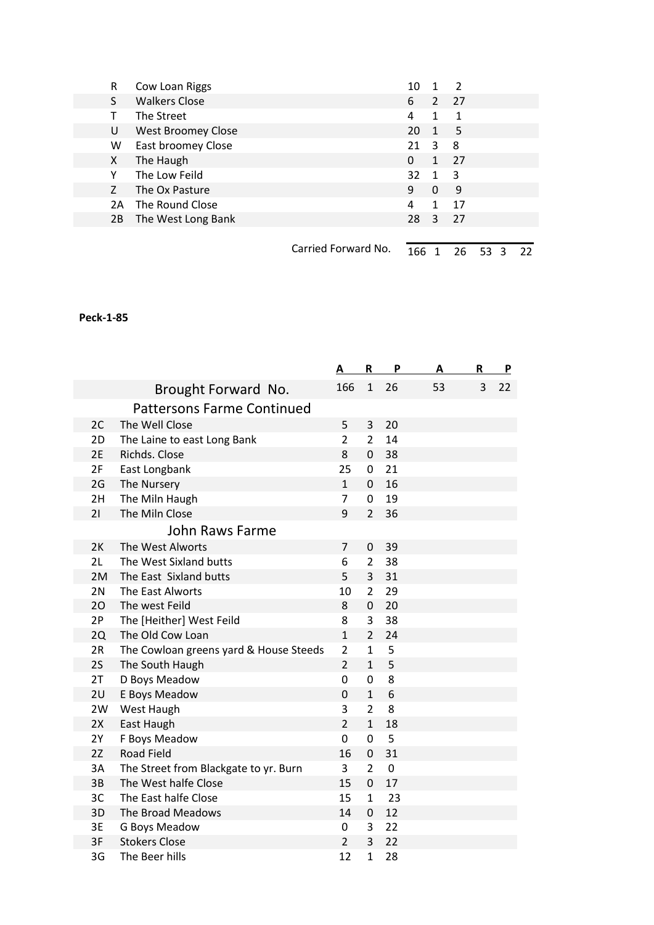| R  | Cow Loan Riggs            |                     | 10  |              | 2           |    |  |
|----|---------------------------|---------------------|-----|--------------|-------------|----|--|
| S. | <b>Walkers Close</b>      |                     | 6   | $2^{\circ}$  | 27          |    |  |
|    | The Street                |                     | 4   | 1            | $\mathbf 1$ |    |  |
| U  | <b>West Broomey Close</b> |                     | 20  | $\mathbf{1}$ | 5           |    |  |
| W  | East broomey Close        |                     | 21  | 3            | 8           |    |  |
| X. | The Haugh                 |                     | 0   | $\mathbf{1}$ | 27          |    |  |
| Υ  | The Low Feild             |                     | 32  | $\mathbf 1$  | -3          |    |  |
| Z  | The Ox Pasture            |                     | 9   | 0            | 9           |    |  |
| 2A | The Round Close           |                     | 4   | 1            | 17          |    |  |
| 2B | The West Long Bank        |                     | 28  | 3            | 27          |    |  |
|    |                           |                     |     |              |             |    |  |
|    |                           | Carried Forward No. | 166 |              | 26          | 53 |  |

|    |                                        | Α              | R                | P           | Α  | R | P  |
|----|----------------------------------------|----------------|------------------|-------------|----|---|----|
|    | Brought Forward No.                    | 166            | $\mathbf{1}$     | 26          | 53 | 3 | 22 |
|    | <b>Pattersons Farme Continued</b>      |                |                  |             |    |   |    |
| 2C | The Well Close                         | 5              | 3                | 20          |    |   |    |
| 2D | The Laine to east Long Bank            | $\overline{2}$ | $\overline{2}$   | 14          |    |   |    |
| 2E | Richds. Close                          | 8              | $\mathbf 0$      | 38          |    |   |    |
| 2F | East Longbank                          | 25             | 0                | 21          |    |   |    |
| 2G | The Nursery                            | $\mathbf{1}$   | $\mathbf 0$      | 16          |    |   |    |
| 2H | The Miln Haugh                         | $\overline{7}$ | $\mathbf 0$      | 19          |    |   |    |
| 21 | The Miln Close                         | 9              | $\overline{2}$   | 36          |    |   |    |
|    | John Raws Farme                        |                |                  |             |    |   |    |
| 2K | The West Alworts                       | 7              | 0                | 39          |    |   |    |
| 2L | The West Sixland butts                 | 6              | $\overline{2}$   | 38          |    |   |    |
| 2M | The East Sixland butts                 | 5              | 3                | 31          |    |   |    |
| 2N | The East Alworts                       | 10             | $\overline{2}$   | 29          |    |   |    |
| 20 | The west Feild                         | 8              | 0                | 20          |    |   |    |
| 2P | The [Heither] West Feild               | 8              | 3                | 38          |    |   |    |
| 2Q | The Old Cow Loan                       | $\mathbf{1}$   | $\overline{2}$   | 24          |    |   |    |
| 2R | The Cowloan greens yard & House Steeds | $\overline{2}$ | $\mathbf{1}$     | 5           |    |   |    |
| 2S | The South Haugh                        | $\overline{2}$ | $\mathbf{1}$     | 5           |    |   |    |
| 2T | D Boys Meadow                          | 0              | $\mathbf 0$      | 8           |    |   |    |
| 2U | E Boys Meadow                          | 0              | $\mathbf{1}$     | 6           |    |   |    |
| 2W | West Haugh                             | 3              | $\overline{2}$   | 8           |    |   |    |
| 2X | East Haugh                             | $\overline{2}$ | $\mathbf{1}$     | 18          |    |   |    |
| 2Y | F Boys Meadow                          | 0              | $\mathbf 0$      | 5           |    |   |    |
| 2Z | <b>Road Field</b>                      | 16             | $\boldsymbol{0}$ | 31          |    |   |    |
| 3A | The Street from Blackgate to yr. Burn  | 3              | $\overline{2}$   | $\mathbf 0$ |    |   |    |
| 3B | The West halfe Close                   | 15             | $\mathbf 0$      | 17          |    |   |    |
| 3C | The East halfe Close                   | 15             | $\mathbf{1}$     | 23          |    |   |    |
| 3D | The Broad Meadows                      | 14             | 0                | 12          |    |   |    |
| 3E | G Boys Meadow                          | 0              | 3                | 22          |    |   |    |
| 3F | <b>Stokers Close</b>                   | $\overline{2}$ | 3                | 22          |    |   |    |
| 3G | The Beer hills                         | 12             | $\mathbf{1}$     | 28          |    |   |    |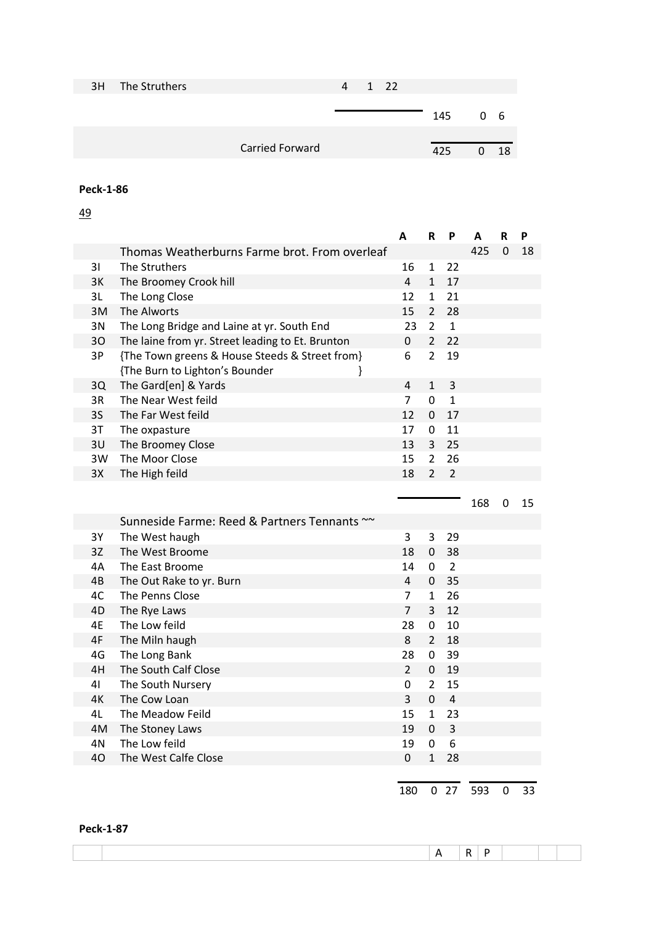| 3H The Struthers |                 | Δ | 1 22 |     |    |     |
|------------------|-----------------|---|------|-----|----|-----|
|                  |                 |   |      |     |    |     |
|                  |                 |   |      | 145 | 06 |     |
|                  |                 |   |      |     |    |     |
|                  | Carried Forward |   |      | 425 | U  | -18 |
|                  |                 |   |      |     |    |     |

49

|    |                                                                                       | A                | $\mathsf R$    | P               | Α   | R           | P  |
|----|---------------------------------------------------------------------------------------|------------------|----------------|-----------------|-----|-------------|----|
|    | Thomas Weatherburns Farme brot. From overleaf                                         |                  |                |                 | 425 | $\mathbf 0$ | 18 |
| 31 | The Struthers                                                                         | 16               | $\mathbf{1}$   | 22              |     |             |    |
| 3K | The Broomey Crook hill                                                                | $\overline{4}$   | $\mathbf{1}$   | 17              |     |             |    |
| 3L | The Long Close                                                                        | 12               | $\mathbf{1}$   | 21              |     |             |    |
| 3M | The Alworts                                                                           | 15               | $\overline{2}$ | 28              |     |             |    |
| 3N | The Long Bridge and Laine at yr. South End                                            | 23               | $\overline{2}$ | $\mathbf{1}$    |     |             |    |
| 30 | The laine from yr. Street leading to Et. Brunton                                      | 0                | $\overline{2}$ | 22              |     |             |    |
| 3P | {The Town greens & House Steeds & Street from}<br>{The Burn to Lighton's Bounder<br>} | 6                | $\overline{2}$ | 19              |     |             |    |
| 3Q | The Gard[en] & Yards                                                                  | $\overline{4}$   | $\mathbf 1$    | $\mathbf{3}$    |     |             |    |
| 3R | The Near West feild                                                                   | $\overline{7}$   | 0              | $\mathbf{1}$    |     |             |    |
| 3S | The Far West feild                                                                    | 12               | $\mathbf 0$    | 17              |     |             |    |
| 3T | The oxpasture                                                                         | 17               | $\mathbf 0$    | 11              |     |             |    |
| 3U | The Broomey Close                                                                     | 13               | $\overline{3}$ | 25              |     |             |    |
| 3W | The Moor Close                                                                        | 15               | $\overline{2}$ | 26              |     |             |    |
| 3X | The High feild                                                                        | 18               | $\overline{2}$ | $\overline{2}$  |     |             |    |
|    |                                                                                       |                  |                |                 | 168 | 0           | 15 |
|    | Sunneside Farme: Reed & Partners Tennants ~~                                          |                  |                |                 |     |             |    |
| 3Y | The West haugh                                                                        | 3                | 3              | 29              |     |             |    |
| 3Z | The West Broome                                                                       | 18               | $\mathbf 0$    | 38              |     |             |    |
| 4A | The East Broome                                                                       | 14               | $\mathbf 0$    | $\overline{2}$  |     |             |    |
| 4B | The Out Rake to yr. Burn                                                              | $\overline{4}$   | $\mathbf 0$    | 35              |     |             |    |
| 4C | The Penns Close                                                                       | 7                | $\mathbf{1}$   | 26              |     |             |    |
| 4D | The Rye Laws                                                                          | $\overline{7}$   | $\overline{3}$ | 12              |     |             |    |
| 4E | The Low feild                                                                         | 28               | 0              | 10              |     |             |    |
| 4F | The Miln haugh                                                                        | 8                | $\overline{2}$ | 18              |     |             |    |
| 4G | The Long Bank                                                                         | 28               | 0              | 39              |     |             |    |
| 4H | The South Calf Close                                                                  | $\overline{2}$   | 0              | 19              |     |             |    |
| 41 | The South Nursery                                                                     | $\mathbf 0$      | $\overline{2}$ | 15              |     |             |    |
| 4K | The Cow Loan                                                                          | $\overline{3}$   | $\overline{0}$ | $\sqrt{4}$      |     |             |    |
| 4L | The Meadow Feild                                                                      | 15               | $\mathbf{1}$   | 23              |     |             |    |
| 4M | The Stoney Laws                                                                       | 19               | $\mathbf 0$    | $\overline{3}$  |     |             |    |
| 4N | The Low feild                                                                         | 19               | $\mathbf 0$    | 6               |     |             |    |
| 40 | The West Calfe Close                                                                  | $\boldsymbol{0}$ | $\mathbf{1}$   | 28              |     |             |    |
|    |                                                                                       | 180              |                | 0 <sub>27</sub> | 593 | 0           | 33 |

### **Peck-1-87**

 $A \mid R \mid P$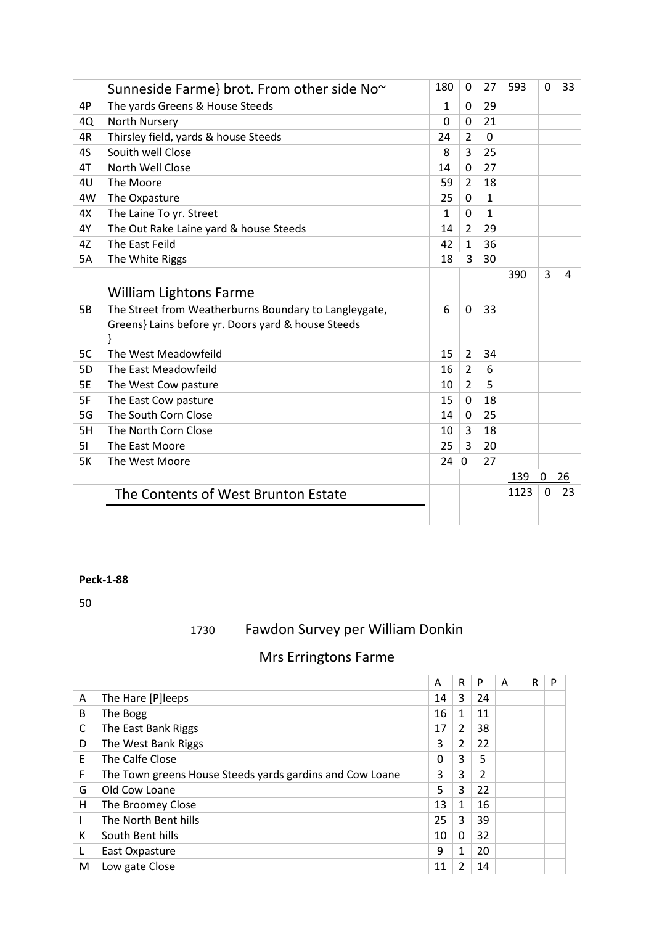|           | Sunneside Farme} brot. From other side No~            | 180          | $\Omega$       | 27           | 593  | $\mathbf 0$  | 33 |
|-----------|-------------------------------------------------------|--------------|----------------|--------------|------|--------------|----|
| 4P        | The yards Greens & House Steeds                       | $\mathbf{1}$ | $\Omega$       | 29           |      |              |    |
| 4Q        | North Nursery                                         | $\Omega$     | $\Omega$       | 21           |      |              |    |
| 4R        | Thirsley field, yards & house Steeds                  | 24           | $\overline{2}$ | $\Omega$     |      |              |    |
| 4S        | Souith well Close                                     | 8            | 3              | 25           |      |              |    |
| 4T        | North Well Close                                      | 14           | $\Omega$       | 27           |      |              |    |
| 4U        | The Moore                                             | 59           | $\overline{2}$ | 18           |      |              |    |
| 4W        | The Oxpasture                                         | 25           | 0              | $\mathbf{1}$ |      |              |    |
| 4X        | The Laine To yr. Street                               | $\mathbf{1}$ | $\Omega$       | 1            |      |              |    |
| 4Y        | The Out Rake Laine yard & house Steeds                | 14           | $\overline{2}$ | 29           |      |              |    |
| 4Z        | The East Feild                                        | 42           | $\mathbf{1}$   | 36           |      |              |    |
| <b>5A</b> | The White Riggs                                       | 18           | $\overline{3}$ | 30           |      |              |    |
|           |                                                       |              |                |              | 390  | 3            | 4  |
|           | William Lightons Farme                                |              |                |              |      |              |    |
| <b>5B</b> | The Street from Weatherburns Boundary to Langleygate, | 6            | $\mathbf 0$    | 33           |      |              |    |
|           | Greens} Lains before yr. Doors yard & house Steeds    |              |                |              |      |              |    |
|           |                                                       |              |                |              |      |              |    |
| 5C        | The West Meadowfeild                                  | 15           | $\overline{2}$ | 34           |      |              |    |
| 5D        | The East Meadowfeild                                  | 16           | $\overline{2}$ | 6            |      |              |    |
| <b>5E</b> | The West Cow pasture                                  | 10           | $\overline{2}$ | 5            |      |              |    |
| 5F        | The East Cow pasture                                  | 15           | $\Omega$       | 18           |      |              |    |
| 5G        | The South Corn Close                                  | 14           | $\Omega$       | 25           |      |              |    |
| 5H        | The North Corn Close                                  | 10           | 3              | 18           |      |              |    |
| 51        | The East Moore                                        | 25           | 3              | 20           |      |              |    |
| <b>5K</b> | The West Moore                                        | 24 0         |                | 27           |      |              |    |
|           |                                                       |              |                |              | 139  | 0            | 26 |
|           | The Contents of West Brunton Estate                   |              |                |              | 1123 | $\mathbf{0}$ | 23 |
|           |                                                       |              |                |              |      |              |    |
|           |                                                       |              |                |              |      |              |    |

50

# 1730 Fawdon Survey per William Donkin

# Mrs Erringtons Farme

|   |                                                          | A  | R | P  | A | R | P |
|---|----------------------------------------------------------|----|---|----|---|---|---|
| A | The Hare [P]leeps                                        | 14 | 3 | 24 |   |   |   |
| B | The Bogg                                                 | 16 | 1 | 11 |   |   |   |
| C | The East Bank Riggs                                      | 17 | 2 | 38 |   |   |   |
| D | The West Bank Riggs                                      | 3  | 2 | 22 |   |   |   |
| E | The Calfe Close                                          | 0  | 3 | 5  |   |   |   |
| F | The Town greens House Steeds yards gardins and Cow Loane | 3  | 3 | 2  |   |   |   |
| G | Old Cow Loane                                            | 5  | 3 | 22 |   |   |   |
| н | The Broomey Close                                        | 13 | 1 | 16 |   |   |   |
|   | The North Bent hills                                     | 25 | 3 | 39 |   |   |   |
| К | South Bent hills                                         | 10 | 0 | 32 |   |   |   |
|   | East Oxpasture                                           | 9  | 1 | 20 |   |   |   |
| М | Low gate Close                                           | 11 |   | 14 |   |   |   |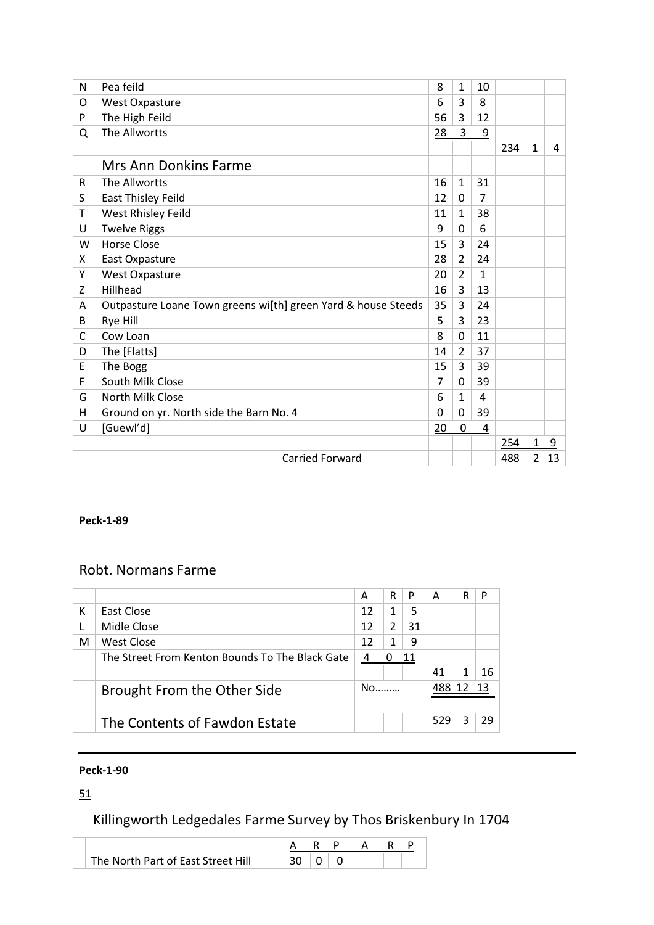| N | Pea feild                                                     | 8        | 1              | 10 |     |                |           |
|---|---------------------------------------------------------------|----------|----------------|----|-----|----------------|-----------|
| O | <b>West Oxpasture</b>                                         | 6        | 3              | 8  |     |                |           |
| P | The High Feild                                                | 56       | 3              | 12 |     |                |           |
| Q | The Allwortts                                                 | 28       | 3              | 9  |     |                |           |
|   |                                                               |          |                |    | 234 | $\mathbf{1}$   | 4         |
|   | <b>Mrs Ann Donkins Farme</b>                                  |          |                |    |     |                |           |
| R | The Allwortts                                                 | 16       | $\mathbf{1}$   | 31 |     |                |           |
| S | East Thisley Feild                                            | 12       | $\Omega$       | 7  |     |                |           |
| т | West Rhisley Feild                                            | 11       | $\mathbf{1}$   | 38 |     |                |           |
| U | <b>Twelve Riggs</b>                                           | 9        | $\Omega$       | 6  |     |                |           |
| W | <b>Horse Close</b>                                            | 15       | 3              | 24 |     |                |           |
| x | East Oxpasture                                                | 28       | $\overline{2}$ | 24 |     |                |           |
| Y | West Oxpasture                                                | 20       | $\overline{2}$ | 1  |     |                |           |
| Z | Hillhead                                                      | 16       | 3              | 13 |     |                |           |
| A | Outpasture Loane Town greens wi[th] green Yard & house Steeds | 35       | 3              | 24 |     |                |           |
| B | Rye Hill                                                      | 5        | 3              | 23 |     |                |           |
| C | Cow Loan                                                      | 8        | $\Omega$       | 11 |     |                |           |
| D | The [Flatts]                                                  | 14       | $\overline{2}$ | 37 |     |                |           |
| E | The Bogg                                                      | 15       | 3              | 39 |     |                |           |
| F | South Milk Close                                              | 7        | 0              | 39 |     |                |           |
| G | North Milk Close                                              | 6        | 1              | 4  |     |                |           |
| н | Ground on yr. North side the Barn No. 4                       | $\Omega$ | $\Omega$       | 39 |     |                |           |
| U | [Guewl'd]                                                     | 20       | 0              | 4  |     |                |           |
|   |                                                               |          |                |    | 254 | 1              | 9         |
|   | <b>Carried Forward</b>                                        |          |                |    | 488 | $\overline{2}$ | <u>13</u> |

# Robt. Normans Farme

|   |                                                 | A    | R             | P  | А   | R | P  |
|---|-------------------------------------------------|------|---------------|----|-----|---|----|
| К | East Close                                      | 12   |               | 5  |     |   |    |
|   | Midle Close                                     | 12   | $\mathcal{P}$ | 31 |     |   |    |
| M | West Close                                      | 12   |               | 9  |     |   |    |
|   | The Street From Kenton Bounds To The Black Gate | 4    |               | 11 |     |   |    |
|   |                                                 |      |               |    | 41  |   | 16 |
|   | Brought From the Other Side                     | $No$ |               |    | 488 |   |    |
|   | The Contents of Fawdon Estate                   |      |               |    | 529 | ੨ | 29 |

# **Peck-1-90**

# 51

# Killingworth Ledgedales Farme Survey by Thos Briskenbury In 1704

| The North Part of East Street Hill |  |  |  |  |
|------------------------------------|--|--|--|--|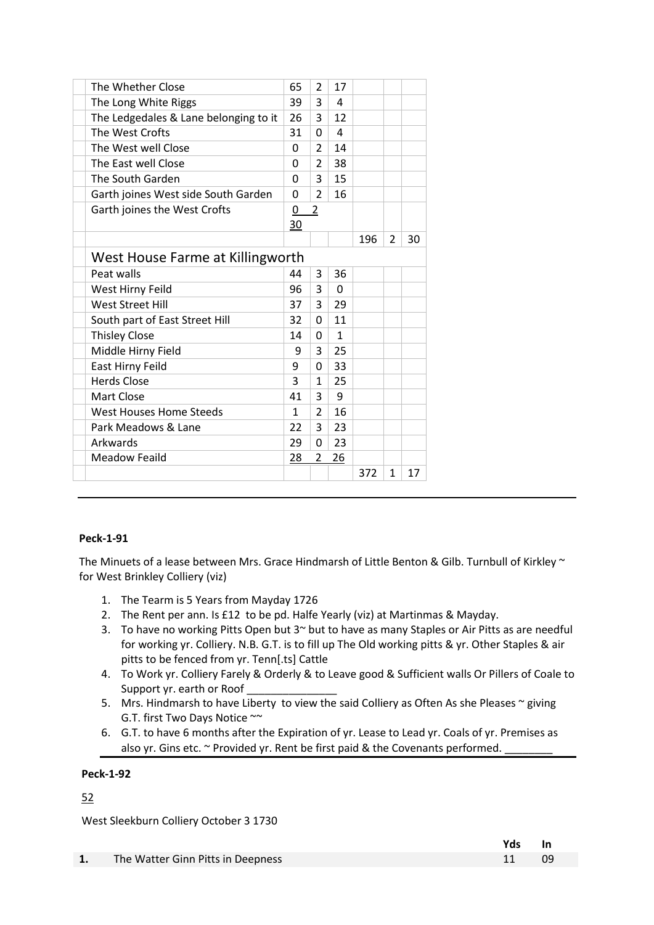| The Whether Close                     | 65           | $\overline{2}$ | 17           |     |                |    |
|---------------------------------------|--------------|----------------|--------------|-----|----------------|----|
| The Long White Riggs                  | 39           | 3              | 4            |     |                |    |
| The Ledgedales & Lane belonging to it | 26           | 3              | 12           |     |                |    |
| The West Crofts                       | 31           | 0              | 4            |     |                |    |
| The West well Close                   | 0            | 2              | 14           |     |                |    |
| The East well Close                   | 0            | $\overline{2}$ | 38           |     |                |    |
| The South Garden                      | $\Omega$     | 3              | 15           |     |                |    |
| Garth joines West side South Garden   | $\Omega$     | $\overline{2}$ | 16           |     |                |    |
| Garth joines the West Crofts          | 0            | 2              |              |     |                |    |
|                                       | 30           |                |              |     |                |    |
|                                       |              |                |              | 196 | $\overline{2}$ | 30 |
| West House Farme at Killingworth      |              |                |              |     |                |    |
| Peat walls                            | 44           | 3              | 36           |     |                |    |
| West Hirny Feild                      | 96           | 3              | $\Omega$     |     |                |    |
| <b>West Street Hill</b>               | 37           | 3              | 29           |     |                |    |
| South part of East Street Hill        | 32           | $\Omega$       | 11           |     |                |    |
| <b>Thisley Close</b>                  | 14           | 0              | $\mathbf{1}$ |     |                |    |
| Middle Hirny Field                    | 9            | 3              | 25           |     |                |    |
| East Hirny Feild                      | 9            | 0              | 33           |     |                |    |
| <b>Herds Close</b>                    | 3            | 1              | 25           |     |                |    |
| Mart Close                            | 41           | 3              | 9            |     |                |    |
| <b>West Houses Home Steeds</b>        | $\mathbf{1}$ | 2              | 16           |     |                |    |
| Park Meadows & Lane                   | 22           | 3              | 23           |     |                |    |
| Arkwards                              | 29           | 0              | 23           |     |                |    |
| <b>Meadow Feaild</b>                  | 28           | 2              | 26           |     |                |    |
|                                       |              |                |              | 372 | $\mathbf{1}$   | 17 |
|                                       |              |                |              |     |                |    |

The Minuets of a lease between Mrs. Grace Hindmarsh of Little Benton & Gilb. Turnbull of Kirkley ~ for West Brinkley Colliery (viz)

- 1. The Tearm is 5 Years from Mayday 1726
- 2. The Rent per ann. Is £12 to be pd. Halfe Yearly (viz) at Martinmas & Mayday.
- 3. To have no working Pitts Open but 3~ but to have as many Staples or Air Pitts as are needful for working yr. Colliery. N.B. G.T. is to fill up The Old working pitts & yr. Other Staples & air pitts to be fenced from yr. Tenn[.ts] Cattle
- 4. To Work yr. Colliery Farely & Orderly & to Leave good & Sufficient walls Or Pillers of Coale to Support yr. earth or Roof
- 5. Mrs. Hindmarsh to have Liberty to view the said Colliery as Often As she Pleases  $\sim$  giving G.T. first Two Days Notice ~~
- 6. G.T. to have 6 months after the Expiration of yr. Lease to Lead yr. Coals of yr. Premises as also yr. Gins etc.  $\sim$  Provided yr. Rent be first paid & the Covenants performed.

# **Peck-1-92**

# 52

West Sleekburn Colliery October 3 1730

|                                      | Yds In |  |
|--------------------------------------|--------|--|
| 1. The Watter Ginn Pitts in Deepness |        |  |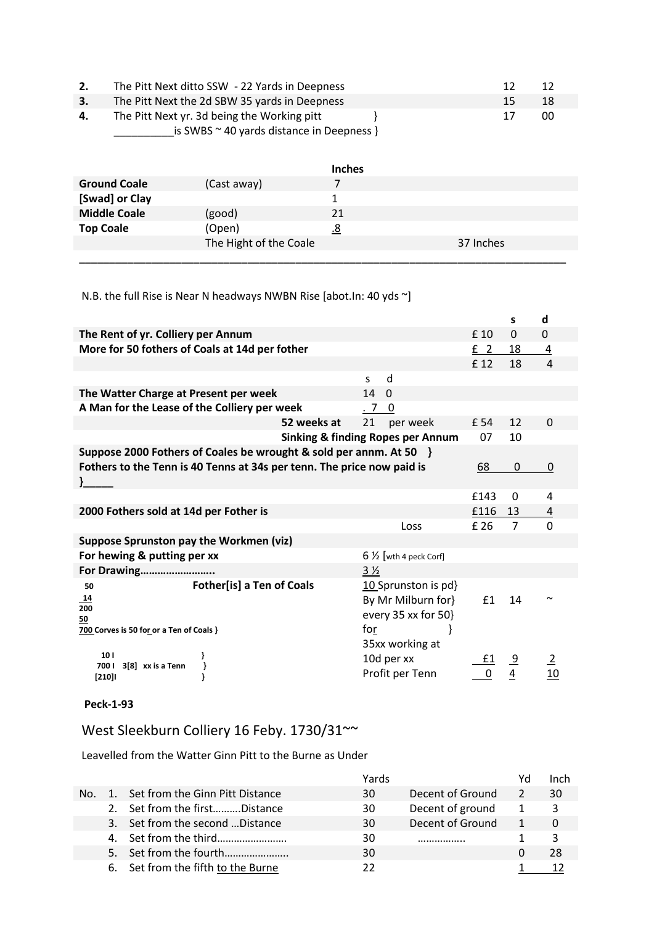|    | The Pitt Next ditto SSW - 22 Yards in Deepness                                                |    | -12 |
|----|-----------------------------------------------------------------------------------------------|----|-----|
| 3. | The Pitt Next the 2d SBW 35 yards in Deepness                                                 | 15 | 18  |
| 4. | The Pitt Next yr. 3d being the Working pitt<br>is SWBS $\sim$ 40 yards distance in Deepness } |    | 00  |
|    |                                                                                               |    |     |

|                     |                        | <b>Inches</b> |           |
|---------------------|------------------------|---------------|-----------|
| <b>Ground Coale</b> | (Cast away)            |               |           |
| [Swad] or Clay      |                        |               |           |
| <b>Middle Coale</b> | (good)                 | 21            |           |
| <b>Top Coale</b>    | (Open)                 | 8.            |           |
|                     | The Hight of the Coale |               | 37 Inches |
|                     |                        |               |           |

N.B. the full Rise is Near N headways NWBN Rise [abot.In: 40 yds ~]

|                                                                                                       |                                                                                            |                | S              | d                    |
|-------------------------------------------------------------------------------------------------------|--------------------------------------------------------------------------------------------|----------------|----------------|----------------------|
| The Rent of yr. Colliery per Annum                                                                    |                                                                                            | £ 10           | $\Omega$       | $\Omega$             |
| More for 50 fothers of Coals at 14d per fother                                                        |                                                                                            | E <sub>2</sub> | 18             | $\overline{4}$       |
|                                                                                                       |                                                                                            | £ 12           | 18             | $\overline{a}$       |
|                                                                                                       | d<br>S.                                                                                    |                |                |                      |
| The Watter Charge at Present per week                                                                 | 14<br>$\Omega$                                                                             |                |                |                      |
| A Man for the Lease of the Colliery per week                                                          | .7<br>0                                                                                    |                |                |                      |
| 52 weeks at                                                                                           | per week<br>21                                                                             | £ 54           | 12             | $\Omega$             |
|                                                                                                       | <b>Sinking &amp; finding Ropes per Annum</b>                                               | 07             | 10             |                      |
| Suppose 2000 Fothers of Coales be wrought & sold per annm. At 50 }                                    |                                                                                            |                |                |                      |
| Fothers to the Tenn is 40 Tenns at 34s per tenn. The price now paid is                                |                                                                                            | 68             | 0              | 0                    |
|                                                                                                       |                                                                                            |                |                |                      |
|                                                                                                       |                                                                                            | £143           | 0              | 4                    |
| 2000 Fothers sold at 14d per Fother is                                                                |                                                                                            | £116           | 13             | 4                    |
|                                                                                                       | Loss                                                                                       | £ 26           | $\overline{7}$ | 0                    |
| Suppose Sprunston pay the Workmen (viz)                                                               |                                                                                            |                |                |                      |
| For hewing & putting per xx                                                                           | $6\frac{1}{2}$ [wth 4 peck Corf]                                                           |                |                |                      |
| For Drawing                                                                                           | $3\frac{1}{2}$                                                                             |                |                |                      |
| <b>Fother[is] a Ten of Coals</b><br>50<br>14<br>200<br>50<br>700 Corves is 50 for or a Ten of Coals } | 10 Sprunston is pd}<br>By Mr Milburn for}<br>every 35 xx for 50}<br>for<br>35xx working at | £1             | 14             |                      |
| 10 <sub>1</sub><br>7001<br>3[8] xx is a Tenn<br>}<br>$[210]$                                          | 10d per xx<br>Profit per Tenn                                                              | £1             | $\frac{9}{4}$  | $\overline{2}$<br>10 |

# **Peck-1-93**

West Sleekburn Colliery 16 Feby. 1730/31~~

Leavelled from the Watter Ginn Pitt to the Burne as Under

|     |                                    | Yards |                  |    | Inch     |
|-----|------------------------------------|-------|------------------|----|----------|
| No. | 1. Set from the Ginn Pitt Distance | 30    | Decent of Ground |    | 30       |
|     | 2. Set from the firstDistance      | 30    | Decent of ground | -1 | २        |
|     | 3. Set from the second  Distance   | 30    | Decent of Ground |    | $\Omega$ |
|     |                                    | 30    |                  |    |          |
|     |                                    | 30    |                  |    | 28       |
|     | 6. Set from the fifth to the Burne |       |                  |    |          |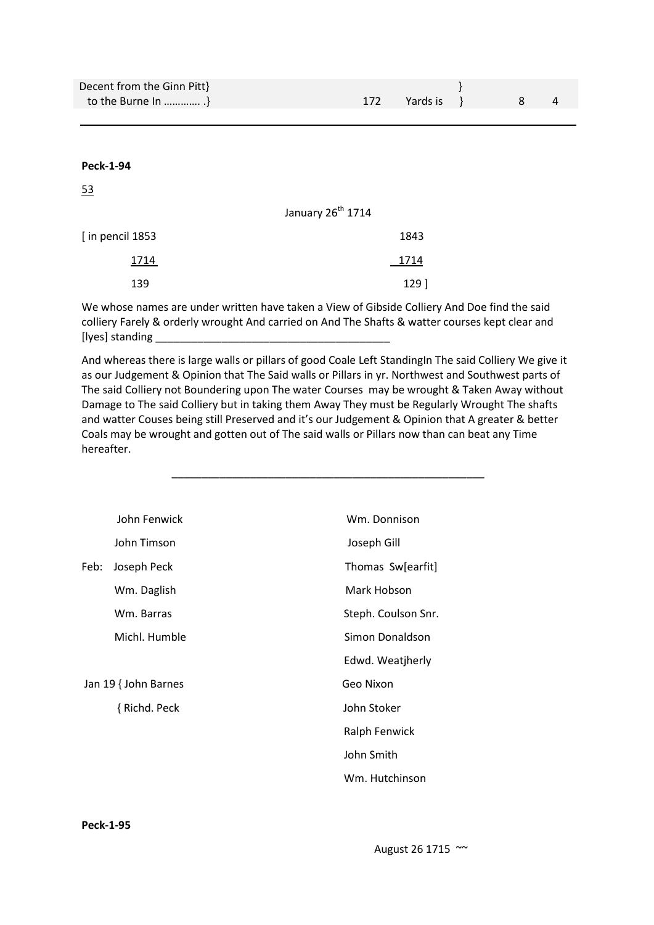| Decent from the Ginn Pitt} |              |  |  |
|----------------------------|--------------|--|--|
| to the Burne In $\}$       | 172 Yards is |  |  |
|                            |              |  |  |

53

|                  | January 26 <sup>th</sup> 1714 |
|------------------|-------------------------------|
| [in pencil 1853] | 1843                          |
| 1714             | 1714                          |
| 139              | 129]                          |

We whose names are under written have taken a View of Gibside Colliery And Doe find the said colliery Farely & orderly wrought And carried on And The Shafts & watter courses kept clear and [lyes] standing \_

And whereas there is large walls or pillars of good Coale Left StandingIn The said Colliery We give it as our Judgement & Opinion that The Said walls or Pillars in yr. Northwest and Southwest parts of The said Colliery not Boundering upon The water Courses may be wrought & Taken Away without Damage to The said Colliery but in taking them Away They must be Regularly Wrought The shafts and watter Couses being still Preserved and it's our Judgement & Opinion that A greater & better Coals may be wrought and gotten out of The said walls or Pillars now than can beat any Time hereafter.

\_\_\_\_\_\_\_\_\_\_\_\_\_\_\_\_\_\_\_\_\_\_\_\_\_\_\_\_\_\_\_\_\_\_\_\_\_\_\_\_\_\_\_\_\_\_\_\_\_\_\_\_

|      | John Fenwick         | Wm. Donnison        |
|------|----------------------|---------------------|
|      | John Timson          | Joseph Gill         |
| Feb: | Joseph Peck          | Thomas Sw[earfit]   |
|      | Wm. Daglish          | Mark Hobson         |
|      | Wm. Barras           | Steph. Coulson Snr. |
|      | Michl. Humble        | Simon Donaldson     |
|      |                      | Edwd. Weatjherly    |
|      | Jan 19 { John Barnes | Geo Nixon           |
|      | { Richd. Peck        | John Stoker         |
|      |                      | Ralph Fenwick       |
|      |                      | John Smith          |
|      |                      | Wm. Hutchinson      |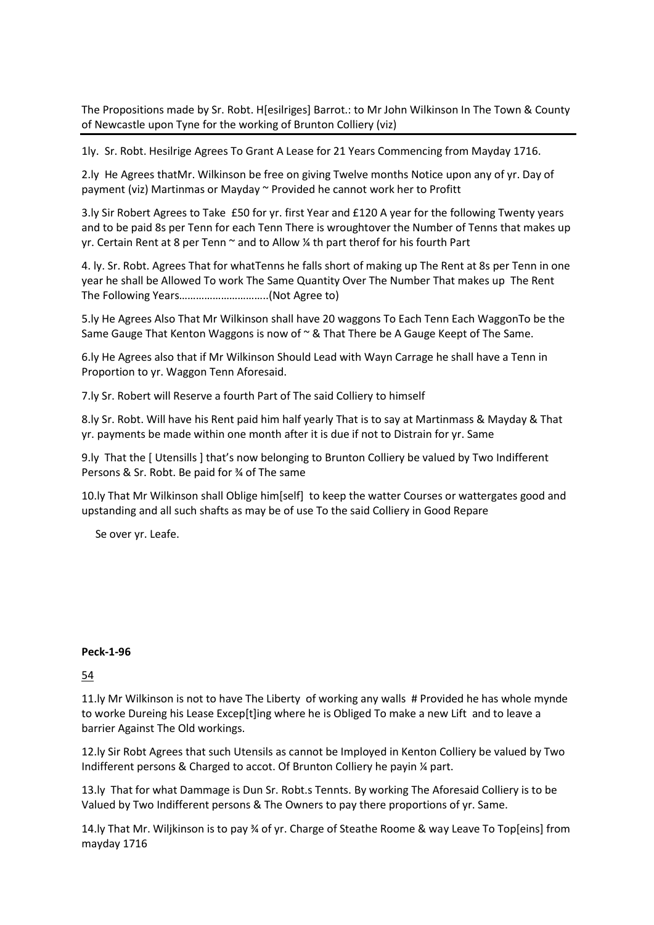The Propositions made by Sr. Robt. H[esilriges] Barrot.: to Mr John Wilkinson In The Town & County of Newcastle upon Tyne for the working of Brunton Colliery (viz)

1ly. Sr. Robt. Hesilrige Agrees To Grant A Lease for 21 Years Commencing from Mayday 1716.

2.ly He Agrees thatMr. Wilkinson be free on giving Twelve months Notice upon any of yr. Day of payment (viz) Martinmas or Mayday ~ Provided he cannot work her to Profitt

3.ly Sir Robert Agrees to Take £50 for yr. first Year and £120 A year for the following Twenty years and to be paid 8s per Tenn for each Tenn There is wroughtover the Number of Tenns that makes up yr. Certain Rent at 8 per Tenn  $\sim$  and to Allow  $\frac{1}{4}$  th part therof for his fourth Part

4. ly. Sr. Robt. Agrees That for whatTenns he falls short of making up The Rent at 8s per Tenn in one year he shall be Allowed To work The Same Quantity Over The Number That makes up The Rent The Following Years…………………………..(Not Agree to)

5.ly He Agrees Also That Mr Wilkinson shall have 20 waggons To Each Tenn Each WaggonTo be the Same Gauge That Kenton Waggons is now of  $\sim$  & That There be A Gauge Keept of The Same.

6.ly He Agrees also that if Mr Wilkinson Should Lead with Wayn Carrage he shall have a Tenn in Proportion to yr. Waggon Tenn Aforesaid.

7.ly Sr. Robert will Reserve a fourth Part of The said Colliery to himself

8.ly Sr. Robt. Will have his Rent paid him half yearly That is to say at Martinmass & Mayday & That yr. payments be made within one month after it is due if not to Distrain for yr. Same

9.ly That the [ Utensills ] that's now belonging to Brunton Colliery be valued by Two Indifferent Persons & Sr. Robt. Be paid for ¾ of The same

10.ly That Mr Wilkinson shall Oblige him[self] to keep the watter Courses or wattergates good and upstanding and all such shafts as may be of use To the said Colliery in Good Repare

Se over yr. Leafe.

#### **Peck-1-96**

### 54

11.ly Mr Wilkinson is not to have The Liberty of working any walls # Provided he has whole mynde to worke Dureing his Lease Excep[t]ing where he is Obliged To make a new Lift and to leave a barrier Against The Old workings.

12.ly Sir Robt Agrees that such Utensils as cannot be Imployed in Kenton Colliery be valued by Two Indifferent persons & Charged to accot. Of Brunton Colliery he payin ¼ part.

13.ly That for what Dammage is Dun Sr. Robt.s Tennts. By working The Aforesaid Colliery is to be Valued by Two Indifferent persons & The Owners to pay there proportions of yr. Same.

14.ly That Mr. Wiljkinson is to pay ¾ of yr. Charge of Steathe Roome & way Leave To Top[eins] from mayday 1716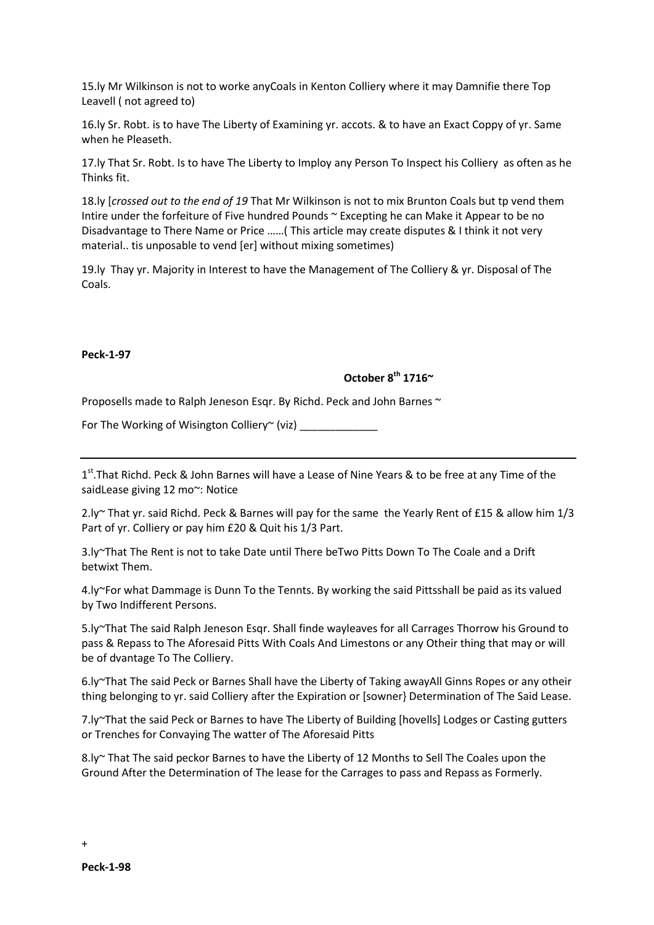15.ly Mr Wilkinson is not to worke anyCoals in Kenton Colliery where it may Damnifie there Top Leavell ( not agreed to)

16.ly Sr. Robt. is to have The Liberty of Examining yr. accots. & to have an Exact Coppy of yr. Same when he Pleaseth.

17.ly That Sr. Robt. Is to have The Liberty to Imploy any Person To Inspect his Colliery as often as he Thinks fit.

18.ly [*crossed out to the end of 19* That Mr Wilkinson is not to mix Brunton Coals but tp vend them Intire under the forfeiture of Five hundred Pounds ~ Excepting he can Make it Appear to be no Disadvantage to There Name or Price ……( This article may create disputes & I think it not very material.. tis unposable to vend [er] without mixing sometimes)

19.ly Thay yr. Majority in Interest to have the Management of The Colliery & yr. Disposal of The Coals.

#### **Peck-1-97**

# **October 8th 1716~**

Proposells made to Ralph Jeneson Esqr. By Richd. Peck and John Barnes ~

For The Working of Wisington Colliery $\sim$  (viz)

1<sup>st</sup>. That Richd. Peck & John Barnes will have a Lease of Nine Years & to be free at any Time of the saidLease giving 12 mo~: Notice

2.ly~ That yr. said Richd. Peck & Barnes will pay for the same the Yearly Rent of £15 & allow him 1/3 Part of yr. Colliery or pay him £20 & Quit his 1/3 Part.

3.ly~That The Rent is not to take Date until There beTwo Pitts Down To The Coale and a Drift betwixt Them.

4.ly~For what Dammage is Dunn To the Tennts. By working the said Pittsshall be paid as its valued by Two Indifferent Persons.

5.ly~That The said Ralph Jeneson Esqr. Shall finde wayleaves for all Carrages Thorrow his Ground to pass & Repass to The Aforesaid Pitts With Coals And Limestons or any Otheir thing that may or will be of dvantage To The Colliery.

6.ly~That The said Peck or Barnes Shall have the Liberty of Taking awayAll Ginns Ropes or any otheir thing belonging to yr. said Colliery after the Expiration or [sowner} Determination of The Said Lease.

7.ly~That the said Peck or Barnes to have The Liberty of Building [hovells] Lodges or Casting gutters or Trenches for Convaying The watter of The Aforesaid Pitts

8.ly~ That The said peckor Barnes to have the Liberty of 12 Months to Sell The Coales upon the Ground After the Determination of The lease for the Carrages to pass and Repass as Formerly.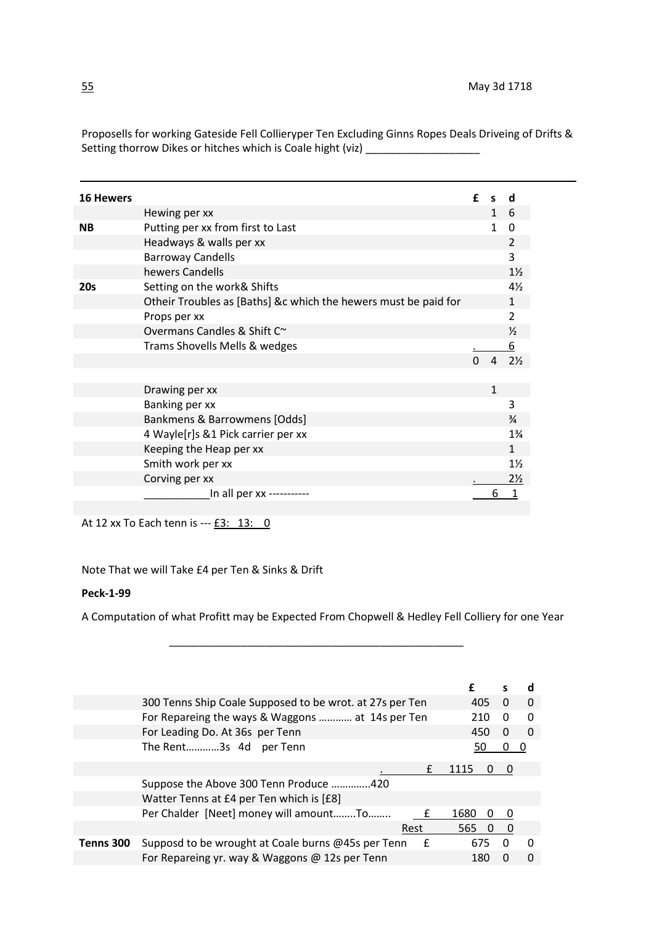| <b>16 Hewers</b> |                                                                 | f | S            | α              |
|------------------|-----------------------------------------------------------------|---|--------------|----------------|
|                  | Hewing per xx                                                   |   | 1 6          |                |
| <b>NB</b>        | Putting per xx from first to Last                               |   | $\mathbf{1}$ | 0              |
|                  | Headways & walls per xx                                         |   |              | $\overline{2}$ |
|                  | <b>Barroway Candells</b>                                        |   |              | 3              |
|                  | hewers Candells                                                 |   |              | $1\frac{1}{2}$ |
| <b>20s</b>       | Setting on the work& Shifts                                     |   |              | 4½             |
|                  | Otheir Troubles as [Baths] &c which the hewers must be paid for |   |              | 1              |
|                  | Props per xx                                                    |   |              | 2              |
|                  | Overmans Candles & Shift C~                                     |   |              | $\frac{1}{2}$  |
|                  | Trams Shovells Mells & wedges                                   |   |              | 6              |
|                  |                                                                 |   |              | $2\%$          |
|                  |                                                                 |   |              |                |
|                  | Drawing per xx                                                  |   | $\mathbf{1}$ |                |
|                  | Banking per xx                                                  |   |              | 3              |
|                  | Bankmens & Barrowmens [Odds]                                    |   |              | $\frac{3}{4}$  |
|                  | 4 Wayle[r]s &1 Pick carrier per xx                              |   |              | $1\frac{3}{4}$ |
|                  | Keeping the Heap per xx                                         |   |              | $\mathbf{1}$   |
|                  | Smith work per xx                                               |   |              | $1\frac{1}{2}$ |
|                  | Corving per xx                                                  |   |              | $2\frac{1}{2}$ |
|                  | In all per xx -----------                                       |   | 6            |                |

Proposells for working Gateside Fell Collieryper Ten Excluding Ginns Ropes Deals Driveing of Drifts & Setting thorrow Dikes or hitches which is Coale hight (viz) \_\_\_\_\_\_\_\_\_\_\_\_\_\_\_\_\_\_\_\_

At 12 xx To Each tenn is --- £3: 13: 0

Note That we will Take £4 per Ten & Sinks & Drift

#### **Peck-1-99**

A Computation of what Profitt may be Expected From Chopwell & Hedley Fell Colliery for one Year

\_\_\_\_\_\_\_\_\_\_\_\_\_\_\_\_\_\_\_\_\_\_\_\_\_\_\_\_\_\_\_\_\_\_\_\_\_\_\_\_\_\_\_\_\_\_\_\_\_

|           |                                                          | f    |          | d            |
|-----------|----------------------------------------------------------|------|----------|--------------|
|           | 300 Tenns Ship Coale Supposed to be wrot. at 27s per Ten | 405  | $\Omega$ | $\Omega$     |
|           | For Repareing the ways & Waggons  at 14s per Ten         | 210  | O        | 0            |
|           | For Leading Do. At 36s per Tenn                          | 450  | $\Omega$ | $\Omega$     |
|           | The Rent3s 4d per Tenn                                   | 50   | 0        | O            |
|           | £                                                        | 1115 |          |              |
|           | Suppose the Above 300 Tenn Produce 420                   |      |          |              |
|           | Watter Tenns at £4 per Ten which is [£8]                 |      |          |              |
|           | Per Chalder [Neet] money will amountTo                   | 1680 | -0       |              |
|           | Rest                                                     | 565  |          |              |
| Tenns 300 | Supposd to be wrought at Coale burns @45s per Tenn<br>£  | 675  | 0        | <sup>0</sup> |
|           | For Repareing yr. way & Waggons @ 12s per Tenn           | 180  |          | $\Omega$     |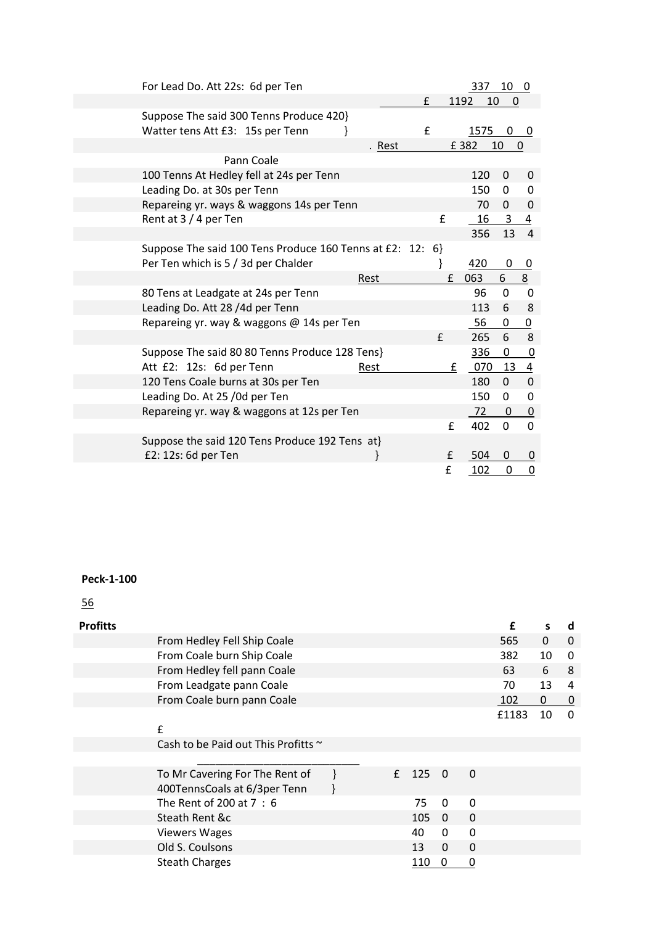| For Lead Do. Att 22s: 6d per Ten                                            |        |              | 337        | 10 <sub>0</sub> |                         |
|-----------------------------------------------------------------------------|--------|--------------|------------|-----------------|-------------------------|
|                                                                             |        | £            | 1192<br>10 | 0               |                         |
| Suppose The said 300 Tenns Produce 420}<br>Watter tens Att £3: 15s per Tenn |        | £            | 1575       | 0               | 0                       |
|                                                                             | . Rest |              | £382       | 10              | 0                       |
| Pann Coale                                                                  |        |              |            |                 |                         |
| 100 Tenns At Hedley fell at 24s per Tenn                                    |        |              | 120        | 0               | 0                       |
| Leading Do. at 30s per Tenn                                                 |        |              | 150        | 0               | 0                       |
| Repareing yr. ways & waggons 14s per Tenn                                   |        |              | 70         | $\mathbf{0}$    | $\mathbf 0$             |
| Rent at 3 / 4 per Ten                                                       |        | £            | 16         | 3               | $\overline{4}$          |
|                                                                             |        |              | 356        | 13              | $\overline{4}$          |
| Suppose The said 100 Tens Produce 160 Tenns at £2: 12: 6}                   |        |              |            |                 |                         |
| Per Ten which is 5 / 3d per Chalder                                         |        | }            | 420        | 0               | 0                       |
|                                                                             | Rest   | £            | 063        | 6               | 8                       |
| 80 Tens at Leadgate at 24s per Tenn                                         |        |              | 96         | $\Omega$        | $\Omega$                |
| Leading Do. Att 28 /4d per Tenn                                             |        |              | 113        | 6               | 8                       |
| Repareing yr. way & waggons @ 14s per Ten                                   |        |              | 56         | 0               | $\overline{0}$          |
|                                                                             |        | $\mathsf{f}$ | 265        | 6               | 8                       |
| Suppose The said 80 80 Tenns Produce 128 Tens}                              |        |              | 336        | 0               | $\boldsymbol{0}$        |
| Att £2: 12s: 6d per Tenn                                                    | Rest   | £            | 070        | 13              | $\overline{\mathbf{4}}$ |
| 120 Tens Coale burns at 30s per Ten                                         |        |              | 180        | $\Omega$        | $\mathbf 0$             |
| Leading Do. At 25 /0d per Ten                                               |        |              | 150        | $\Omega$        | $\mathbf 0$             |
| Repareing yr. way & waggons at 12s per Ten                                  |        |              | 72         | 0               | $\boldsymbol{0}$        |
|                                                                             |        | f            | 402        | $\Omega$        | $\Omega$                |
| Suppose the said 120 Tens Produce 192 Tens at}                              |        |              |            |                 |                         |
| £2: 12s: 6d per Ten                                                         |        | £            | 504        | 0               | 0                       |
|                                                                             |        | £            | 102        | 0               | $\mathbf 0$             |

56

| <b>Profitts</b> |                                          |   |     |          |          | £     | S            | d              |
|-----------------|------------------------------------------|---|-----|----------|----------|-------|--------------|----------------|
|                 | From Hedley Fell Ship Coale              |   |     |          |          | 565   | $\mathbf{0}$ | $\mathbf 0$    |
|                 | From Coale burn Ship Coale               |   |     |          |          | 382   | 10           | $\Omega$       |
|                 | From Hedley fell pann Coale              |   |     |          |          | 63    | 6            | 8              |
|                 | From Leadgate pann Coale                 |   |     |          |          | 70    | 13           | 4              |
|                 | From Coale burn pann Coale               |   |     |          |          | 102   | 0            | $\overline{0}$ |
|                 |                                          |   |     |          |          | £1183 | 10           | $\Omega$       |
|                 | £                                        |   |     |          |          |       |              |                |
|                 | Cash to be Paid out This Profitts $\sim$ |   |     |          |          |       |              |                |
|                 |                                          |   |     |          |          |       |              |                |
|                 | To Mr Cavering For The Rent of           | f | 125 | $\Omega$ | $\Omega$ |       |              |                |
|                 | 400TennsCoals at 6/3per Tenn             |   |     |          |          |       |              |                |
|                 | The Rent of 200 at 7:6                   |   | 75  | $\Omega$ | $\Omega$ |       |              |                |
|                 | Steath Rent &c                           |   | 105 | $\Omega$ | 0        |       |              |                |
|                 | <b>Viewers Wages</b>                     |   | 40  | $\Omega$ | $\Omega$ |       |              |                |
|                 | Old S. Coulsons                          |   | 13  | $\Omega$ | $\Omega$ |       |              |                |
|                 | <b>Steath Charges</b>                    |   | 110 | 0        | 0        |       |              |                |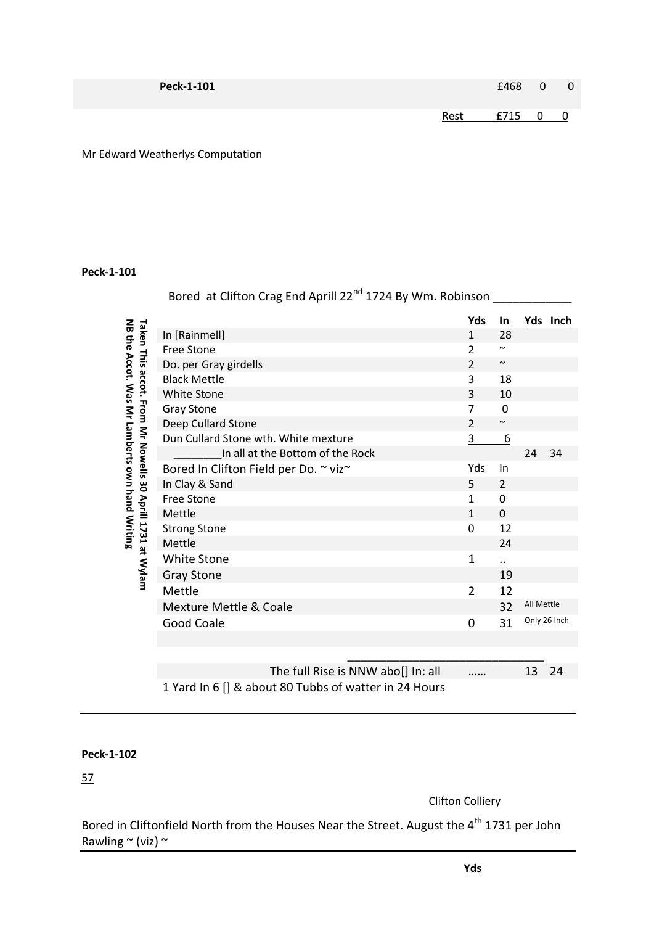| Peck-1-101 |      | $£468$ 0 | $\overline{0}$           |
|------------|------|----------|--------------------------|
|            | Rest | £715 0   | $\overline{\phantom{0}}$ |

Mr Edward Weatherlys Computation

# **Peck-1-101**

|                                                                                                             | Bored at Clifton Crag End Aprill 22 <sup>nd</sup> 1724 By Wm. Robinson |                |                       |            |              |
|-------------------------------------------------------------------------------------------------------------|------------------------------------------------------------------------|----------------|-----------------------|------------|--------------|
|                                                                                                             |                                                                        | <u>Yds</u>     | <u>ln</u>             |            | Yds Inch     |
| NB the Accot. Was Mr Lamberts own hand Writing<br>Taken This accot. From Mr Nowells 30 Aprill 1731 at Wylam | In [Rainmell]                                                          | $\mathbf{1}$   | 28                    |            |              |
|                                                                                                             | <b>Free Stone</b>                                                      | 2              | $\tilde{\phantom{a}}$ |            |              |
|                                                                                                             | Do. per Gray girdells                                                  | $\overline{2}$ | $\tilde{\phantom{a}}$ |            |              |
|                                                                                                             | <b>Black Mettle</b>                                                    | 3              | 18                    |            |              |
|                                                                                                             | <b>White Stone</b>                                                     | 3              | 10                    |            |              |
|                                                                                                             | <b>Gray Stone</b>                                                      | $\overline{7}$ | $\mathbf 0$           |            |              |
|                                                                                                             | Deep Cullard Stone                                                     | $\overline{2}$ | $\sim$                |            |              |
|                                                                                                             | Dun Cullard Stone wth. White mexture                                   | 3              | 6                     |            |              |
|                                                                                                             | In all at the Bottom of the Rock                                       |                |                       | 24         | 34           |
|                                                                                                             | Bored In Clifton Field per Do. ~ viz~                                  | Yds            | In                    |            |              |
|                                                                                                             | In Clay & Sand                                                         | 5              | 2                     |            |              |
|                                                                                                             | <b>Free Stone</b>                                                      | $\mathbf{1}$   | 0                     |            |              |
|                                                                                                             | Mettle                                                                 | $\mathbf{1}$   | $\Omega$              |            |              |
|                                                                                                             | <b>Strong Stone</b>                                                    | $\mathbf 0$    | 12                    |            |              |
|                                                                                                             | Mettle                                                                 |                | 24                    |            |              |
|                                                                                                             | <b>White Stone</b>                                                     | $\mathbf 1$    | $\ddot{\phantom{a}}$  |            |              |
|                                                                                                             | <b>Gray Stone</b>                                                      |                | 19                    |            |              |
|                                                                                                             | Mettle                                                                 | 2              | 12                    |            |              |
|                                                                                                             | <b>Mexture Mettle &amp; Coale</b>                                      |                | 32                    | All Mettle |              |
|                                                                                                             | <b>Good Coale</b>                                                      | $\mathbf 0$    | 31                    |            | Only 26 Inch |
|                                                                                                             |                                                                        |                |                       |            |              |
|                                                                                                             |                                                                        |                |                       |            |              |
|                                                                                                             | The full Rise is NNW abo[] In: all                                     |                |                       | 13         | 24           |
|                                                                                                             | 1 Yard In 6 [] & about 80 Tubbs of watter in 24 Hours                  |                |                       |            |              |

# **Peck-1-102**

57

Clifton Colliery

Bored in Cliftonfield North from the Houses Near the Street. August the 4<sup>th</sup> 1731 per John Rawling  $\sim$  (viz)  $\sim$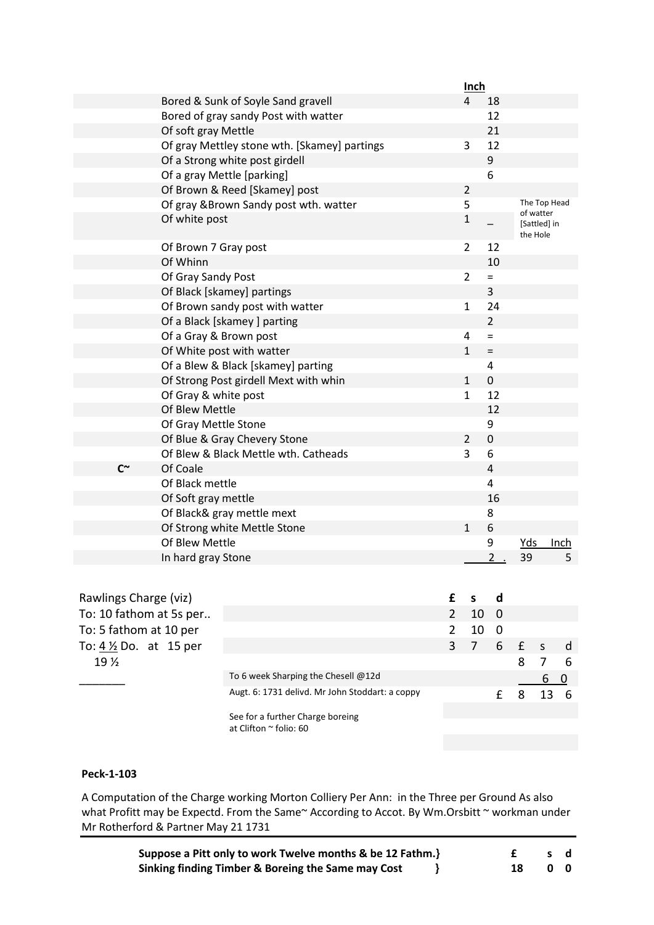|            |                                              | Inch           |                  |                                       |      |
|------------|----------------------------------------------|----------------|------------------|---------------------------------------|------|
|            | Bored & Sunk of Soyle Sand gravell           | 4              | 18               |                                       |      |
|            | Bored of gray sandy Post with watter         |                | 12               |                                       |      |
|            | Of soft gray Mettle                          |                | 21               |                                       |      |
|            | Of gray Mettley stone wth. [Skamey] partings | 3              | 12               |                                       |      |
|            | Of a Strong white post girdell               |                | 9                |                                       |      |
|            | Of a gray Mettle [parking]                   |                | 6                |                                       |      |
|            | Of Brown & Reed [Skamey] post                | $\overline{2}$ |                  |                                       |      |
|            | Of gray & Brown Sandy post wth. watter       | 5              |                  | The Top Head                          |      |
|            | Of white post                                | $\mathbf{1}$   |                  | of watter<br>[Sattled] in<br>the Hole |      |
|            | Of Brown 7 Gray post                         | $\overline{2}$ | 12               |                                       |      |
|            | Of Whinn                                     |                | 10               |                                       |      |
|            | Of Gray Sandy Post                           | $\overline{2}$ | $=$              |                                       |      |
|            | Of Black [skamey] partings                   |                | 3                |                                       |      |
|            | Of Brown sandy post with watter              | $\mathbf{1}$   | 24               |                                       |      |
|            | Of a Black [skamey] parting                  |                | $\overline{2}$   |                                       |      |
|            | Of a Gray & Brown post                       | 4              | $=$              |                                       |      |
|            | Of White post with watter                    | $\mathbf{1}$   | $\quad \  \  =$  |                                       |      |
|            | Of a Blew & Black [skamey] parting           |                | $\overline{4}$   |                                       |      |
|            | Of Strong Post girdell Mext with whin        | $\mathbf{1}$   | $\mathbf 0$      |                                       |      |
|            | Of Gray & white post                         | $\mathbf{1}$   | 12               |                                       |      |
|            | Of Blew Mettle                               |                | 12               |                                       |      |
|            | Of Gray Mettle Stone                         |                | 9                |                                       |      |
|            | Of Blue & Gray Chevery Stone                 | $\overline{2}$ | $\boldsymbol{0}$ |                                       |      |
|            | Of Blew & Black Mettle wth. Catheads         | 3              | 6                |                                       |      |
| $C^{\sim}$ | Of Coale                                     |                | $\overline{4}$   |                                       |      |
|            | Of Black mettle                              |                | $\overline{4}$   |                                       |      |
|            | Of Soft gray mettle                          |                | 16               |                                       |      |
|            | Of Black& gray mettle mext                   |                | 8                |                                       |      |
|            | Of Strong white Mettle Stone                 | $\mathbf 1$    | 6                |                                       |      |
|            | Of Blew Mettle                               |                | 9                | Yds                                   | Inch |
|            | In hard gray Stone                           |                | 2                | 39                                    | 5    |

| Rawlings Charge (viz)            |                                                 |                 | d   |            |    |     |
|----------------------------------|-------------------------------------------------|-----------------|-----|------------|----|-----|
| To: 10 fathom at 5s per          |                                                 | 10 <sub>0</sub> |     |            |    |     |
| To: 5 fathom at 10 per           |                                                 | 10              | - 0 |            |    |     |
| To: $4\frac{1}{2}$ Do. at 15 per |                                                 | $-7-$           |     | $6 \t f s$ |    | d d |
| 19 <sub>2</sub>                  |                                                 |                 |     | 8          |    | 6   |
|                                  | To 6 week Sharping the Chesell @12d             |                 |     |            | 6  |     |
|                                  | Augt. 6: 1731 delivd. Mr John Stoddart: a coppy |                 |     | 8          | 13 | -6  |
|                                  | See for a further Charge boreing                |                 |     |            |    |     |
|                                  | at Clifton $\sim$ folio: 60                     |                 |     |            |    |     |

A Computation of the Charge working Morton Colliery Per Ann: in the Three per Ground As also what Profitt may be Expectd. From the Same~ According to Accot. By Wm.Orsbitt ~ workman under Mr Rotherford & Partner May 21 1731

| Suppose a Pitt only to work Twelve months & be 12 Fathm.} |  |    | sd |
|-----------------------------------------------------------|--|----|----|
| Sinking finding Timber & Boreing the Same may Cost        |  | 00 |    |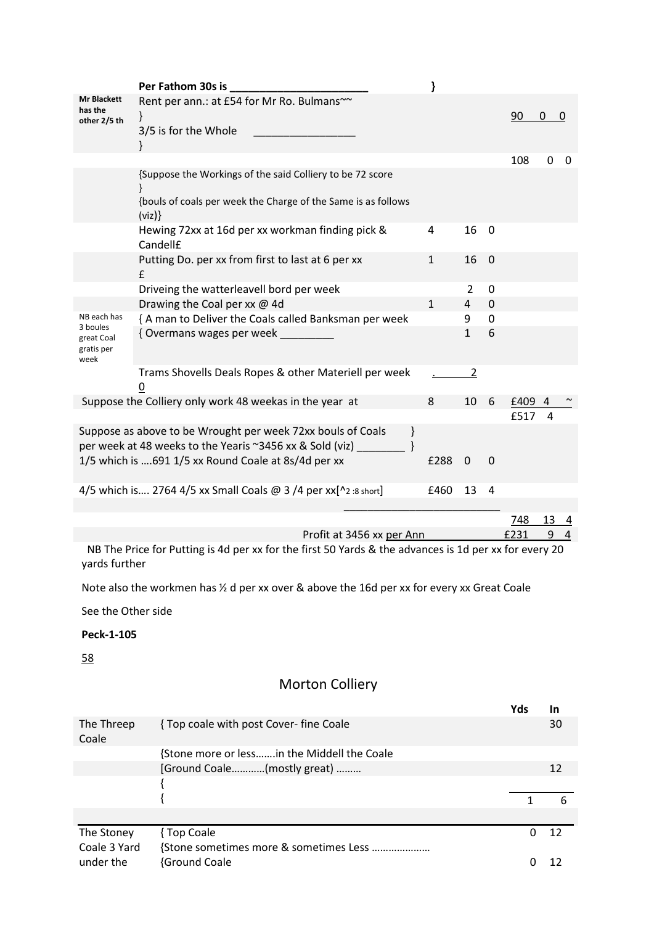|                                              | Per Fathom 30s is                                                                                                                   |              |              |             |      |          |   |
|----------------------------------------------|-------------------------------------------------------------------------------------------------------------------------------------|--------------|--------------|-------------|------|----------|---|
| Mr Blackett<br>has the<br>other 2/5 th       | Rent per ann.: at £54 for Mr Ro. Bulmans~~<br>ł<br>3/5 is for the Whole                                                             |              |              |             | 90   | $\Omega$ | O |
|                                              |                                                                                                                                     |              |              |             | 108  | $\Omega$ | 0 |
|                                              | {Suppose the Workings of the said Colliery to be 72 score<br>{bouls of coals per week the Charge of the Same is as follows<br>(viz) |              |              |             |      |          |   |
|                                              | Hewing 72xx at 16d per xx workman finding pick &<br>Candell£                                                                        | 4            | 16           | 0           |      |          |   |
|                                              | Putting Do. per xx from first to last at 6 per xx<br>£                                                                              | $\mathbf{1}$ | 16           | $\mathbf 0$ |      |          |   |
|                                              | Driveing the watterleavell bord per week                                                                                            |              | 2            | 0           |      |          |   |
|                                              | Drawing the Coal per xx @ 4d                                                                                                        | $\mathbf{1}$ | 4            | 0           |      |          |   |
| NB each has                                  | { A man to Deliver the Coals called Banksman per week                                                                               |              | 9            | 0           |      |          |   |
| 3 boules<br>great Coal<br>gratis per<br>week | { Overmans wages per week                                                                                                           |              | $\mathbf{1}$ | 6           |      |          |   |
|                                              | Trams Shovells Deals Ropes & other Materiell per week<br>$\overline{0}$                                                             |              | 2            |             |      |          |   |
|                                              | Suppose the Colliery only work 48 weekas in the year at                                                                             | 8            | 10           | 6           | £409 |          |   |
|                                              |                                                                                                                                     |              |              |             | £517 | 4        |   |
|                                              | Suppose as above to be Wrought per week 72xx bouls of Coals<br>ł<br>per week at 48 weeks to the Yearis ~3456 xx & Sold (viz)        |              |              |             |      |          |   |
|                                              | 1/5 which is 691 1/5 xx Round Coale at 8s/4d per xx                                                                                 | £288         | $\mathbf 0$  | $\Omega$    |      |          |   |
|                                              | 4/5 which is 2764 4/5 xx Small Coals @ 3 /4 per $xx[^{n_2:sort}]$                                                                   | £460         | 13           | 4           |      |          |   |
|                                              |                                                                                                                                     |              |              |             | 748  | 13       | 4 |

|  | Profit at 3456 xx per Ann | £231 |  |
|--|---------------------------|------|--|
|  |                           |      |  |

 NB The Price for Putting is 4d per xx for the first 50 Yards & the advances is 1d per xx for every 20 yards further

Note also the workmen has ½ d per xx over & above the 16d per xx for every xx Great Coale

See the Other side

# **Peck-1-105**

58

# Morton Colliery

|                     |                                             | Yds | In |
|---------------------|---------------------------------------------|-----|----|
| The Threep<br>Coale | {Top coale with post Cover- fine Coale      |     | 30 |
|                     | {Stone more or lessin the Middell the Coale |     |    |
|                     | [Ground Coale(mostly great)                 |     | 12 |
|                     |                                             |     |    |
|                     |                                             |     |    |
|                     |                                             |     |    |
| The Stoney          | { Top Coale                                 |     | 12 |
| Coale 3 Yard        |                                             |     |    |
| under the           | <b>{Ground Coale</b>                        |     |    |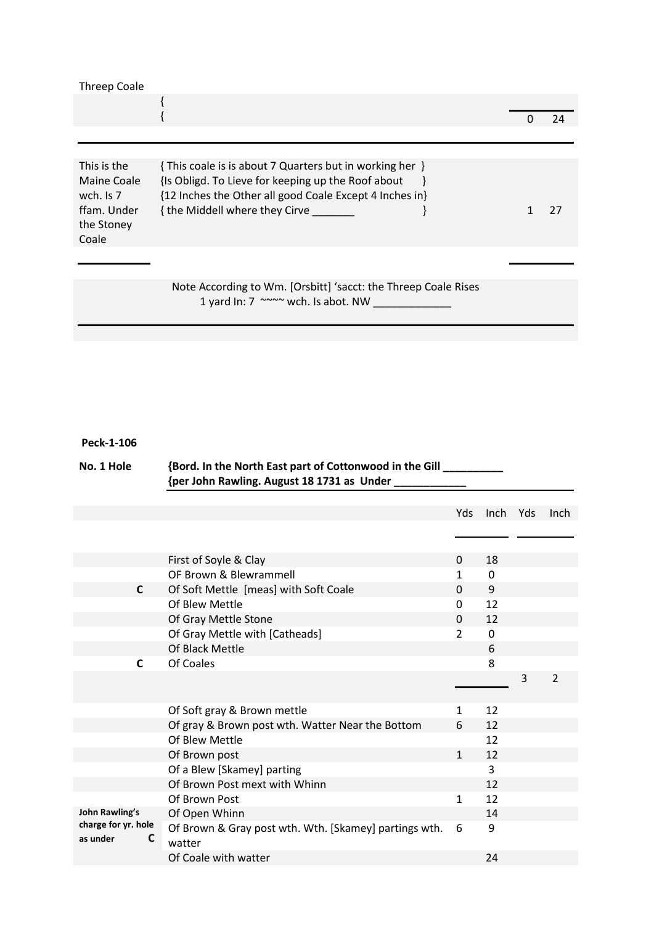| 24<br>This is the<br>{ This coale is is about 7 Quarters but in working her }<br>{Is Obligd. To Lieve for keeping up the Roof about<br>Maine Coale<br>{12 Inches the Other all good Coale Except 4 Inches in}<br>wch. $Is 7$<br>ffam. Under<br>{ the Middell where they Cirve<br>27<br>the Stoney | <b>Threep Coale</b> |  |  |
|---------------------------------------------------------------------------------------------------------------------------------------------------------------------------------------------------------------------------------------------------------------------------------------------------|---------------------|--|--|
|                                                                                                                                                                                                                                                                                                   |                     |  |  |
|                                                                                                                                                                                                                                                                                                   |                     |  |  |
|                                                                                                                                                                                                                                                                                                   | Coale               |  |  |

Note According to Wm. [Orsbitt] 'sacct: the Threep Coale Rises 1 yard In: 7 ~~~~ wch. Is abot. NW \_\_\_\_\_\_\_\_\_\_\_\_\_

# **Peck-1-106**

|          | No. 1 Hole               | {Bord. In the North East part of Cottonwood in the Gill _<br>{per John Rawling. August 18 1731 as Under |              |             |     |                |
|----------|--------------------------|---------------------------------------------------------------------------------------------------------|--------------|-------------|-----|----------------|
|          |                          |                                                                                                         | Yds          | Inch        | Yds | <b>Inch</b>    |
|          |                          |                                                                                                         |              |             |     |                |
|          |                          | First of Soyle & Clay                                                                                   | 0            | 18          |     |                |
|          |                          | OF Brown & Blewrammell                                                                                  | 1            | $\mathbf 0$ |     |                |
|          | $\mathsf{C}$             | Of Soft Mettle [meas] with Soft Coale                                                                   | $\Omega$     | 9           |     |                |
|          |                          | Of Blew Mettle                                                                                          | $\Omega$     | 12          |     |                |
|          |                          | Of Gray Mettle Stone                                                                                    | $\Omega$     | 12          |     |                |
|          |                          | Of Gray Mettle with [Catheads]                                                                          | 2            | $\mathbf 0$ |     |                |
|          |                          | Of Black Mettle                                                                                         |              | 6           |     |                |
|          | C                        | Of Coales                                                                                               |              | 8           |     |                |
|          |                          |                                                                                                         |              |             | 3   | $\overline{2}$ |
|          |                          | Of Soft gray & Brown mettle                                                                             | 1            | 12          |     |                |
|          |                          | Of gray & Brown post wth. Watter Near the Bottom                                                        | 6            | 12          |     |                |
|          |                          | Of Blew Mettle                                                                                          |              | 12          |     |                |
|          |                          | Of Brown post                                                                                           | $\mathbf{1}$ | 12          |     |                |
|          |                          | Of a Blew [Skamey] parting                                                                              |              | 3           |     |                |
|          |                          | Of Brown Post mext with Whinn                                                                           |              | 12          |     |                |
|          |                          | Of Brown Post                                                                                           | $\mathbf{1}$ | 12          |     |                |
|          | <b>John Rawling's</b>    | Of Open Whinn                                                                                           |              | 14          |     |                |
| as under | charge for yr. hole<br>C | Of Brown & Gray post wth. Wth. [Skamey] partings wth.<br>watter                                         | 6            | 9           |     |                |
|          |                          | Of Coale with watter                                                                                    |              | 24          |     |                |
|          |                          |                                                                                                         |              |             |     |                |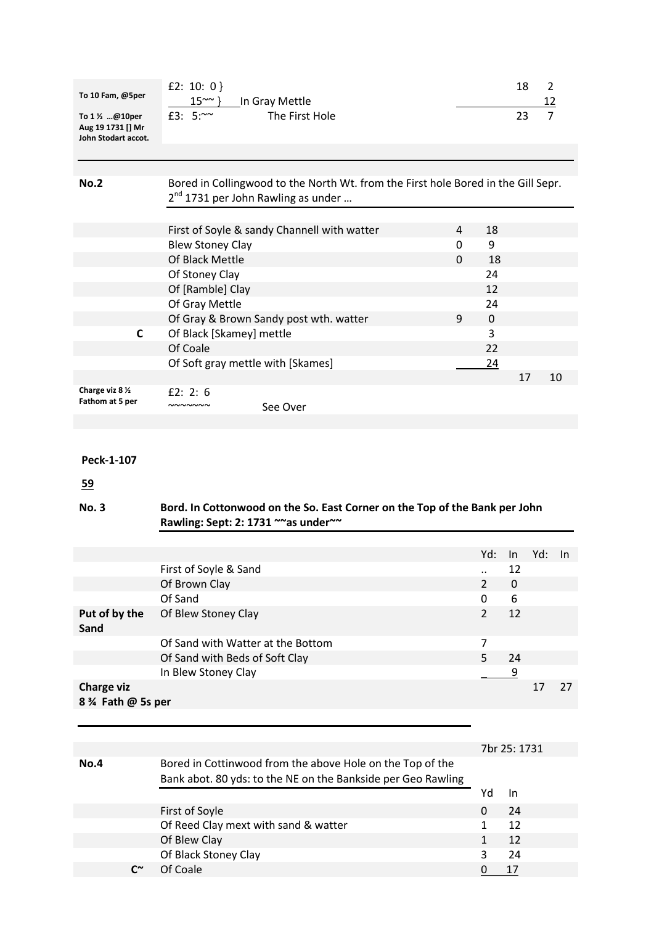| To 10 Fam, @5per<br>To 1 ½ @10per<br>Aug 19 1731 [] Mr<br>John Stodart accot. | £2: 10: 0 }<br>$15^{\sim}$ }<br>In Gray Mettle<br>£3: $5:~\infty$<br>The First Hole                                                 |                      | 18<br>23       | $\overline{2}$<br>12<br>$\overline{7}$ |     |
|-------------------------------------------------------------------------------|-------------------------------------------------------------------------------------------------------------------------------------|----------------------|----------------|----------------------------------------|-----|
|                                                                               |                                                                                                                                     |                      |                |                                        |     |
| <b>No.2</b>                                                                   | Bored in Collingwood to the North Wt. from the First hole Bored in the Gill Sepr.<br>2 <sup>nd</sup> 1731 per John Rawling as under |                      |                |                                        |     |
|                                                                               | First of Soyle & sandy Channell with watter<br>4                                                                                    | 18                   |                |                                        |     |
|                                                                               | <b>Blew Stoney Clay</b><br>0                                                                                                        | 9                    |                |                                        |     |
|                                                                               | Of Black Mettle<br>0                                                                                                                | 18                   |                |                                        |     |
|                                                                               | Of Stoney Clay                                                                                                                      | 24                   |                |                                        |     |
|                                                                               | Of [Ramble] Clay                                                                                                                    | 12                   |                |                                        |     |
|                                                                               | Of Gray Mettle                                                                                                                      | 24                   |                |                                        |     |
|                                                                               | 9<br>Of Gray & Brown Sandy post wth. watter                                                                                         | $\boldsymbol{0}$     |                |                                        |     |
| C                                                                             | Of Black [Skamey] mettle                                                                                                            | 3                    |                |                                        |     |
|                                                                               | Of Coale                                                                                                                            | 22                   |                |                                        |     |
|                                                                               | Of Soft gray mettle with [Skames]                                                                                                   | <u>24</u>            |                |                                        |     |
|                                                                               |                                                                                                                                     |                      | 17             |                                        | 10  |
| Charge viz 8 1/2<br>Fathom at 5 per                                           | £2: 2: $6$<br>NNNNNNN<br>See Over                                                                                                   |                      |                |                                        |     |
|                                                                               |                                                                                                                                     |                      |                |                                        |     |
| Peck-1-107<br><u>59</u><br><b>No.3</b>                                        | Bord. In Cottonwood on the So. East Corner on the Top of the Bank per John<br>Rawling: Sept: 2: 1731 ~~ as under~~                  |                      |                |                                        |     |
|                                                                               |                                                                                                                                     |                      |                |                                        |     |
|                                                                               |                                                                                                                                     | Yd:                  | In             | Yd:                                    | In. |
|                                                                               | First of Soyle & Sand                                                                                                               | $\ddot{\phantom{0}}$ | 12             |                                        |     |
|                                                                               | Of Brown Clay                                                                                                                       | $\overline{2}$       | 0              |                                        |     |
|                                                                               | Of Sand                                                                                                                             | $\Omega$             | 6              |                                        |     |
| Put of by the<br>Sand                                                         | Of Blew Stoney Clay                                                                                                                 | $\overline{2}$       | 12             |                                        |     |
|                                                                               | Of Sand with Watter at the Bottom                                                                                                   | 7                    |                |                                        |     |
|                                                                               | Of Sand with Beds of Soft Clay                                                                                                      | 5                    | 24             |                                        |     |
|                                                                               | In Blew Stoney Clay                                                                                                                 |                      | $\overline{9}$ |                                        |     |
| <b>Charge viz</b>                                                             |                                                                                                                                     |                      |                | 17                                     | 27  |
| 8 % Fath @ 5s per                                                             |                                                                                                                                     |                      |                |                                        |     |
|                                                                               |                                                                                                                                     |                      |                |                                        |     |
|                                                                               |                                                                                                                                     |                      | 7br 25: 1731   |                                        |     |
| <b>No.4</b>                                                                   | Bored in Cottinwood from the above Hole on the Top of the                                                                           |                      |                |                                        |     |
|                                                                               | Bank abot. 80 yds: to the NE on the Bankside per Geo Rawling                                                                        | Yd                   | In             |                                        |     |

First of Soyle **0 24** Of Reed Clay mext with sand & watter 1 12 Of Blew Clay 1 12 Of Black Stoney Clay<br>
Of Coale<br>
<u>O 17</u>

**C** $\sim$  Of Coale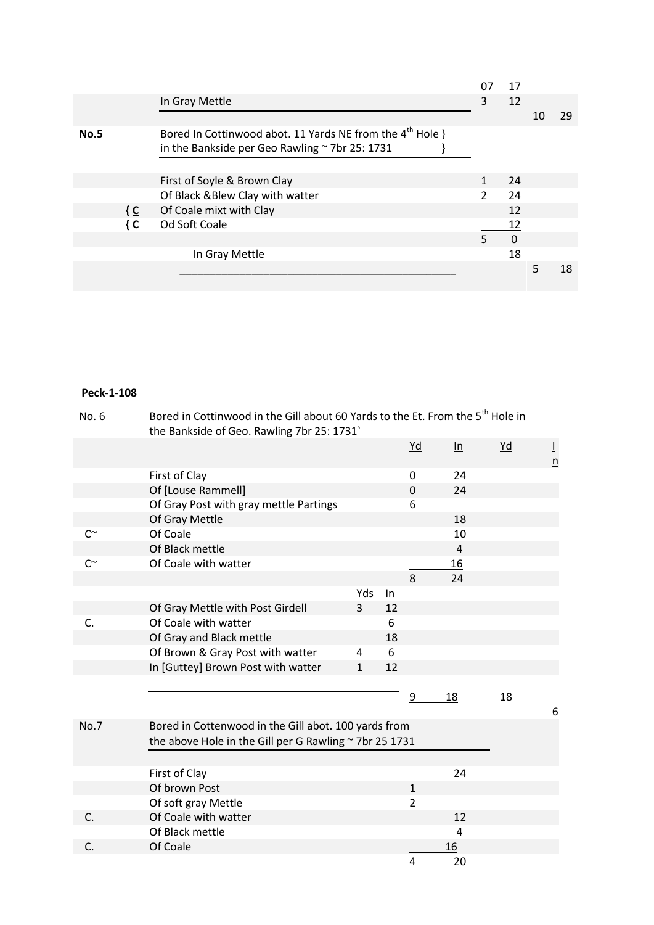|             |                                                                                                                         | 07            | 17       |   |    |
|-------------|-------------------------------------------------------------------------------------------------------------------------|---------------|----------|---|----|
|             | In Gray Mettle                                                                                                          | 3             | 12       |   |    |
|             |                                                                                                                         |               |          |   | 29 |
| <b>No.5</b> | Bored In Cottinwood abot. 11 Yards NE from the $4^{\text{th}}$ Hole }<br>in the Bankside per Geo Rawling ~ 7br 25: 1731 |               |          |   |    |
|             | First of Soyle & Brown Clay                                                                                             |               | 24       |   |    |
|             | Of Black & Blew Clay with watter                                                                                        | $\mathcal{P}$ | 24       |   |    |
| { C         | Of Coale mixt with Clay                                                                                                 |               | 12       |   |    |
| { C         | Od Soft Coale                                                                                                           |               | 12       |   |    |
|             |                                                                                                                         | 5             | $\Omega$ |   |    |
|             | In Gray Mettle                                                                                                          |               | 18       |   |    |
|             |                                                                                                                         |               |          | 5 | 18 |

| No. 6       | Bored in Cottinwood in the Gill about 60 Yards to the Et. From the 5 <sup>th</sup> Hole in<br>the Bankside of Geo. Rawling 7br 25: 1731` |              |    |                  |                   |      |                                   |
|-------------|------------------------------------------------------------------------------------------------------------------------------------------|--------------|----|------------------|-------------------|------|-----------------------------------|
|             |                                                                                                                                          |              |    | $\underline{Yd}$ | $\underline{\ln}$ | $Yd$ | $\overline{1}$<br>$\underline{n}$ |
|             | First of Clay                                                                                                                            |              |    | 0                | 24                |      |                                   |
|             | Of [Louse Rammell]                                                                                                                       |              |    | 0                | 24                |      |                                   |
|             | Of Gray Post with gray mettle Partings                                                                                                   |              |    | 6                |                   |      |                                   |
|             | Of Gray Mettle                                                                                                                           |              |    |                  | 18                |      |                                   |
| $C^{\sim}$  | Of Coale                                                                                                                                 |              |    |                  | 10                |      |                                   |
|             | Of Black mettle                                                                                                                          |              |    |                  | $\overline{4}$    |      |                                   |
| $C^{\sim}$  | Of Coale with watter                                                                                                                     |              |    |                  | 16                |      |                                   |
|             |                                                                                                                                          |              |    | 8                | 24                |      |                                   |
|             |                                                                                                                                          | Yds          | In |                  |                   |      |                                   |
|             | Of Gray Mettle with Post Girdell                                                                                                         | 3            | 12 |                  |                   |      |                                   |
| C.          | Of Coale with watter                                                                                                                     |              | 6  |                  |                   |      |                                   |
|             | Of Gray and Black mettle                                                                                                                 |              | 18 |                  |                   |      |                                   |
|             | Of Brown & Gray Post with watter                                                                                                         | 4            | 6  |                  |                   |      |                                   |
|             | In [Guttey] Brown Post with watter                                                                                                       | $\mathbf{1}$ | 12 |                  |                   |      |                                   |
|             |                                                                                                                                          |              |    |                  |                   |      |                                   |
|             |                                                                                                                                          |              |    | 9                | 18                | 18   |                                   |
|             |                                                                                                                                          |              |    |                  |                   |      | 6                                 |
| <b>No.7</b> | Bored in Cottenwood in the Gill abot. 100 yards from                                                                                     |              |    |                  |                   |      |                                   |
|             | the above Hole in the Gill per G Rawling ~ 7br 25 1731                                                                                   |              |    |                  |                   |      |                                   |
|             |                                                                                                                                          |              |    |                  |                   |      |                                   |
|             | First of Clay                                                                                                                            |              |    |                  | 24                |      |                                   |
|             | Of brown Post                                                                                                                            |              |    | $\mathbf{1}$     |                   |      |                                   |
|             | Of soft gray Mettle                                                                                                                      |              |    | $\overline{2}$   |                   |      |                                   |
| C.          | Of Coale with watter                                                                                                                     |              |    |                  | 12                |      |                                   |
|             | Of Black mettle                                                                                                                          |              |    |                  | 4                 |      |                                   |
| C.          | Of Coale                                                                                                                                 |              |    |                  | 16                |      |                                   |
|             |                                                                                                                                          |              |    | 4                | 20                |      |                                   |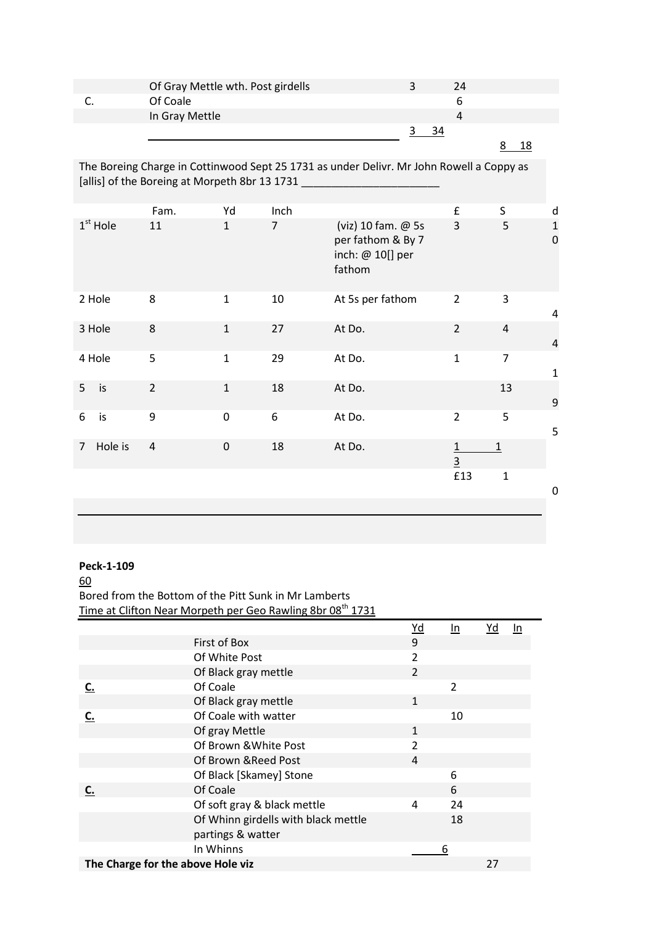| Of Gray Mettle wth. Post girdells | 24 |
|-----------------------------------|----|
| Of Coale                          |    |
| In Gray Mettle                    |    |
|                                   |    |

8 18

The Boreing Charge in Cottinwood Sept 25 1731 as under Delivr. Mr John Rowell a Coppy as [allis] of the Boreing at Morpeth 8br 13 1731

|                |            | Fam.           | Yd           | Inch           |                                                                       | £                   | S              | d                          |
|----------------|------------|----------------|--------------|----------------|-----------------------------------------------------------------------|---------------------|----------------|----------------------------|
|                | $1st$ Hole | 11             | $\mathbf{1}$ | $\overline{7}$ | (viz) 10 fam. @ 5s<br>per fathom & By 7<br>inch: @ 10[] per<br>fathom | 3                   | 5              | $\mathbf 1$<br>$\mathbf 0$ |
|                | 2 Hole     | 8              | $\mathbf{1}$ | 10             | At 5s per fathom                                                      | $\overline{2}$      | 3              | 4                          |
|                | 3 Hole     | 8              | $\mathbf{1}$ | 27             | At Do.                                                                | $\overline{2}$      | $\overline{4}$ | $\overline{4}$             |
|                | 4 Hole     | 5              | $\mathbf{1}$ | 29             | At Do.                                                                | $\mathbf{1}$        | $\overline{7}$ | $\mathbf{1}$               |
| 5 <sup>1</sup> | is         | $\overline{2}$ | $\mathbf 1$  | 18             | At Do.                                                                |                     | 13             | 9                          |
| 6              | is         | 9              | $\mathbf 0$  | 6              | At Do.                                                                | $\overline{2}$      | 5              | 5                          |
| 7              | Hole is    | $\sqrt{4}$     | $\mathbf 0$  | 18             | At Do.                                                                | 1<br>$\overline{3}$ | $\mathbf 1$    |                            |
|                |            |                |              |                |                                                                       | £13                 | $\mathbf 1$    |                            |
|                |            |                |              |                |                                                                       |                     |                | 0                          |
|                |            |                |              |                |                                                                       |                     |                |                            |

# **Peck-1-109**

60 Bored from the Bottom of the Pitt Sunk in Mr Lamberts Time at Clifton Near Morpeth per Geo Rawling 8br 08<sup>th</sup> 1731

|                                   |                                     | $Yd$           | In.            | Yd | In |
|-----------------------------------|-------------------------------------|----------------|----------------|----|----|
|                                   | First of Box                        | 9              |                |    |    |
|                                   | Of White Post                       | 2              |                |    |    |
|                                   | Of Black gray mettle                | $\overline{2}$ |                |    |    |
| C.                                | Of Coale                            |                | $\overline{2}$ |    |    |
|                                   | Of Black gray mettle                | $\mathbf{1}$   |                |    |    |
| C.                                | Of Coale with watter                |                | 10             |    |    |
|                                   | Of gray Mettle                      | $\mathbf{1}$   |                |    |    |
|                                   | Of Brown & White Post               | $\overline{2}$ |                |    |    |
|                                   | Of Brown & Reed Post                | 4              |                |    |    |
|                                   | Of Black [Skamey] Stone             |                | 6              |    |    |
| C.                                | Of Coale                            |                | 6              |    |    |
|                                   | Of soft gray & black mettle         | 4              | 24             |    |    |
|                                   | Of Whinn girdells with black mettle |                | 18             |    |    |
|                                   | partings & watter                   |                |                |    |    |
|                                   | In Whinns                           |                | 6              |    |    |
| The Charge for the above Hole viz |                                     |                |                | 27 |    |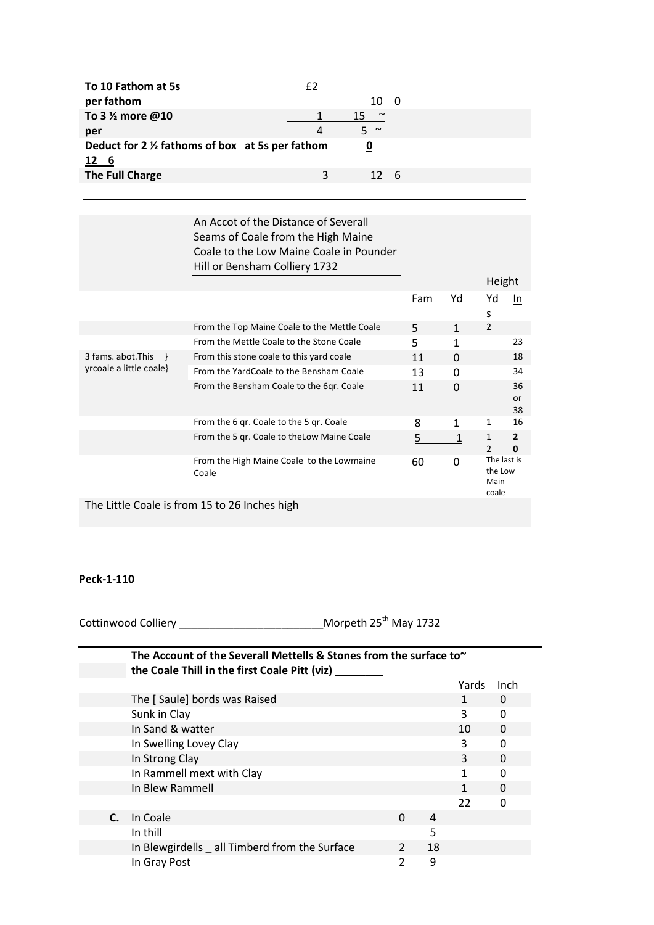| To 10 Fathom at 5s                               | f2 |              |   |  |  |
|--------------------------------------------------|----|--------------|---|--|--|
| per fathom                                       |    | 10.          | 0 |  |  |
| To 3 1/2 more @10                                |    | $\sim$<br>15 |   |  |  |
| per                                              | 4  | $\sim$       |   |  |  |
| Deduct for 2 1/2 fathoms of box at 5s per fathom |    | 0            |   |  |  |
| 12 6                                             |    |              |   |  |  |
| The Full Charge                                  | ς  | 12 G         |   |  |  |
|                                                  |    |              |   |  |  |

# An Accot of the Distance of Severall Seams of Coale from the High Maine Coale to the Low Maine Coale in Pounder Hill or Bensham Colliery 1732

|                         |                                                    |     |          | Height                                  |                       |
|-------------------------|----------------------------------------------------|-----|----------|-----------------------------------------|-----------------------|
|                         |                                                    | Fam | Yd       | Yd                                      | In.                   |
|                         |                                                    |     |          | s                                       |                       |
|                         | From the Top Maine Coale to the Mettle Coale       | 5   |          | $\overline{2}$                          |                       |
|                         | From the Mettle Coale to the Stone Coale           | 5   | 1        |                                         | 23                    |
| 3 fams. abot. This      | From this stone coale to this yard coale           | 11  | 0        |                                         | 18                    |
| yrcoale a little coale} | From the YardCoale to the Bensham Coale            | 13  | $\Omega$ |                                         | 34                    |
|                         | From the Bensham Coale to the 6qr. Coale           | 11  | 0        |                                         | 36<br><b>or</b><br>38 |
|                         | From the 6 gr. Coale to the 5 gr. Coale            | 8   | 1        | 1                                       | 16                    |
|                         | From the 5 gr. Coale to the Low Maine Coale        | 5   |          | 1<br>$\mathfrak{p}$                     | $\overline{2}$<br>0   |
|                         | From the High Maine Coale to the Lowmaine<br>Coale | 60  | 0        | The last is<br>the Low<br>Main<br>coale |                       |

The Little Coale is from 15 to 26 Inches high

#### **Peck-1-110**

Cottinwood Colliery \_\_\_\_\_\_\_\_\_\_\_\_\_\_\_\_\_\_\_\_\_\_\_\_\_\_\_\_\_\_\_\_Morpeth 25<sup>th</sup> May 1732

|    | The Account of the Severall Mettells & Stones from the surface to~<br>the Coale Thill in the first Coale Pitt (viz) |               |    |       |          |
|----|---------------------------------------------------------------------------------------------------------------------|---------------|----|-------|----------|
|    |                                                                                                                     |               |    | Yards | Inch     |
|    | The [Saule] bords was Raised                                                                                        |               |    | 1     | 0        |
|    | Sunk in Clay                                                                                                        |               |    | 3     | $\Omega$ |
|    | In Sand & watter                                                                                                    |               |    | 10    | $\Omega$ |
|    | In Swelling Lovey Clay                                                                                              |               |    | 3     | $\Omega$ |
|    | In Strong Clay                                                                                                      |               |    | 3     | $\Omega$ |
|    | In Rammell mext with Clay                                                                                           |               |    |       | O        |
|    | In Blew Rammell                                                                                                     |               |    |       | 0        |
|    |                                                                                                                     |               |    | 22    |          |
| C. | In Coale                                                                                                            | 0             | 4  |       |          |
|    | In thill                                                                                                            |               | 5  |       |          |
|    | In Blewgirdells all Timberd from the Surface                                                                        | $\mathcal{P}$ | 18 |       |          |
|    | In Gray Post                                                                                                        | 2             | 9  |       |          |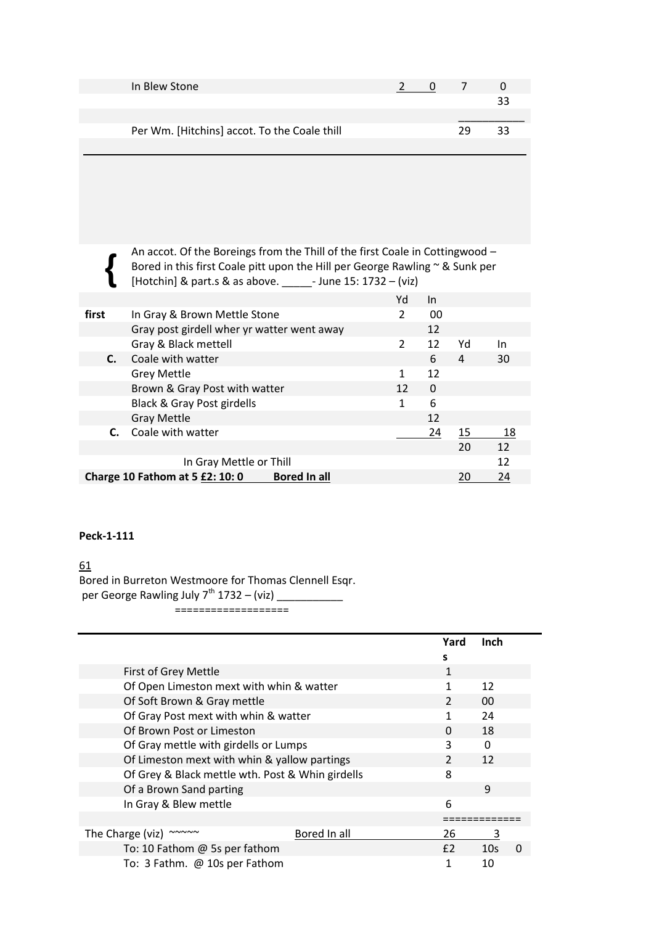| In Blew Stone                                |  |    |    |
|----------------------------------------------|--|----|----|
|                                              |  |    | २२ |
|                                              |  |    |    |
| Per Wm. [Hitchins] accot. To the Coale thill |  | 79 | 33 |
|                                              |  |    |    |

An accot. Of the Boreings from the Thill of the first Coale in Cottingwood – Bored in this first Coale pitt upon the Hill per George Rawling ~ & Sunk per [Hotchin] & part.s & as above. \_\_\_\_\_- June 15: 1732 – (viz)

|       |                                                               | Yd             | In |    |    |  |
|-------|---------------------------------------------------------------|----------------|----|----|----|--|
| first | In Gray & Brown Mettle Stone                                  | 2              | 00 |    |    |  |
|       | Gray post girdell wher yr watter went away                    |                | 12 |    |    |  |
|       | Gray & Black mettell                                          | $\overline{2}$ | 12 | Yd | 1n |  |
| C.    | Coale with watter                                             |                | 6  | 4  | 30 |  |
|       | <b>Grey Mettle</b>                                            |                | 12 |    |    |  |
|       | Brown & Gray Post with watter                                 | 12             | 0  |    |    |  |
|       | Black & Gray Post girdells                                    | 1              | 6  |    |    |  |
|       | <b>Gray Mettle</b>                                            |                | 12 |    |    |  |
|       | <b>C.</b> Coale with watter                                   |                | 24 | 15 | 18 |  |
|       |                                                               |                |    | 20 | 12 |  |
|       | In Gray Mettle or Thill                                       |                |    |    | 12 |  |
|       | <b>Bored In all</b><br><b>Charge 10 Fathom at 5 £2: 10: 0</b> |                |    |    |    |  |

# **Peck-1-111**

 **{**

61

Bored in Burreton Westmoore for Thomas Clennell Esqr. per George Rawling July  $7^{th}$  1732 – (viz) \_\_\_\_\_\_\_\_\_\_\_

===================

|                                                                 | Yard           | Inch            |   |
|-----------------------------------------------------------------|----------------|-----------------|---|
|                                                                 | s              |                 |   |
| First of Grey Mettle                                            | 1              |                 |   |
| Of Open Limeston mext with whin & watter                        | 1              | 12              |   |
| Of Soft Brown & Gray mettle                                     | $\mathcal{P}$  | 00              |   |
| Of Gray Post mext with whin & watter                            | 1              | 24              |   |
| Of Brown Post or Limeston                                       | 0              | 18              |   |
| Of Gray mettle with girdells or Lumps                           | ς              | $\Omega$        |   |
| Of Limeston mext with whin & yallow partings                    | $\overline{2}$ | 12              |   |
| Of Grey & Black mettle wth. Post & Whin girdells                | 8              |                 |   |
| Of a Brown Sand parting                                         |                | 9               |   |
| In Gray & Blew mettle                                           | 6              |                 |   |
|                                                                 |                |                 |   |
| $\sim$ $\sim$ $\sim$ $\sim$<br>Bored In all<br>The Charge (viz) | 26             | 3               |   |
| To: 10 Fathom @ 5s per fathom                                   | E <sub>2</sub> | 10 <sub>s</sub> | 0 |
| To: 3 Fathm. @ 10s per Fathom                                   |                | 10              |   |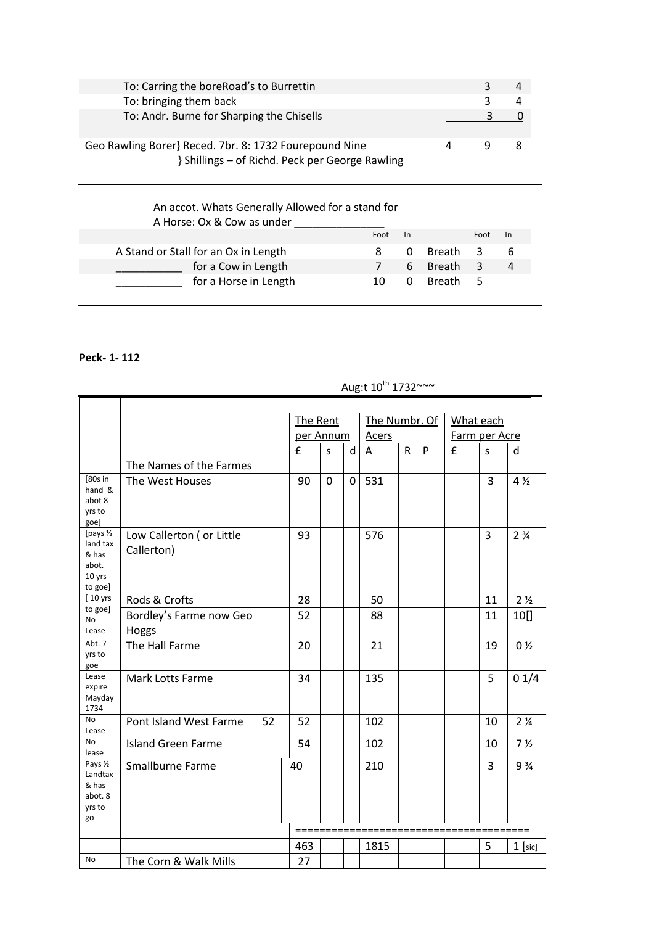| To: Carring the boreRoad's to Burrettin                                                                   |   |  |
|-----------------------------------------------------------------------------------------------------------|---|--|
| To: bringing them back                                                                                    |   |  |
| To: Andr. Burne for Sharping the Chisells                                                                 |   |  |
| Geo Rawling Borer} Reced. 7br. 8: 1732 Fourepound Nine<br>} Shillings - of Richd. Peck per George Rawling | ч |  |

# An accot. Whats Generally Allowed for a stand for A Horse: Ox & Cow as under \_\_\_\_\_\_\_\_\_\_\_\_\_\_\_ Foot In Foot In A Stand or Stall for an Ox in Length 8 0 Breath 3 6 \_\_\_\_\_\_\_\_\_\_\_ for a Cow in Length 7 6 Breath 3 4 \_\_\_\_\_\_\_\_\_\_\_ for a Horse in Length 10 0 Breath 5

### **Peck- 1- 112**

|                                                              |                                         | The Rent  |          |              | The Numbr. Of |              |   | What each     |                |                               |
|--------------------------------------------------------------|-----------------------------------------|-----------|----------|--------------|---------------|--------------|---|---------------|----------------|-------------------------------|
|                                                              |                                         | per Annum |          |              | Acers         |              |   | Farm per Acre |                |                               |
|                                                              |                                         | £         | S        | d            | A             | $\mathsf{R}$ | P | £             | S              | d                             |
|                                                              | The Names of the Farmes                 |           |          |              |               |              |   |               |                |                               |
| [80s in<br>hand &<br>abot 8<br>yrs to<br>goe]                | The West Houses                         | 90        | $\Omega$ | $\mathbf{0}$ | 531           |              |   |               | 3              | $4\frac{1}{2}$                |
| [pays 1/2<br>land tax<br>& has<br>abot.<br>10 yrs<br>to goe] | Low Callerton ( or Little<br>Callerton) | 93        |          |              | 576           |              |   |               | $\overline{3}$ | 2 <sup>3</sup> / <sub>4</sub> |
| [10 yrs                                                      | Rods & Crofts                           | 28        |          |              | 50            |              |   |               | 11             | 2 <sub>2</sub>                |
| to goe]<br><b>No</b><br>Lease                                | Bordley's Farme now Geo<br>Hoggs        | 52        |          |              | 88            |              |   |               | 11             | 10[]                          |
| Abt. 7<br>yrs to<br>goe                                      | The Hall Farme                          | 20        |          |              | 21            |              |   |               | 19             | 0 <sub>2</sub>                |
| Lease<br>expire<br>Mayday<br>1734                            | <b>Mark Lotts Farme</b>                 | 34        |          |              | 135           |              |   |               | 5              | 01/4                          |
| <b>No</b><br>Lease                                           | Pont Island West Farme<br>52            | 52        |          |              | 102           |              |   |               | 10             | 2 <sub>4</sub>                |
| <b>No</b><br>lease                                           | <b>Island Green Farme</b>               | 54        |          |              | 102           |              |   |               | 10             | 7 <sub>2</sub>                |
| Pays 1/2<br>Landtax<br>& has<br>abot. 8<br>yrs to<br>go      | <b>Smallburne Farme</b>                 | 40        |          |              | 210           |              |   |               | 3              | 9 <sup>3</sup> / <sub>4</sub> |
|                                                              |                                         |           |          |              |               |              |   |               |                | ===                           |
|                                                              |                                         | 463       |          |              | 1815          |              |   |               | 5              | $1$ [sic]                     |
| <b>No</b>                                                    | The Corn & Walk Mills                   | 27        |          |              |               |              |   |               |                |                               |

# Aug:t  $10^{th}$  1732~~~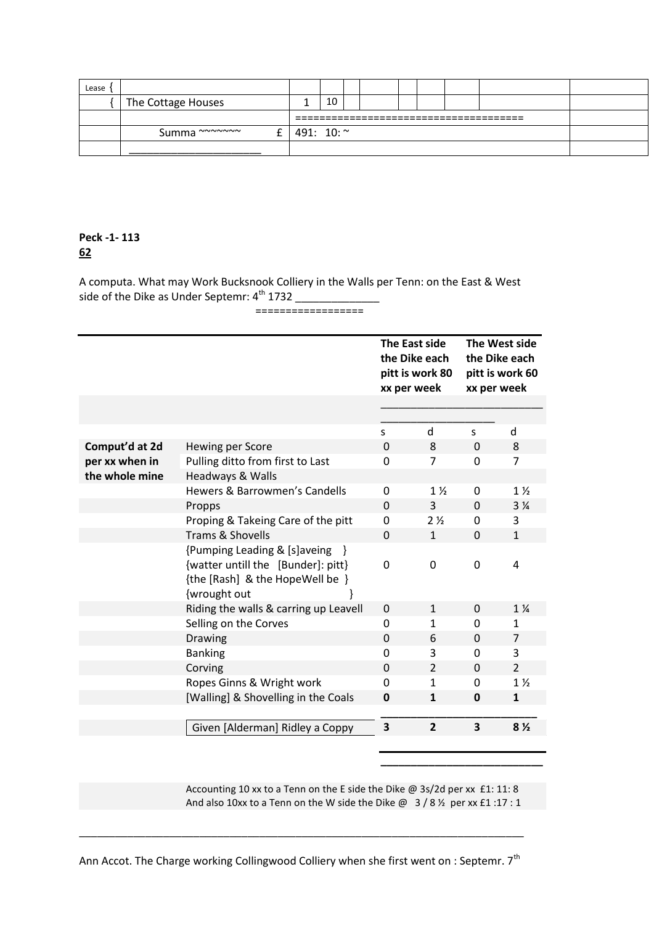| Lease |                    |            |    |  |  |  |  |  |  |  |
|-------|--------------------|------------|----|--|--|--|--|--|--|--|
|       | The Cottage Houses |            | 10 |  |  |  |  |  |  |  |
|       |                    |            |    |  |  |  |  |  |  |  |
|       | Summa ~~~~~~~      | 491: 10: ~ |    |  |  |  |  |  |  |  |
|       |                    |            |    |  |  |  |  |  |  |  |

A computa. What may Work Bucksnook Colliery in the Walls per Tenn: on the East & West side of the Dike as Under Septemr:  $4^{\text{th}}$  1732 \_\_\_\_\_\_\_\_\_\_\_\_\_\_\_\_

# ==================

|                |                                                                                                                         |              | The East side<br>the Dike each<br>pitt is work 80<br>xx per week | The West side<br>the Dike each<br>pitt is work 60<br>xx per week |                |  |
|----------------|-------------------------------------------------------------------------------------------------------------------------|--------------|------------------------------------------------------------------|------------------------------------------------------------------|----------------|--|
|                |                                                                                                                         |              |                                                                  |                                                                  |                |  |
|                |                                                                                                                         | S            | $\mathsf{d}$                                                     | S.                                                               | d              |  |
| Comput'd at 2d | Hewing per Score                                                                                                        | $\Omega$     | 8                                                                | $\mathbf 0$                                                      | 8              |  |
| per xx when in | Pulling ditto from first to Last                                                                                        | $\Omega$     | 7                                                                | $\Omega$                                                         | $\overline{7}$ |  |
| the whole mine | Headways & Walls                                                                                                        |              |                                                                  |                                                                  |                |  |
|                | Hewers & Barrowmen's Candells                                                                                           | 0            | $1\frac{1}{2}$                                                   | 0                                                                | $1\frac{1}{2}$ |  |
|                | Propps                                                                                                                  | $\mathbf{0}$ | 3                                                                | $\mathbf{0}$                                                     | 3 <sub>4</sub> |  |
|                | Proping & Takeing Care of the pitt                                                                                      | 0            | 2 <sub>2</sub>                                                   | 0                                                                | 3              |  |
|                | Trams & Shovells                                                                                                        | $\Omega$     | $\mathbf{1}$                                                     | $\Omega$                                                         | $\mathbf{1}$   |  |
|                | {Pumping Leading & [s]aveing }<br>{watter untill the [Bunder]: pitt}<br>{the [Rash] & the HopeWell be }<br>{wrought out | 0            | 0                                                                | $\mathbf 0$                                                      | 4              |  |
|                | Riding the walls & carring up Leavell                                                                                   | $\mathbf 0$  | $\mathbf{1}$                                                     | $\Omega$                                                         | $1\frac{1}{4}$ |  |
|                | Selling on the Corves                                                                                                   | $\mathbf 0$  | 1                                                                | 0                                                                | 1              |  |
|                | Drawing                                                                                                                 | $\mathbf 0$  | 6                                                                | $\mathbf 0$                                                      | 7              |  |
|                | <b>Banking</b>                                                                                                          | $\mathbf 0$  | 3                                                                | $\mathbf{0}$                                                     | 3              |  |
|                | Corving                                                                                                                 | $\mathbf{0}$ | $\overline{2}$                                                   | $\mathbf{0}$                                                     | $\overline{2}$ |  |
|                | Ropes Ginns & Wright work                                                                                               | 0            | $\mathbf{1}$                                                     | $\Omega$                                                         | 1 <sub>2</sub> |  |
|                | [Walling] & Shovelling in the Coals                                                                                     | $\mathbf 0$  | $\mathbf{1}$                                                     | $\mathbf 0$                                                      | $\mathbf{1}$   |  |
|                | Given [Alderman] Ridley a Coppy                                                                                         | 3            | $\overline{2}$                                                   | 3                                                                | 8 <sub>2</sub> |  |

Accounting 10 xx to a Tenn on the E side the Dike @ 3s/2d per xx £1: 11: 8 And also 10xx to a Tenn on the W side the Dike  $@ 3 / 8 \%$  per xx £1 :17 : 1

**\_\_\_\_\_\_\_\_\_\_\_\_\_\_\_\_\_\_\_\_\_\_\_\_\_\_\_**

\_\_\_\_\_\_\_\_\_\_\_\_\_\_\_\_\_\_\_\_\_\_\_\_\_\_\_\_\_\_\_\_\_\_\_\_\_\_\_\_\_\_\_\_\_\_\_\_\_\_\_\_\_\_\_\_\_\_\_\_\_\_\_\_\_\_\_\_\_\_\_\_\_\_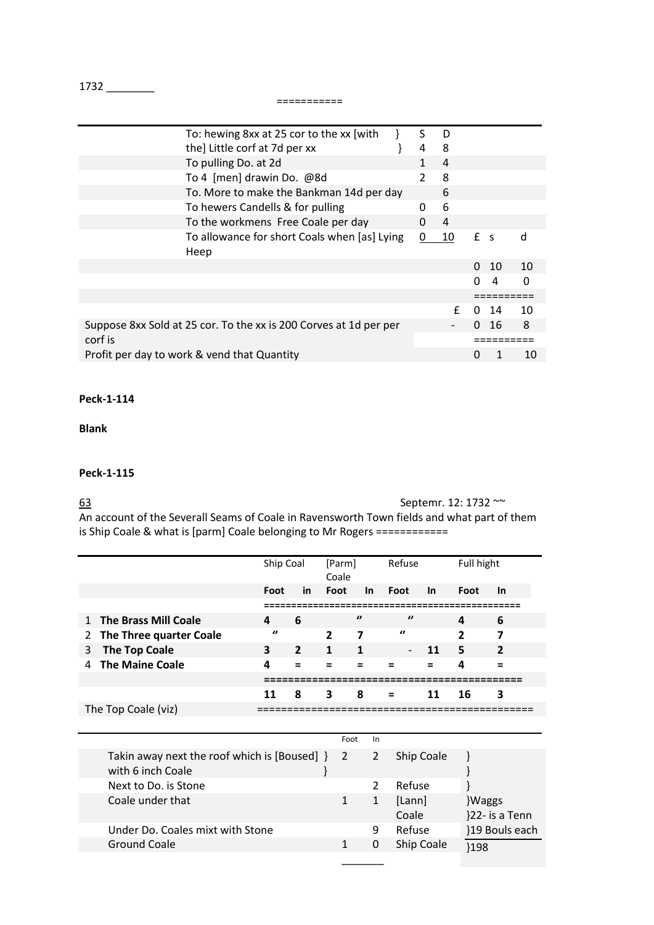1732 \_\_\_\_\_\_\_\_

===========

| To: hewing 8xx at 25 cor to the xx [with]                         | S             | D  |       |    |          |
|-------------------------------------------------------------------|---------------|----|-------|----|----------|
| the] Little corf at 7d per xx                                     | 4             | 8  |       |    |          |
| To pulling Do. at 2d                                              | 1             | 4  |       |    |          |
| To 4 [men] drawin Do. @8d                                         | $\mathcal{P}$ | 8  |       |    |          |
| To. More to make the Bankman 14d per day                          |               | 6  |       |    |          |
| To hewers Candells & for pulling                                  | 0             | 6  |       |    |          |
| To the workmens Free Coale per day                                | 0             | 4  |       |    |          |
| To allowance for short Coals when [as] Lying                      | 0             | 10 | $f$ s |    | d        |
| Heep                                                              |               |    |       |    |          |
|                                                                   |               |    | 0     | 10 | 10       |
|                                                                   |               |    |       | 4  | $\Omega$ |
|                                                                   |               |    |       |    |          |
|                                                                   |               | f  |       | 14 | 10       |
| Suppose 8xx Sold at 25 cor. To the xx is 200 Corves at 1d per per |               |    |       | 16 | 8        |
| corf is                                                           |               |    |       |    |          |
| Profit per day to work & vend that Quantity                       |               |    |       |    | 10       |

#### **Peck-1-114**

# **Blank**

#### **Peck-1-115**

63 Septemr. 12: 1732 ~~

An account of the Severall Seams of Coale in Ravensworth Town fields and what part of them is Ship Coale & what is [parm] Coale belonging to Mr Rogers ============

|                           | Ship Coal |                | [Parm]<br>Coale |              | Refuse                   |          | Full hight   |                |
|---------------------------|-----------|----------------|-----------------|--------------|--------------------------|----------|--------------|----------------|
|                           | Foot      | in             | Foot            | In.          | Foot                     | -In      | Foot         | <b>In</b>      |
|                           |           |                |                 |              |                          |          |              |                |
| 1 The Brass Mill Coale    | 4         | 6              |                 | $\prime$     | $\theta$                 |          | 4            | 6              |
| 2 The Three quarter Coale | $\theta$  |                | $\overline{2}$  | 7            | $\boldsymbol{v}$         |          | $\mathbf{z}$ | 7              |
| 3 The Top Coale           | 3         | $\overline{2}$ | 1               | $\mathbf{1}$ | $\overline{\phantom{0}}$ | 11       | 5            | $\overline{2}$ |
| 4 The Maine Coale         | 4         |                |                 |              |                          | $\equiv$ | 4            |                |
|                           |           |                |                 |              |                          |          |              |                |
|                           | 11        | 8              | 3               | 8            | $\equiv$                 | 11       | 16           | 3              |
| The Top Coale (viz)       |           |                |                 |              |                          |          |              |                |

|                                                                        | Foot | <b>In</b>    |                 |                         |
|------------------------------------------------------------------------|------|--------------|-----------------|-------------------------|
| Takin away next the roof which is [Boused] $\}$ 2<br>with 6 inch Coale |      | $\mathbf{2}$ | Ship Coale      |                         |
| Next to Do. is Stone                                                   |      |              | Refuse          |                         |
| Coale under that                                                       |      |              | [Lann]<br>Coale | Waggs<br>}22- is a Tenn |
| Under Do. Coales mixt with Stone                                       |      | 9            | Refuse          | }19 Bouls each          |
| Ground Coale                                                           |      | 0            | Ship Coale      | }198                    |
|                                                                        |      |              |                 |                         |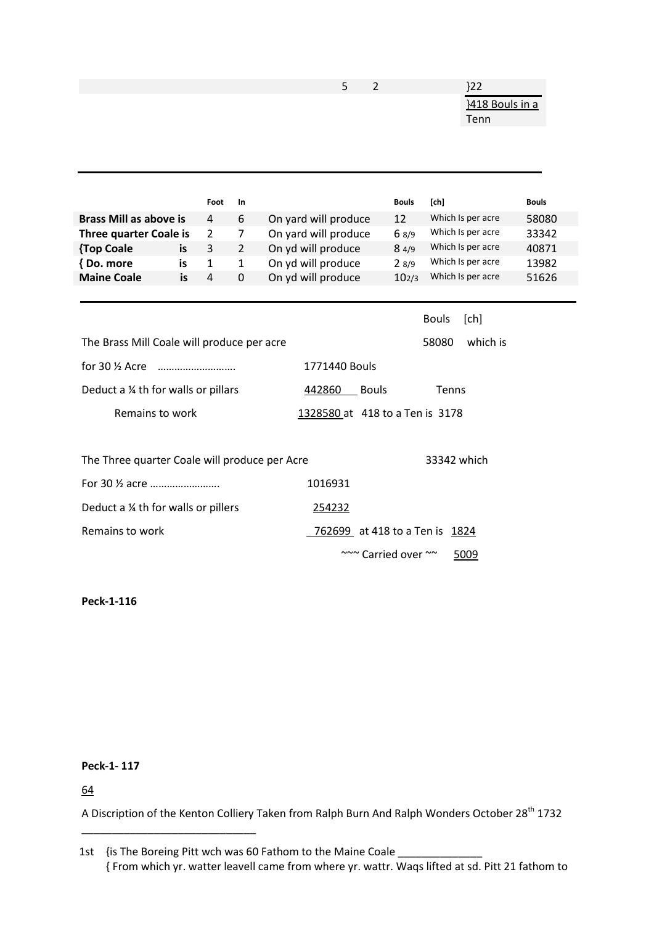|                                               |    |                |                | 5<br>2                          |                   | $}22$                |              |
|-----------------------------------------------|----|----------------|----------------|---------------------------------|-------------------|----------------------|--------------|
|                                               |    |                |                |                                 |                   | }418 Bouls in a      |              |
|                                               |    |                |                |                                 |                   | Tenn                 |              |
|                                               |    |                |                |                                 |                   |                      |              |
|                                               |    |                |                |                                 |                   |                      |              |
|                                               |    |                |                |                                 |                   |                      |              |
|                                               |    |                |                |                                 |                   |                      |              |
|                                               |    | Foot           | In             |                                 | Bouls             | [ <sub>ch</sub> ]    | <b>Bouls</b> |
| <b>Brass Mill as above is</b>                 |    | 4              | 6              | On yard will produce            | 12                | Which Is per acre    | 58080        |
| <b>Three quarter Coale is</b>                 |    | $\overline{2}$ | $\overline{7}$ | On yard will produce            | 6 8/9             | Which Is per acre    | 33342        |
| {Top Coale                                    | is | 3              | $\overline{2}$ | On yd will produce              | 84/9              | Which Is per acre    | 40871        |
| {Do. more                                     | is | $\mathbf{1}$   | $\mathbf{1}$   | On yd will produce              | 28/9              | Which Is per acre    | 13982        |
| <b>Maine Coale</b>                            | is | 4              | 0              | On yd will produce              | 10 <sub>2/3</sub> | Which Is per acre    | 51626        |
|                                               |    |                |                |                                 |                   |                      |              |
|                                               |    |                |                |                                 |                   | <b>Bouls</b><br>[ch] |              |
| The Brass Mill Coale will produce per acre    |    |                |                |                                 |                   | 58080<br>which is    |              |
| for 30 $\frac{1}{2}$ Acre                     |    |                |                | 1771440 Bouls                   |                   |                      |              |
| Deduct a 1/4 th for walls or pillars          |    |                |                | <b>Bouls</b><br>442860          |                   | Tenns                |              |
| Remains to work                               |    |                |                | 1328580 at 418 to a Ten is 3178 |                   |                      |              |
|                                               |    |                |                |                                 |                   |                      |              |
| The Three quarter Coale will produce per Acre |    |                |                |                                 |                   | 33342 which          |              |
| For 30 1/2 acre                               |    |                |                | 1016931                         |                   |                      |              |
| Deduct a 1/4 th for walls or pillers          |    |                |                | 254232                          |                   |                      |              |

Remains to work Texas Control Control of the Magnetic Memories of the Magnetic Association of the Magnetic Association of the Magnetic Association of the Magnetic Association of the Magnetic Association of the Magnetic Ass

~~~ Carried over ~~ 5009

**Peck-1-116**

# **Peck-1- 117**

\_\_\_\_\_\_\_\_\_\_\_\_\_\_\_\_\_\_\_\_\_\_\_\_\_\_\_\_\_

64

A Discription of the Kenton Colliery Taken from Ralph Burn And Ralph Wonders October 28<sup>th</sup> 1732

<sup>1</sup>st {is The Boreing Pitt wch was 60 Fathom to the Maine Coale \_ { From which yr. watter leavell came from where yr. wattr. Waqs lifted at sd. Pitt 21 fathom to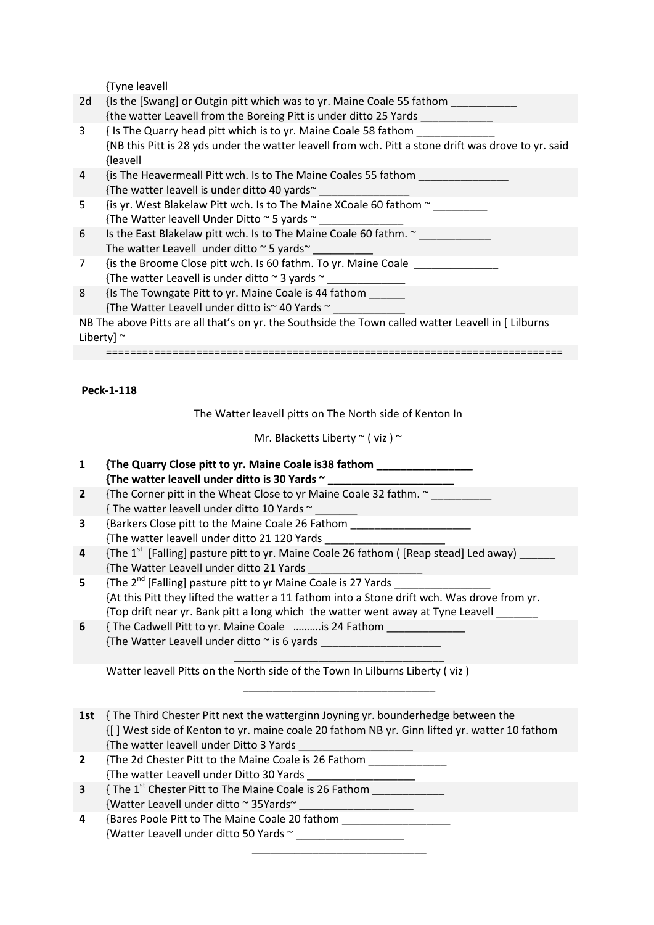{Tyne leavell

|    | 11911 CUVCII                                                                                                                                                                       |
|----|------------------------------------------------------------------------------------------------------------------------------------------------------------------------------------|
| 2d | {Is the [Swang] or Outgin pitt which was to yr. Maine Coale 55 fathom<br>{the watter Leavell from the Boreing Pitt is under ditto 25 Yards                                         |
| 3  | {Is The Quarry head pitt which is to yr. Maine Coale 58 fathom<br>{NB this Pitt is 28 yds under the watter leavell from wch. Pitt a stone drift was drove to yr. said<br>{leavell} |
| 4  | {is The Heavermeall Pitt wch. Is to The Maine Coales 55 fathom<br>{The watter leavell is under ditto 40 yards <sup>~</sup>                                                         |
| 5. | {is yr. West Blakelaw Pitt wch. Is to The Maine XCoale 60 fathom $\sim$<br>{The Watter leavell Under Ditto $\sim$ 5 yards $\sim$                                                   |
| 6  | Is the East Blakelaw pitt wch. Is to The Maine Coale 60 fathm. ~<br>The watter Leavell under ditto $\sim$ 5 yards $\sim$                                                           |
| 7  | {is the Broome Close pitt wch. Is 60 fathm. To yr. Maine Coale<br>{The watter Leavell is under ditto $\sim$ 3 yards $\sim$                                                         |
| 8  | Is The Towngate Pitt to yr. Maine Coale is 44 fathom<br>{The Watter Leavell under ditto is~ 40 Yards ~                                                                             |
|    | NB The above Pitts are all that's on yr. the Southside the Town called watter Leavell in [ Lilburns<br>Liberty] $\sim$                                                             |
|    |                                                                                                                                                                                    |

**Peck-1-118**

The Watter leavell pitts on The North side of Kenton In

Mr. Blacketts Liberty  $\sim$  (viz )  $\sim$ 

| 1            | {The Quarry Close pitt to yr. Maine Coale is 38 fathom ___________________                           |
|--------------|------------------------------------------------------------------------------------------------------|
|              | {The watter leavell under ditto is 30 Yards ~ __________________________________                     |
| $\mathbf{2}$ | {The Corner pitt in the Wheat Close to yr Maine Coale 32 fathm. ~ ______                             |
|              | {The watter leavell under ditto 10 Yards ~                                                           |
| 3            | {Barkers Close pitt to the Maine Coale 26 Fathom _______________________________                     |
|              | {The watter leavell under ditto 21 120 Yards ___________________________________                     |
| 4            | {The 1 <sup>st</sup> [Falling] pasture pitt to yr. Maine Coale 26 fathom ([Reap stead] Led away) ___ |
|              | {The Watter Leavell under ditto 21 Yards                                                             |
| 5            | ${$ The 2 <sup>nd</sup> [Falling] pasture pitt to yr Maine Coale is 27 Yards $\frac{1}{2}$           |
|              | {At this Pitt they lifted the watter a 11 fathom into a Stone drift wch. Was drove from yr.          |
|              | {Top drift near yr. Bank pitt a long which the watter went away at Tyne Leavell                      |
| 6            | {The Cadwell Pitt to yr. Maine Coale is 24 Fathom _____________                                      |
|              | {The Watter Leavell under ditto ~ is 6 yards ___________________________________                     |
|              |                                                                                                      |
|              | Watter leavell Pitts on the North side of the Town In Lilburns Liberty (viz)                         |
|              |                                                                                                      |
|              |                                                                                                      |
| 1st          | { The Third Chester Pitt next the watterginn Joyning yr. bounderhedge between the                    |
|              | {[] West side of Kenton to yr. maine coale 20 fathom NB yr. Ginn lifted yr. watter 10 fathom         |
|              | {The watter leavell under Ditto 3 Yards<br><u> 1980 - Jan Barnett, fransk politiker (</u>            |
| $\mathbf{2}$ | {The 2d Chester Pitt to the Maine Coale is 26 Fathom ____________                                    |
|              |                                                                                                      |
| 3            | {The 1 <sup>st</sup> Chester Pitt to The Maine Coale is 26 Fathom _____________                      |
|              | {Watter Leavell under ditto ~ 35Yards~ ______________________                                        |
| 4            | {Bares Poole Pitt to The Maine Coale 20 fathom _____________________                                 |
|              | {Watter Leavell under ditto 50 Yards ~                                                               |
|              |                                                                                                      |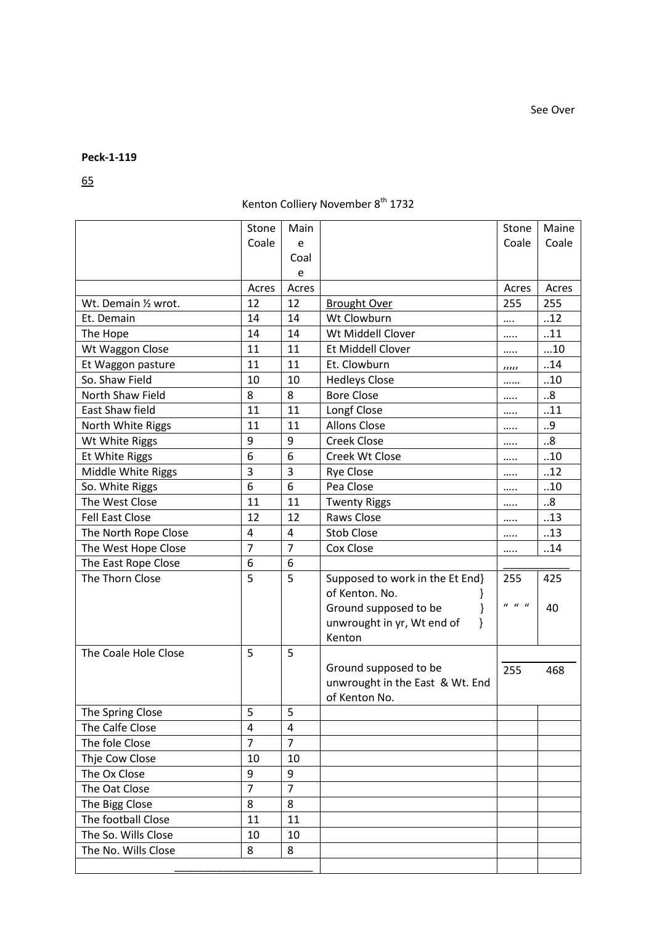65

# Kenton Colliery November 8<sup>th</sup> 1732

|                                     |                         |                |                                 |                                                    | Maine |
|-------------------------------------|-------------------------|----------------|---------------------------------|----------------------------------------------------|-------|
|                                     | Stone<br>Coale          | Main           |                                 | Stone<br>Coale                                     | Coale |
|                                     |                         | e<br>Coal      |                                 |                                                    |       |
|                                     |                         | e              |                                 |                                                    |       |
|                                     | Acres                   | Acres          |                                 | Acres                                              | Acres |
| Wt. Demain 1/2 wrot.                | 12                      | 12             | <b>Brought Over</b>             | 255                                                | 255   |
| Et. Demain                          | 14                      | 14             | Wt Clowburn                     |                                                    | .12   |
| The Hope                            | 14                      | 14             | Wt Middell Clover               |                                                    | .11   |
| Wt Waggon Close                     | 11                      | 11             | Et Middell Clover               |                                                    | 10    |
|                                     | 11                      | 11             | Et. Clowburn                    |                                                    | .14   |
| Et Waggon pasture<br>So. Shaw Field | 10                      | 10             | <b>Hedleys Close</b>            | 11111                                              | .10   |
|                                     |                         |                |                                 |                                                    |       |
| North Shaw Field<br>East Shaw field | 8                       | 8              | <b>Bore Close</b>               |                                                    | .8    |
|                                     | 11                      | 11             | Longf Close                     |                                                    | .11   |
| North White Riggs                   | 11                      | 11             | <b>Allons Close</b>             |                                                    | 9     |
| Wt White Riggs                      | 9                       | 9              | <b>Creek Close</b>              |                                                    | 8     |
| Et White Riggs                      | 6                       | 6              | Creek Wt Close                  |                                                    | .10   |
| Middle White Riggs                  | 3                       | 3              | <b>Rye Close</b>                |                                                    | .12   |
| So. White Riggs                     | 6                       | 6              | Pea Close                       |                                                    | .10   |
| The West Close                      | 11                      | 11             | <b>Twenty Riggs</b>             |                                                    | 8.5   |
| <b>Fell East Close</b>              | 12                      | 12             | Raws Close                      |                                                    | .13   |
| The North Rope Close                | 4                       | 4              | <b>Stob Close</b>               |                                                    | .13   |
| The West Hope Close                 | 7                       | $\overline{7}$ | Cox Close                       |                                                    | .14   |
| The East Rope Close                 | 6                       | 6              |                                 |                                                    |       |
| The Thorn Close                     | 5                       | 5              | Supposed to work in the Et End} | 255                                                | 425   |
|                                     |                         |                | of Kenton. No.                  |                                                    |       |
|                                     |                         |                | Ground supposed to be           | $\boldsymbol{u}$ $\boldsymbol{u}$ $\boldsymbol{u}$ | 40    |
|                                     |                         |                | unwrought in yr, Wt end of<br>} |                                                    |       |
|                                     |                         |                | Kenton                          |                                                    |       |
| The Coale Hole Close                | 5                       | 5              |                                 |                                                    |       |
|                                     |                         |                | Ground supposed to be           | 255                                                | 468   |
|                                     |                         |                | unwrought in the East & Wt. End |                                                    |       |
|                                     |                         |                | of Kenton No.                   |                                                    |       |
| The Spring Close                    | 5                       | 5              |                                 |                                                    |       |
| The Calfe Close                     | $\overline{\mathbf{4}}$ | 4              |                                 |                                                    |       |
| The fole Close                      | $\overline{7}$          | $\overline{7}$ |                                 |                                                    |       |
| Thje Cow Close                      | 10                      | 10             |                                 |                                                    |       |
| The Ox Close                        | 9                       | 9              |                                 |                                                    |       |
| The Oat Close                       | $\overline{7}$          | $\overline{7}$ |                                 |                                                    |       |
| The Bigg Close                      | 8                       | 8              |                                 |                                                    |       |
| The football Close                  | 11                      | 11             |                                 |                                                    |       |
| The So. Wills Close                 | 10                      | 10             |                                 |                                                    |       |
| The No. Wills Close                 | 8                       | 8              |                                 |                                                    |       |
|                                     |                         |                |                                 |                                                    |       |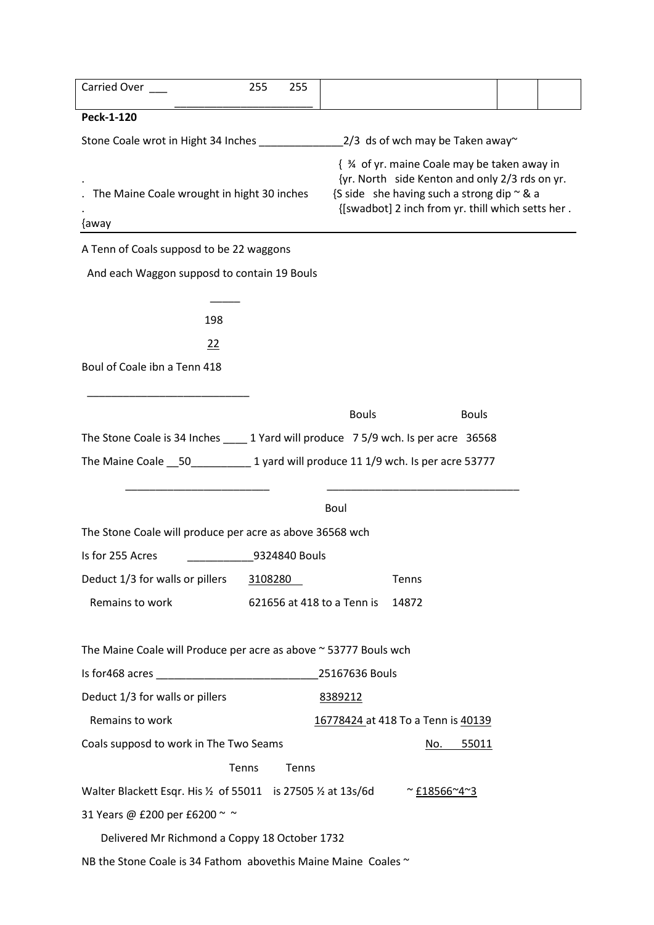| Carried Over                                                                        | 255     | 255           |                            |                                                                                                                                                                                                         |  |
|-------------------------------------------------------------------------------------|---------|---------------|----------------------------|---------------------------------------------------------------------------------------------------------------------------------------------------------------------------------------------------------|--|
| Peck-1-120                                                                          |         |               |                            |                                                                                                                                                                                                         |  |
|                                                                                     |         |               |                            |                                                                                                                                                                                                         |  |
| The Maine Coale wrought in hight 30 inches<br>{away                                 |         |               |                            | { 3⁄4 of yr. maine Coale may be taken away in<br>{yr. North side Kenton and only 2/3 rds on yr.<br>{S side she having such a strong dip $\sim$ & a<br>{[swadbot] 2 inch from yr. thill which setts her. |  |
| A Tenn of Coals supposd to be 22 waggons                                            |         |               |                            |                                                                                                                                                                                                         |  |
| And each Waggon supposd to contain 19 Bouls                                         |         |               |                            |                                                                                                                                                                                                         |  |
| 198                                                                                 |         |               |                            |                                                                                                                                                                                                         |  |
| 22                                                                                  |         |               |                            |                                                                                                                                                                                                         |  |
| Boul of Coale ibn a Tenn 418                                                        |         |               |                            |                                                                                                                                                                                                         |  |
|                                                                                     |         |               |                            |                                                                                                                                                                                                         |  |
|                                                                                     |         |               | <b>Bouls</b>               | <b>Bouls</b>                                                                                                                                                                                            |  |
| The Stone Coale is 34 Inches _____ 1 Yard will produce 7 5/9 wch. Is per acre 36568 |         |               |                            |                                                                                                                                                                                                         |  |
|                                                                                     |         |               |                            |                                                                                                                                                                                                         |  |
|                                                                                     |         |               |                            |                                                                                                                                                                                                         |  |
|                                                                                     |         |               | Boul                       |                                                                                                                                                                                                         |  |
| The Stone Coale will produce per acre as above 36568 wch                            |         |               |                            |                                                                                                                                                                                                         |  |
| Is for 255 Acres                                                                    |         | 9324840 Bouls |                            |                                                                                                                                                                                                         |  |
| Deduct 1/3 for walls or pillers                                                     | 3108280 |               |                            | Tenns                                                                                                                                                                                                   |  |
| Remains to work                                                                     |         |               | 621656 at 418 to a Tenn is | 14872                                                                                                                                                                                                   |  |
| The Maine Coale will Produce per acre as above ~ 53777 Bouls wch                    |         |               |                            |                                                                                                                                                                                                         |  |
|                                                                                     |         |               | 25167636 Bouls             |                                                                                                                                                                                                         |  |
| Deduct 1/3 for walls or pillers                                                     |         |               | 8389212                    |                                                                                                                                                                                                         |  |
| Remains to work                                                                     |         |               |                            | 16778424 at 418 To a Tenn is 40139                                                                                                                                                                      |  |
| Coals supposd to work in The Two Seams                                              |         |               |                            | 55011<br>No.                                                                                                                                                                                            |  |
|                                                                                     | Tenns   | Tenns         |                            |                                                                                                                                                                                                         |  |
| Walter Blackett Esqr. His $\frac{1}{2}$ of 55011 is 27505 $\frac{1}{2}$ at 13s/6d   |         |               |                            | ~ $£18566~4~3$                                                                                                                                                                                          |  |
| 31 Years @ £200 per £6200 ~~                                                        |         |               |                            |                                                                                                                                                                                                         |  |
| Delivered Mr Richmond a Coppy 18 October 1732                                       |         |               |                            |                                                                                                                                                                                                         |  |
| NB the Stone Coale is 34 Fathom abovethis Maine Maine Coales ~                      |         |               |                            |                                                                                                                                                                                                         |  |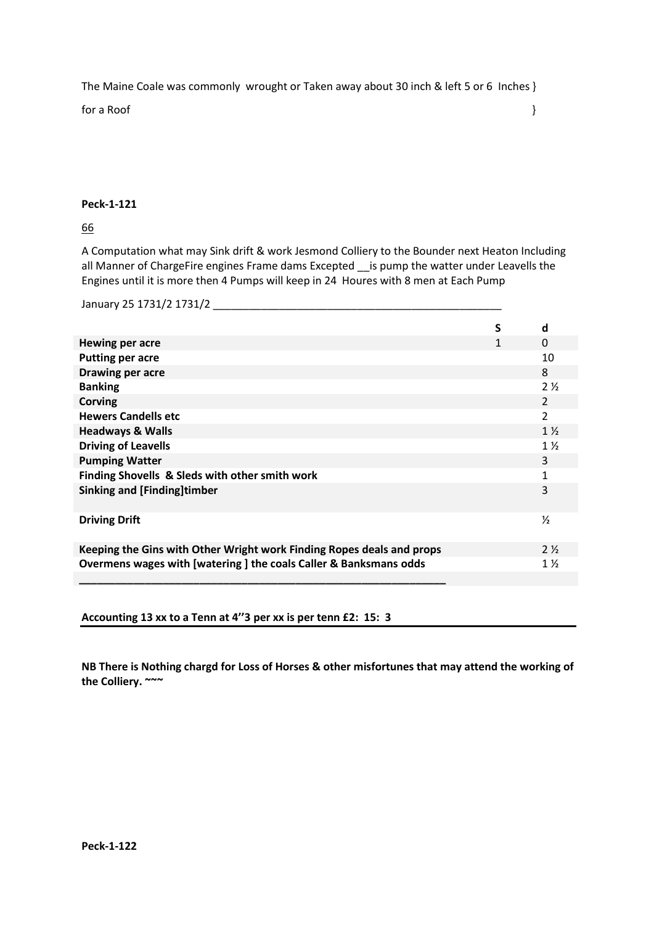The Maine Coale was commonly wrought or Taken away about 30 inch & left 5 or 6 Inches }

for a Roof  $\{$ 

# **Peck-1-121**

66

A Computation what may Sink drift & work Jesmond Colliery to the Bounder next Heaton Including all Manner of ChargeFire engines Frame dams Excepted \_\_ is pump the watter under Leavells the Engines until it is more then 4 Pumps will keep in 24 Houres with 8 men at Each Pump

January 25 1731/2 1731/2 \_\_\_\_\_\_\_\_\_\_\_\_\_\_\_\_\_\_\_\_\_\_\_\_\_\_\_\_\_\_\_\_\_\_\_\_\_\_\_\_\_\_\_\_\_\_\_\_

|                                                                       | S | d              |
|-----------------------------------------------------------------------|---|----------------|
| Hewing per acre                                                       | 1 | $\Omega$       |
| <b>Putting per acre</b>                                               |   | 10             |
| Drawing per acre                                                      |   | 8              |
| <b>Banking</b>                                                        |   | $2\frac{1}{2}$ |
| <b>Corving</b>                                                        |   | 2              |
| <b>Hewers Candells etc</b>                                            |   | $\overline{2}$ |
| <b>Headways &amp; Walls</b>                                           |   | $1\frac{1}{2}$ |
| <b>Driving of Leavells</b>                                            |   | $1\frac{1}{2}$ |
| <b>Pumping Watter</b>                                                 |   | 3              |
| Finding Shovells & Sleds with other smith work                        |   | $\mathbf{1}$   |
| Sinking and [Finding]timber                                           |   | 3              |
| <b>Driving Drift</b>                                                  |   | ⅓              |
| Keeping the Gins with Other Wright work Finding Ropes deals and props |   | $2\frac{1}{2}$ |
| Overmens wages with [watering ] the coals Caller & Banksmans odds     |   | $1\frac{1}{2}$ |
|                                                                       |   |                |

**Accounting 13 xx to a Tenn at 4''3 per xx is per tenn £2: 15: 3**

**NB There is Nothing chargd for Loss of Horses & other misfortunes that may attend the working of the Colliery. ~~~**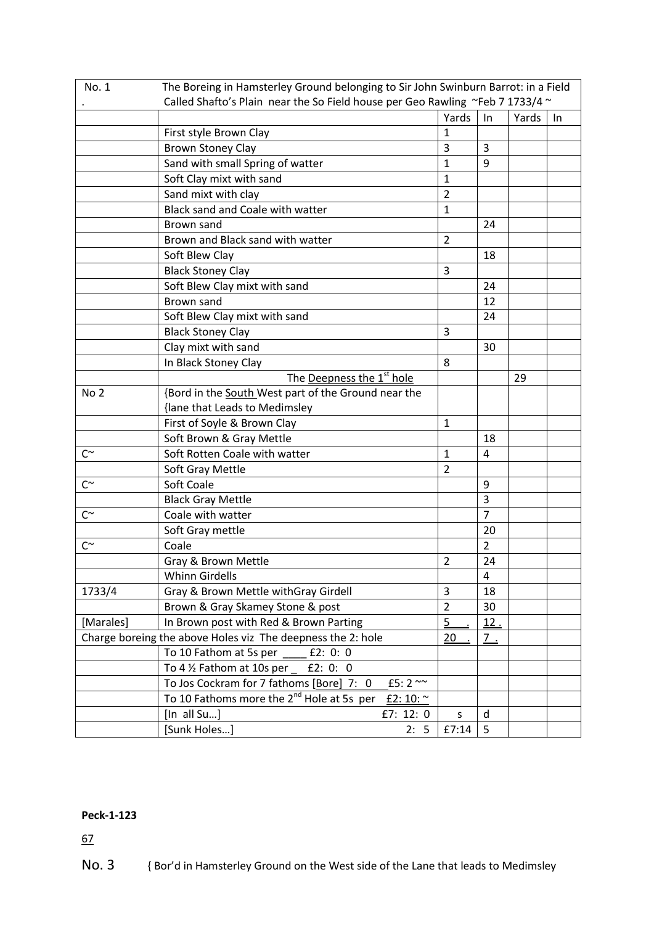| No. 1           |                                                                               | The Boreing in Hamsterley Ground belonging to Sir John Swinburn Barrot: in a Field |                |       |    |  |  |
|-----------------|-------------------------------------------------------------------------------|------------------------------------------------------------------------------------|----------------|-------|----|--|--|
|                 | Called Shafto's Plain near the So Field house per Geo Rawling ~Feb 7 1733/4 ~ |                                                                                    |                |       |    |  |  |
|                 |                                                                               | Yards                                                                              | $\ln$          | Yards | In |  |  |
|                 | First style Brown Clay                                                        | $\mathbf{1}$                                                                       |                |       |    |  |  |
|                 | <b>Brown Stoney Clay</b>                                                      | 3                                                                                  | 3              |       |    |  |  |
|                 | Sand with small Spring of watter                                              | $\mathbf{1}$                                                                       | 9              |       |    |  |  |
|                 | Soft Clay mixt with sand                                                      | 1                                                                                  |                |       |    |  |  |
|                 | Sand mixt with clay                                                           | $\overline{2}$                                                                     |                |       |    |  |  |
|                 | Black sand and Coale with watter                                              | $\mathbf{1}$                                                                       |                |       |    |  |  |
|                 | Brown sand                                                                    |                                                                                    | 24             |       |    |  |  |
|                 | Brown and Black sand with watter                                              | $\overline{2}$                                                                     |                |       |    |  |  |
|                 | Soft Blew Clay                                                                |                                                                                    | 18             |       |    |  |  |
|                 | <b>Black Stoney Clay</b>                                                      | 3                                                                                  |                |       |    |  |  |
|                 | Soft Blew Clay mixt with sand                                                 |                                                                                    | 24             |       |    |  |  |
|                 | Brown sand                                                                    |                                                                                    | 12             |       |    |  |  |
|                 | Soft Blew Clay mixt with sand                                                 |                                                                                    | 24             |       |    |  |  |
|                 | <b>Black Stoney Clay</b>                                                      | 3                                                                                  |                |       |    |  |  |
|                 | Clay mixt with sand                                                           |                                                                                    | 30             |       |    |  |  |
|                 | In Black Stoney Clay                                                          | 8                                                                                  |                |       |    |  |  |
|                 | The Deepness the 1 <sup>st</sup> hole                                         |                                                                                    |                | 29    |    |  |  |
| No <sub>2</sub> | {Bord in the South West part of the Ground near the                           |                                                                                    |                |       |    |  |  |
|                 | {lane that Leads to Medimsley                                                 |                                                                                    |                |       |    |  |  |
|                 | First of Soyle & Brown Clay                                                   | $\mathbf{1}$                                                                       |                |       |    |  |  |
|                 | Soft Brown & Gray Mettle                                                      |                                                                                    | 18             |       |    |  |  |
| $C^{\sim}$      | Soft Rotten Coale with watter                                                 | $\mathbf{1}$                                                                       | $\overline{4}$ |       |    |  |  |
|                 | Soft Gray Mettle                                                              | $\overline{2}$                                                                     |                |       |    |  |  |
| $C^{\sim}$      | Soft Coale                                                                    |                                                                                    | 9              |       |    |  |  |
|                 | <b>Black Gray Mettle</b>                                                      |                                                                                    | 3              |       |    |  |  |
| $C^{\sim}$      | Coale with watter                                                             |                                                                                    | $\overline{7}$ |       |    |  |  |
|                 | Soft Gray mettle                                                              |                                                                                    | 20             |       |    |  |  |
| $C^{\sim}$      | Coale                                                                         |                                                                                    | $\overline{2}$ |       |    |  |  |
|                 | Gray & Brown Mettle                                                           | $\overline{2}$                                                                     | 24             |       |    |  |  |
|                 | <b>Whinn Girdells</b>                                                         |                                                                                    | 4              |       |    |  |  |
| 1733/4          | Gray & Brown Mettle withGray Girdell                                          | 3                                                                                  | 18             |       |    |  |  |
|                 | Brown & Gray Skamey Stone & post                                              | $\overline{2}$                                                                     | 30             |       |    |  |  |
| [Marales]       | In Brown post with Red & Brown Parting                                        | $\overline{5}$                                                                     | 12.            |       |    |  |  |
|                 | Charge boreing the above Holes viz The deepness the 2: hole                   | 20                                                                                 | $7_{\pm}$      |       |    |  |  |
|                 | To 10 Fathom at 5s per<br>E2: 0: 0                                            |                                                                                    |                |       |    |  |  |
|                 | To 4 1/2 Fathom at 10s per<br>E2: 0: 0                                        |                                                                                    |                |       |    |  |  |
|                 | To Jos Cockram for 7 fathoms [Bore] 7: 0<br>£5: $2^{\sim}$                    |                                                                                    |                |       |    |  |  |
|                 | To 10 Fathoms more the 2 <sup>nd</sup> Hole at 5s per<br>£2: 10: $\sim$       |                                                                                    |                |       |    |  |  |
|                 | [In all Su]<br>£7: 12: 0                                                      | S                                                                                  | d              |       |    |  |  |
|                 | [Sunk Holes]<br>2: 5                                                          | £7:14                                                                              | 5              |       |    |  |  |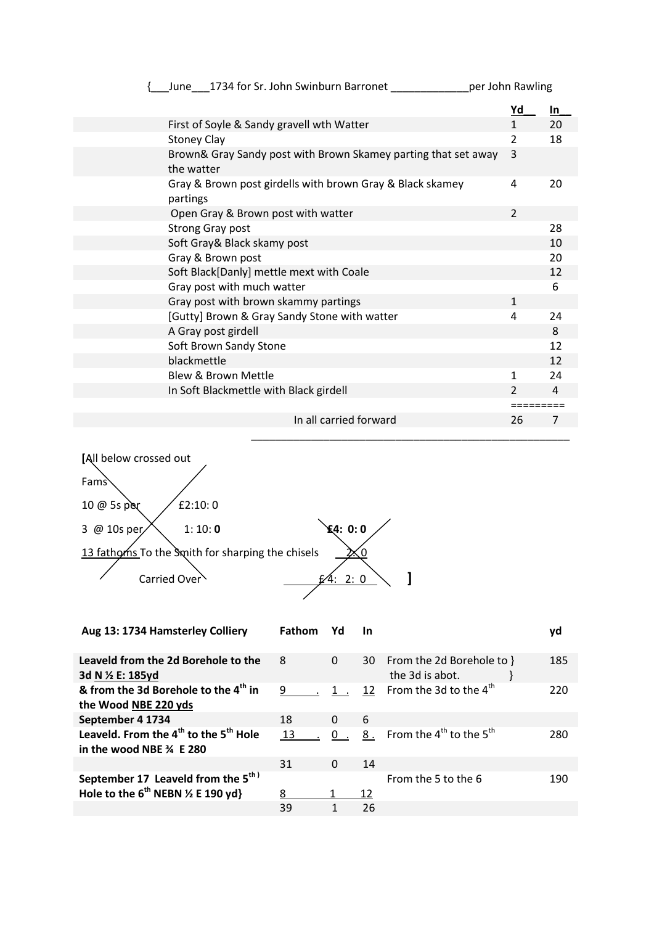| June 1734 for Sr. John Swinburn Barronet                                     | per John Rawling |     |
|------------------------------------------------------------------------------|------------------|-----|
|                                                                              | <u>Yd</u>        | In. |
| First of Soyle & Sandy gravell wth Watter                                    | $\mathbf{1}$     | 20  |
| <b>Stoney Clay</b>                                                           | 2                | 18  |
| Brown& Gray Sandy post with Brown Skamey parting that set away<br>the watter | 3                |     |
| Gray & Brown post girdells with brown Gray & Black skamey<br>partings        | 4                | 20  |
| Open Gray & Brown post with watter                                           | $\overline{2}$   |     |
| <b>Strong Gray post</b>                                                      |                  | 28  |
| Soft Gray & Black skamy post                                                 |                  | 10  |
| Gray & Brown post                                                            |                  | 20  |
| Soft Black[Danly] mettle mext with Coale                                     |                  | 12  |
| Gray post with much watter                                                   |                  | 6   |
| Gray post with brown skammy partings                                         | $\mathbf{1}$     |     |
| [Gutty] Brown & Gray Sandy Stone with watter                                 | 4                | 24  |
| A Gray post girdell                                                          |                  | 8   |
| Soft Brown Sandy Stone                                                       |                  | 12  |
| blackmettle                                                                  |                  | 12  |
| Blew & Brown Mettle                                                          | 1                | 24  |
| In Soft Blackmettle with Black girdell                                       | $\mathcal{P}$    | 4   |
|                                                                              |                  |     |
| In all carried forward                                                       | 26               | 7   |
|                                                                              |                  |     |



| Aug 13: 1734 Hamsterley Colliery                                                          | Fathom | Yd       | <b>In</b> |                                              | yd  |
|-------------------------------------------------------------------------------------------|--------|----------|-----------|----------------------------------------------|-----|
| Leaveld from the 2d Borehole to the<br>3d N ½ E: 185vd                                    | 8      | $\Omega$ | 30        | From the 2d Borehole to }<br>the 3d is abot. | 185 |
| & from the 3d Borehole to the 4 <sup>th</sup> in<br>the Wood NBE 220 yds                  | 9      | $1$ .    | 12        | From the 3d to the $4^{\text{th}}$           | 220 |
| September 4 1734                                                                          | 18     | $\Omega$ | 6         |                                              |     |
| Leaveld. From the 4 <sup>th</sup> to the 5 <sup>th</sup> Hole<br>in the wood NBE 34 E 280 | 13     |          | 8.        | From the $4^{th}$ to the $5^{th}$            | 280 |
|                                                                                           | 31     | $\Omega$ | 14        |                                              |     |
| September 17 Leaveld from the 5 <sup>th)</sup>                                            |        |          |           | From the 5 to the 6                          | 190 |
| Hole to the $6^{th}$ NEBN $\frac{1}{2}$ E 190 yd}                                         | 8      | 1        | 12        |                                              |     |
|                                                                                           | 39     |          | 26        |                                              |     |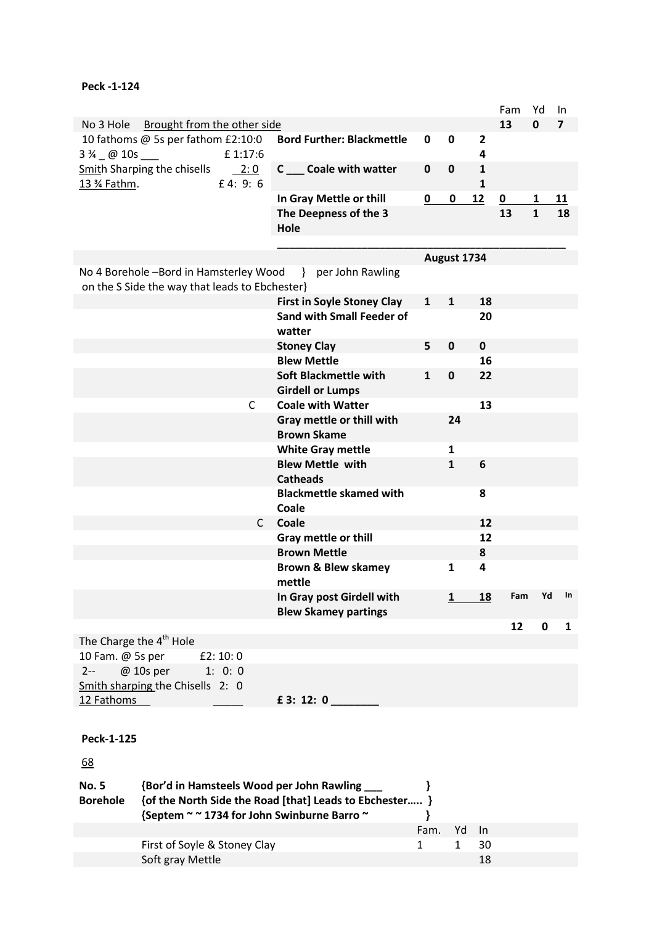|                                                |                                   |                         |              |              | Fam                     | Yd           | In             |
|------------------------------------------------|-----------------------------------|-------------------------|--------------|--------------|-------------------------|--------------|----------------|
| No 3 Hole<br>Brought from the other side       |                                   |                         |              |              | 13                      | 0            | $\overline{7}$ |
| 10 fathoms @ 5s per fathom £2:10:0             | <b>Bord Further: Blackmettle</b>  | 0                       | $\mathbf 0$  | $\mathbf{2}$ |                         |              |                |
| £ 1:17:6<br>$3\frac{3}{4}$ @ 10s ___           |                                   |                         |              | 4            |                         |              |                |
| <b>Smith Sharping the chisells</b> 2: 0        | C __ Coale with watter            | $\mathbf 0$             | 0            | $\mathbf{1}$ |                         |              |                |
| 13 % Fathm.<br>£4: 9: $6$                      |                                   |                         |              | $\mathbf{1}$ |                         |              |                |
|                                                | In Gray Mettle or thill           | $\overline{\mathbf{0}}$ | 0            | 12           | $\overline{\mathbf{0}}$ | 1            | <u>11</u>      |
|                                                | The Deepness of the 3             |                         |              |              | 13                      | $\mathbf{1}$ | 18             |
|                                                | Hole                              |                         |              |              |                         |              |                |
|                                                |                                   |                         |              |              |                         |              |                |
|                                                |                                   |                         | August 1734  |              |                         |              |                |
| No 4 Borehole -Bord in Hamsterley Wood         | } per John Rawling                |                         |              |              |                         |              |                |
| on the S Side the way that leads to Ebchester} |                                   |                         |              |              |                         |              |                |
|                                                | <b>First in Soyle Stoney Clay</b> | $\mathbf{1}$            | $\mathbf{1}$ | 18           |                         |              |                |
|                                                | <b>Sand with Small Feeder of</b>  |                         |              | 20           |                         |              |                |
|                                                | watter                            |                         |              |              |                         |              |                |
|                                                | <b>Stoney Clay</b>                | 5                       | 0            | $\mathbf 0$  |                         |              |                |
|                                                | <b>Blew Mettle</b>                |                         |              | 16           |                         |              |                |
|                                                | <b>Soft Blackmettle with</b>      | 1                       | $\mathbf 0$  | 22           |                         |              |                |
|                                                | <b>Girdell or Lumps</b>           |                         |              |              |                         |              |                |
| C                                              | <b>Coale with Watter</b>          |                         |              | 13           |                         |              |                |
|                                                | Gray mettle or thill with         |                         | 24           |              |                         |              |                |
|                                                | <b>Brown Skame</b>                |                         |              |              |                         |              |                |
|                                                | <b>White Gray mettle</b>          |                         | $\mathbf{1}$ |              |                         |              |                |
|                                                | <b>Blew Mettle with</b>           |                         | 1            | 6            |                         |              |                |
|                                                | <b>Catheads</b>                   |                         |              |              |                         |              |                |
|                                                | <b>Blackmettle skamed with</b>    |                         |              | 8            |                         |              |                |
|                                                | Coale                             |                         |              |              |                         |              |                |
| C                                              | Coale                             |                         |              | 12           |                         |              |                |
|                                                | Gray mettle or thill              |                         |              | 12           |                         |              |                |
|                                                | <b>Brown Mettle</b>               |                         |              | 8            |                         |              |                |
|                                                | <b>Brown &amp; Blew skamey</b>    |                         | 1            | 4            |                         |              |                |
|                                                | mettle                            |                         |              |              |                         |              |                |
|                                                | In Gray post Girdell with         |                         | 1            | <u>18</u>    | Fam                     | Yd           | In             |
|                                                | <b>Blew Skamey partings</b>       |                         |              |              |                         |              |                |
|                                                |                                   |                         |              |              | 12                      | $\mathbf 0$  | 1              |
| The Charge the 4 <sup>th</sup> Hole            |                                   |                         |              |              |                         |              |                |
| 10 Fam. @ 5s per<br>E2:10:0                    |                                   |                         |              |              |                         |              |                |
| @ 10s per 1: 0: 0<br>$2 -$                     |                                   |                         |              |              |                         |              |                |
| Smith sharping the Chisells 2: 0               |                                   |                         |              |              |                         |              |                |
| 12 Fathoms                                     | $E$ 3: 12: 0                      |                         |              |              |                         |              |                |
|                                                |                                   |                         |              |              |                         |              |                |
|                                                |                                   |                         |              |              |                         |              |                |
| Peck-1-125                                     |                                   |                         |              |              |                         |              |                |
| 68                                             |                                   |                         |              |              |                         |              |                |
|                                                |                                   |                         |              |              |                         |              |                |

| <b>No. 5</b>    | {Bor'd in Hamsteels Wood per John Rawling               |      |    |     |  |
|-----------------|---------------------------------------------------------|------|----|-----|--|
| <b>Borehole</b> | {of the North Side the Road [that] Leads to Ebchester } |      |    |     |  |
|                 | {Septem ~ ~ 1734 for John Swinburne Barro ~             |      |    |     |  |
|                 |                                                         | Fam. | Yd | -In |  |
|                 | First of Soyle & Stoney Clay                            |      |    | 30  |  |
|                 | Soft gray Mettle                                        |      |    | 18  |  |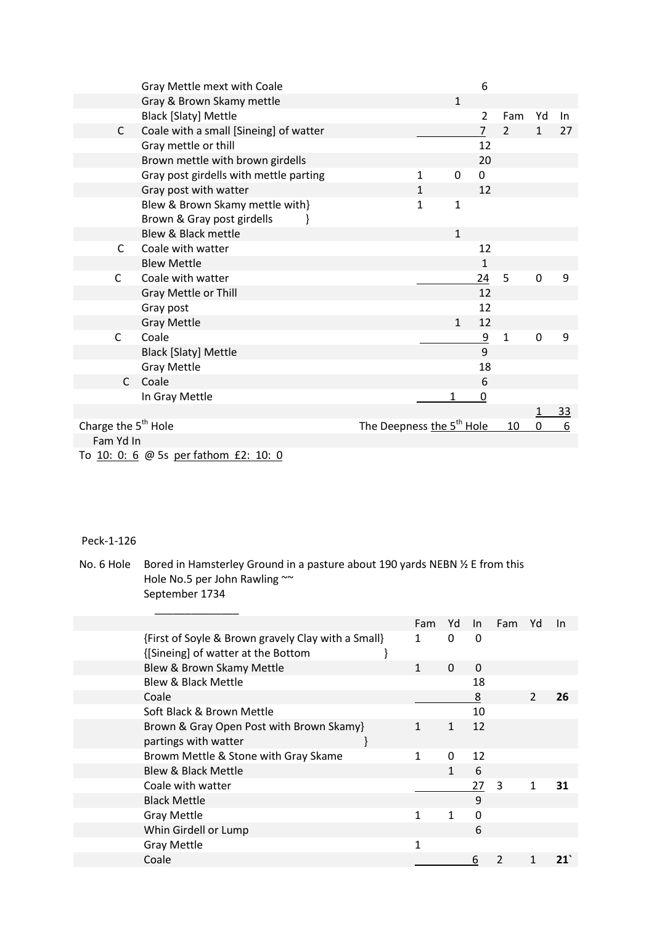|                                 | Gray Mettle mext with Coale            |                                       |              |              | 6              |                |              |           |
|---------------------------------|----------------------------------------|---------------------------------------|--------------|--------------|----------------|----------------|--------------|-----------|
|                                 | Gray & Brown Skamy mettle              |                                       |              | $\mathbf{1}$ |                |                |              |           |
|                                 | <b>Black [Slaty] Mettle</b>            |                                       |              |              | $\overline{2}$ | Fam            | Yd           | In        |
| $\mathsf{C}$                    | Coale with a small [Sineing] of watter |                                       |              |              | $\overline{7}$ | $\overline{2}$ | $\mathbf{1}$ | 27        |
|                                 | Gray mettle or thill                   |                                       |              |              | 12             |                |              |           |
|                                 | Brown mettle with brown girdells       |                                       |              |              | 20             |                |              |           |
|                                 | Gray post girdells with mettle parting |                                       | 1            | 0            | 0              |                |              |           |
|                                 | Gray post with watter                  |                                       | $\mathbf{1}$ |              | 12             |                |              |           |
|                                 | Blew & Brown Skamy mettle with}        |                                       | $\mathbf{1}$ | $\mathbf{1}$ |                |                |              |           |
|                                 | Brown & Gray post girdells             |                                       |              |              |                |                |              |           |
|                                 | Blew & Black mettle                    |                                       |              | $\mathbf{1}$ |                |                |              |           |
| C                               | Coale with watter                      |                                       |              |              | 12             |                |              |           |
|                                 | <b>Blew Mettle</b>                     |                                       |              |              | $\mathbf{1}$   |                |              |           |
| $\mathsf{C}$                    | Coale with watter                      |                                       |              |              | 24             | 5              | 0            | 9         |
|                                 | Gray Mettle or Thill                   |                                       |              |              | 12             |                |              |           |
|                                 | Gray post                              |                                       |              |              | 12             |                |              |           |
|                                 | <b>Gray Mettle</b>                     |                                       |              | $\mathbf{1}$ | 12             |                |              |           |
| $\mathsf{C}$                    | Coale                                  |                                       |              |              | $\overline{9}$ | $\mathbf{1}$   | 0            | 9         |
|                                 | <b>Black [Slaty] Mettle</b>            |                                       |              |              | 9              |                |              |           |
|                                 | <b>Gray Mettle</b>                     |                                       |              |              | 18             |                |              |           |
| $\mathsf{C}$                    | Coale                                  |                                       |              |              | 6              |                |              |           |
|                                 | In Gray Mettle                         |                                       |              | 1            | $\overline{0}$ |                |              |           |
|                                 |                                        |                                       |              |              |                |                |              | <u>33</u> |
| Charge the 5 <sup>th</sup> Hole |                                        | The Deepness the 5 <sup>th</sup> Hole |              |              |                | 10             | 0            | 6         |
| Fam Yd In                       |                                        |                                       |              |              |                |                |              |           |
|                                 |                                        |                                       |              |              |                |                |              |           |

To 10: 0: 6 @ 5s per fathom £2: 10: 0

No. 6 Hole Bored in Hamsterley Ground in a pasture about 190 yards NEBN  $\frac{1}{2}$  E from this Hole No.5 per John Rawling ~~ September 1734

|                                                    | Fam | Yd       | $\ln$    | Fam | Yd            | <b>In</b> |
|----------------------------------------------------|-----|----------|----------|-----|---------------|-----------|
| {First of Soyle & Brown gravely Clay with a Small} | 1   | 0        | 0        |     |               |           |
| {[Sineing] of watter at the Bottom                 |     |          |          |     |               |           |
| Blew & Brown Skamy Mettle                          | 1   | $\Omega$ | $\Omega$ |     |               |           |
| <b>Blew &amp; Black Mettle</b>                     |     |          | 18       |     |               |           |
| Coale                                              |     |          | 8        |     | $\mathcal{P}$ | 26        |
| Soft Black & Brown Mettle                          |     |          | 10       |     |               |           |
| Brown & Gray Open Post with Brown Skamy}           |     | 1        | 12       |     |               |           |
| partings with watter                               |     |          |          |     |               |           |
| Browm Mettle & Stone with Gray Skame               | 1   | $\Omega$ | 12       |     |               |           |
| <b>Blew &amp; Black Mettle</b>                     |     | 1        | 6        |     |               |           |
| Coale with watter                                  |     |          | 27       | 3   | 1             | 31        |
| <b>Black Mettle</b>                                |     |          | 9        |     |               |           |
| <b>Gray Mettle</b>                                 |     | 1        | 0        |     |               |           |
| Whin Girdell or Lump                               |     |          | 6        |     |               |           |
| <b>Gray Mettle</b>                                 | 1   |          |          |     |               |           |
| Coale                                              |     |          | 6        |     |               |           |
|                                                    |     |          |          |     |               |           |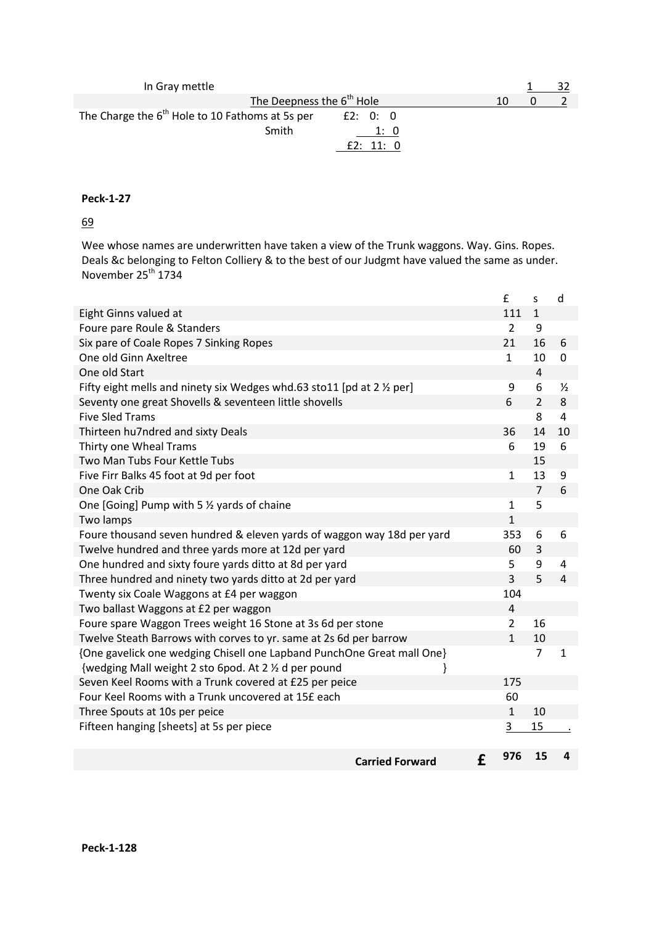| In Gray mettle                                                |    |  |
|---------------------------------------------------------------|----|--|
| The Deepness the 6 <sup>th</sup> Hole                         | 10 |  |
| The Charge the $6th$ Hole to 10 Fathoms at 5s per<br>E2: 0: 0 |    |  |
| Smith<br>1: 0                                                 |    |  |
| E2: 11: 0                                                     |    |  |

69

Wee whose names are underwritten have taken a view of the Trunk waggons. Way. Gins. Ropes. Deals &c belonging to Felton Colliery & to the best of our Judgmt have valued the same as under. November 25<sup>th</sup> 1734

|                                                                        |   | £              | S              | d              |
|------------------------------------------------------------------------|---|----------------|----------------|----------------|
| Eight Ginns valued at                                                  |   | 111            | $\mathbf{1}$   |                |
| Foure pare Roule & Standers                                            |   | $\overline{2}$ | 9              |                |
| Six pare of Coale Ropes 7 Sinking Ropes                                |   | 21             | 16             | 6              |
| One old Ginn Axeltree                                                  |   | $\mathbf{1}$   | 10             | 0              |
| One old Start                                                          |   |                | $\overline{4}$ |                |
| Fifty eight mells and ninety six Wedges whd.63 sto11 [pd at 2 1/2 per] |   | 9              | 6              | $\frac{1}{2}$  |
| Seventy one great Shovells & seventeen little shovells                 |   | 6              | $\overline{2}$ | 8              |
| <b>Five Sled Trams</b>                                                 |   |                | 8              | 4              |
| Thirteen hu7ndred and sixty Deals                                      |   | 36             | 14             | 10             |
| Thirty one Wheal Trams                                                 |   | 6              | 19             | 6              |
| Two Man Tubs Four Kettle Tubs                                          |   |                | 15             |                |
| Five Firr Balks 45 foot at 9d per foot                                 |   | $\mathbf{1}$   | 13             | 9              |
| One Oak Crib                                                           |   |                | $\overline{7}$ | 6              |
| One [Going] Pump with 5 1/2 yards of chaine                            |   | $\mathbf{1}$   | 5              |                |
| Two lamps                                                              |   | $\mathbf{1}$   |                |                |
| Foure thousand seven hundred & eleven yards of waggon way 18d per yard |   | 353            | 6              | 6              |
| Twelve hundred and three yards more at 12d per yard                    |   | 60             | 3              |                |
| One hundred and sixty foure yards ditto at 8d per yard                 |   | 5              | 9              | $\overline{4}$ |
| Three hundred and ninety two yards ditto at 2d per yard                |   | $\overline{3}$ | 5              | 4              |
| Twenty six Coale Waggons at £4 per waggon                              |   | 104            |                |                |
| Two ballast Waggons at £2 per waggon                                   |   | $\overline{4}$ |                |                |
| Foure spare Waggon Trees weight 16 Stone at 3s 6d per stone            |   | $\overline{2}$ | 16             |                |
| Twelve Steath Barrows with corves to yr. same at 2s 6d per barrow      |   | $\mathbf{1}$   | 10             |                |
| {One gavelick one wedging Chisell one Lapband PunchOne Great mall One} |   |                | $\overline{7}$ | 1              |
| {wedging Mall weight 2 sto 6pod. At 2 % d per pound                    |   |                |                |                |
| Seven Keel Rooms with a Trunk covered at £25 per peice                 |   | 175            |                |                |
| Four Keel Rooms with a Trunk uncovered at 15£ each                     |   | 60             |                |                |
| Three Spouts at 10s per peice                                          |   | $\mathbf{1}$   | 10             |                |
| Fifteen hanging [sheets] at 5s per piece                               |   | 3              | 15             |                |
|                                                                        |   |                |                |                |
| <b>Carried Forward</b>                                                 | £ | 976            | 15             | Δ              |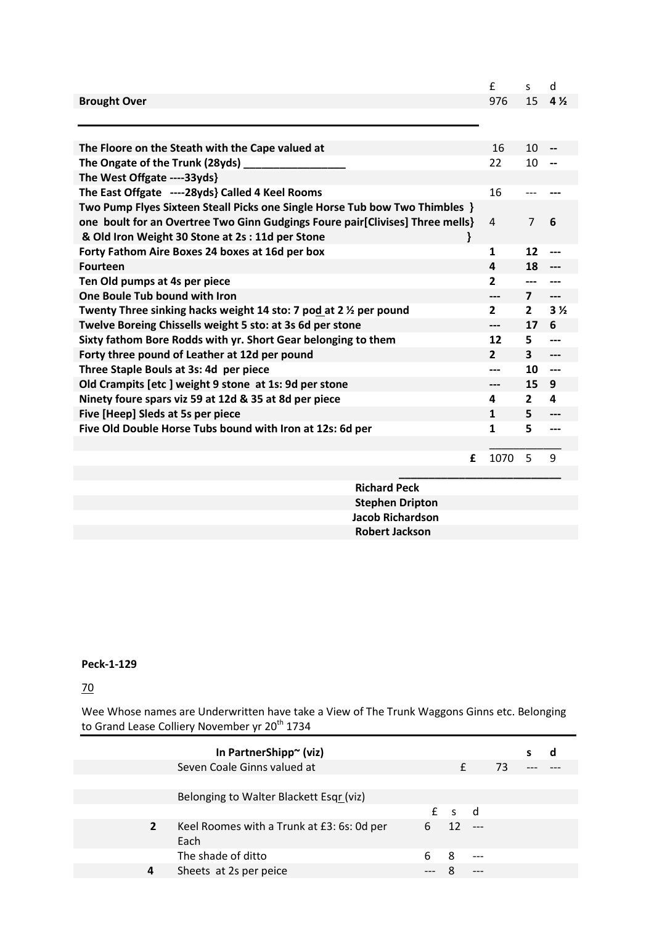|                                                                               | £              | S.                      | d                        |
|-------------------------------------------------------------------------------|----------------|-------------------------|--------------------------|
| <b>Brought Over</b>                                                           | 976            | 15                      | $4\frac{1}{2}$           |
|                                                                               |                |                         |                          |
|                                                                               |                |                         |                          |
| The Floore on the Steath with the Cape valued at                              | 16             | 10                      |                          |
| The Ongate of the Trunk (28yds) _______                                       | 22             | 10                      |                          |
| The West Offgate ----33yds}                                                   |                |                         |                          |
| The East Offgate ----28yds} Called 4 Keel Rooms                               | 16             |                         |                          |
| Two Pump Flyes Sixteen Steall Picks one Single Horse Tub bow Two Thimbles }   |                |                         |                          |
| one boult for an Overtree Two Ginn Gudgings Foure pair[Clivises] Three mells} | 4              | $\overline{7}$          | 6                        |
| & Old Iron Weight 30 Stone at 2s: 11d per Stone                               |                |                         |                          |
| Forty Fathom Aire Boxes 24 boxes at 16d per box                               | 1              | 12                      |                          |
| <b>Fourteen</b>                                                               | 4              | 18                      |                          |
| Ten Old pumps at 4s per piece                                                 | 2              |                         |                          |
| One Boule Tub bound with Iron                                                 | ---            | $\overline{\mathbf{z}}$ | $---$                    |
| Twenty Three sinking hacks weight 14 sto: 7 pod at 2 % per pound              | $\overline{2}$ | $\mathbf{2}$            | 3 <sub>2</sub>           |
| Twelve Boreing Chissells weight 5 sto: at 3s 6d per stone                     | ---            | 17                      | 6                        |
| Sixty fathom Bore Rodds with yr. Short Gear belonging to them                 | 12             | 5                       | $\overline{\phantom{a}}$ |
| Forty three pound of Leather at 12d per pound                                 | $\mathbf{2}$   | $\mathbf{3}$            | $---$                    |
| Three Staple Bouls at 3s: 4d per piece                                        | ---            | 10                      | $---$                    |
| Old Crampits [etc] weight 9 stone at 1s: 9d per stone                         | ---            | 15                      | 9                        |
| Ninety foure spars viz 59 at 12d & 35 at 8d per piece                         | 4              | $\overline{2}$          | 4                        |
| Five [Heep] Sleds at 5s per piece                                             | 1              | 5                       |                          |
| Five Old Double Horse Tubs bound with Iron at 12s: 6d per                     | 1              | 5                       | ---                      |
|                                                                               |                |                         |                          |
| £                                                                             | 1070           | 5                       | 9                        |
|                                                                               |                |                         |                          |

 **Richard Peck Stephen Dripton Jacob Richardson Robert Jackson**

## **Peck-1-129**

70

Wee Whose names are Underwritten have take a View of The Trunk Waggons Ginns etc. Belonging to Grand Lease Colliery November yr 20<sup>th</sup> 1734

|                        | In PartnerShipp~ (viz)                     |   |    |       |    |  |
|------------------------|--------------------------------------------|---|----|-------|----|--|
|                        | Seven Coale Ginns valued at                |   |    |       | 73 |  |
|                        |                                            |   |    |       |    |  |
|                        | Belonging to Walter Blackett Esqr (viz)    |   |    |       |    |  |
|                        |                                            | f |    | ി     |    |  |
| $\overline{2}$<br>Each | Keel Roomes with a Trunk at £3: 6s: 0d per | 6 | 12 | $---$ |    |  |
|                        | The shade of ditto                         | 6 | 8  | $---$ |    |  |
| 4                      | Sheets at 2s per peice                     |   |    |       |    |  |
|                        |                                            |   |    |       |    |  |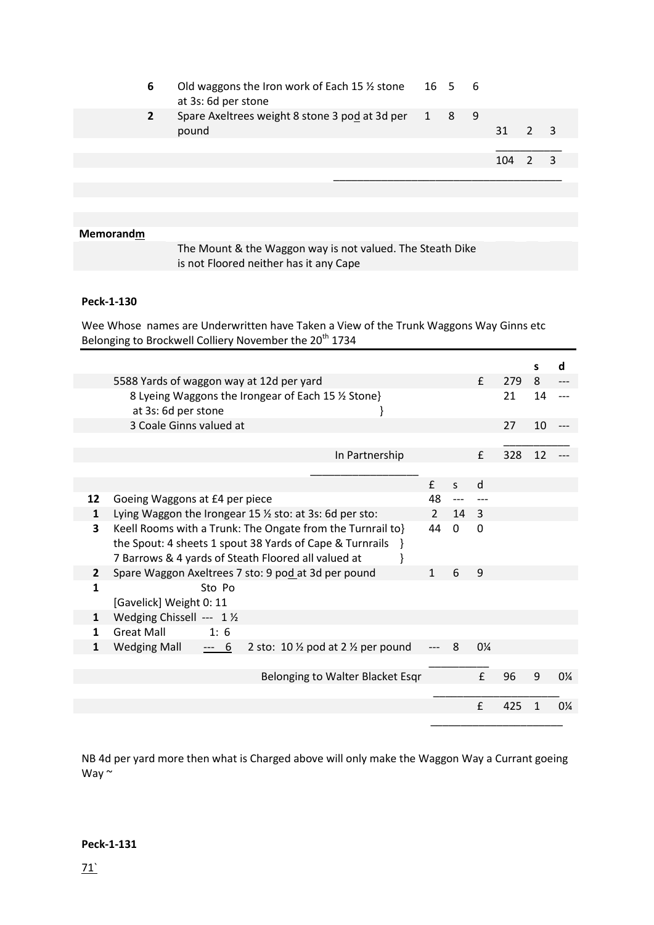| 6 | Old waggons the Iron work of Each 15 $\frac{1}{2}$ stone 16 5 6<br>at 3s: 6d per stone |  |       |  |
|---|----------------------------------------------------------------------------------------|--|-------|--|
|   | Spare Axeltrees weight 8 stone 3 pod at 3d per 1 8 9<br>pound                          |  | 31    |  |
|   |                                                                                        |  | 104 2 |  |
|   |                                                                                        |  |       |  |
|   |                                                                                        |  |       |  |
|   |                                                                                        |  |       |  |

## **Memorandm**

The Mount & the Waggon way is not valued. The Steath Dike is not Floored neither has it any Cape

## **Peck-1-130**

Wee Whose names are Underwritten have Taken a View of the Trunk Waggons Way Ginns etc Belonging to Brockwell Colliery November the 20<sup>th</sup> 1734

|                |                                                                                           |               |              |                |     | s  | d              |
|----------------|-------------------------------------------------------------------------------------------|---------------|--------------|----------------|-----|----|----------------|
|                | 5588 Yards of waggon way at 12d per yard                                                  |               |              | f              | 279 | 8  |                |
|                | 8 Lyeing Waggons the Irongear of Each 15 % Stone}<br>at 3s: 6d per stone                  |               |              |                | 21  | 14 |                |
|                | 3 Coale Ginns valued at                                                                   |               |              |                | 27  | 10 |                |
|                |                                                                                           |               |              |                |     |    |                |
|                | In Partnership                                                                            |               |              | f              | 328 | 12 |                |
|                |                                                                                           |               |              |                |     |    |                |
|                |                                                                                           | $\mathbf{f}$  | $\mathsf{S}$ | d              |     |    |                |
| 12             | Goeing Waggons at £4 per piece                                                            | 48            |              |                |     |    |                |
| $\mathbf{1}$   | Lying Waggon the Irongear 15 1/2 sto: at 3s: 6d per sto:                                  | $\mathcal{P}$ | 14 3         |                |     |    |                |
| 3              | Keell Rooms with a Trunk: The Ongate from the Turnrail to}                                | 44            | 0            | 0              |     |    |                |
|                | the Spout: 4 sheets 1 spout 38 Yards of Cape & Turnrails<br><sup>1</sup>                  |               |              |                |     |    |                |
|                | 7 Barrows & 4 yards of Steath Floored all valued at                                       |               |              |                |     |    |                |
| $\overline{2}$ | Spare Waggon Axeltrees 7 sto: 9 pod at 3d per pound                                       | $\mathbf{1}$  | 6            | 9              |     |    |                |
| $\mathbf{1}$   | Sto Po                                                                                    |               |              |                |     |    |                |
|                | [Gavelick] Weight 0: 11                                                                   |               |              |                |     |    |                |
| 1              | Wedging Chissell --- 1 1/2                                                                |               |              |                |     |    |                |
| 1              | <b>Great Mall</b><br>1:6                                                                  |               |              |                |     |    |                |
| 1              | <b>Wedging Mall</b><br>2 sto: 10 $\frac{1}{2}$ pod at 2 $\frac{1}{2}$ per pound<br>$-- 6$ |               | 8            | $0\frac{1}{4}$ |     |    |                |
|                |                                                                                           |               |              |                |     |    |                |
|                | Belonging to Walter Blacket Esqr                                                          |               |              | $\mathbf{f}$   | 96  | 9  | $0\frac{1}{4}$ |
|                |                                                                                           |               |              |                |     |    |                |
|                |                                                                                           |               |              | £              | 425 |    | $0\frac{1}{4}$ |
|                |                                                                                           |               |              |                |     |    |                |
|                |                                                                                           |               |              |                |     |    |                |

NB 4d per yard more then what is Charged above will only make the Waggon Way a Currant goeing Way ~

#### **Peck-1-131**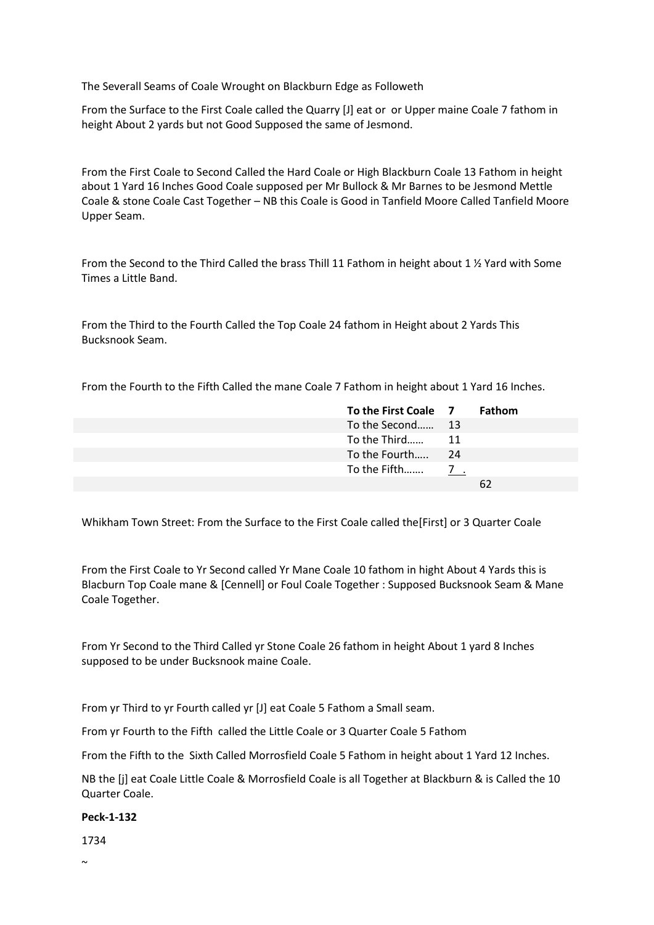The Severall Seams of Coale Wrought on Blackburn Edge as Followeth

From the Surface to the First Coale called the Quarry [J] eat or or Upper maine Coale 7 fathom in height About 2 yards but not Good Supposed the same of Jesmond.

From the First Coale to Second Called the Hard Coale or High Blackburn Coale 13 Fathom in height about 1 Yard 16 Inches Good Coale supposed per Mr Bullock & Mr Barnes to be Jesmond Mettle Coale & stone Coale Cast Together – NB this Coale is Good in Tanfield Moore Called Tanfield Moore Upper Seam.

From the Second to the Third Called the brass Thill 11 Fathom in height about 1 ½ Yard with Some Times a Little Band.

From the Third to the Fourth Called the Top Coale 24 fathom in Height about 2 Yards This Bucksnook Seam.

From the Fourth to the Fifth Called the mane Coale 7 Fathom in height about 1 Yard 16 Inches.

| To the First Coale 7 | <b>Fathom</b> |
|----------------------|---------------|
| To the Second 13     |               |
| To the Third 11      |               |
|                      |               |
|                      |               |
|                      | 62            |
|                      |               |

Whikham Town Street: From the Surface to the First Coale called the[First] or 3 Quarter Coale

From the First Coale to Yr Second called Yr Mane Coale 10 fathom in hight About 4 Yards this is Blacburn Top Coale mane & [Cennell] or Foul Coale Together : Supposed Bucksnook Seam & Mane Coale Together.

From Yr Second to the Third Called yr Stone Coale 26 fathom in height About 1 yard 8 Inches supposed to be under Bucksnook maine Coale.

From yr Third to yr Fourth called yr [J] eat Coale 5 Fathom a Small seam.

From yr Fourth to the Fifth called the Little Coale or 3 Quarter Coale 5 Fathom

From the Fifth to the Sixth Called Morrosfield Coale 5 Fathom in height about 1 Yard 12 Inches.

NB the [j] eat Coale Little Coale & Morrosfield Coale is all Together at Blackburn & is Called the 10 Quarter Coale.

#### **Peck-1-132**

1734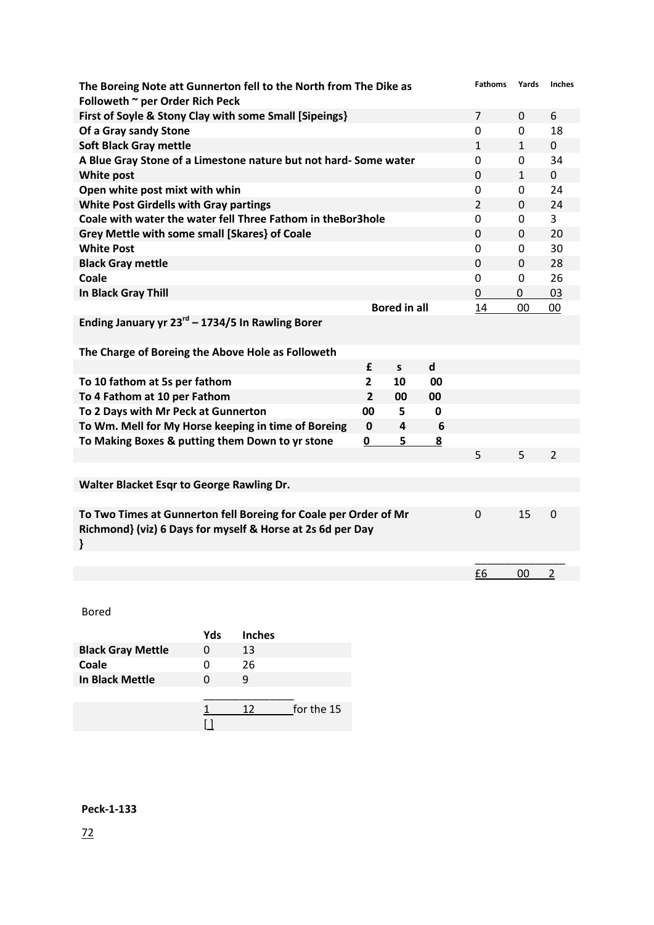| The Boreing Note att Gunnerton fell to the North from The Dike as<br>Followeth ~ per Order Rich Peck                                |                |                     |                             | <b>Fathoms</b> | Yards        | <b>Inches</b>  |
|-------------------------------------------------------------------------------------------------------------------------------------|----------------|---------------------|-----------------------------|----------------|--------------|----------------|
| First of Soyle & Stony Clay with some Small [Sipeings]                                                                              |                |                     |                             | $\overline{7}$ | $\Omega$     | 6              |
| Of a Gray sandy Stone                                                                                                               |                |                     |                             | $\mathbf 0$    | 0            | 18             |
| <b>Soft Black Gray mettle</b>                                                                                                       |                |                     |                             | $\mathbf{1}$   | $\mathbf{1}$ | $\overline{0}$ |
| A Blue Gray Stone of a Limestone nature but not hard- Some water                                                                    |                |                     |                             | $\mathbf 0$    | 0            | 34             |
| <b>White post</b>                                                                                                                   |                |                     |                             | 0              | $\mathbf{1}$ | 0              |
| Open white post mixt with whin                                                                                                      |                |                     |                             | $\mathbf 0$    | 0            | 24             |
| <b>White Post Girdells with Gray partings</b>                                                                                       |                |                     |                             | $\overline{2}$ | $\mathbf 0$  | 24             |
| Coale with water the water fell Three Fathom in theBor3hole                                                                         |                |                     |                             | $\mathbf 0$    | 0            | $\overline{3}$ |
| Grey Mettle with some small [Skares] of Coale                                                                                       |                |                     |                             | $\mathbf 0$    | 0            | 20             |
| <b>White Post</b>                                                                                                                   |                |                     |                             | $\mathbf 0$    | 0            | 30             |
| <b>Black Gray mettle</b>                                                                                                            |                |                     |                             | $\Omega$       | $\Omega$     | 28             |
| Coale                                                                                                                               |                |                     |                             | $\mathbf 0$    | 0            | 26             |
| In Black Gray Thill                                                                                                                 |                |                     |                             | $\mathbf 0$    | 0            | 03             |
|                                                                                                                                     |                | <b>Bored in all</b> |                             | 14             | 00           | 00             |
| Ending January yr $23^{rd}$ – 1734/5 In Rawling Borer                                                                               |                |                     |                             |                |              |                |
| The Charge of Boreing the Above Hole as Followeth                                                                                   |                |                     |                             |                |              |                |
|                                                                                                                                     | £              | $\mathsf{s}$        | $\operatorname{\mathsf{d}}$ |                |              |                |
| To 10 fathom at 5s per fathom                                                                                                       | $\overline{2}$ | 10                  | 00                          |                |              |                |
| To 4 Fathom at 10 per Fathom                                                                                                        | $\overline{2}$ | 00                  | 00                          |                |              |                |
| To 2 Days with Mr Peck at Gunnerton                                                                                                 | 00             | 5                   | 0                           |                |              |                |
| To Wm. Mell for My Horse keeping in time of Boreing                                                                                 | $\mathbf 0$    | 4                   | 6                           |                |              |                |
| To Making Boxes & putting them Down to yr stone                                                                                     | 0              | 5                   | $\overline{\mathbf{8}}$     |                |              |                |
|                                                                                                                                     |                |                     |                             | 5              | 5            | $\overline{2}$ |
|                                                                                                                                     |                |                     |                             |                |              |                |
| Walter Blacket Esqr to George Rawling Dr.                                                                                           |                |                     |                             |                |              |                |
| To Two Times at Gunnerton fell Boreing for Coale per Order of Mr<br>Richmond} (viz) 6 Days for myself & Horse at 2s 6d per Day<br>ł |                |                     |                             | $\mathbf 0$    | 15           | 0              |
|                                                                                                                                     |                |                     |                             |                |              |                |
|                                                                                                                                     |                |                     |                             | £6             | 00           | $\mathbf 2$    |

Bored

| Yds | <b>Inches</b> |            |
|-----|---------------|------------|
|     | 13            |            |
|     | 26            |            |
|     | q             |            |
|     |               |            |
|     | าว            | for the 15 |
|     |               |            |
|     |               |            |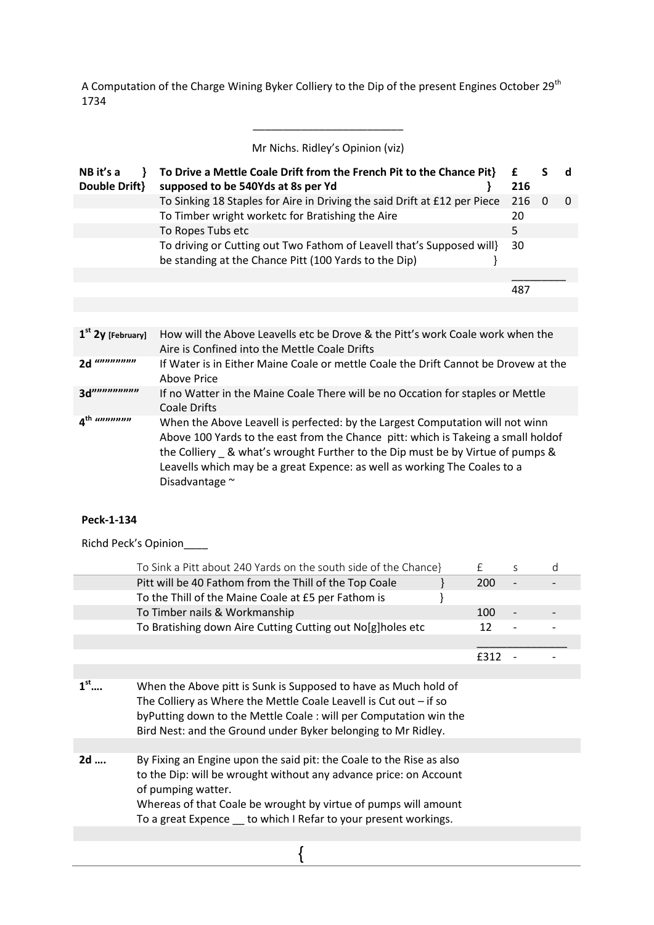A Computation of the Charge Wining Byker Colliery to the Dip of the present Engines October 29<sup>th</sup> 1734

Mr Nichs. Ridley's Opinion (viz)

\_\_\_\_\_\_\_\_\_\_\_\_\_\_\_\_\_\_\_\_\_\_\_\_\_

| NB it's a<br>Double Drift} | To Drive a Mettle Coale Drift from the French Pit to the Chance Pit}<br>supposed to be 540Yds at 8s per Yd                     | 216 |          |
|----------------------------|--------------------------------------------------------------------------------------------------------------------------------|-----|----------|
|                            | To Sinking 18 Staples for Aire in Driving the said Drift at £12 per Piece                                                      | 216 | $\Omega$ |
|                            | To Timber wright worketc for Bratishing the Aire                                                                               | 20  |          |
|                            | To Ropes Tubs etc                                                                                                              | 5   |          |
|                            | To driving or Cutting out Two Fathom of Leavell that's Supposed will}<br>be standing at the Chance Pitt (100 Yards to the Dip) | 30  |          |
|                            |                                                                                                                                |     |          |
|                            |                                                                                                                                | 487 |          |
|                            |                                                                                                                                |     |          |

| $1st$ 2y [February]  | How will the Above Leavells etc be Drove & the Pitt's work Coale work when the<br>Aire is Confined into the Mettle Coale Drifts                                                                                                                                                                                                                      |
|----------------------|------------------------------------------------------------------------------------------------------------------------------------------------------------------------------------------------------------------------------------------------------------------------------------------------------------------------------------------------------|
| 2d                   | If Water is in Either Maine Coale or mettle Coale the Drift Cannot be Drovew at the<br>Above Price                                                                                                                                                                                                                                                   |
| 3d                   | If no Watter in the Maine Coale There will be no Occation for staples or Mettle<br>Coale Drifts                                                                                                                                                                                                                                                      |
| $Ath$ <i>annonon</i> | When the Above Leavell is perfected: by the Largest Computation will not winn<br>Above 100 Yards to the east from the Chance pitt: which is Takeing a small holdof<br>the Colliery _ & what's wrought Further to the Dip must be by Virtue of pumps &<br>Leavells which may be a great Expence: as well as working The Coales to a<br>Disadvantage ~ |

## **Peck-1-134**

Richd Peck's Opinion\_\_\_\_

|                 | To Sink a Pitt about 240 Yards on the south side of the Chance}                                                                                                                                                                                                                                        | £    | S | d |
|-----------------|--------------------------------------------------------------------------------------------------------------------------------------------------------------------------------------------------------------------------------------------------------------------------------------------------------|------|---|---|
|                 | Pitt will be 40 Fathom from the Thill of the Top Coale                                                                                                                                                                                                                                                 | 200  |   |   |
|                 | To the Thill of the Maine Coale at £5 per Fathom is                                                                                                                                                                                                                                                    |      |   |   |
|                 | To Timber nails & Workmanship                                                                                                                                                                                                                                                                          | 100  |   |   |
|                 | To Bratishing down Aire Cutting Cutting out No[g]holes etc                                                                                                                                                                                                                                             | 12   |   |   |
|                 |                                                                                                                                                                                                                                                                                                        |      |   |   |
|                 |                                                                                                                                                                                                                                                                                                        | £312 |   |   |
|                 |                                                                                                                                                                                                                                                                                                        |      |   |   |
| $1^{\text{st}}$ | When the Above pitt is Sunk is Supposed to have as Much hold of<br>The Colliery as Where the Mettle Coale Leavell is Cut out $-$ if so<br>by Putting down to the Mettle Coale: will per Computation win the<br>Bird Nest: and the Ground under Byker belonging to Mr Ridley.                           |      |   |   |
|                 |                                                                                                                                                                                                                                                                                                        |      |   |   |
| 2d              | By Fixing an Engine upon the said pit: the Coale to the Rise as also<br>to the Dip: will be wrought without any advance price: on Account<br>of pumping watter.<br>Whereas of that Coale be wrought by virtue of pumps will amount<br>To a great Expence __ to which I Refar to your present workings. |      |   |   |
|                 |                                                                                                                                                                                                                                                                                                        |      |   |   |
|                 |                                                                                                                                                                                                                                                                                                        |      |   |   |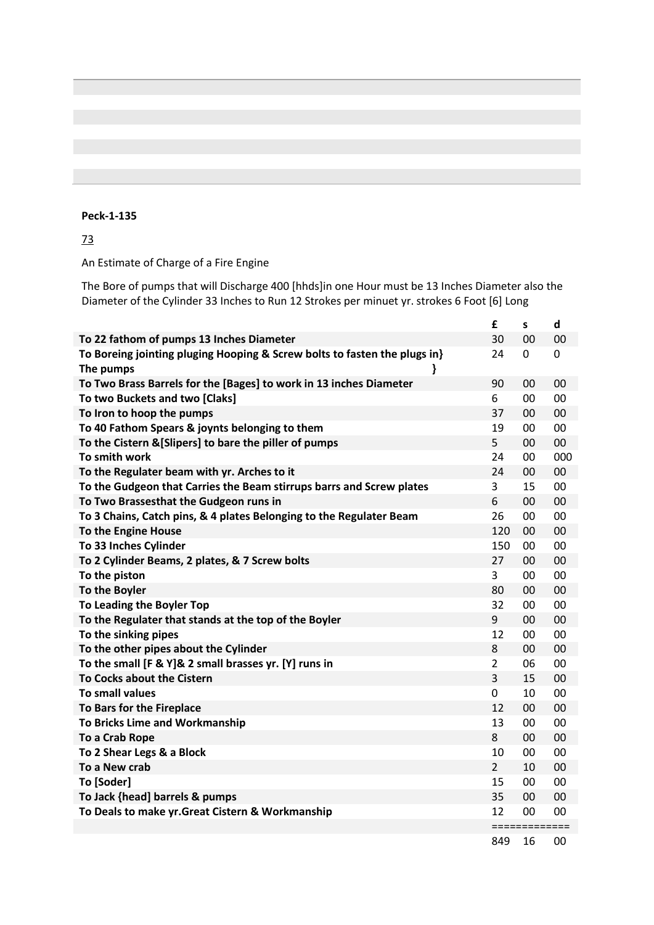## 73

An Estimate of Charge of a Fire Engine

The Bore of pumps that will Discharge 400 [hhds]in one Hour must be 13 Inches Diameter also the Diameter of the Cylinder 33 Inches to Run 12 Strokes per minuet yr. strokes 6 Foot [6] Long

|                                                                           | £              | S             | d   |
|---------------------------------------------------------------------------|----------------|---------------|-----|
| To 22 fathom of pumps 13 Inches Diameter                                  | 30             | 00            | 00  |
| To Boreing jointing pluging Hooping & Screw bolts to fasten the plugs in} | 24             | 0             | 0   |
| The pumps                                                                 |                |               |     |
| To Two Brass Barrels for the [Bages] to work in 13 inches Diameter        | 90             | 00            | 00  |
| To two Buckets and two [Claks]                                            | 6              | 00            | 00  |
| To Iron to hoop the pumps                                                 | 37             | 00            | 00  |
| To 40 Fathom Spears & joynts belonging to them                            | 19             | 00            | 00  |
| To the Cistern & [Slipers] to bare the piller of pumps                    | 5              | 00            | 00  |
| To smith work                                                             | 24             | 00            | 000 |
| To the Regulater beam with yr. Arches to it                               | 24             | 00            | 00  |
| To the Gudgeon that Carries the Beam stirrups barrs and Screw plates      | $\overline{3}$ | 15            | 00  |
| To Two Brassesthat the Gudgeon runs in                                    | 6              | 00            | 00  |
| To 3 Chains, Catch pins, & 4 plates Belonging to the Regulater Beam       | 26             | 00            | 00  |
| To the Engine House                                                       | 120            | 00            | 00  |
| To 33 Inches Cylinder                                                     | 150            | 00            | 00  |
| To 2 Cylinder Beams, 2 plates, & 7 Screw bolts                            | 27             | 00            | 00  |
| To the piston                                                             | 3              | 00            | 00  |
| To the Boyler                                                             | 80             | 00            | 00  |
| To Leading the Boyler Top                                                 | 32             | 00            | 00  |
| To the Regulater that stands at the top of the Boyler                     | 9              | 00            | 00  |
| To the sinking pipes                                                      | 12             | 00            | 00  |
| To the other pipes about the Cylinder                                     | 8              | 00            | 00  |
| To the small [F & Y]& 2 small brasses yr. [Y] runs in                     | $\overline{2}$ | 06            | 00  |
| To Cocks about the Cistern                                                | 3              | 15            | 00  |
| To small values                                                           | 0              | 10            | 00  |
| To Bars for the Fireplace                                                 | 12             | 00            | 00  |
| To Bricks Lime and Workmanship                                            | 13             | 00            | 00  |
| To a Crab Rope                                                            | 8              | 00            | 00  |
| To 2 Shear Legs & a Block                                                 | 10             | 00            | 00  |
| To a New crab                                                             | $2^{\circ}$    | 10            | 00  |
| To [Soder]                                                                | 15             | 00            | 00  |
| To Jack {head] barrels & pumps                                            | 35             | 00            | 00  |
| To Deals to make yr. Great Cistern & Workmanship                          | 12             | 00            | 00  |
|                                                                           |                | ============= |     |
|                                                                           | 849            | 16            | 00  |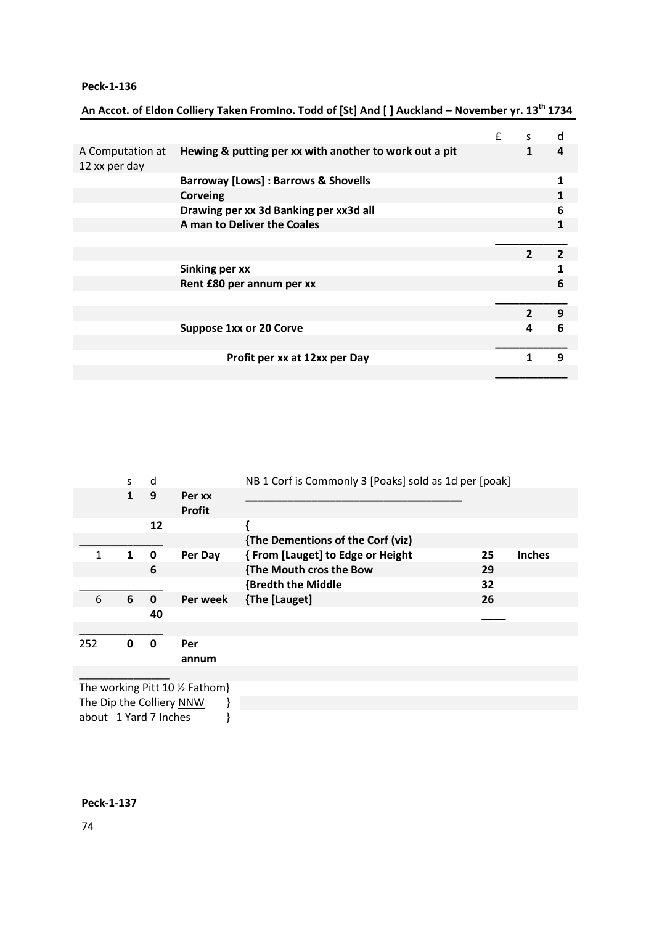|                                   |                                                        | f | S              | d              |
|-----------------------------------|--------------------------------------------------------|---|----------------|----------------|
| A Computation at<br>12 xx per day | Hewing & putting per xx with another to work out a pit |   | $\mathbf{1}$   | 4              |
|                                   | <b>Barroway [Lows] : Barrows &amp; Shovells</b>        |   |                | $\mathbf{1}$   |
|                                   | <b>Corveing</b>                                        |   |                |                |
|                                   | Drawing per xx 3d Banking per xx3d all                 |   |                | 6              |
|                                   | A man to Deliver the Coales                            |   |                | 1              |
|                                   |                                                        |   |                |                |
|                                   |                                                        |   | $\mathfrak{p}$ | $\overline{2}$ |
|                                   | <b>Sinking per xx</b>                                  |   |                | 1              |
|                                   | Rent £80 per annum per xx                              |   |                | 6              |
|                                   |                                                        |   |                |                |
|                                   |                                                        |   | $\mathbf{z}$   | 9              |
|                                   | <b>Suppose 1xx or 20 Corve</b>                         |   | 4              | 6              |
|                                   |                                                        |   |                |                |
|                                   | Profit per xx at 12xx per Day                          |   | 1              | 9              |
|                                   |                                                        |   |                |                |

## **An Accot. of Eldon Colliery Taken FromIno. Todd of [St] And [ ] Auckland – November yr. 13th 1734**

|     | S | d            |                         | NB 1 Corf is Commonly 3 [Poaks] sold as 1d per [poak] |    |               |
|-----|---|--------------|-------------------------|-------------------------------------------------------|----|---------------|
|     | 1 | 9            | Per xx<br><b>Profit</b> |                                                       |    |               |
|     |   | 12           |                         |                                                       |    |               |
|     |   |              |                         | {The Dementions of the Corf (viz)                     |    |               |
| 1   | 1 | $\mathbf{0}$ | Per Day                 | {From [Lauget] to Edge or Height                      | 25 | <b>Inches</b> |
|     |   | 6            |                         | {The Mouth cros the Bow                               | 29 |               |
|     |   |              |                         | <b>{Bredth the Middle</b>                             | 32 |               |
| 6   | 6 | $\Omega$     | Per week                | {The [Lauget]                                         | 26 |               |
|     |   | 40           |                         |                                                       |    |               |
|     |   |              |                         |                                                       |    |               |
| 252 | 0 | 0            | Per                     |                                                       |    |               |
|     |   |              | annum                   |                                                       |    |               |
|     |   |              |                         |                                                       |    |               |

The working Pitt 10 ½ Fathom} The Dip the Colliery <u>NNW</u> <br>about 1 Yard 7 Inches } about 1 Yard 7 Inches

## **Peck-1-137**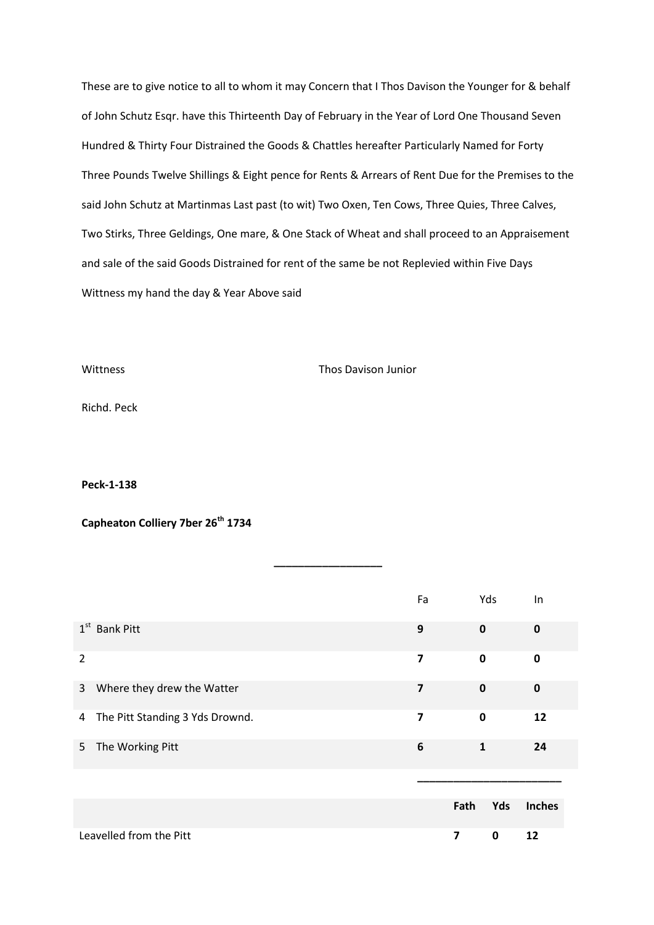These are to give notice to all to whom it may Concern that I Thos Davison the Younger for & behalf of John Schutz Esqr. have this Thirteenth Day of February in the Year of Lord One Thousand Seven Hundred & Thirty Four Distrained the Goods & Chattles hereafter Particularly Named for Forty Three Pounds Twelve Shillings & Eight pence for Rents & Arrears of Rent Due for the Premises to the said John Schutz at Martinmas Last past (to wit) Two Oxen, Ten Cows, Three Quies, Three Calves, Two Stirks, Three Geldings, One mare, & One Stack of Wheat and shall proceed to an Appraisement and sale of the said Goods Distrained for rent of the same be not Replevied within Five Days Wittness my hand the day & Year Above said

Wittness Thos Davison Junior

Richd. Peck

**Peck-1-138**

**Capheaton Colliery 7ber 26th 1734**

|                |                                 | Fa                      | Yds          | In            |
|----------------|---------------------------------|-------------------------|--------------|---------------|
|                | $1st$ Bank Pitt                 | 9                       | $\mathbf 0$  | $\mathbf 0$   |
| $\overline{2}$ |                                 | $\overline{\mathbf{z}}$ | $\mathbf 0$  | $\mathbf 0$   |
| $\mathbf{3}$   | Where they drew the Watter      | 7                       | $\mathbf 0$  | $\mathbf 0$   |
| 4              | The Pitt Standing 3 Yds Drownd. | 7                       | $\mathbf 0$  | 12            |
| 5              | The Working Pitt                | 6                       | $\mathbf{1}$ | 24            |
|                |                                 |                         |              |               |
|                |                                 | Fath                    | Yds          | <b>Inches</b> |
|                | Leavelled from the Pitt         | $\overline{\mathbf{z}}$ | $\mathbf 0$  | 12            |

**\_\_\_\_\_\_\_\_\_\_\_\_\_\_\_\_\_\_**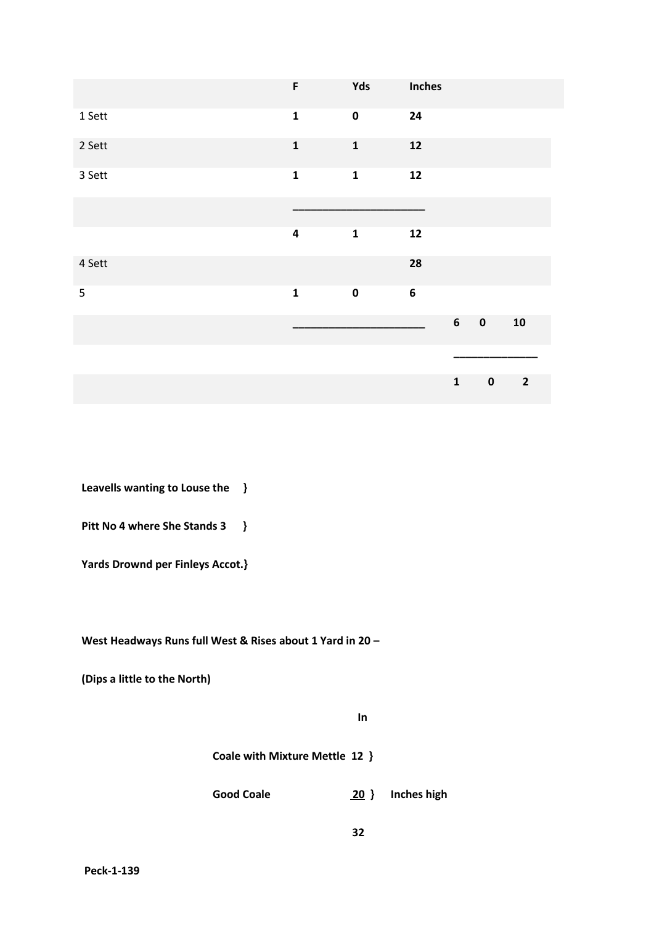|        | F           | Yds         | Inches           |                |           |                |
|--------|-------------|-------------|------------------|----------------|-----------|----------------|
| 1 Sett | $\mathbf 1$ | $\pmb{0}$   | 24               |                |           |                |
| 2 Sett | $\mathbf 1$ | $\mathbf 1$ | ${\bf 12}$       |                |           |                |
| 3 Sett | $\mathbf 1$ | $\mathbf 1$ | ${\bf 12}$       |                |           |                |
|        |             |             |                  |                |           |                |
|        | $\pmb{4}$   | $\mathbf 1$ | ${\bf 12}$       |                |           |                |
| 4 Sett |             |             | 28               |                |           |                |
| 5      | $\mathbf 1$ | $\pmb{0}$   | $\boldsymbol{6}$ |                |           |                |
|        |             |             |                  | $6\phantom{a}$ | $\pmb{0}$ | 10             |
|        |             |             |                  |                |           |                |
|        |             |             |                  | $\mathbf{1}$   | $\pmb{0}$ | $\overline{2}$ |

**Leavells wanting to Louse the }**

**Pitt No 4 where She Stands 3 }**

**Yards Drownd per Finleys Accot.}**

**West Headways Runs full West & Rises about 1 Yard in 20 –**

**(Dips a little to the North)**

 *In*  $\mathbf{I}$ 

 **Coale with Mixture Mettle 12 }**

 **Good Coale 20 } Inches high**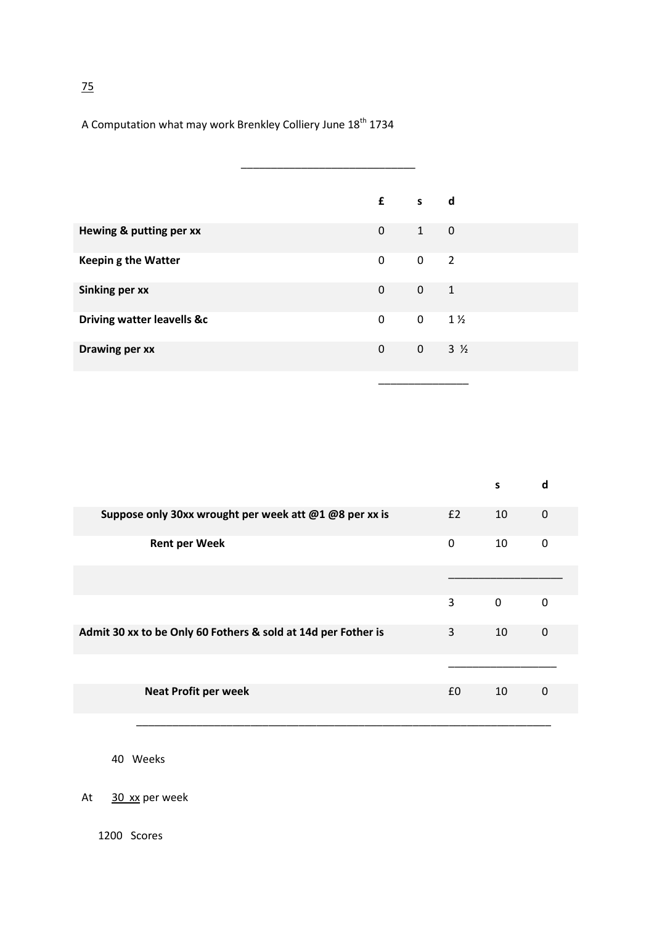A Computation what may work Brenkley Colliery June 18<sup>th</sup> 1734

|                                       | $f$ s       |                        | d              |
|---------------------------------------|-------------|------------------------|----------------|
| Hewing & putting per xx               | 0           | $1 \quad \blacksquare$ | $\mathbf 0$    |
| <b>Keeping the Watter</b>             | 0           | $\mathbf 0$            | $\overline{2}$ |
| <b>Sinking per xx</b>                 | $\pmb{0}$   | $\mathbf 0$            | $\mathbf{1}$   |
| <b>Driving watter leavells &amp;c</b> | $\mathbf 0$ | $\mathbf 0$            | $1\frac{1}{2}$ |
| <b>Drawing per xx</b>                 | $\mathbf 0$ | $0 \t 3 \t 4$          |                |
|                                       |             |                        |                |

|                                                               |          | s        | d           |  |
|---------------------------------------------------------------|----------|----------|-------------|--|
| Suppose only 30xx wrought per week att @1 @8 per xx is        | E2       | 10       | $\mathbf 0$ |  |
| <b>Rent per Week</b>                                          | $\Omega$ | 10       | 0           |  |
|                                                               |          |          |             |  |
|                                                               | 3        | $\Omega$ | $\Omega$    |  |
| Admit 30 xx to be Only 60 Fothers & sold at 14d per Fother is | 3        | 10       | $\Omega$    |  |
|                                                               |          |          |             |  |
| <b>Neat Profit per week</b>                                   | £0       | 10       | 0           |  |
|                                                               |          |          |             |  |

\_\_\_\_\_\_\_\_\_\_\_\_\_\_\_\_\_\_\_\_\_\_\_\_\_\_\_\_\_\_\_\_\_\_\_\_\_\_\_\_\_\_\_\_\_\_\_\_\_\_\_\_\_\_\_\_\_\_\_\_\_\_\_\_\_\_\_\_\_

40 Weeks

At 30 xx per week

75

1200 Scores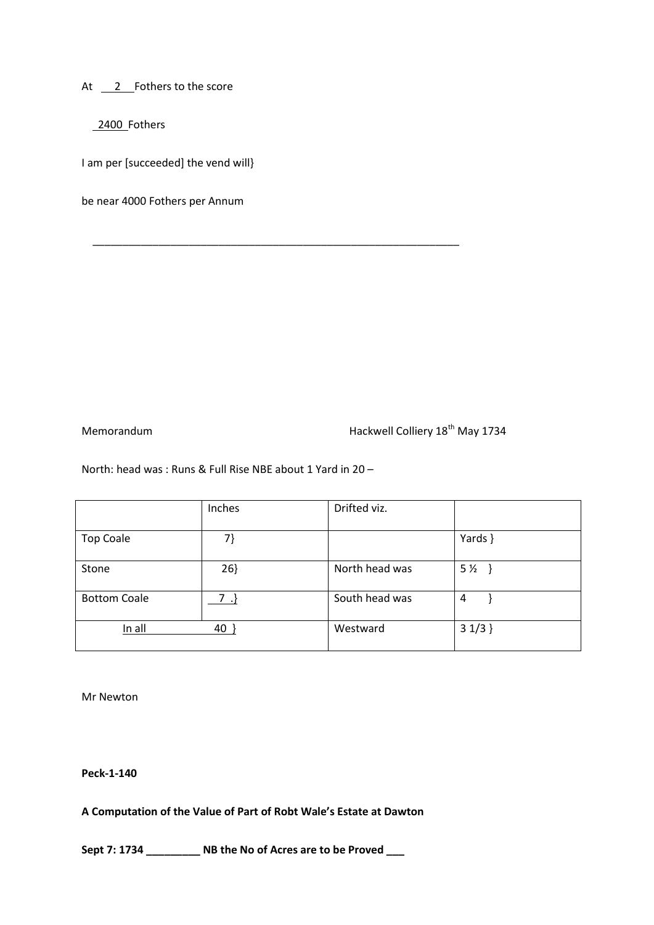At 2 Fothers to the score

2400 Fothers

I am per [succeeded] the vend will}

be near 4000 Fothers per Annum

Memorandum Memorandum Hackwell Colliery 18<sup>th</sup> May 1734

North: head was : Runs & Full Rise NBE about 1 Yard in 20 –

 $\overline{\phantom{a}}$  , and the contract of the contract of the contract of the contract of the contract of the contract of the contract of the contract of the contract of the contract of the contract of the contract of the contrac

|                     | Inches | Drifted viz.   |                |
|---------------------|--------|----------------|----------------|
| <b>Top Coale</b>    | 7}     |                | Yards }        |
| Stone               | 26     | North head was | 5 <sub>2</sub> |
| <b>Bottom Coale</b> | $7.$ } | South head was | 4              |
| In all              | 40     | Westward       | $31/3$ }       |

Mr Newton

**Peck-1-140**

**A Computation of the Value of Part of Robt Wale's Estate at Dawton** 

**Sept 7: 1734 \_\_\_\_\_\_\_\_\_ NB the No of Acres are to be Proved \_\_\_**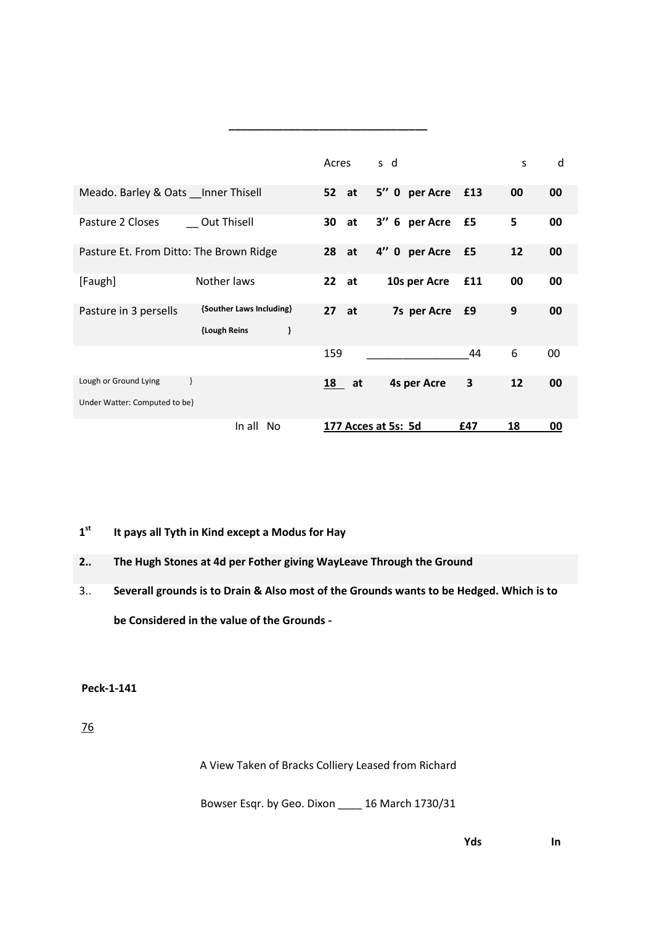|                                                        |                                               | Acres |    | s d                 |                    |     | S  | d      |
|--------------------------------------------------------|-----------------------------------------------|-------|----|---------------------|--------------------|-----|----|--------|
| Meado. Barley & Oats Inner Thisell                     |                                               | 52 at |    |                     | 5" 0 per Acre      | £13 | 00 | 00     |
| Pasture 2 Closes                                       | Out Thisell                                   | 30    | at |                     | 3" 6 per Acre      | £5  | 5  | 00     |
| Pasture Et. From Ditto: The Brown Ridge                |                                               | 28    | at |                     | 4" 0 per Acre      | £5  | 12 | 00     |
| [Faugh]                                                | Nother laws                                   | 22    | at |                     | 10s per Acre       | £11 | 00 | 00     |
| Pasture in 3 persells                                  | {Souther Laws Including}<br>ł<br>{Lough Reins | 27    | at |                     | 7s per Acre        | £9  | 9  | 00     |
|                                                        |                                               | 159   |    |                     |                    | 44  | 6  | $00\,$ |
| Lough or Ground Lying<br>Under Watter: Computed to be} |                                               | 18    | at |                     | <b>4s per Acre</b> | 3   | 12 | 00     |
|                                                        | In all<br>N <sub>0</sub>                      |       |    | 177 Acces at 5s: 5d |                    | £47 | 18 | 00     |

**\_\_\_\_\_\_\_\_\_\_\_\_\_\_\_\_\_\_\_\_\_\_\_\_\_\_\_\_\_\_\_\_\_** 

#### **1 st It pays all Tyth in Kind except a Modus for Hay**

## **2.. The Hugh Stones at 4d per Fother giving WayLeave Through the Ground**

3.. **Severall grounds is to Drain & Also most of the Grounds wants to be Hedged. Which is to be Considered in the value of the Grounds -**

**Peck-1-141**

76

A View Taken of Bracks Colliery Leased from Richard

Bowser Esqr. by Geo. Dixon \_\_\_\_ 16 March 1730/31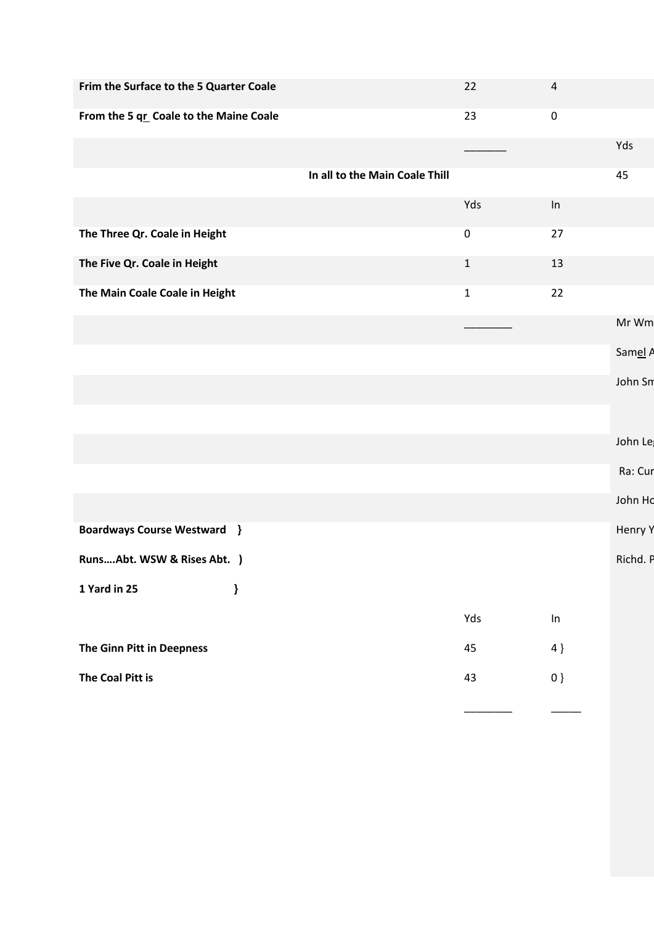| Frim the Surface to the 5 Quarter Coale |                                | 22          | $\overline{4}$ |          |
|-----------------------------------------|--------------------------------|-------------|----------------|----------|
|                                         |                                |             |                |          |
| From the 5 qr Coale to the Maine Coale  |                                | 23          | $\pmb{0}$      |          |
|                                         |                                |             |                | Yds      |
|                                         | In all to the Main Coale Thill |             |                | 45       |
|                                         |                                | Yds         | In             |          |
| The Three Qr. Coale in Height           |                                | $\pmb{0}$   | 27             |          |
| The Five Qr. Coale in Height            |                                | $\mathbf 1$ | 13             |          |
| The Main Coale Coale in Height          |                                | $\mathbf 1$ | 22             |          |
|                                         |                                |             |                | Mr Wm    |
|                                         |                                |             |                | Samel A  |
|                                         |                                |             |                | John Sm  |
|                                         |                                |             |                |          |
|                                         |                                |             |                | John Le  |
|                                         |                                |             |                | Ra: Cur  |
|                                         |                                |             |                | John Ho  |
| <b>Boardways Course Westward }</b>      |                                |             |                | Henry Y  |
| RunsAbt. WSW & Rises Abt. )             |                                |             |                | Richd. P |
| 1 Yard in 25<br>}                       |                                |             |                |          |
|                                         |                                | Yds         | In             |          |
| The Ginn Pitt in Deepness               |                                | 45          | 4 }            |          |
| The Coal Pitt is                        |                                | 43          | $0 \}$         |          |
|                                         |                                |             |                |          |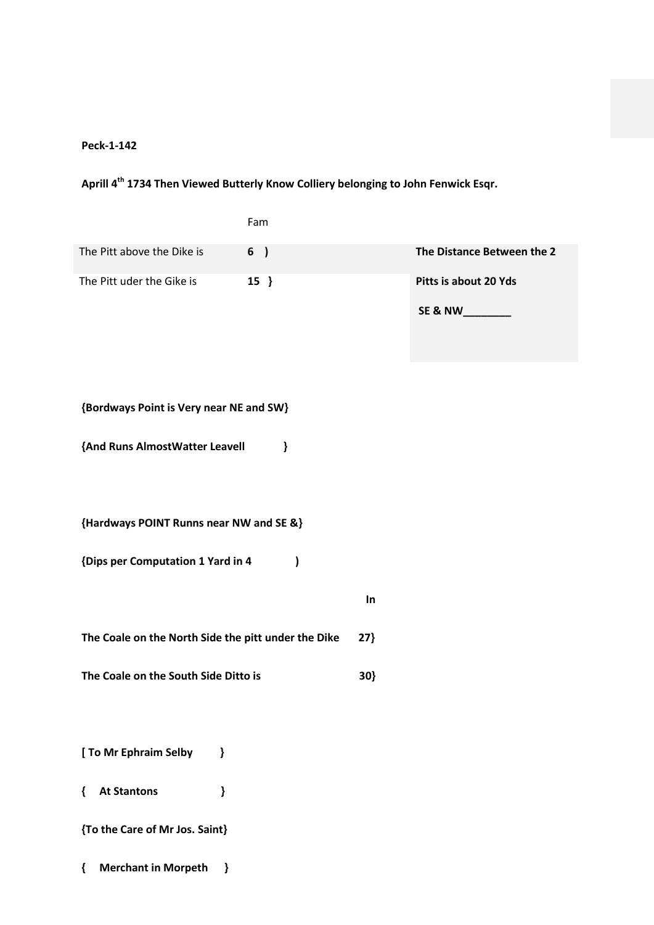# **Aprill 4th 1734 Then Viewed Butterly Know Colliery belonging to John Fenwick Esqr.**

|                                                     | Fam           |        |                            |
|-----------------------------------------------------|---------------|--------|----------------------------|
| The Pitt above the Dike is                          | 6 )           |        | The Distance Between the 2 |
| The Pitt uder the Gike is                           | $15$ }        |        | Pitts is about 20 Yds      |
| {Bordways Point is Very near NE and SW}             |               |        |                            |
| {And Runs AlmostWatter Leavell                      | }             |        |                            |
| {Hardways POINT Runns near NW and SE &}             |               |        |                            |
| {Dips per Computation 1 Yard in 4                   | $\mathcal{C}$ |        |                            |
|                                                     |               | In     |                            |
| The Coale on the North Side the pitt under the Dike |               | $27$ } |                            |
| The Coale on the South Side Ditto is                |               | 30}    |                            |
|                                                     |               |        |                            |
| [ To Mr Ephraim Selby<br>}                          |               |        |                            |
| <b>At Stantons</b><br>}<br>₹                        |               |        |                            |
| {To the Care of Mr Jos. Saint}                      |               |        |                            |

**{ Merchant in Morpeth }**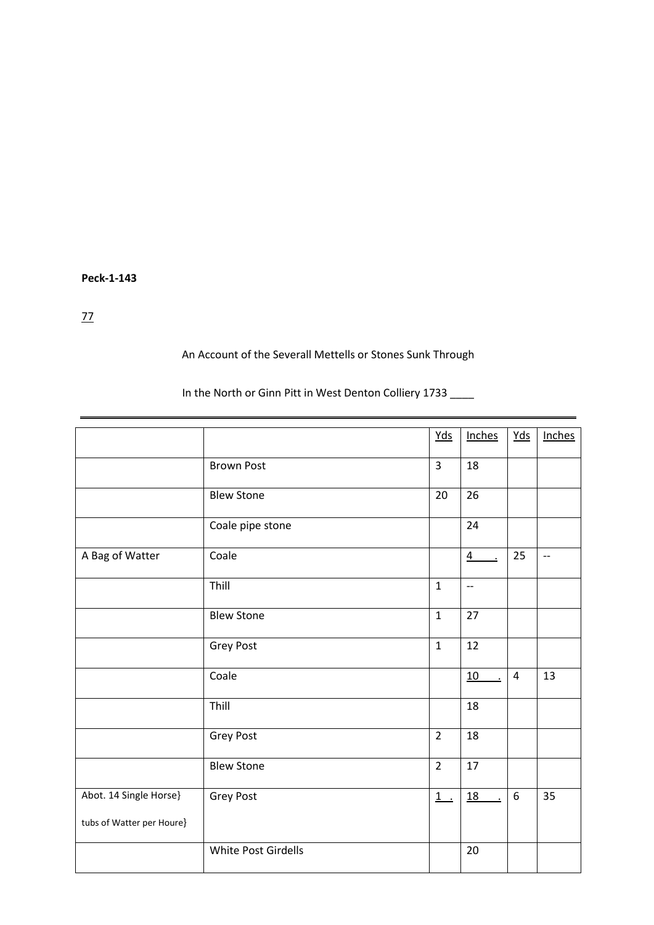77

## An Account of the Severall Mettells or Stones Sunk Through

In the North or Ginn Pitt in West Denton Colliery 1733

|                           |                     | Yds            | Inches                             | $Yds$          | Inches |
|---------------------------|---------------------|----------------|------------------------------------|----------------|--------|
|                           | <b>Brown Post</b>   | $\overline{3}$ | 18                                 |                |        |
|                           | <b>Blew Stone</b>   | 20             | 26                                 |                |        |
|                           | Coale pipe stone    |                | 24                                 |                |        |
| A Bag of Watter           | Coale               |                | $\overline{4}$<br>$\cdot$          | 25             | $-$    |
|                           | Thill               | $\mathbf 1$    | $\overline{\phantom{a}}$           |                |        |
|                           | <b>Blew Stone</b>   | $\mathbf 1$    | 27                                 |                |        |
|                           | Grey Post           | $\mathbf 1$    | 12                                 |                |        |
|                           | Coale               |                | 10                                 | $\overline{4}$ | 13     |
|                           | Thill               |                | 18                                 |                |        |
|                           | Grey Post           | $\overline{2}$ | 18                                 |                |        |
|                           | <b>Blew Stone</b>   | $\overline{2}$ | 17                                 |                |        |
| Abot. 14 Single Horse}    | Grey Post           | $1$ .          | $\underline{18}$<br>$\blacksquare$ | 6              | 35     |
| tubs of Watter per Houre} |                     |                |                                    |                |        |
|                           | White Post Girdells |                | 20                                 |                |        |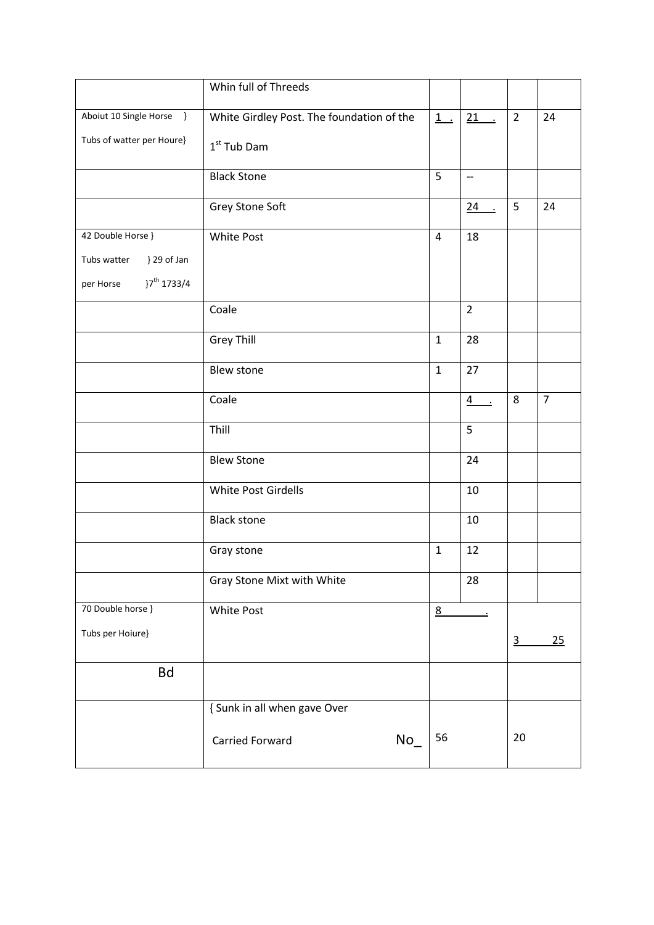|                                      | Whin full of Threeds                      |                |                          |                |                |
|--------------------------------------|-------------------------------------------|----------------|--------------------------|----------------|----------------|
| Aboiut 10 Single Horse }             | White Girdley Post. The foundation of the | $1$ .          | $21$ .                   | $\overline{2}$ | 24             |
| Tubs of watter per Houre}            | $1st$ Tub Dam                             |                |                          |                |                |
|                                      | <b>Black Stone</b>                        | 5              | $\overline{\phantom{a}}$ |                |                |
|                                      | Grey Stone Soft                           |                | $24$ .                   | 5              | 24             |
| 42 Double Horse }                    | <b>White Post</b>                         | $\overline{4}$ | 18                       |                |                |
| Tubs watter<br>} 29 of Jan           |                                           |                |                          |                |                |
| }7 <sup>th</sup> 1733/4<br>per Horse |                                           |                |                          |                |                |
|                                      | Coale                                     |                | $\overline{2}$           |                |                |
|                                      | <b>Grey Thill</b>                         | $\mathbf{1}$   | 28                       |                |                |
|                                      | Blew stone                                | $\mathbf{1}$   | 27                       |                |                |
|                                      | Coale                                     |                | $\frac{4}{ }$ .          | 8              | $\overline{7}$ |
|                                      | Thill                                     |                | 5                        |                |                |
|                                      | <b>Blew Stone</b>                         |                | 24                       |                |                |
|                                      | White Post Girdells                       |                | 10                       |                |                |
|                                      | <b>Black stone</b>                        |                | 10                       |                |                |
|                                      | Gray stone                                | $\mathbf{1}$   | 12                       |                |                |
|                                      | Gray Stone Mixt with White                |                | 28                       |                |                |
| 70 Double horse }                    | White Post                                | 8              | $\overline{\phantom{a}}$ |                |                |
| Tubs per Hoiure}                     |                                           |                |                          | $\overline{3}$ | 25             |
| <b>Bd</b>                            |                                           |                |                          |                |                |
|                                      | { Sunk in all when gave Over              |                |                          |                |                |
|                                      | $No_$<br>Carried Forward                  | 56             |                          | 20             |                |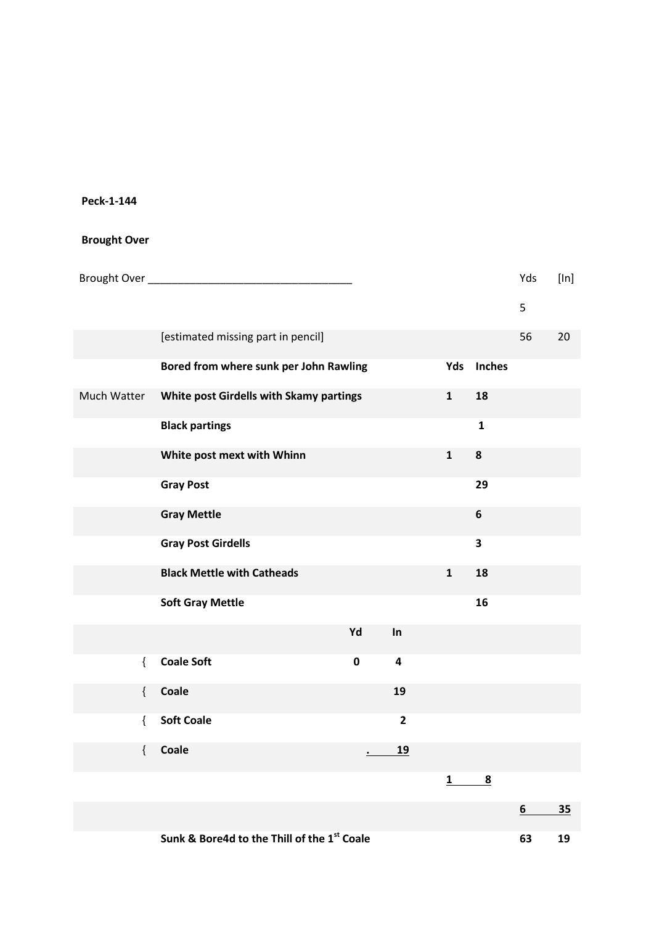## **Brought Over**

| Brought Over |                                             |           |         |                         |              |                         | Yds | [ln] |
|--------------|---------------------------------------------|-----------|---------|-------------------------|--------------|-------------------------|-----|------|
|              |                                             |           |         |                         |              |                         | 5   |      |
|              | [estimated missing part in pencil]          |           |         |                         |              |                         | 56  | 20   |
|              | Bored from where sunk per John Rawling      |           |         |                         | Yds          | <b>Inches</b>           |     |      |
| Much Watter  | White post Girdells with Skamy partings     |           |         |                         | $\mathbf{1}$ | 18                      |     |      |
|              | <b>Black partings</b>                       |           |         |                         |              | $\mathbf{1}$            |     |      |
|              | White post mext with Whinn                  |           |         |                         | $\mathbf 1$  | 8                       |     |      |
|              | <b>Gray Post</b>                            |           |         |                         |              | 29                      |     |      |
|              | <b>Gray Mettle</b>                          |           |         |                         |              | $\boldsymbol{6}$        |     |      |
|              | <b>Gray Post Girdells</b>                   |           |         |                         |              | $\overline{\mathbf{3}}$ |     |      |
|              | <b>Black Mettle with Catheads</b>           |           |         |                         | $\mathbf{1}$ | 18                      |     |      |
|              | <b>Soft Gray Mettle</b>                     |           |         |                         |              | 16                      |     |      |
|              |                                             | Yd        |         | In                      |              |                         |     |      |
| $\{$         | <b>Coale Soft</b>                           | $\pmb{0}$ |         | $\overline{\mathbf{4}}$ |              |                         |     |      |
| $\{$         | <b>Coale</b>                                |           |         | 19                      |              |                         |     |      |
| $\{$         | <b>Soft Coale</b>                           |           |         | $\mathbf{2}$            |              |                         |     |      |
| $\{$         | Coale                                       |           | $\cdot$ | <u>19</u>               |              |                         |     |      |
|              |                                             |           |         |                         | 1            | $\overline{\mathbf{8}}$ |     |      |
|              |                                             |           |         |                         |              |                         | 6   | 35   |
|              | Sunk & Bore4d to the Thill of the 1st Coale |           |         |                         |              |                         | 63  | 19   |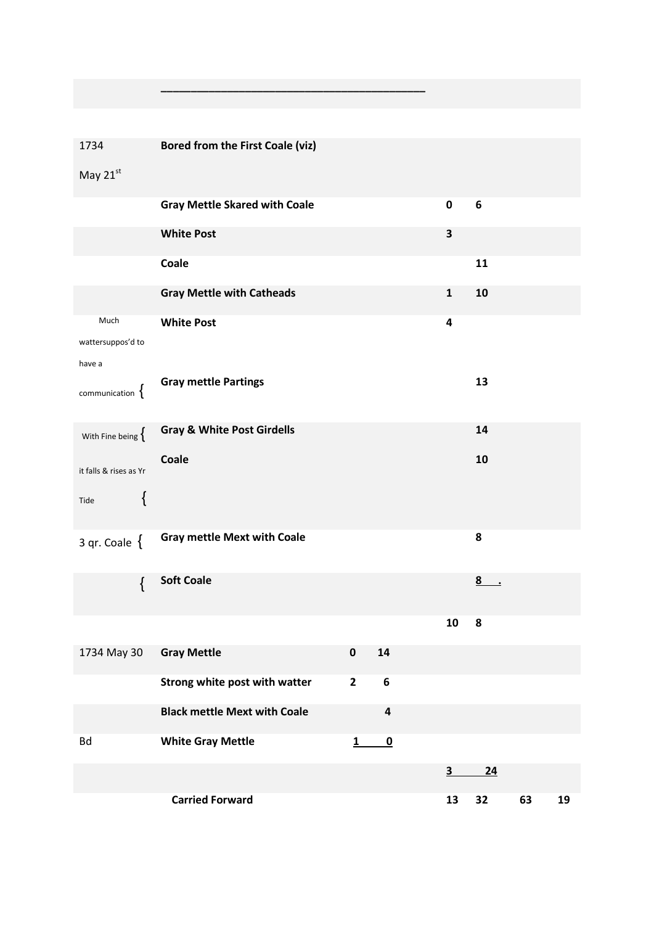| 1734                        | <b>Bored from the First Coale (viz)</b> |              |                         |                         |                     |    |    |
|-----------------------------|-----------------------------------------|--------------|-------------------------|-------------------------|---------------------|----|----|
| May 21st                    |                                         |              |                         |                         |                     |    |    |
|                             | <b>Gray Mettle Skared with Coale</b>    |              |                         | $\pmb{0}$               | 6                   |    |    |
|                             | <b>White Post</b>                       |              |                         | $\overline{\mathbf{3}}$ |                     |    |    |
|                             | Coale                                   |              |                         |                         | 11                  |    |    |
|                             | <b>Gray Mettle with Catheads</b>        |              |                         | $\mathbf 1$             | 10                  |    |    |
| Much                        | <b>White Post</b>                       |              |                         | 4                       |                     |    |    |
| wattersuppos'd to<br>have a |                                         |              |                         |                         |                     |    |    |
|                             | <b>Gray mettle Partings</b>             |              |                         |                         | 13                  |    |    |
| communication $\{$          |                                         |              |                         |                         |                     |    |    |
| With Fine being $\{$        | <b>Gray &amp; White Post Girdells</b>   |              |                         |                         | 14                  |    |    |
| it falls & rises as Yr      | Coale                                   |              |                         |                         | 10                  |    |    |
| {                           |                                         |              |                         |                         |                     |    |    |
| Tide                        |                                         |              |                         |                         |                     |    |    |
| 3 qr. Coale $\{$            | <b>Gray mettle Mext with Coale</b>      |              |                         |                         | 8                   |    |    |
| $\{$                        | <b>Soft Coale</b>                       |              |                         |                         | 8<br>$\blacksquare$ |    |    |
|                             |                                         |              |                         |                         |                     |    |    |
|                             |                                         |              |                         | 10                      | 8                   |    |    |
| 1734 May 30                 | <b>Gray Mettle</b>                      | $\pmb{0}$    | ${\bf 14}$              |                         |                     |    |    |
|                             | Strong white post with watter           | $\mathbf{2}$ | $\boldsymbol{6}$        |                         |                     |    |    |
|                             | <b>Black mettle Mext with Coale</b>     |              | $\pmb{4}$               |                         |                     |    |    |
| <b>Bd</b>                   | <b>White Gray Mettle</b>                | 1            | $\overline{\mathbf{0}}$ |                         |                     |    |    |
|                             |                                         |              |                         | 3                       | 24                  |    |    |
|                             | <b>Carried Forward</b>                  |              |                         | 13                      | 32                  | 63 | 19 |

**\_\_\_\_\_\_\_\_\_\_\_\_\_\_\_\_\_\_\_\_\_\_\_\_\_\_\_\_\_\_\_\_\_\_\_\_\_\_\_\_\_\_\_\_**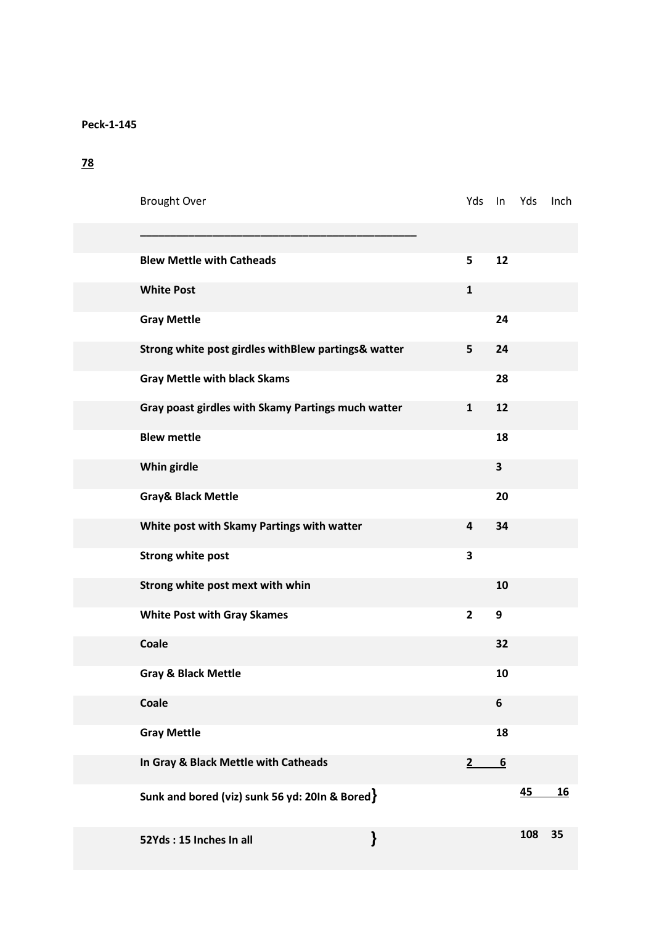## **78**

| <b>Brought Over</b>                                 |   | Yds            | In              | Yds | Inch      |
|-----------------------------------------------------|---|----------------|-----------------|-----|-----------|
|                                                     |   |                |                 |     |           |
| <b>Blew Mettle with Catheads</b>                    |   | 5              | 12              |     |           |
| <b>White Post</b>                                   |   | $\mathbf{1}$   |                 |     |           |
| <b>Gray Mettle</b>                                  |   |                | 24              |     |           |
| Strong white post girdles withBlew partings& watter |   | 5              | 24              |     |           |
| <b>Gray Mettle with black Skams</b>                 |   |                | 28              |     |           |
| Gray poast girdles with Skamy Partings much watter  |   | $\mathbf{1}$   | 12              |     |           |
| <b>Blew mettle</b>                                  |   |                | 18              |     |           |
| Whin girdle                                         |   |                | 3               |     |           |
| <b>Gray&amp; Black Mettle</b>                       |   |                | 20              |     |           |
| White post with Skamy Partings with watter          |   | 4              | 34              |     |           |
| <b>Strong white post</b>                            |   | 3              |                 |     |           |
| Strong white post mext with whin                    |   |                | 10              |     |           |
| <b>White Post with Gray Skames</b>                  |   | $\overline{2}$ | 9               |     |           |
| Coale                                               |   |                | 32              |     |           |
| <b>Gray &amp; Black Mettle</b>                      |   |                | 10              |     |           |
| Coale                                               |   |                | 6               |     |           |
| <b>Gray Mettle</b>                                  |   |                | 18              |     |           |
| In Gray & Black Mettle with Catheads                |   | $\mathbf{2}$   | $\underline{6}$ |     |           |
| Sunk and bored (viz) sunk 56 yd: 20In & Bored $\}$  |   |                |                 | 45  | <u>16</u> |
| 52Yds: 15 Inches In all                             | } |                |                 | 108 | 35        |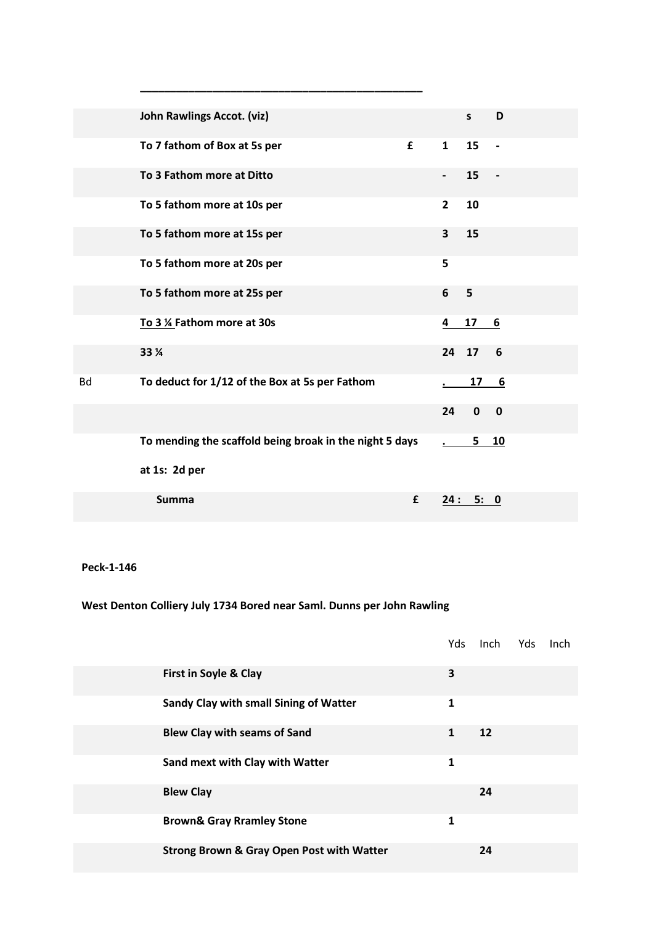|           | <b>John Rawlings Accot. (viz)</b>                       |   |                         | $\mathsf{s}$ | D                        |
|-----------|---------------------------------------------------------|---|-------------------------|--------------|--------------------------|
|           | To 7 fathom of Box at 5s per                            | £ | $\mathbf{1}$            | 15           | $\overline{\phantom{a}}$ |
|           | To 3 Fathom more at Ditto                               |   |                         | 15           |                          |
|           | To 5 fathom more at 10s per                             |   | $\overline{2}$          | 10           |                          |
|           | To 5 fathom more at 15s per                             |   | $\overline{\mathbf{3}}$ | 15           |                          |
|           | To 5 fathom more at 20s per                             |   | 5                       |              |                          |
|           | To 5 fathom more at 25s per                             |   | 6                       | 5            |                          |
|           | To 3 % Fathom more at 30s                               |   | 4                       | 17           | 6                        |
|           | 33 %                                                    |   |                         | 24 17        | 6                        |
| <b>Bd</b> | To deduct for 1/12 of the Box at 5s per Fathom          |   |                         | 17           | 6                        |
|           |                                                         |   | 24                      | $\mathbf 0$  | $\mathbf 0$              |
|           | To mending the scaffold being broak in the night 5 days |   |                         | $5 -$        | 10                       |
|           | at 1s: 2d per                                           |   |                         |              |                          |
|           | <b>Summa</b>                                            | £ | 24:                     | 5: 0         |                          |

**\_\_\_\_\_\_\_\_\_\_\_\_\_\_\_\_\_\_\_\_\_\_\_\_\_\_\_\_\_\_\_\_\_\_\_\_\_\_\_\_\_\_\_\_\_\_\_**

**Peck-1-146**

## **West Denton Colliery July 1734 Bored near Saml. Dunns per John Rawling**

|                                                      |              | Yds Inch Yds Inch |  |
|------------------------------------------------------|--------------|-------------------|--|
| First in Soyle & Clay                                | 3            |                   |  |
| Sandy Clay with small Sining of Watter               | 1            |                   |  |
| <b>Blew Clay with seams of Sand</b>                  | 1            | 12                |  |
| Sand mext with Clay with Watter                      | 1            |                   |  |
| <b>Blew Clay</b>                                     |              | 24                |  |
| <b>Brown&amp; Gray Rramley Stone</b>                 | $\mathbf{1}$ |                   |  |
| <b>Strong Brown &amp; Gray Open Post with Watter</b> |              | 24                |  |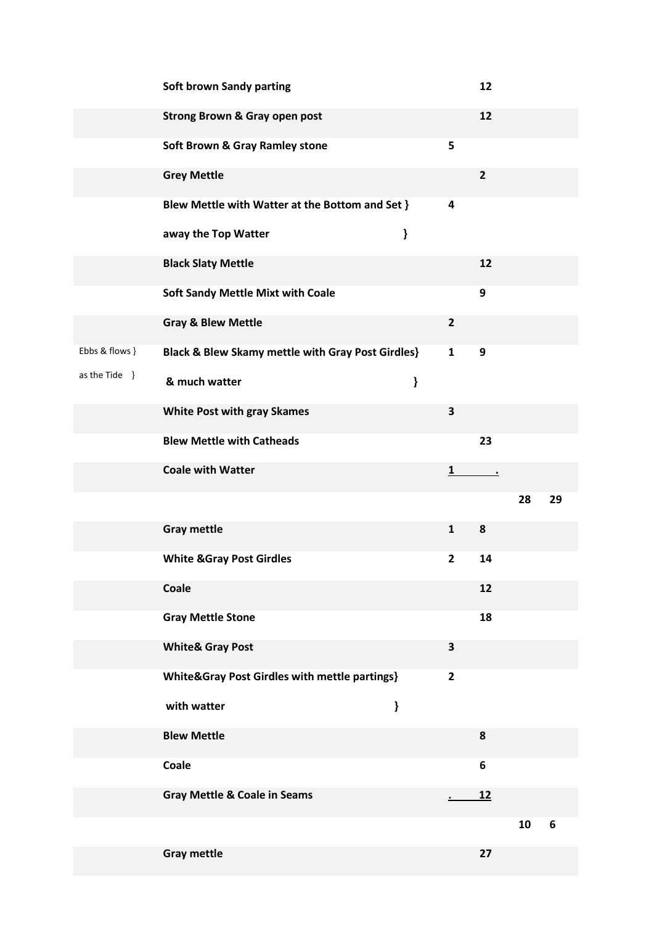|                  | <b>Soft brown Sandy parting</b>                              |   |                         | 12                      |    |    |
|------------------|--------------------------------------------------------------|---|-------------------------|-------------------------|----|----|
|                  | <b>Strong Brown &amp; Gray open post</b>                     |   |                         | 12                      |    |    |
|                  | <b>Soft Brown &amp; Gray Ramley stone</b>                    |   | 5                       |                         |    |    |
|                  | <b>Grey Mettle</b>                                           |   |                         | $\overline{\mathbf{2}}$ |    |    |
|                  | Blew Mettle with Watter at the Bottom and Set }              |   | 4                       |                         |    |    |
|                  | away the Top Watter                                          | } |                         |                         |    |    |
|                  | <b>Black Slaty Mettle</b>                                    |   |                         | 12                      |    |    |
|                  | <b>Soft Sandy Mettle Mixt with Coale</b>                     |   |                         | 9                       |    |    |
|                  | <b>Gray &amp; Blew Mettle</b>                                |   | $\overline{2}$          |                         |    |    |
| Ebbs & flows }   | <b>Black &amp; Blew Skamy mettle with Gray Post Girdles}</b> |   | 1                       | 9                       |    |    |
| as the Tide $\}$ | & much watter                                                | ł |                         |                         |    |    |
|                  | <b>White Post with gray Skames</b>                           |   | 3                       |                         |    |    |
|                  | <b>Blew Mettle with Catheads</b>                             |   |                         | 23                      |    |    |
|                  | <b>Coale with Watter</b>                                     |   | 1                       | $\cdot$                 |    |    |
|                  |                                                              |   |                         |                         | 28 | 29 |
|                  | <b>Gray mettle</b>                                           |   | $\mathbf{1}$            | 8                       |    |    |
|                  | <b>White &amp;Gray Post Girdles</b>                          |   | $\mathbf{2}$            | 14                      |    |    |
|                  | Coale                                                        |   |                         | 12                      |    |    |
|                  | <b>Gray Mettle Stone</b>                                     |   |                         | 18                      |    |    |
|                  | <b>White&amp; Gray Post</b>                                  |   | $\overline{\mathbf{3}}$ |                         |    |    |
|                  | White&Gray Post Girdles with mettle partings}                |   | $\overline{2}$          |                         |    |    |
|                  | with watter                                                  | ł |                         |                         |    |    |
|                  | <b>Blew Mettle</b>                                           |   |                         | 8                       |    |    |
|                  | Coale                                                        |   |                         | 6                       |    |    |
|                  | <b>Gray Mettle &amp; Coale in Seams</b>                      |   |                         | <u>12</u>               |    |    |
|                  |                                                              |   |                         |                         | 10 | 6  |
|                  | <b>Gray mettle</b>                                           |   |                         | 27                      |    |    |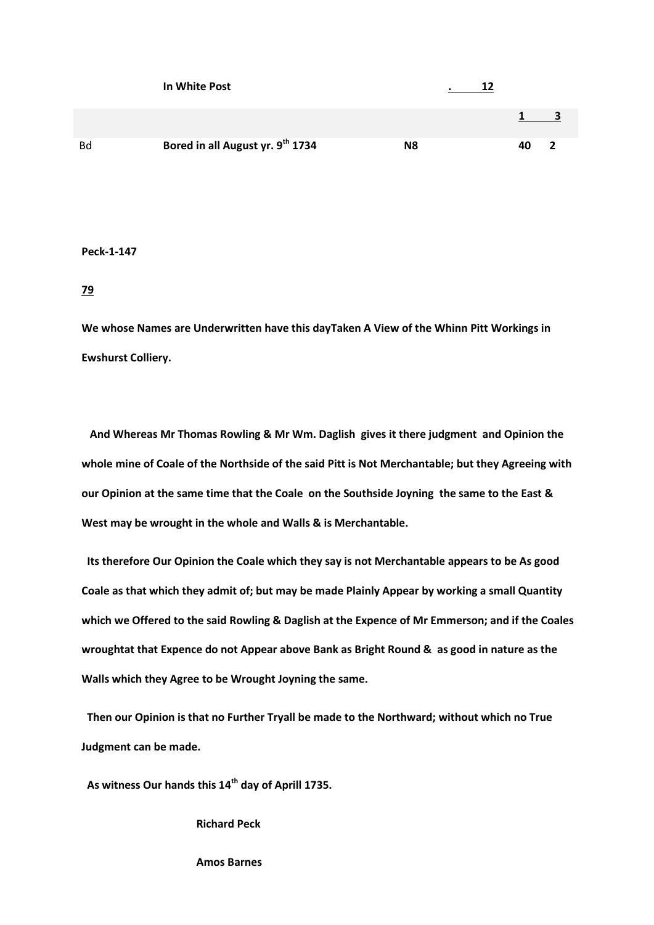|           | In White Post                    |    |    |  |
|-----------|----------------------------------|----|----|--|
|           |                                  |    |    |  |
| <b>Bd</b> | Bored in all August yr. 9th 1734 | N8 | 40 |  |

#### **79**

**We whose Names are Underwritten have this dayTaken A View of the Whinn Pitt Workings in Ewshurst Colliery.**

 **And Whereas Mr Thomas Rowling & Mr Wm. Daglish gives it there judgment and Opinion the whole mine of Coale of the Northside of the said Pitt is Not Merchantable; but they Agreeing with our Opinion at the same time that the Coale on the Southside Joyning the same to the East & West may be wrought in the whole and Walls & is Merchantable.**

 **Its therefore Our Opinion the Coale which they say is not Merchantable appears to be As good Coale as that which they admit of; but may be made Plainly Appear by working a small Quantity which we Offered to the said Rowling & Daglish at the Expence of Mr Emmerson; and if the Coales wroughtat that Expence do not Appear above Bank as Bright Round & as good in nature as the Walls which they Agree to be Wrought Joyning the same.**

 **Then our Opinion is that no Further Tryall be made to the Northward; without which no True Judgment can be made.**

 **As witness Our hands this 14th day of Aprill 1735.**

 **Richard Peck**

 **Amos Barnes**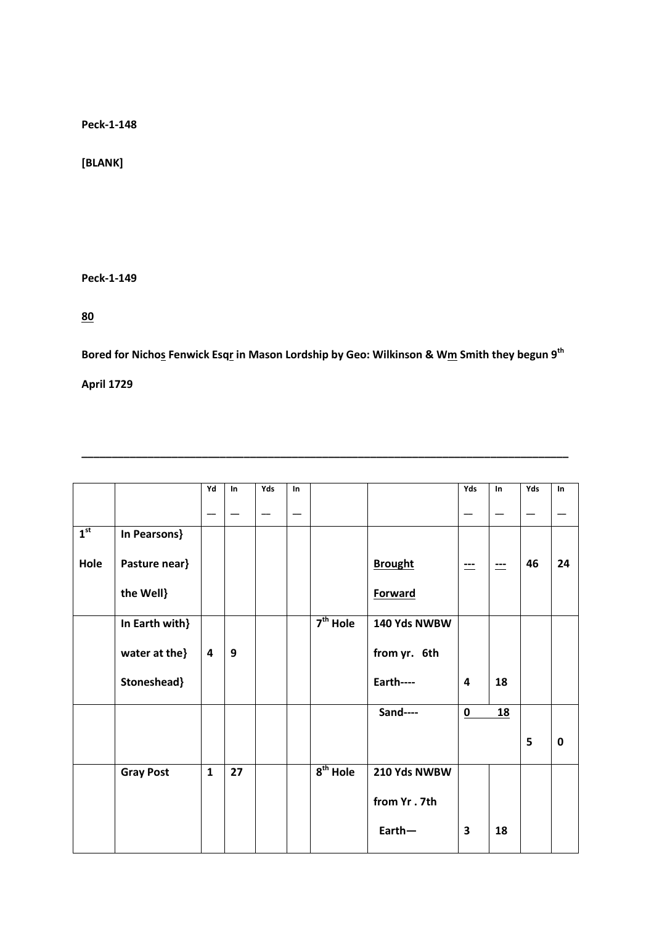**[BLANK]**

**Peck-1-149**

**80**

**Bored for Nichos Fenwick Esqr in Mason Lordship by Geo: Wilkinson & Wm Smith they begun 9th**

**\_\_\_\_\_\_\_\_\_\_\_\_\_\_\_\_\_\_\_\_\_\_\_\_\_\_\_\_\_\_\_\_\_\_\_\_\_\_\_\_\_\_\_\_\_\_\_\_\_\_\_\_\_\_\_\_\_\_\_\_\_\_\_\_\_\_\_\_\_\_\_\_\_\_\_\_\_\_\_\_\_**

**April 1729**

|                 |                  | Yd                      | In | Yds | In |            |                | Yds                     | <b>In</b> | Yds | <b>In</b> |
|-----------------|------------------|-------------------------|----|-----|----|------------|----------------|-------------------------|-----------|-----|-----------|
|                 |                  | $\hspace{0.05cm}$       |    |     |    |            |                |                         |           |     |           |
| 1 <sup>st</sup> | In Pearsons}     |                         |    |     |    |            |                |                         |           |     |           |
| Hole            | Pasture near}    |                         |    |     |    |            | <b>Brought</b> | $=$                     | ---       | 46  | 24        |
|                 | the Well}        |                         |    |     |    |            | Forward        |                         |           |     |           |
|                 | In Earth with}   |                         |    |     |    | $7th$ Hole | 140 Yds NWBW   |                         |           |     |           |
|                 | water at the}    | $\overline{\mathbf{4}}$ | 9  |     |    |            | from yr. 6th   |                         |           |     |           |
|                 | Stoneshead}      |                         |    |     |    |            | Earth----      | $\overline{\mathbf{4}}$ | 18        |     |           |
|                 |                  |                         |    |     |    |            | Sand----       | $\pmb{0}$               | 18        |     |           |
|                 |                  |                         |    |     |    |            |                |                         |           | 5   | 0         |
|                 | <b>Gray Post</b> | $\mathbf{1}$            | 27 |     |    | $8th$ Hole | 210 Yds NWBW   |                         |           |     |           |
|                 |                  |                         |    |     |    |            | from Yr.7th    |                         |           |     |           |
|                 |                  |                         |    |     |    |            | $Earth-$       | $\overline{\mathbf{3}}$ | 18        |     |           |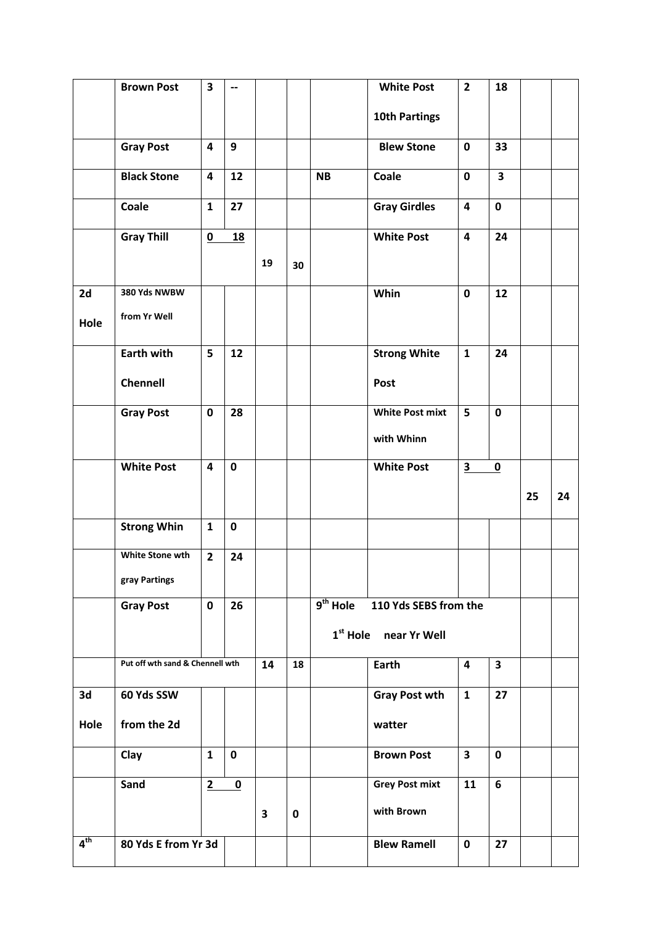|      | <b>Brown Post</b>               | 3                        | $\overline{\phantom{a}}$ |    |             |            | <b>White Post</b>                 | $\overline{2}$          | 18                      |    |    |
|------|---------------------------------|--------------------------|--------------------------|----|-------------|------------|-----------------------------------|-------------------------|-------------------------|----|----|
|      |                                 |                          |                          |    |             |            | <b>10th Partings</b>              |                         |                         |    |    |
|      | <b>Gray Post</b>                | 4                        | 9                        |    |             |            | <b>Blew Stone</b>                 | $\pmb{0}$               | 33                      |    |    |
|      | <b>Black Stone</b>              | 4                        | 12                       |    |             | <b>NB</b>  | Coale                             | $\mathbf 0$             | $\overline{\mathbf{3}}$ |    |    |
|      | Coale                           | $\mathbf{1}$             | 27                       |    |             |            | <b>Gray Girdles</b>               | $\overline{\mathbf{4}}$ | $\mathbf 0$             |    |    |
|      | <b>Gray Thill</b>               | $\underline{\mathbf{0}}$ | <b>18</b>                |    |             |            | <b>White Post</b>                 | $\overline{\mathbf{4}}$ | 24                      |    |    |
|      |                                 |                          |                          | 19 | 30          |            |                                   |                         |                         |    |    |
| 2d   | 380 Yds NWBW                    |                          |                          |    |             |            | Whin                              | $\mathbf 0$             | 12                      |    |    |
| Hole | from Yr Well                    |                          |                          |    |             |            |                                   |                         |                         |    |    |
|      | <b>Earth with</b>               | 5                        | 12                       |    |             |            | <b>Strong White</b>               | $\mathbf{1}$            | 24                      |    |    |
|      | Chennell                        |                          |                          |    |             |            | Post                              |                         |                         |    |    |
|      | <b>Gray Post</b>                | $\mathbf 0$              | 28                       |    |             |            | <b>White Post mixt</b>            | 5                       | $\mathbf 0$             |    |    |
|      |                                 |                          |                          |    |             |            | with Whinn                        |                         |                         |    |    |
|      | <b>White Post</b>               | $\overline{\mathbf{4}}$  | $\mathbf 0$              |    |             |            | <b>White Post</b>                 | $\overline{\mathbf{3}}$ | $\overline{\mathbf{0}}$ |    |    |
|      |                                 |                          |                          |    |             |            |                                   |                         |                         |    |    |
|      |                                 |                          |                          |    |             |            |                                   |                         |                         | 25 | 24 |
|      | <b>Strong Whin</b>              | $\mathbf{1}$             | $\mathbf 0$              |    |             |            |                                   |                         |                         |    |    |
|      | White Stone wth                 | $\overline{2}$           | 24                       |    |             |            |                                   |                         |                         |    |    |
|      | gray Partings                   |                          |                          |    |             |            |                                   |                         |                         |    |    |
|      | <b>Gray Post</b>                | $\pmb{0}$                | 26                       |    |             | $9th$ Hole | 110 Yds SEBS from the             |                         |                         |    |    |
|      |                                 |                          |                          |    |             |            | 1 <sup>st</sup> Hole near Yr Well |                         |                         |    |    |
|      | Put off wth sand & Chennell wth |                          |                          | 14 | 18          |            | Earth                             | $\overline{\mathbf{4}}$ | $\overline{\mathbf{3}}$ |    |    |
| 3d   | 60 Yds SSW                      |                          |                          |    |             |            | <b>Gray Post wth</b>              | $\mathbf{1}$            | 27                      |    |    |
| Hole | from the 2d                     |                          |                          |    |             |            | watter                            |                         |                         |    |    |
|      | Clay                            | $\mathbf{1}$             | $\mathbf 0$              |    |             |            | <b>Brown Post</b>                 | $\overline{\mathbf{3}}$ | $\mathbf 0$             |    |    |
|      | Sand                            | 2                        | $\mathbf 0$              |    |             |            | <b>Grey Post mixt</b>             | 11                      | 6                       |    |    |
|      |                                 |                          |                          | 3  | $\mathbf 0$ |            | with Brown                        |                         |                         |    |    |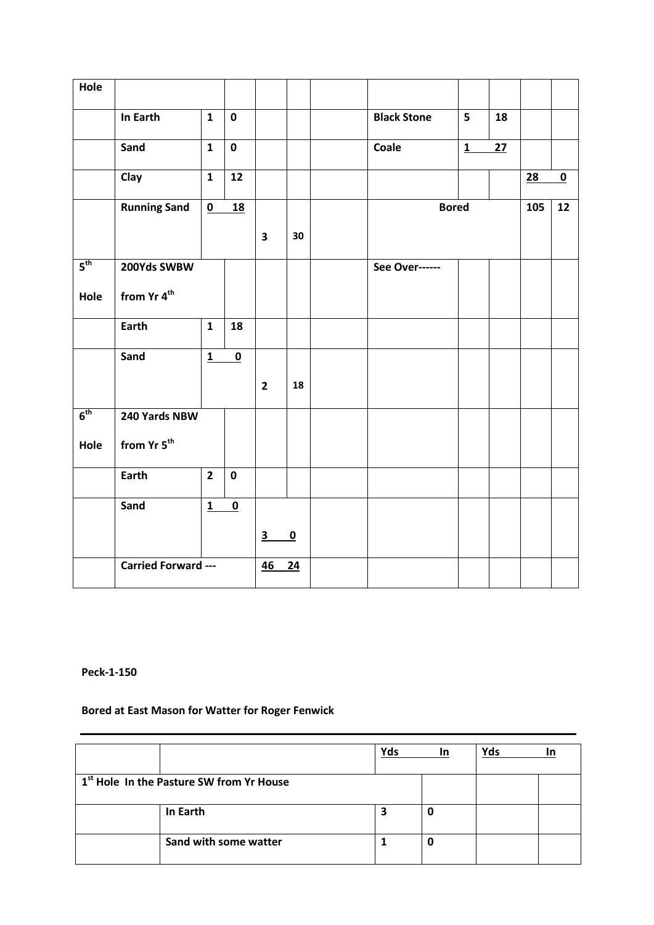| Hole            |                         |                |                         |                         |                         |                       |                 |    |     |           |
|-----------------|-------------------------|----------------|-------------------------|-------------------------|-------------------------|-----------------------|-----------------|----|-----|-----------|
|                 | In Earth                | $\mathbf{1}$   | $\mathbf 0$             |                         |                         | <b>Black Stone</b>    | $5\overline{)}$ | 18 |     |           |
|                 | Sand                    | $\mathbf{1}$   | $\mathbf 0$             |                         |                         | Coale                 | $\overline{1}$  | 27 |     |           |
|                 | Clay                    | $\mathbf{1}$   | 12                      |                         |                         |                       |                 |    | 28  | $\pmb{0}$ |
|                 | <b>Running Sand</b>     | $\mathbf 0$    | 18                      |                         |                         | <b>Bored</b>          |                 |    | 105 | 12        |
|                 |                         |                |                         | $\overline{\mathbf{3}}$ | 30                      |                       |                 |    |     |           |
| $5^{\text{th}}$ | 200Yds SWBW             |                |                         |                         |                         | <b>See Over------</b> |                 |    |     |           |
| Hole            | from Yr 4 <sup>th</sup> |                |                         |                         |                         |                       |                 |    |     |           |
|                 | Earth                   | $\mathbf{1}$   | 18                      |                         |                         |                       |                 |    |     |           |
|                 | Sand                    | $\mathbf{1}$   | $\overline{\mathbf{0}}$ |                         |                         |                       |                 |    |     |           |
|                 |                         |                |                         | $\overline{2}$          | 18                      |                       |                 |    |     |           |
| 6 <sup>th</sup> | 240 Yards NBW           |                |                         |                         |                         |                       |                 |    |     |           |
| Hole            | from Yr 5 <sup>th</sup> |                |                         |                         |                         |                       |                 |    |     |           |
|                 | Earth                   | $\overline{2}$ | $\mathbf 0$             |                         |                         |                       |                 |    |     |           |
|                 | Sand                    | $\mathbf{1}$   | $\overline{\mathbf{0}}$ |                         |                         |                       |                 |    |     |           |
|                 |                         |                |                         | $\overline{\mathbf{3}}$ | $\overline{\mathbf{0}}$ |                       |                 |    |     |           |
|                 | Carried Forward ---     |                |                         | 46                      | 24                      |                       |                 |    |     |           |

## **Bored at East Mason for Watter for Roger Fenwick**

|                                                      | Yds | <b>In</b> | Yds | In |
|------------------------------------------------------|-----|-----------|-----|----|
| 1 <sup>st</sup> Hole In the Pasture SW from Yr House |     |           |     |    |
| In Earth                                             | Э   | O         |     |    |
| Sand with some watter                                |     | O         |     |    |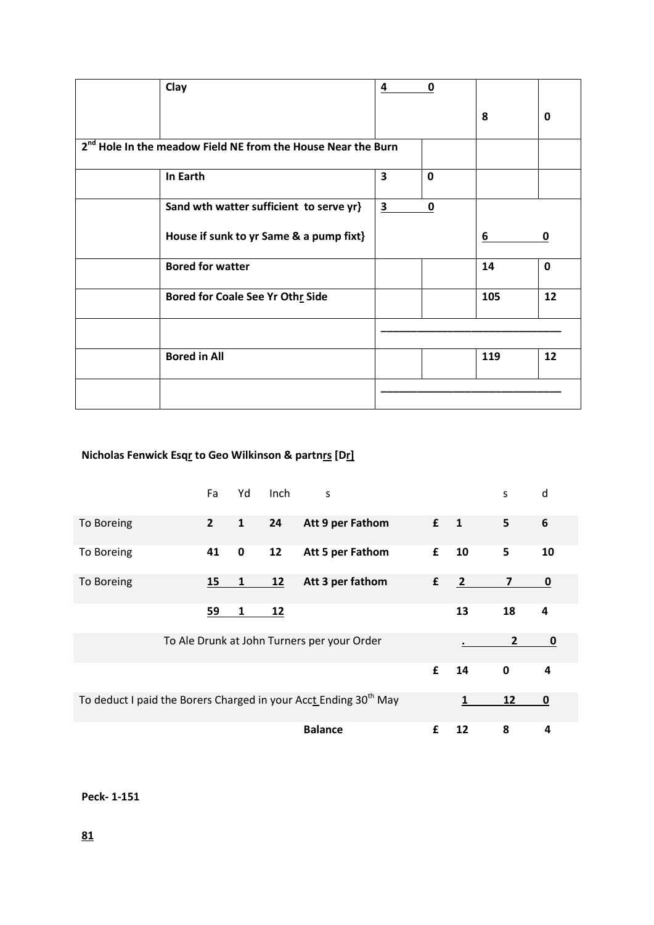| Clay                                                                     | 4                       | $\mathbf 0$ |     |             |
|--------------------------------------------------------------------------|-------------------------|-------------|-----|-------------|
|                                                                          |                         |             | 8   | 0           |
| 2 <sup>nd</sup> Hole In the meadow Field NE from the House Near the Burn |                         |             |     |             |
| In Earth                                                                 | $\overline{\mathbf{3}}$ | $\mathbf 0$ |     |             |
| Sand wth watter sufficient to serve yr}                                  | $\overline{\mathbf{3}}$ | $\mathbf 0$ |     |             |
| House if sunk to yr Same & a pump fixt}                                  |                         |             | 6   | 0           |
| <b>Bored for watter</b>                                                  |                         |             | 14  | $\mathbf 0$ |
| Bored for Coale See Yr Othr Side                                         |                         |             | 105 | 12          |
|                                                                          |                         |             |     |             |
| <b>Bored in All</b>                                                      |                         |             | 119 | 12          |
|                                                                          |                         |             |     |             |

## **Nicholas Fenwick Esqr to Geo Wilkinson & partnrs [Dr]**

|                                                                              | Fa             | Yd           | Inch | S                                           |             |                | S              | d  |
|------------------------------------------------------------------------------|----------------|--------------|------|---------------------------------------------|-------------|----------------|----------------|----|
| To Boreing                                                                   | $\overline{2}$ | $\mathbf{1}$ | 24   | Att 9 per Fathom                            | $f \quad 1$ |                | 5              | 6  |
| To Boreing                                                                   | 41             | 0            | 12   | Att 5 per Fathom                            | £           | 10             | 5              | 10 |
| To Boreing                                                                   | 15             |              | 12   | Att 3 per fathom                            | £           | $\overline{2}$ | $\overline{ }$ | 0  |
|                                                                              | 59             | 1            | 12   |                                             |             | 13             | 18             | 4  |
|                                                                              |                |              |      | To Ale Drunk at John Turners per your Order |             |                | $\overline{2}$ | 0  |
|                                                                              |                |              |      |                                             | £           | 14             | 0              | 4  |
| To deduct I paid the Borers Charged in your Acct Ending 30 <sup>th</sup> May |                |              |      |                                             |             |                | 12             | 0  |
|                                                                              |                |              |      | <b>Balance</b>                              | £           | 12             | 8              | 4  |

## **Peck- 1-151**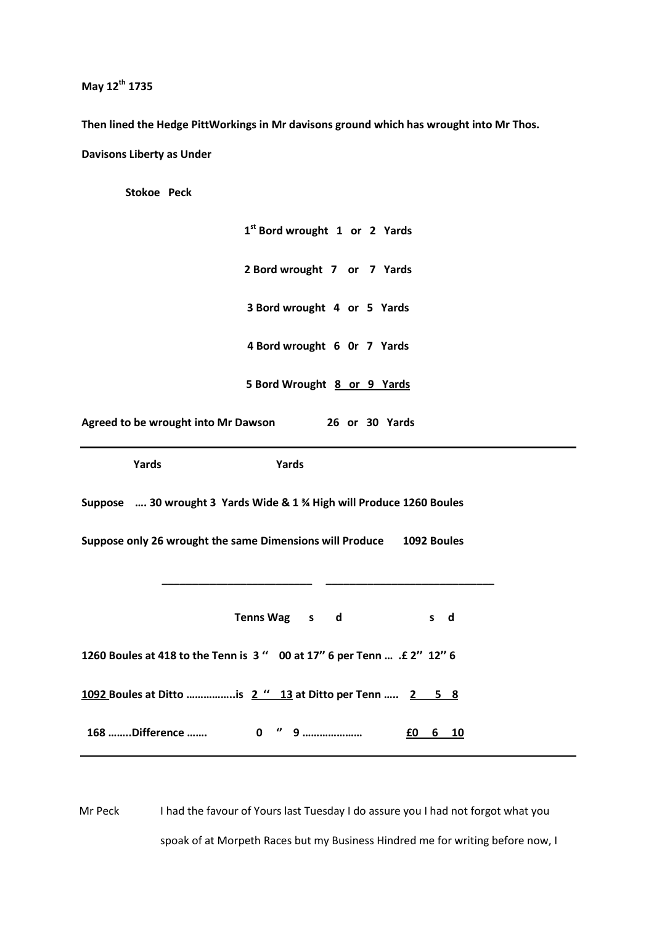**May 12th 1735**

**Then lined the Hedge PittWorkings in Mr davisons ground which has wrought into Mr Thos. Davisons Liberty as Under**

 **Stokoe Peck**

**1 st Bord wrought 1 or 2 Yards 2 Bord wrought 7 or 7 Yards 3 Bord wrought 4 or 5 Yards 4 Bord wrought 6 0r 7 Yards 5 Bord Wrought 8 or 9 Yards Agreed to be wrought into Mr Dawson 26 or 30 Yards Yards Yards Suppose …. 30 wrought 3 Yards Wide & 1 ¾ High will Produce 1260 Boules Suppose only 26 wrought the same Dimensions will Produce 1092 Boules \_\_\_\_\_\_\_\_\_\_\_\_\_\_\_\_\_\_\_\_\_\_\_\_\_ \_\_\_\_\_\_\_\_\_\_\_\_\_\_\_\_\_\_\_\_\_\_\_\_\_\_\_\_** Tenns Wag s d s d **1260 Boules at 418 to the Tenn is 3 '' 00 at 17'' 6 per Tenn … .£ 2'' 12'' 6 1092 Boules at Ditto ……………..is 2 '' 13 at Ditto per Tenn ….. 2 5 8 168 ……..Difference ……. 0 '' 9 ………………… £0 6 10**

Mr Peck I had the favour of Yours last Tuesday I do assure you I had not forgot what you spoak of at Morpeth Races but my Business Hindred me for writing before now, I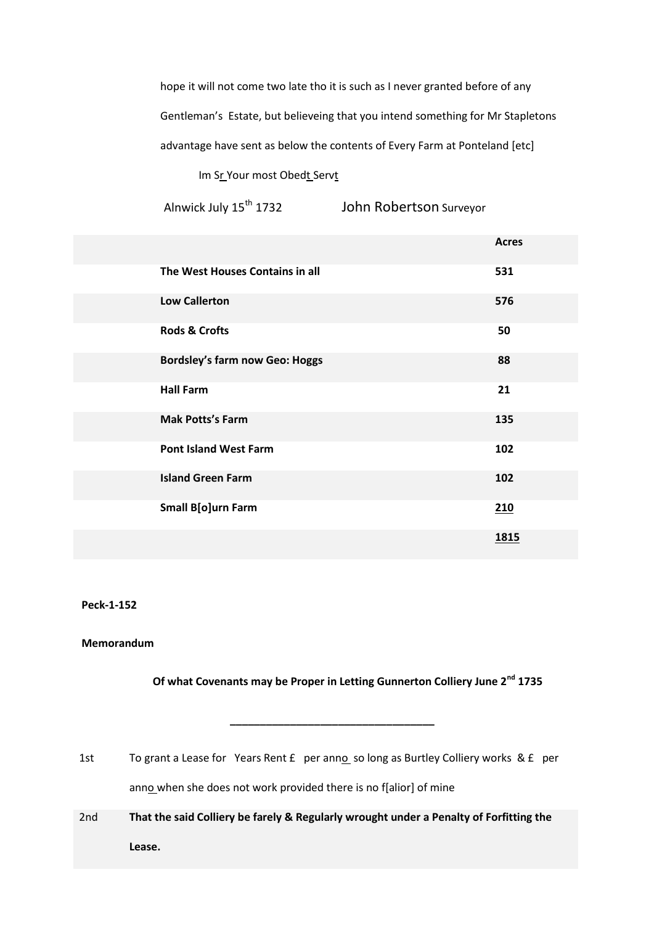hope it will not come two late tho it is such as I never granted before of any Gentleman's Estate, but believeing that you intend something for Mr Stapletons advantage have sent as below the contents of Every Farm at Ponteland [etc]

Im Sr Your most Obedt Servt

Alnwick July 15<sup>th</sup> 1732 John Robertson Surveyor

|                                       | <b>Acres</b> |
|---------------------------------------|--------------|
| The West Houses Contains in all       | 531          |
| <b>Low Callerton</b>                  | 576          |
| <b>Rods &amp; Crofts</b>              | 50           |
| <b>Bordsley's farm now Geo: Hoggs</b> | 88           |
| <b>Hall Farm</b>                      | 21           |
| <b>Mak Potts's Farm</b>               | 135          |
| <b>Pont Island West Farm</b>          | 102          |
| <b>Island Green Farm</b>              | 102          |
| <b>Small B[o]urn Farm</b>             | 210          |
|                                       | <u>1815</u>  |

#### **Peck-1-152**

### **Memorandum**

## **Of what Covenants may be Proper in Letting Gunnerton Colliery June 2nd 1735**

1st To grant a Lease for Years Rent £ per anno so long as Burtley Colliery works & £ per anno when she does not work provided there is no f[alior] of mine

 **\_\_\_\_\_\_\_\_\_\_\_\_\_\_\_\_\_\_\_\_\_\_\_\_\_\_\_\_\_\_\_\_\_\_** 

2nd **That the said Colliery be farely & Regularly wrought under a Penalty of Forfitting the Lease.**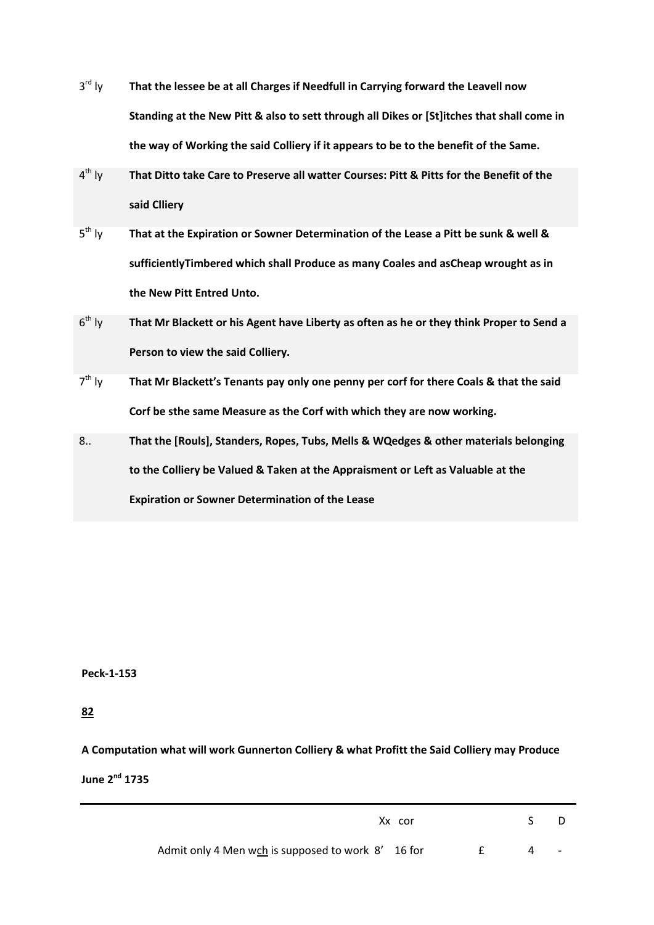- $3^{\text{rd}}$  ly That the lessee be at all Charges if Needfull in Carrying forward the Leavell now **Standing at the New Pitt & also to sett through all Dikes or [St]itches that shall come in the way of Working the said Colliery if it appears to be to the benefit of the Same.**
- $4^{th}$  ly That Ditto take Care to Preserve all watter Courses: Pitt & Pitts for the Benefit of the **said Clliery**
- $5^{\text{th}}$  ly That at the Expiration or Sowner Determination of the Lease a Pitt be sunk & well & **sufficientlyTimbered which shall Produce as many Coales and asCheap wrought as in the New Pitt Entred Unto.**
- $6^{th}$  Iv That Mr Blackett or his Agent have Liberty as often as he or they think Proper to Send a **Person to view the said Colliery.**
- $7<sup>th</sup>$  Iv th ly **That Mr Blackett's Tenants pay only one penny per corf for there Coals & that the said Corf be sthe same Measure as the Corf with which they are now working.**
- 8.. **That the [Rouls], Standers, Ropes, Tubs, Mells & WQedges & other materials belonging to the Colliery be Valued & Taken at the Appraisment or Left as Valuable at the Expiration or Sowner Determination of the Lease**

**82**

**A Computation what will work Gunnerton Colliery & what Profitt the Said Colliery may Produce** 

**June 2nd 1735**

| Xx cor                                             | S. |                          |
|----------------------------------------------------|----|--------------------------|
| Admit only 4 Men wch is supposed to work 8' 16 for |    | $\overline{\phantom{a}}$ |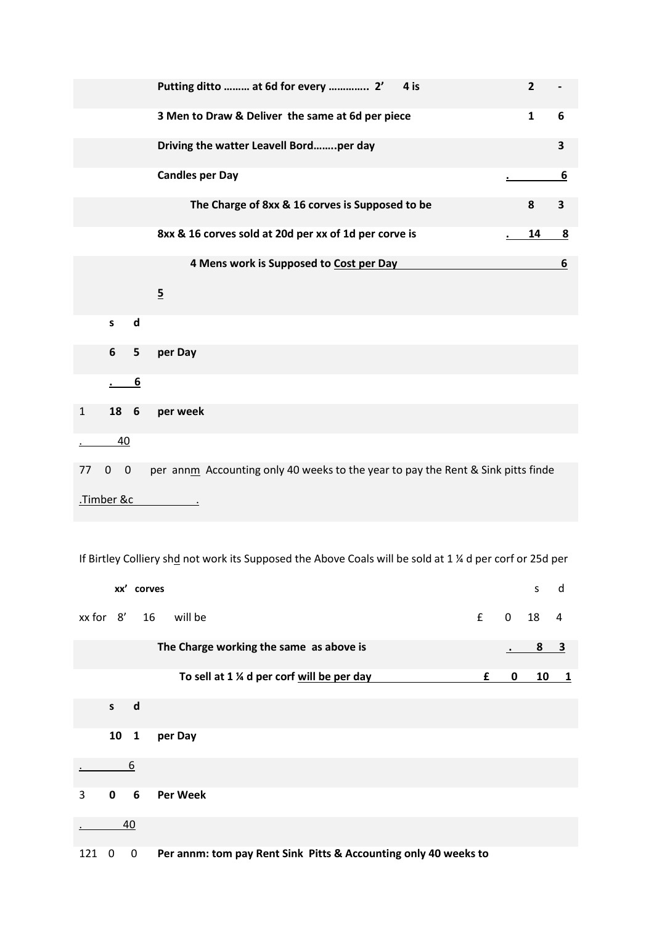|              |             |                  | Putting ditto  at 6d for every  2'<br>4 is                                       | $\overline{2}$ |                         |
|--------------|-------------|------------------|----------------------------------------------------------------------------------|----------------|-------------------------|
|              |             |                  | 3 Men to Draw & Deliver the same at 6d per piece                                 | $\mathbf{1}$   | 6                       |
|              |             |                  | Driving the watter Leavell Bordper day                                           |                | 3                       |
|              |             |                  | <b>Candles per Day</b>                                                           |                | 6                       |
|              |             |                  | The Charge of 8xx & 16 corves is Supposed to be                                  | 8              | 3                       |
|              |             |                  | 8xx & 16 corves sold at 20d per xx of 1d per corve is                            | 14             | $\overline{\mathbf{8}}$ |
|              |             |                  | 4 Mens work is Supposed to Cost per Day                                          |                | 6                       |
|              |             |                  | $\overline{5}$                                                                   |                |                         |
|              | S           | $\mathsf{d}$     |                                                                                  |                |                         |
|              | 6           | 5                | per Day                                                                          |                |                         |
|              |             | $6 \overline{6}$ |                                                                                  |                |                         |
| $\mathbf{1}$ | 18          | $6\overline{6}$  | per week                                                                         |                |                         |
|              | 40          |                  |                                                                                  |                |                         |
| 77           | $\mathbf 0$ | $\mathbf{0}$     | per annm Accounting only 40 weeks to the year to pay the Rent & Sink pitts finde |                |                         |
|              | .Timber &c  |                  |                                                                                  |                |                         |

If Birtley Colliery shd not work its Supposed the Above Coals will be sold at 1 % d per corf or 25d per

|     |              | xx' corves   |                                                                 |   |              | S                                      | d                       |
|-----|--------------|--------------|-----------------------------------------------------------------|---|--------------|----------------------------------------|-------------------------|
|     | xx for 8' 16 |              | £<br>will be                                                    |   | $\mathbf{0}$ | 18                                     | $\overline{4}$          |
|     |              |              | The Charge working the same as above is                         |   |              | $\begin{array}{c c} 8 & 3 \end{array}$ |                         |
|     |              |              | To sell at 1 % d per corf will be per day                       | £ | 0            | 10                                     | $\overline{\mathbf{1}}$ |
|     | $\mathsf{s}$ | d            |                                                                 |   |              |                                        |                         |
|     | 10           | $\mathbf{1}$ | per Day                                                         |   |              |                                        |                         |
|     |              | 6            |                                                                 |   |              |                                        |                         |
| 3   | $\mathbf 0$  | 6            | <b>Per Week</b>                                                 |   |              |                                        |                         |
|     |              | 40           |                                                                 |   |              |                                        |                         |
| 121 | 0            | 0            | Per annm: tom pay Rent Sink Pitts & Accounting only 40 weeks to |   |              |                                        |                         |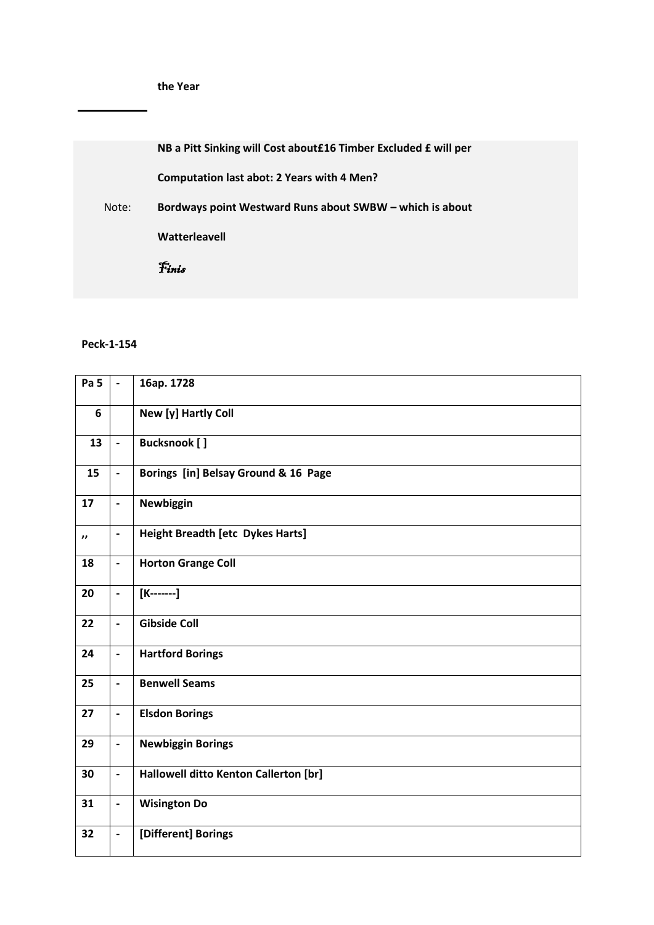**NB a Pitt Sinking will Cost about£16 Timber Excluded £ will per** 

**Computation last abot: 2 Years with 4 Men?**

 Note: **Bordways point Westward Runs about SWBW – which is about** 

**Watterleavell**

Finis

## **Peck-1-154**

| Pa <sub>5</sub>     | $\overline{a}$           | 16ap. 1728                              |
|---------------------|--------------------------|-----------------------------------------|
| 6                   |                          | New [y] Hartly Coll                     |
| 13                  | $\blacksquare$           | <b>Bucksnook</b> [ ]                    |
| 15                  | $\overline{\phantom{a}}$ | Borings [in] Belsay Ground & 16 Page    |
| 17                  | $\overline{\phantom{a}}$ | Newbiggin                               |
| $\boldsymbol{\eta}$ | $\blacksquare$           | <b>Height Breadth [etc Dykes Harts]</b> |
| 18                  | $\blacksquare$           | <b>Horton Grange Coll</b>               |
| 20                  | $\blacksquare$           | $[K-----]$                              |
| 22                  | $\blacksquare$           | <b>Gibside Coll</b>                     |
| 24                  | $\overline{\phantom{a}}$ | <b>Hartford Borings</b>                 |
| 25                  | $\frac{1}{2}$            | <b>Benwell Seams</b>                    |
| 27                  | $\blacksquare$           | <b>Elsdon Borings</b>                   |
| 29                  | $\blacksquare$           | <b>Newbiggin Borings</b>                |
| 30                  | $\overline{\phantom{a}}$ | Hallowell ditto Kenton Callerton [br]   |
| 31                  | $\overline{\phantom{a}}$ | <b>Wisington Do</b>                     |
| 32                  | $\overline{\phantom{a}}$ | [Different] Borings                     |